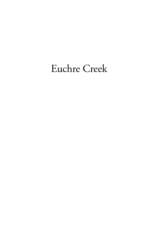## Euchre Creek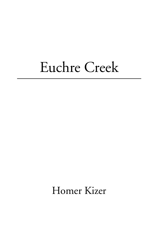# Euchre Creek

Homer Kizer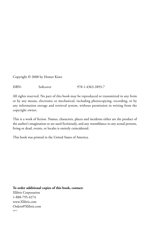Copyright © 2008 by Homer Kizer.

ISBN: Softcover 978-1-4363-2893-7

All rights reserved. No part of this book may be reproduced or transmitted in any form or by any means, electronic or mechanical, including photocopying, recording, or by any information storage and retrieval system, without permission in writing from the copyright owner.

This is a work of fiction. Names, characters, places and incidents either are the product of the author's imagination or are used fictitiously, and any resemblance to any actual persons, living or dead, events, or locales is entirely coincidental.

This book was printed in the United States of America.

**To order additional copies of this book, contact:** Xlibris Corporation 1-888-795-4274 www.Xlibris.com Orders@Xlibris.com 48513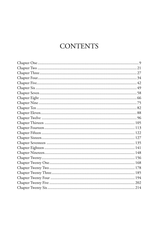### **CONTENTS**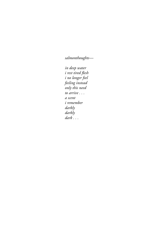*salmonthoughts—*

*in deep water i* rest tired flesh *i no longer feel feeling instead only this need to arrive . . . a scent i remember darkly darkly dark . . .*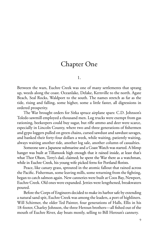#### Chapter One

1.

Between the wars, Euchre Creek was one of many settlements that sprang up, weeds along the coast. Oceanlake, Delake, Kernville to the north. Agate Beach, Seal Rocks, Waldport to the south. The names stretch as far as the tide, rising and falling, some higher, some a little faster, all digressions in ordered prosperity.

The War brought orders for Sitka spruce airplane spars: C.D. Johnson's Toledo sawmill employed a thousand men. Log trucks were exempt from gas rationing, beekeepers could buy sugar, but rifle ammo and deer were scarce, especially in Lincoln County, where two and three generations of fishermen and gypo loggers pulled on green chains, cursed sawdust and sawdust savages, and banked their forty-four dollars a week, while waiting, patiently waiting, always waiting another tide, another log sale, another column of casualties.

Someone saw a Japanese submarine and a Coast Watch was started. A blimp hanger was built at Tillamook high enough that it rained inside, at least that's what Thor Olson, Terry's dad, claimed; he spent the War there as a watchman, while in Euchre Creek, his young wife picked ferns for Portland florists.

Peace, like canary grass, sprouted in the atomic fallout that rained across the Pacific. Fisherman, some leaving mills, some returning from the fighting, began to catch salmon again. New canneries were built at Coos Bay, Newport, Euchre Creek. Old ones were expanded. Jetties were lengthened, breakwaters poured.

Before the Corps of Engineers decided to make its harbor safe by extending a natural sand spit, Euchre Creek was among the leaders, a port of highliners. Will Schirmer, the older Ted Painter, four generations of Halls, Ellis in his 18-footer, Charley Johnson, the three Heroun brothers—all fished out of the mouth of Euchre River, day boats mostly, selling to Bill Heroun's cannery.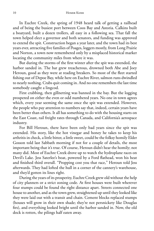In Euchre Creek, the spring of 1948 heard talk of getting a railhead and of being the busiest port between Coos Bay and Astoria. Calkins built a boatyard, built a dozen trollers, all easy in a following sea. That fall the town helped elect a governor and both senators, and funding was approved to extend the spit. Construction began a year later, and the town had its best years ever, attracting five families of Poages, loggers mostly, from Long Prairie and Norton, a town now remembered only by a misplaced historical marker locating the community miles from where it was.

But during the storms of the first winter after the spit was extended, the harbor sanded in. The bar grew treacherous, drowned both Abe and Joey Heroun, good as they were at reading breakers. So most of the fleet started fishing out of Depoe Bay, while here on Euchre River, salmon runs dwindled to nearly nothing. Crabs quit coming in. And no one remembers the last time somebody caught a lingcod.

First crabbing, then gillnetting was banned in the bay. But the logging prospered on either the even or odd numbered years. No one in town agrees which, every year seeming the same once the spit was extended. However, the people who pay attention to numbers say that, indeed, certain years have been better than others. It all has something to do with the housing starts on the East Coast, rail freight rates through Canada, and California's aerospace industry.

For Bill Heroun, there have been only bad years since the spit was extended. His story, like the hot vinegar and honey he takes to keep his arthritis in check, a little bitter, a little sweet, could be the folksy homily Elder Gosson told last Sabbath morning if not for a couple of details, the most important being that it's true. Of course, Heroun didn't hear the homily; not many did. Most of Euchre Creek drove up to watch the hydroplane races on Devil's Lake. Jess Saterlee's boat, powered by a Ford flathead, won his heat and finished third overall. "Propping cost you that race," Heroun told Jess afterwards. They had lofted the hull in a corner of the cannery's warehouse, and they'd gotten its lines right.

During the years of its prosperity, Euchre Creek grew old without the help of city planners or a strict zoning code. At first houses were built wherever four stumps could be found the right distance apart. Streets connected one house to another, and as the town grew, straightened up until they looked like they were laid out with a transit and chain. Cement blocks replaced stumps (houses will grow in their own shade; they're not persnickety like Douglas firs), and everything looked bright until the harbor sanded in. Now, the old dock is rotten, the pilings half eaten away.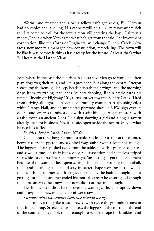Worms and weather and a bar a fellow can't get across, Bill Heroun had no choice about selling. His cannery will be a luxury resort where rich tourists come to troll for the few salmon still entering the bay. "California money," he said when Vern asked what he'd get from the sale. The investment corporation, like the Corps of Engineers, will change Euchre Creek. New faces, new money, a manager, new construction, remodeling. The town will be like it was before; it thinks itself ready for the future. At least that's what Bill hears at the Harbor View.

2.

Somewhere in the east, the sun rises in a clear sky. Men go to work, children play, dogs wag their tails, and Ike is president. But along the central Oregon Coast, fog thickens, gulls sleep, heads beneath their wings, and the morning drips from everything it touches. Wipers flapping, Robin Steele turns his rented Lincoln off Highway 101, turns upriver towards Euchre Creek. Tired from driving all night, he passes a community church, partially shingled, a white Grange Hall, and an unpainted plywood shack, a VFW sign over its door—and swerves to miss a dog with a stiff hindleg. A general store with a false front, an ancient Coca-Cola sign showing a girl and a dog, a tavern already open for business. No, it's a cafe, open beside the tavern. Maybe what he needs is coffee.

*So this is Euchre Creek. I guess it'll do.*

Glancing at three loggers around a table, Steele takes a stool at the counter, between a jar of pepperoni and a United Way canister with a slot for his change. The loggers, chairs pushed away from the table, sit with legs crossed, grease and sawdust fines on their jeans, once-red suspenders and shapeless striped shirts, hickory shirts if he remembers right. Suspecting he got this assignment because of the summer he'd spent setting chokers—he was playing football, then, and he thought he could stay in better shape working in the woods than coaching summer youth leagues for the city; he hadn't thought about getting hurt. That summer ended his football career: he wasn't good enough to go pro anyway; he knows that now, didn't at the time though.

He shudders a little as he tips over the waiting coffee cup, upside-down and heavy, of stoneware the color of wet straw.

*I wonder what this country looks like without the fog.*

The coffee, strong like it was brewed with twice the grounds, steams in the chipped mug. Steele glances up, sees the loggers in the mirror at the end of the counter. They look tough enough to eat wire rope for breakfast and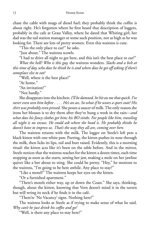chase the cable with mugs of diesel fuel; they probably think the coffee is about right. He's forgotten where he first heard that description of loggers, probably in the cafe at Grass Valley, where he dated that Whiting girl; her dad was the rail station manager or some such position, not as high as he was looking for. There are lots of pretty women. Even this waitress is cute.

"This the only place to eat?" he asks.

"Just about." The waitress scowls.

"I had to drive all night to get here, and this isn't the best place to eat?"

*What the hell? Who is this guy,* the waitress wonders. *Slacks and a belt at this time of day, who does he think he is and where does he get off asking if there's someplace else to eat?*

"Well, where is the best place?"

"At home."

"An invitation?"

"Not hardly."

She disappears into the kitchen: *I'll be damned, he hit on me that quick. I've* never even seen him before . . . . He's an ass. So what if he wears a sport coat? His *shirt was probably even pressed.* She pours a saucer of milk. The only reason she irons her blouses is to dry them after they've hung a week in the rain—*and what does his fancy clothes get him; his BO stinks. For people like him, traveling all night is no excuse. He could ask where the head is. He probably thinks he doesn't have to impress us. That's the way they all are, coming over here.*

The waitress returns with the milk. The logger on Steele's left pets a black kitten with one white paw. Purring, the kitten pushes its nose through the milk, then licks its lips, tail and butt raised. Evidently, this is a morning ritual: the kitten acts like it's been on the table before. And in the mirror, Steele notices that the waitress reaches for the kitten a dozen times, each time stopping as soon as she starts, setting her jaw, making a mole on her jawline quiver like a bee about to sting. She could be pretty. "Hey," he motions to the waitress, "I'm going to be here awhile. Any place to stay?"

"Like a motel?" The waitress keeps her eyes on the kitten.

"Or a furnished apartment."

"There's motels either way, up or down the Coast." She says, thinking, though, about the kitten, knowing that Vern doesn't mind it in the tavern but will wring its neck if he finds it in the café.

"There're 'No Vacancy' signs. Nothing here?"

The waitress looks at Steele as if trying to make sense of what he said. *Why can't he just drink his coffee and go?*

"Well, is there any place to stay here?"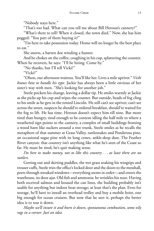"Nobody stays here."

"That's too bad. What can you tell me about Bill Heroun's cannery?"

"What's there to tell? When it closed, the town died." Now, she has him pegged: "You part of them buying it?"

"I'm here to take possession today. Home will no longer be the best place to eat."

She snorts, a barren doe winding a hunter.

And he chokes on the coffee, coughing in his cup, splattering the counter. When he recovers, he says: "I'll be hiring. Come by."

"No thanks, but I'll tell Vicki?"

"Vicki?"

"Olson, our afternoon waitress. You'll like her. Lives a mile upriver." *Vicki knows how to handle his type*. Jackie has always been a little envious of her sister's way with men. "She's looking for another job."

Steele pockets his change, leaving a dollar tip. He smiles warmly at Jackie as she picks up his cup and wipes the counter. But outside, beads of fog cling to his smile as he gets in the rented Lincoln. He still can't see upriver, can't see across the street, suspects he should've ordered breakfast, should've waited for the fog to lift. He has time. Heroun doesn't expect him till nine. But more tired than hungry, tired enough to be content idling the half mile to where a weathered sign points to the cannery, a complex of small buildings fronting a wood barn like suckers around a tree trunk, Steele smiles as he recalls the metaphors of that summer at Grass Valley, rattlesnakes and Ponderosa pine, an occasional sugar pine with its long cones, ankle-deep dust. The Feather River canyon: that country isn't anything like what he's seen of the Coast so far. He must be tired; he's quit making sense.

*I'm here to make money, not to like this country . . . at least there are no rattlers.*

Getting out and skirting puddles, the wet grass soaking his wingtips and trouser cuffs, Steele tries the office's locked door and the doors to the messhall, peers through streaked windows—everything seems in order—and enters the warehouse, its door ajar. Old fish and ammonia: he wrinkles his nose. Having both received salmon and housed the can lines, the building probably isn't usable for anything but indoor boat storage; at least that's the plan. Even for storage, he'll have to install an overhead trolley and buy a mobile hoist, one big enough for ocean cruisers. But now that he sees it, perhaps the better idea is to tear it down.

*Maybe we'll insure it and burn it down, spontaneous combustion, some oily rags in a corner. Just an idea.*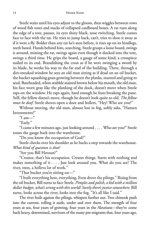Steele waits until his eyes adjust to the gloom, then wiggles between rows of wood fish totes and stacks of collapsed cardboard boxes. A rat runs along the edge of a tote, pauses, its eyes shiny black, nose twitching. Steele comes face to face with the rat. He tries to jump back, can't, tries to shoo it away as if it were a fly. Bolder than any rat he's seen before, it rises up on its hindlegs, teeth bared. Hands behind him, searching, Steele grasps a loose board, swings it around, missing the rat, swings again even though it ducked into the tote, swings a third time. He grips the board, a gauge of some kind, a crosspiece nailed to its end. Brandishing the cross as if he were swinging a sword by its blade, he works his way to the far end of the building. There, through a dirt-streaked window he sees an old man sitting as if dead on an oil bucket, the bucket squashing grass growing between the planks, stunted and going to seed. Bareheaded, white stubble stained brown below his mouth, the old man, his face worn gray like the planking of the dock, doesn't move when Steele raps on the window. He raps again, hard enough he fears breaking the pane. Still, the fellow doesn't move, though he doesn't look quite so old. *The fellow must be deaf.* Steele shoves open a door and hollers, "Hey! Who are you?"

Without moving, the old man, almost lost in fog, softly asks, "Hansen Investments?"

 $\mathrm{``I\;am...''}$ 

"Early."

"I came a few minutes ago, just looking around . . . . Who are you?" Steele tosses the gauge back into the warehouse.

"Do you know the occupation of God?"

Steele checks over his shoulder as he backs a step towards the warehouse. *What kind of question is that?*

"Are you Bill Heroun?"

"Creator, that's his occupation. Creates things. Starts with nothing and makes something of it . . . . Just look around you. What do you see? The river, trees, a helleva lot of work."

"That bucket you're sitting on—"

"I built everything here, everything. Even drove the pilings." Rising from the oil bucket, Bill turns to face Steele. *Pimples and polish, a kid with a million dollar budget, what's wrong with this world? Surely there's justice somewhere.* Bill turns, looks across the river, looks into the fog. "It's all like I said."

The river boils against the pilings, whispers further out. Two chinook push into the current, rolling it aside, under and over them. The strength of four years at sea, four years of growing, four years in the Aleutians—they've come back heavy, determined, survivors of the many pre-migrants that, four years ago,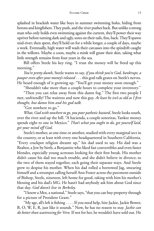splashed in brackish water like boys in summer swimming holes, hiding from herons and kingfishers. They push, and the river pushes back. But unlike a strong man who only holds even swimming against the current, they'll power their way upriver before turning dark and ugly, sores on their tails, fins, back. They'll spawn mid-river; then spent, they'll hold on for a while longer, a couple of days, maybe a week. Eventually, high water will wash their carcasses into the spindrift caught in the willows. Maybe a coon, maybe a mink will gnaw their skin, taking what little strength remains from four years in the sea.

Bill offers Steele his key ring. "I trust the money will be freed up this morning."

*You're pretty dumb*, Steele wants to say, *if you think you're God, bankrupt, a pauper even afteryour money's released* . . . this god-talk grates on Steele's nerves. He heard enough of it growing up. "You'll get your money soon enough."

"Shouldn't take more than a couple hours to complete your inventory."

"Then you can relax away from this damn fog." The first two people I met, unfriendly! The waitress and now this guy. *At least he isn't as old as I fi rst thought, but damn him and his god-talk*.

"Got nowhere to go."

*What, God with nowhere to go,you poor pathetic bastard*, Steele looks south, over the river and up the hill. "A hacienda, a couple senoritas, Yankee money spends eight to one in Mexico." *That's what you ought to do, get yourself laid, get your mind off God.*

Steele's mother, at one time or another, studied with every marginal sect in the country, or at least with every one headquartered in Southern California. "Every crackpot religion dreamt up," his dad used to say. His dad was a Realtor, a Jew by birth, a Benjamite who liked fast convertibles and even faster blondes, especially young actresses looking for their first break. His mother didn't cause his dad too much trouble, and she didn't believe in divorce; so the two of them stayed together, each going their separate ways. And Steele grew to despise his mother. When his dad rolled a borrowed Jag, smearing himself and a strumpet calling herself Ann Foster across the pavement outside of Bishop, Steele, nineteen, left home for good, taking with him his mother's blessing and his dad's MG. He hasn't had anybody ask him about God since that day. *God doesn't live in Berkeley.*

"I know a Mex, a national," Steele says, "that you can buy property through for a picture of President Grant."

"My age, all's left is fishing . . . . If you need help, hire Jackie, Jackie Bower, B, O, W, E, R, just like it sounds." Now, he has no reason to stay. *Jackie can do better than waitressingfor Vern.* If not for her, he wouldn't have sold out. He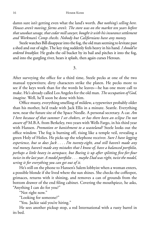damn sure isn't getting even what the land's worth. *But nothing's selling here. Houses aren't moving; farms aren't. The store was on the market ten years before that sawdust savage, that cedar mill sawyer, bought it with his insurance settlement and Workman's Comp checks. Nobody but Californians have any money.*

Steele watches Bill disappear into the fog, the old man seeming to levitate past a shed and out of sight. The key ring suddenly feels heavy in his hand. *I should've ordered breakfast.* He grabs the oil bucket by its bail and pitches it into the fog, and into the gurgling river, hears it splash, then again curses Heroun.

3.

After surveying the office for a third time, Steele pecks at one of the two manual typewriters; dirty characters strike the platen. He pecks more to see if the keys work than for the words he leaves—he has one more call to make. He's already called Los Angeles for the old man. *The occupation of God, imagine.* Well, he'll soon be done with him.

Office musty, everything smelling of mildew, a typewriter probably older than his mother, he'd trade with Jack Ellis in a minute. Seattle. Everything new, near the future site of the Space Needle. A personal secretary. A car. *Am I here because of that summer I set chokers, or has there been an eclipse I'm not aware of?* M.B.A. from Berkeley, two years with Wells Fargo, in his third year with Hansen. *Promotion or banishment to a wasteland?* Steele looks out the office window. The fog is burning off, rising like a temple veil, revealing a green Holy of Holies. He picks up the telephone receiver. *Sure I have logging experience, but so does Jack . . . . I'm twenty-eight, and still haven't made any real money, haven't made any mistakes that I know of, have a balanced portfolio, perhaps a little heavy in aerospace, but Boeing is up after splitting fi ve-for-four twice in the lastyear. A model portfolio . . . maybe Dad was right, twist the model, wring it for everything you can get out of it.*

He's still on the phone to Hansen's Salem lobbyist when a woman enters, a possible blonde if she lived where the sun shines. She checks the coffeepot, grimaces, returns with it shining, and removes a can of grounds from the bottom drawer of the end filing cabinet. Covering the mouthpiece, he asks, "Anything I can do for you?"

"Not right now."

"Looking for someone?"

"You. Jackie said you're hiring."

He sees another pickup stop, a red International with a rusty barrel in its bed.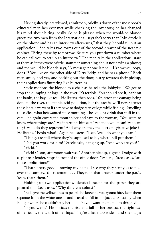Having already interviewed, admittedly, briefly, a dozen of the most poorly educated men he's ever met while checking the inventory, he has changed his mind about hiring locally. So he is pleased when the would-be blonde greets the two men from the International, says she's sorry that "Mr. Steele is on the phone and has an interview afterwards," that they "should fill out an application." She takes two forms out of the second drawer of the near file cabinet. "Bring these by tomorrow. Be sure you put down a number where he can call you to set up an interview." The men take the applications, stare at them as if they were brittle, stammer something about not having a phone; and the would-be blonde says, "A message phone is fine—I know you boys, don't I? You live on the other side of Dirty Eddy, and he has a phone." Both men smile, nod yes, and backing out the door, hurry towards their pickup, their applications fluttering like butterflies.

Steele motions the blonde to a chair as he tells the lobbyist: "We got to stop the dumping of logs in the river. It's terrible. You should see it, bark on the banks, the bay like tea." He listens, then adds, "Yes, stress the damage being done to the river, the tannic acid pollution, but the fact is, we'll never attract the clientele we want if they have to dodge rafts of logs while fishing." Smelling the coffee, what he's wanted since morning—he couldn't drink that stuff in the café—he again covers the mouthpiece and says to the woman, "You seem to know where things are." He interrupts himself: "What do you mean? Who are they? Who do they represent? And why are they the butt of legislative jokes?" He listens. "Ecolo-what?" Again he listens. "I see. Well, do what you can."

"Things are still where they're supposed to be, where Bill put them."

"Did you work for him?" Steele asks, hanging up. "And who are you?" "Vicki."

"Vicki Olson, afternoon waitress." Another pickup, a green Dodge with a split rear fender, stops in front of the office door. "Where," Steele asks, "are those applications?"

"That's pretty good, knowing my name. I see why they sent you to take over the cannery. You're smart . . . . They're in that drawer, under the p.o.'s. Yeah, that's them."

Holding up two applications, identical except for the paper they are printed on, Steele asks, "Why different colors?"

"Bill gave the yellow ones to people he knew he was gonna hire, kept them separate from the white ones—and I used to fill in for Jackie, especially when Bill got where he couldn't pay her . . . . Do you want me to talk to this guy?"

"If you want." He notices the rise and fall of her breasts, the tightness of her jeans, the width of her hips. They're a little too wide—and she ought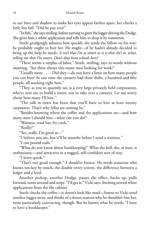to use liner and shadow to make her eyes appear farther apart, her cheeks a little less full. "Did he pay you?"

"In fish," she says smiling, before turning to greet the logger driving the Dodge. She gives him a white application and tells him to drop it by tomorrow.

Steele grudgingly admires how quickly she sends the fellow on his way: he probably ought to hire her. He might—if he hadn't already decided to bring up the help he needs. *It isn't that I'm so smart as it is that she's so, what, telling me that I'm smart. Don't they have schools here?*

"There seems a surplus of labor," Steele, smiling, says in words without meaning. "Are there always this many men looking for work?"

"Usually more . . . . Did they—do you have a limit on how many people you can hire? At one time the cannery had three shifts, a hundred and fifty people, all working right here."

"They, as you so quaintly say, is a very large privately held corporation, who've sent me to build a resort, not to take over a cannery. Let me worry about how many I'll hire."

"The talk in town has been that you'll have to hire at least twenty carpenters. That's why fellas are coming by."

"Besides knowing where the coffee and the applications are—and how many men I should hire—what can you do?"

"Waitress, tend bar, fry cook."

"Really?"

"Yes, really. I'm good at—"

"I believe you are, but it'll be months before I need a waitress."

"I can pound nails."

"What do you know about bookkeeping?" What the hell, she, at least, is enthusiastic—and attractive in a rugged, self-confident sort of way.

"I learn quick."

"That's not good enough." *I should've known.* He needs someone who knows ten-key by touch, the double entry system, the difference between a ledger and a level.

Another pickup, another Dodge, passes the office, backs up, pulls forward, turns around and stops. "I'll get it," Vicki says, fetching several white applications from the file cabinet.

Steele checks the coffee—it doesn't look like mud—listens to Vicki send another logger away, and thinks of a dozen reasons why he shouldn't hire her, none particularly convincing, though. But he knows what he needs: "I have to have a bookkeeper."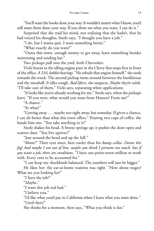"You'll want the books done your way. It wouldn't matter what I know, you'd still want them done your way. If you show me what you want, I can do it."

Surprised that she read his mind, not realizing that she hadn't, that he had voiced his thoughts, Steele says, "I thought you have a job."

"I do, but I wanta quit. I want something better."

"What exactly do you want?"

"Outta this town, enough money to get away, learn something besides waitressing and tending bar."

Two pickups pull into the yard, both Chevrolets.

Vicki listens to the idling engine purr in the Chevy that stops first in front of the office. *A 216, babbit bearings*. "He rebuilt that engine himself," she nods towards the truck. The second pickup turns around between the bunkhouse and the messhall. It idles rough. *Bad lifters,* she suspects. *Maybe they're solids.* "I'll take care of them," Vicki says, separating white applications.

"It looks like you're already working for me," Steele says, when the pickups leave. "If you were, what would you want from Hansen? From me?"

"A chance."

"At what?"

"Getting away . . . maybe not right away, but someday. If given a chance, I can do better than what this town offers." Pouring two cups of coffee, she hands him one. "You take anything in it?"

Steele shakes his head. A breeze springs up; it pushes the door open and scatters dust. "You live upriver?"

"Just around the bend and up the hill."

"Alone?" Their eyes meet, hers cooler than his damp collar. *Damn this fog! And maybe I am out of line, maybe you think I presume too much, but if you want a job, there are conditions.* "I have one-point-seven million to work with. Every cent to be accounted for."

"I can keep my checkbook balanced. The numbers will just be bigger."

He likes her: the eat-at-home waitress was right. "How about wages? What are you looking for?"

"I have the job?"

"Maybe."

"I want this job real bad."

"I believe you."

"I'd like what you'd pay in California when I learn what you want done." "Until then?"

She thinks for a moment, then says, "What you think is fair."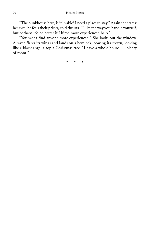"The bunkhouse here, is it livable? I need a place to stay." Again she stares: her eyes, he feels their pricks, cold thrusts. "I like the way you handle yourself, but perhaps it'd be better if I hired more experienced help."

"You won't find anyone more experienced." She looks out the window. A raven flares its wings and lands on a hemlock, bowing its crown, looking like a black angel a top a Christmas tree. "I have a whole house . . . plenty of room."

\* \* \*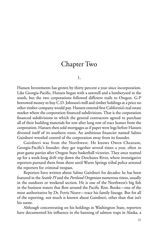#### Chapter Two

1.

Hansen Investments has grown by thirty percent a year since incorporation. Like Georgia-Pacific, Hansen began with a sawmill and a lumberyard in the south, but the two corporations followed different trails to Oregon. G-P borrowed money to buy C.D. Johnson's mill and timber holdings at a price no other timber company would pay. Hansen entered first California's real estate market where the corporation financed subdivisions. That is the corporation financed subdivisions in which the general contractors agreed to purchase all of their building materials for row after long row of tract homes from the corporation. Hansen then sold mortgages as if paper were logs before Hansen divested itself of its southern roots. An ambitious financier named Salmo Gairdneri wrestled control of the corporation away from its founder.

Gairdneri was from the Northwest. He knows Owen Cheatum, Georgia-Pacific's founder: they get together several times a year, often in post-game parties after Oregon State basketball victories. They once teamed up for a week-long drift trip down the Deschutes River, where investigative reporters pursued them from shore until Warm Springs tribal police arrested the reporters for criminal trespass.

Reporters have written about Salmo Gairdneri for decades: he has been featured in the *Seattle PI* and the *Portland Oregonian* numerous times, usually in the outdoors or weekend section. He is one of the Northwest's big fish in the business waters that flow around the Pacific Rim. Books—one of the most authoritative by Dr. Ferris Neave—trace his family lineage. But for all of the reporting, not much is known about Gairdneri, other than that isn't his name.

Although concentrating on his holdings in Washington State, reporters have documented his influence in the banning of salmon traps in Alaska, a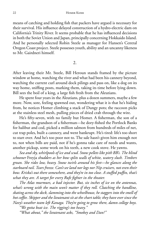means of catching and holding fish that packers have argued is necessary for their survival. His influence delayed construction of a hydro-electric dam on California's Trinity River. It seems probable that he has influenced decisions in both the Soviet Union and Japan, principally concerning Hokkaido Island. And he personally selected Robin Steele as manager for Hansen's Central Oregon Coast project. Steele possesses youth, ability and an uncanny likeness to Mr. Gairdneri himself.

2.

After leaving their Mr. Steele, Bill Heroun stands framed by the picture window at home, watching the river and what had been his cannery beyond, watching the current curl around dock pilings and pass on, like a dog on its way home, sniffing posts, marking them, taking its time before lying down. Bill sees the boil of a king, a large fish fresh from the Aleutians.

He spent four years in the Aleutians, plus a dozen summers, maybe a few more. Now, sore, feeling spawned out, wondering what it is that he's hiding from, he notices Homer climbing a stack of Dungy pots; the raccoon picks at the stainless steel mesh, pulling pieces of dried crab through the wire.

He's fifty-seven, with no family but Homer. A fisherman, the son of a fisherman, the grandson of a fisherman—he dory-fished the Portlock Banks for halibut and cod, picked a million salmon from hundreds of miles of net, cut trap poles, built a cannery, and went bankrupt. He's tired: life's too short to start over. And he's too poor not to. The sale hasn't given him enough not to, not when bills are paid, not if he's gonna take care of needs and wants, another pickup, some work on his teeth, a new cook stove. He yawns.

*Sea and sky, whirlpools of ice and scud. Snow pellets like pith BB's. The blind schooner* Freyja *shudders as her bow splits walls of white, watery slush. Timbers groan. She rides low, heavy. Snow twirls around his feet—he glances along the starboard rail. Tears freeze. Can't see land nor logs nor Nip cruisers, not even their bow. Kriska's out there somewhere, and they're in too close. A stuffed puffi n, that's what they are. A target for every Rufe fi ghter in the theater.*

*The Atlas murmurs, a bad injector. But, six inches of ice on the antennas, what's wrong with the main won't matter if they roll. Clutching the handline, skating across the deck, slamming into the wheelhouse, he staggers into the smell of hot coffee. Skipper and the lieutenant sit at the chart table; they have ever since the Navy's weather team left Kanaga. They're going to grow there, damn college boys.*

*"We gotta beat ice. The rigging's too heavy."*

*"What about," the lieutenant asks, "Smokey and Dan?"*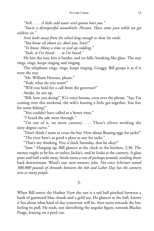*"Sick . . . . A little cold water ain't gonna hurt you."*

*"You're a disrespectful sonnabitch, Heroun. Have some java while we get oilskins on."*

*Sven looks away from the wheel long enough to show his smile.*

*"You know all about ice, don't you, Sven?"*

*"Ve know. Many a time ve iced up codding."*

*"Yeah, so I've heard . . . so I've heard."*

He hits the stay, hits it harder, and ice falls, breaking like glass. The stay rings, rings, keeps ringing and ringing.

The telephone rings, rings, keeps ringing. Groggy, Bill grasps it as if it were the stay.

"Mr. William Heroun, please."

"Yeah, what do you want?"

"Will you hold for a call from the governor?"

Awake, he sits up.

"Bill, how you doing?" JG's voice booms, even over the phone. "Say, I'm coming over this weekend, the wife's hosting a little get-together. You free for some fishing?"

"You couldn't have called at a better time."

"I heard the sale went through."

"I'm out of it, no more cannery . . . . There's silvers working the sixty-degree curve."

"Don't think I want to cross the bar. How about floating eggs for jacks?" "The river here's as good a place as any for jacks."

"That's my thinking. Five o'clock Saturday, that be okay?"

"Sure." Hanging up, Bill glances at the clock in the kitchen, 2:30. The money ought to be his, or rather, Jackie's, and he looks at the cannery. A glass pane and half a mile away, Steele turns a run of pickups around, sending them back downstream. Word's out: new owners, jobs. *Not since Schirmer netted 300,000 pounds of chinooks between the 4th and Labor Day has the cannery seen so many people.*

3.

When Bill enters the Harbor View the sun is a red ball pinched between a bank of gunmetal blue clouds and a gold sea. He glances at the ball, knows it lies about what kind of day tomorrow will be, then turns towards the bar, feeling its pull. He nods, not identifying the angular figure, towards Blackie Poage, leaning on a pool cue.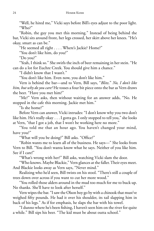"Well, he hired me," Vicki says before Bill's eyes adjust to the poor light. "Who?"

"Robin, the guy you met this morning." Instead of being behind the bar, Vicki sits around front, her legs crossed, her skirt above her knees. "He's okay, smart as can be."

"He seemed all right . . . . Where's Jackie? Home?"

"You don't like him, do you?"

"Do you?"

"Yeah, I think so." She swirls the inch of beer remaining in her stein. "He can do a lot for Euchre Creek. You should give him a chance."

"I didn't know that I wasn't."

"You don't like him. Even now, you don't like him."

Vern is behind the bar—and to Vern, Bill says, "*Blitz*." *No, I don't like him, but why do you care?* He tosses a four bit piece onto the bar as Vern draws the beer. "Have you met him?"

"Me?" Vern asks, then without waiting for an answer adds, "No. He stopped in the cafe this morning. Jackie met him."

"Is she home?"

Before Vern can answer, Vicki intrudes: "I don't know why you two don't like him. He's really okay . . . I gotta go. I only stopped to tell you," she looks at Vern, "that I got a job, that I won't be working here no more."

"You told me that an hour ago. You haven't changed your mind, have you?"

"What will you be doing?" Bill asks. "Office?"

"Robin wants me to learn all of the business. He says—" She looks from Vern to Bill. "You don't wanta know what he says. Neither of you like him. See if I care!"

"What's wrong with her?" Bill asks, watching Vicki slam the door.

"Who knows. Maybe Blackie," Vern glances at the faller. Their eyes meet. And Blackie looks away as Vern says, "Never mind."

Realizing who he'd seen, Bill twists on his stool. "There's still a couple of trees down over across if you want to cut her more wood."

"You rolled those alders around in the mud too much for me to buck up. No thanks. She'll have to look after herself."

Vern wipes the bar. "I saw the Olson boy go by with a chinook that must've weighed fifty pounds. He had it over his shoulder, its tail slapping him in back of his legs." As if for emphasis, he slaps the bar with his towel.

"I dunno where he's been fishing, I haven't seen him on the river for quite a while." Bill sips his beer. "The kid must be about outta school."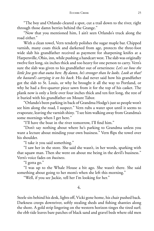"The boy and Orlando cleared a spot, cut a trail down to the river, right through those damn berries behind the Grange."

"Now that you mentioned him, I ain't seen Orlando's truck along the road either."

With a clean towel, Vern tenderly polishes the sugar maple bar. Chipped varnish, many coats thick and darkened from age, protects the three-foot wide slab his grandfather received as payment for sharpening knifes at a Harpersville, Ohio, inn, while pushing a handcart west. The slab was originally twelve feet long, six inches thick and too heavy for one person to carry. Vern's sure the slab was given to his grandfather out of orneriness: *Let's see how the little Jew gets that outta here. By damn, he's stronger than he looks. Look at that! the bastard's carrying it on his back*. His dad never said how his grandfather got the slab to St. Louis, or why he brought it all the way to Portland, or why he had a five-quarter piece sawn from it for the top of his casket. The plank now is only a little over four inches thick and ten feet long, the rest of it buried with his grandfather on Mount Tabor.

"Orlando's been parking in back of Grandma Hodge's just so people won't see him along the road, I suspect." Vern rubs a water spot until it seems to evaporate, leaving the varnish shiny. "I see him walking away from Grandma's some mornings when I get here."

"I'll have the boat in the river tomorrow, I'll find him."

"Don't say nothing about where he's parking to Grandma unless you want a lecture about minding your own business." Vern flips the towel over his shoulder.

"I take it you said something."

"I saw her in the store. She said she wasn't, in her words, sparking with that squaw man. Then she went on about me being in the devil's business." Vern's voice fades on *business*.

"I gotta go."

"I was up to the Whale House a bit ago. She wasn't there. She said something about going to her mom's when she left this morning."

"Well, if you see Jackie, tell her I'm looking for her."

4.

Steele sits behind his desk, lights off, Vicki gone home, his chair pushed back. Darkness creeps downriver, softly stealing sheds and fishing shanties along the shore. A gold strip lingering on the western horizon tinges the tired surf; the ebb tide leaves bare patches of black sand and gravel beds where old men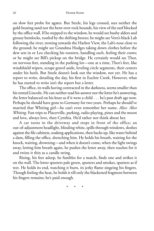on slow feet probe for agates. But Steele, his legs crossed, sees neither the gold-bearing sand nor the bent-over rock hounds, his view of the surf blocked by the office wall. If he stepped to the window, he would see bushy alders and grousy hemlocks, rustled by the shifting breeze; he might see Vern's black Lab following the river, trotting towards the Harbor View, the Lab's nose close to the ground; he might see Grandma Hodges taking down clothes before the dew sets in or Leo checking his roosters, handling each, feeling their craws; or he might see Bill's pickup on the bridge. He certainly would see Thor, on nervous feet, standing in the parking lot—one at a time, Thor's feet, like windshield wipers, scrape gravel aside, leveling circle segments, their centers under his heels. But Steele doesn't look out the window, not yet. He has a report to write, detailing the day, his first in Euchre Creek. However, what he has started to write isn't the report but a letter.

The office, its walls having contracted in the darkness, seems smaller than his rented Lincoln. He can neither read his answer nor the letter he's answering, the letter balanced on his knee as if it were a child . . . he's past draft age now. Perhaps he should have gone to Germany for two years. Perhaps he should've married that Whiting girl—he can't even remember her name. *Alice. Alice Whiting.* Fast trips to Placerville, parking, radio playing, pines and the moon and love, always love, then Cynthia. He'd rather not think about her.

A car turns in the driveway and stops in front of the office; an out-of-adjustment headlight, blinding white, spills through windows, sloshes against the file cabinets, soaking applications, then backs up, like water behind a dam, filling the office, drenching him. He holds his breath, waiting for the knock, waiting, drowning—and when it doesn't come, when the light swings away, letting him breath again, he pushes the letter away, then reaches for it and twists it thin as a candle string.

Rising, his feet asleep, he fumbles for a match, finds one and strikes it on the wall. The letter sputters pale green, sputters and smokes, sputters as if wet. He holds its end, watching it burn, its jerky flame singeing his fingers. Though feeling the heat, he holds it till only the blackened fragment between his fingers remains; he's paid enough.

\* \* \*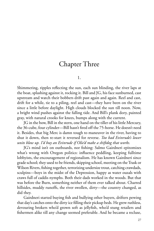#### Chapter Three

1.

Shimmering, ripples reflecting the sun, each sun blinding, the river laps at the boat, splashing against it, rocking it. Bill and JG, his face sunburned, cast upstream and watch their bobbers drift past again and again. Reel and cast, drift for a while, tie to a piling, reel and cast—they have been on the river since a little before daylight. High clouds blocked the sun till noon. Now, a bright wind pushes against the falling tide. And Bill's plank dory, painted gray, with natural crooks for knees, bumps along with the current.

JG in the bow, Bill in the stern, one hand on the tiller of his little Mercury, the 36-cube, four cylinder—Bill hasn't fired off the 75-horse. He doesn't need it. Besides, that big Merc is damn tough to maneuver in the river, having to shut it down, then re-start it reversed for reverse. *Too bad Evinrude's lower units blow up. I'd buy an Evinrude if Olie'd make a shiftdog that works.*

JG's mind isn't on outboards, nor fishing: Salmo Gairdneri epitomizes what's wrong with Oregon politics: influence peddling, keeping fulltime lobbyists, the encouragement of regionalism. He has known Gairdneri since grade school; they used to be friends, skipping school, meeting on the Trask or Wilson Rivers, fishing together, terrorizing undersize trout, catching crawdads, sculpins—boys in the midst of the Depression, happy as water ouzals with craws full of caddis nymphs. Both their dads worked in the woods. But that was before the Burn, something neither of them ever talked about. Charred hillsides, muddy runoffs, the river swollen, dirty—the country changed, as did they.

Gairdneri started buying fish and bullying other buyers, drifters pewing that day's catches onto the dirty ice filling their pickup beds. He grew ruthless, devouring brokers who'd grown soft as jellyfish, who'd stung retailers and fishermen alike till any change seemed preferable. And he became a recluse,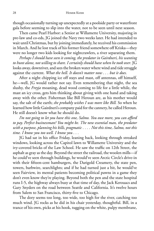though occasionally turning up unexpectedly at a poolside party or waterfront gala before seeming to slip into the water, not to be seen until next season.

Then came Pearl Harbor: a Senior at Willamette University, majoring in pre-law and co-eds, JG joined the Navy two weeks later. He had intended to wait until Christmas, but by joining immediately, he received his commission in March. And he lost track of his former friend somewhere off Kriska—they were no longer two kids looking for nightcrawlers, a river separating them.

*Perhaps I should have seen it coming, the predator in Gairdneri, his wanting to hunt alone, not willing to share. I certainly should have when he took over*. JG looks away, downriver, and sees the broken water where wind and tide struggle against the current. *What the hell. It doesn't matter now . . . but it does.*

After a night chipping ice off stays and mast, off antennas, off himself, he—well, JG would rather not say. Even remembering that night, the sea slushy, the *Freyja* moaning, dead wood coming to life for a little while, the mast an icy cross, gets him thinking about giving with one hand and taking away with the other. Fisherman like Bill Heroun are, as his mother would say, the salt of the earth; *she probably wishes I was more like Bill.* So when he learned how little Gairdneri's company paid for the cannery, he called Heroun. He still doesn't know what he should do.

*I'm not going to let you have this one, Salmo. You owe more, you can afford to pay. Perfect businessman? You might be. The new essential man, the predator with a purpose, planning his kills, pragmatic . . . . Not this time, Salmo, not this time. I know you too well. I know you . . .* 

JG had sat in his office Friday, leaning back, looking through streaked windows, looking across the Capitol lawn to Willamette University and the ivy-covered bricks of the Law School. He saw the traffic on 12th Street, the asphalt as gray as the day. Beyond the street the railroad, the woolen mills—if he could've seen through buildings, he would've seen Arctic Circle's drive-in with their fifteen-cent hamburgers, the Darigold Creamery, the state pen, towers, barbwire, searchlights; and if he had turned just a bit, he would've seen Fairview, its mental patients becoming political pawns in a game they don't even know they're playing. Beyond both the pen and the state hospital runs I-5, the highway always busy at that time of day, the Jack Kerouacs and Gary Snyders on the road between Seattle and California. It's twelve hours from Salem to San Francisco, thirty-five to Chicago.

The dory seems too long, too wide, too high for the river, catching too much wind. JG rocks as he did in his chair yesterday, thoughtful. Bill, in a trance of his own, picks at his hook, tugging on the white, pulpy membrane,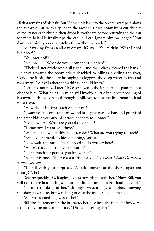all that remains of his bait. But Homer, his back to the breeze, scampers along the gunwale. Fat, with a split ear, the raccoon rinses Borax from cut chunks of roe, tastes each chunk, then drops it overboard before returning to the can for more bait. He finally tips the can. Bill can ignore him no longer: "You damn varmint, you can't catch a fish without a hook."

As if waking from an all-day dream, JG says, "You're right. What I need is a hook?"

"You break off?"

"No, no . . . . What do you know about Hansen?"

"Their Mister Steele seems all right—and their check cleared the bank." He casts towards the boom sticks shackled to pilings dividing the river,

sectioning it off, the shore belonging to loggers, the deep water to fish and fishermen. "Why? Is there something I should know?"

"Perhaps, not now. Later." JG casts towards the far shore, his plan still not clear to him. What he has in mind will involve a little influence peddling of his own, nothing extralegal though. "Bill, you're just the fisherman to land me a record."

"How about if I first catch one for me?"

"I want you to come tomorrow, and bring this masked bandit. I promised the grandkids a year ago I'd introduce them to Homer."

"Come where? What are you talking about?"

"Tomorrow. I want you there."

"Where—and what's this about records? What are you trying to catch?"

"Bring your friend. Jackie something, isn't it?"

"Now wait a minute. I'm supposed to do what, where?"

"Helen's tea . . . . I told you about it."

"I ain't much for parties, you know that."

"Be at this one. I'll have a surprise for you." *At least I hope I'll have a surprise for you.*

"To hell with your surprises." A jack jumps near the shore, upstream from JG's bobber.

Reeling quickly, JG, laughing, casts towards the splasher. "Now, Bill, you still don't have hard feelings about that little number in Portland, do you?"

"I wasn't thinking of her." Bill says, watching JG's bobber, knowing splashers never bite, but watching in case the impossible happens.

"She was something, wasn't she?"

Bill tries to remember the brunette, her face lost, the incident fuzzy. He recalls only the mole on her toe. "Did you ever pay her?"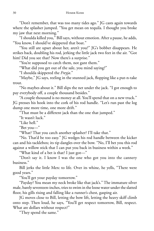"Don't remember, that was too many tides ago." JG casts again towards where the splasher jumped. "You get mean on tequila. I thought you broke my jaw that next morning."

"I shoulda killed you," Bill says, without emotion. After a pause, he adds, "You know, I should've skippered that boat."

"You still are upset about her, aren't you?" JG's bobber disappears. He strikes back, doubling his rod, jerking the little jack two feet in the air. "Got him! Did you see that? Now there's a surprise."

"You're supposed to catch them, not gant them."

"What did you get out of the sale, you mind saying?"

"I shoulda skippered the *Freyja*."

"Maybe," JG says, reeling in the stunned jack, flopping like a put-n-take trout.

"No maybes about it." Bill slips the net under the jack. "I got enough to pay everybody off, a couple thousand besides."

"A couple thousand is no money at all. You'll spend that on a new truck." JG presses his hook into the cork of his rod handle. "Let's run past the log dump one more time, one more drift."

"That must be a different jack than the one that jumped."

"It wasn't luck."

"Like hell."

"Bet you—"

"What? That you catch another splasher? I'll take that."

"No. That'd be too easy." JG wedges his rod handle between the kicker can and his tacklebox; its tip dangles over the bow. "No, I'll bet you this rod against a willow stick that I can put you back in business within a week."

"What kind of a bet is that? I just got—"

"Don't say it. I know I was the one who got you into the cannery business."

Bill jerks the little Merc to life. Over its whine, he yells, "There were good years."

"You'll get your payday tomorrow."

"Payday? You mean my neck broke like that jack's." The immature silver male, barely seventeen-inches, tries to swim in the loose water under the slatted floor, his gills rising and falling like a runner's chest, gasping air.

JG moves close to Bill, letting the bow lift, letting the heavy skiff climb onto step. Then loud, he says, "You'll get respect tomorrow, Bill, respect. What are dollars without respect?"

"They spend the same."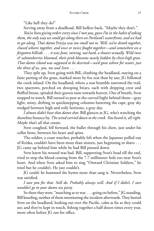"Like hell they do!"

Serving away from a deadhead, Bill hollers back, "Maybe they don't."

*You've been giving orders every since I met you,guess I'm in the habit of taking them, the only way we could get alongthere on Portland's waterfront, and we had to get along. That damn* Freyja *was too small not to. Well, we've drank together, chased whores together, and once or twice fought together—and somewhere on a forgotten hillside . . . it was June, raining, not hard, a shower actually. Wild roses & salmonberries bloomed, their pink blossoms nearly hidden by chest-high grass. That damn island was supposed to be deserted—we'd gone ashore for water, just the three of us, you, me and Sven . . .* 

They split up, Sven going with Bill, climbing the headland, staying on a faint parting of the grass, marked more by fox scat than by use; JG followed the creek inland. On the headland, where a rose bramble narrowed the trail, two sparrows, perched on drooping briars, each with dripping crest and fluffed breast, spiraled their graven tune towards heaven. Out of breath, Sven stopped to watch. Bill turned to peer at the curved bight behind them—gray light, misty, drifting in quickstepping columns battering the cape, gray sky wedged between high and roily horizons, a gray day.

*I almost didn't hear that damn shot.* Bill glances at JG, who's watching the shoreline bounce by. *The wind carried down to the creek. You heard it, all right. Maybe that's all that counts.*

Sven coughed, fell forward, the bullet through his chest, just under his collar bone, between his heart and spine.

The soldier, a coast watcher, probably left when the Japanese pulled out of Kriska, couldn't have been more than sixteen, just beginning to shave . . . JG came up behind him while he had Bill pinned down.

Sven knew his wound was bad. Bill, supporting Sven's head till the end, tried to stop the blood coming from the 7.7 millimeter hole too near Sven's heart. And when Sven asked him to sing "Onward Christian Soldiers," he tried but he couldn't. He just couldn't.

JG could: he hummed the hymn more than sang it. Nevertheless, Sven was satisfied.

*I owe you for that. Still do. Probably always will. And if I didn't, I sure wouldn't go to your damn tea party.*

So there they were, "marching as to war . . . going on before," JG standing, Bill kneeling, neither of them mentioning the incident afterwards. They buried Sven on the headland, looking out over the Pacific, calm as far as they could see; and they've kept in touch, fishing together a half dozen times every year, more often before JG ran for office.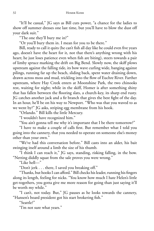"It'll be casual," JG says as Bill cuts power, "a chance for the ladies to show off summer dresses one last time, but you'll have to blow the dust off your dark suit."

"The one they'll bury me in?"

"Or you'll bury them in. I mean for you to be there."

Bill, ready to call it quits (he can't fish all day like he could even five years ago, doesn't have the heart for it, not that there's anything wrong with his heart; he just loses patience even when fish are biting), steers towards a pair of limby spruce marking the drift on Big Bend. Slowly now, the skiff plows upstream against the falling tide, its bow wave curling wide, banging against pilings, running far up the beach, sliding back, spent water draining down, drawn across moss and mud, trickling into the flow of Euchre River. Farther upstream, where Hay Creek enters at Moonshine Park, the two chinooks rest, waiting for night; while in the skiff, Homer is after something shiny that has fallen between the flooring slats, a church-key, its sharp end rusty. JG catches another jack and a fir branch that gives the best fight of the day. In an hour, he'll be on his way to Newport. "Who was that you waved to as we went by?" JG asks, striping egg membrane from his hook.

"Orlando." Bill kills the little Mercury.

"I wouldn't have recognized him."

"You ain't gonna tell me why it's important that I be there tomorrow?"

"I have to make a couple of calls first. But remember what I told you going into the cannery, that you needed to operate on someone else's money other than your own."

"We've had this conversation before." Bill casts into an alder, his bait swinging itself around a limb the size of his thumb.

"I think I can reach it," JG says, standing, risking falling, in the bow. "Netting diddly squat from the sale proves you were wrong."

"Like hell—"

"Don't jerk . . . there, I saved you breaking off."

"Thanks, but hooks I can afford." Bill checks his leader, running his fingers along its length, feeling for nicks. "You know how much I hate Helen's little get-togethers, you gotta give me more reason for going than just saying it'll be worth my while."

"I can't, not today. But," JG pauses as he looks towards the cannery, "Hansen's board president got his start brokering fish."

"Seattle?"

"I'm not sure what years."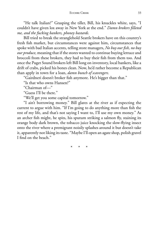"He talk Italian?" Grasping the tiller, Bill, his knuckles white, says, "I couldn't have given lox away in New York at the end." *Damn brokers filleted me, and the fucking bankers, phoney bastards.*

Bill tried to break the stranglehold Seattle brokers have on this country's fresh fish market, but circumstances were against him, circumstances that spoke with bad Italian accents, telling store managers, *No buy our fi sh, no buy our produce,* meaning that if the stores wanted to continue buying lettuce and broccoli from these brokers, they had to buy their fish from them too. And once the Puget Sound brokers left Bill long on inventory, local bankers, like a drift of crabs, picked his bones clean. Now, he'd rather become a Republican than apply in town for a loan, *damn bunch of scavengers.*

"Gairdneri doesn't broker fish anymore. He's bigger than that."

"Is that who owns Hansen?"

"Chairman of—"

"Guess I'll be there."

"We'll get you some capital tomorrow."

"I ain't borrowing money." Bill glares at the river as if expecting the current to argue with him. "If I'm going to do anything more than fish the rest of my life, and that's not saying I want to, I'll use my own money." As an archer fish might, he spits, his sputum striking a salmon fly, staining its orange body dark brown, the tobacco juice knocking the slow-flying insect onto the river where a premigrant noisily splashes around it but doesn't take it, apparently not liking its taste. "Maybe I'll open an agate shop, polish gravel I find on the beach."

\* \* \*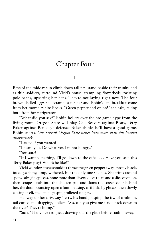#### Chapter Four

1.

Rays of the midday sun climb down tall firs, stand beside their trunks, and as thin soldiers, surround Vicki's house, trampling flowerbeds, twisting pole beans, upsetting her hens. They're not laying right now. The four brown-shelled eggs she scrambles for her and Robin's late breakfast come from her mom's White Rocks. "Green pepper and onion?" she asks, taking both from her refrigerator.

"What did you say?" Robin hollers over the pre-game hype from the living room. Oregon State will play Cal, Beavers against Bears, Terry Baker against Berkeley's defense; Baker thinks he'll have a good game. Robin snorts. *One person? Oregon State better have more than this hotshot quarterback.*

"I asked if you wanted—"

"I heard you. Do whatever. I'm not hungry."

"You sure?"

"If I want something, I'll go down to the cafe . . . . Have you seen this Terry Baker play? What's he like?"

Vicki wonders if she shouldn't throw the green pepper away, mostly black, its edges slimy, limp, withered, but the only one she has. She trims around spots, salvaging pieces, none more than slivers, dices them and a slice of onion, then scrapes both into the chicken pail and slams the screen-door behind her, the door bouncing open a foot, pausing, as if held by ghosts, then slowly closing itself, the latch grasping rollered fingers.

Halfway up her driveway, Terry, his hand grasping the jaw of a salmon, tail curled and dragging, hollers: "Sis, can you give me a ride back down to the river? They're biting."

"Sure." Her voice resigned, drawing out the glide before trailing away.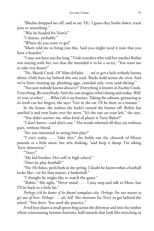"Blackie dropped me off, said to say 'Hi.' I guess they broke down, track pins or something."

"Was he headed for Vern's?"

"I dunno, probably."

"Where do you want to go?"

"Mom told me to bring you this. Said you might need it now that you have a boarder."

"I may not have one for long." Vicki wonders who told her mother Robin was staying with her, not that she intended it to be a secret. "You want me to take you home?"

"No. Skunk Creek. Ol' Man deFader . . . we've got a hole nobody knows about. Only hens lay behind this one rock. Bucks hold across the river. And we've been cleaning up, plunking eggs, crawdad tails, even sand shrimp."

"You sure nobody knows about it?" Everything is known in Euchre Creek. Everything. By everybody. And she can imagine what's being said today. *Well, it's true, so what? . . . What I do is my business.* Taking the salmon, grimacing as its teeth cut her fingers, she says: "Get in the car. I'll be there in a minute."

In the house, she realizes she hadn't turned the burner off. Robin has smelled it and now leans over the stove. "It's the one on your left," she says.

"You didn't answer me, what kind of player is Terry Baker?"

"I don't know—and don't care." Her words whetted till they cut without pain, without blood.

"Are you interested in seeing him play?"

"I can't today  $\dots$  Take this," she holds out the chinook of fifteen pounds or a little more, her arm shaking, "and keep it damp. I'm taking Terry downriver."

"Terry?"

"My kid brother. He's still in high school."

"Does he play football?"

"No. He fishes, peels bark in the spring. I doubt he knows what a football looks like—or for that matter, a basketball."

"I thought he might like to watch the game."

"Robin." She sighs. "Never mind . . . . I may stop and talk to Mom, but I'll be back in a little bit."

*Perhaps it'd be better if he found someplace else. Perhaps I'm not meant to get out of here. Perhaps . . . ah, hell.* She motions for Terry to get behind the wheel: "You drive. You need the practice."

A red hen chases a small green frog across the driveway and into the timber where crisscrossing boomer burrows, half-tunnels that look like trenching in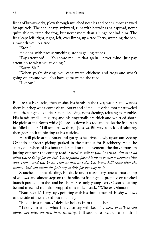front of breastworks, plow through mulched needles and cones, most gnawed by squirrels. The hen, heavy, awkward, runs with her wings half spread, never quite able to catch the frog, but never more than a lunge behind him. The frog leaps left, right, right, left, over limbs, up a tree. Terry, watching the hen, almost drives up a tree.

"Stop!"

He does, with tires scrunching, stones galling stones.

"Pay attention! . . . You scare me like that again—never mind. Just pay attention to what you're doing."

"Sorry, Sis."

"When you're driving, you can't watch chickens and frogs and what's going on around you. You have gotta watch the road."

"I know."

#### 2.

Bill dresses JG's jacks, then washes his hands in the river, washes and washes them but they won't come clean. Borax and slime, like dried mortar troweled smooth, cling to his cuticles, not dissolving, not softening, refusing to crumble. His hands smell like gurry, and his fingernails are thick and whittled short. He picks at the Borax while JG breaks down his rod and packs the fish in an ice-filled cooler. "Till tomorrow, then," JG says. Bill waves back as if saluting, then goes back to picking at his cuticles.

He still picks at the Borax and gurry as he drives slowly upstream. Seeing Orlando deFader's pickup parked in the turnout for Blackberry Hole, he stops, one wheel of his boat trailer still on the pavement, the dory's transom jutting out over the county road. *I need to talk to you, Orlando. You can't do what you're doing for the kid. You're gonna force his mom to choose between him and Thor—and you know Thor as well as I do. You know he'll come after the money. And you know she feels responsible for the way he is.*

Scratched but not bleeding, Bill ducks under a last berry cane, skirts a clump of willows, and almost steps on the handle of a fishing pole propped on a forked branch pushed into the sand beach. He sees only young Terry Olson squatting behind a second rod, also propped on a forked stick. "Where's Orlando?"

"Nature call," Terry says, pointing with his thumb towards bushy willows to the side of the hacked-out opening.

"Be out in a minute," deFader hollers from the bushes.

"Take your time, what I have to say will keep." *I need to talk to you alone, not with the kid, here, listening.* Bill stoops to pick up a length of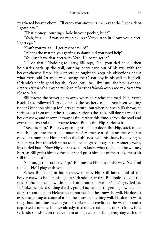weathered beaver-chew. "I'll catch you another time, Orlando. I got a debt I gotta pay."

"That money's burning a hole in your pocket, huh?"

"Yeah, it is . . . if you see my pickup at Vern's, stop in. I owe you a beer. I gotta go."

"Can't you wait till I get my pants up?"

"What's the matter, you getting so damn old you need help?"

"You just leave that beer with Vern, I'll come get it."

"I'll do that." Nodding to Terry, Bill says, "Tell your dad hello," then he hurries back up the trail, pushing berry cane out of his way with the beaver-chewed limb. He suspects he ought to keep his objections about what Vern said Orlando was leaving the Olson boy in his will to himself. Orlando's not in good health; it's doubtful he'll live until the boy is of age. *And if Thor fi nds a way to drink up whatever Orlando leaves the boy, that's just the way it is.*

Bill throws the beaver-chew away when he reaches the road. Flip, Vern's black Lab, followed Terry as far as the stickery cane—he's been waiting under Orlando's pickup for Terry to return, but when he sees Bill's throw, he springs out from under the truck and retrieves the stick. Bill doesn't want the beaver-chew, and throws it away again, farther this time, across the road and over the ditch and the barbwire fence. But again, Flip retrieves it.

"Keep it, Pup," Bill says, opening his pickup door. But Flip, stick in his mouth, hops into the truck, unaware of Homer, curled up on the seat. But only for a moment: Homer rakes the Lab's nose with his claws, bloodying it. Flip snaps, but the stick starts to fall so he grabs it again as Homer growls, lips curled back. Now Flip doesn't seem to know what to do, and he whines, hurt, as Bill grabs him by the collar and pulls him out of the truck, the stick still in his mouth.

"Go-on, get outta here, Pup." Bill pushes Flip out of the way. "Go find the kid. He'll play with you."

When Bill looks in his rearview mirror, Flip still has a hold of the beaver-chew as he lifts his leg on Orlando's rear tire. Bill looks back at the road, shifts up, then downshifts and turns onto the Harbor View's graveled lot. He's like the tide, spending the day going back and forth, getting nowhere. He doesn't want to go to Helen's tea tomorrow, but he knows he will. He doesn't expect anything to come of it, but he knows something will. He doesn't want to go back into business, fighting bankers and creditors, the weather and a depressed economy, but he's already tired of recreating. He doesn't know how Orlando stands it, on the river rain or high water, fishing every day with one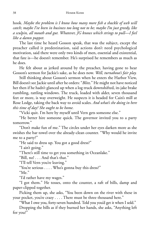hook. *Maybe the problem is I know how many more fi sh a shackle of web will catch; maybe I've been in business too long not to be; maybe I'm just greedy, like a sculpin, all mouth and gut. Whatever, JG knows which strings to pull—I feel like a damn puppet.*

The last time he heard Gosson speak, that was the subject, except the preacher called it predestination, said actions don't need psychological motivation, said there were only two kinds of men, essential and existential, that fate is—he doesn't remember. He's surprised he remembers as much as he does.

He felt about as jerked around by the preacher, having gone to hear Gosson's sermon for Jackie's sake, as he does now. *Well, turnabout's fair play.*

Still thinking about Gosson's sermon when he enters the Harbor View, Bill doesn't see Jackie until after he orders: "*Blitz*." He might not have noticed her then if he hadn't glanced up when a log truck downshifted, its jake brake rumbling, rattling windows. The truck, loaded with alder, seven thousand feet or more, is way overweight. He suspects it is headed for Cain's mill at Rose Lodge, taking the back way to avoid scales. *And what's she doing in here this time of day? She ought to be home.*

"Vicki quit. I'm here by myself until Vern gets someone else."

"He better hire someone quick. The governor invited you to a party tomorrow."

"Don't make fun of me." The circles under her eyes darken more as she swishes the bar towel over the already-clean counter. "Why would he invite me to a party?"

"He said to dress up. You got a good dress?"

"I ain't going."

"There's still time to get you something in Oceanlake."

"Bill, no! . . . And that's that."

"I'll tell Vern you're leaving."

"You're serious . . . . Who's gonna buy this dress?"

"Me."

"I'd rather have my wages."

"I got them." He tosses, onto the counter, a raft of bills, damp and paper-clipped together.

Picking them up, she asks, "You been down on the river with these in your pocket, you're crazy . . . . There must be three thousand here."

"What I owe you, forty-seven hundred. Told you you'd get it when I sold."

Dropping the bills as if they burned her hands, she asks, "Anything left for you?"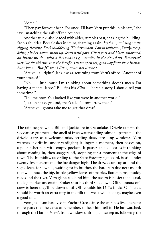"Some."

"Then pay for your beer. For once. I'll have Vern put this in his safe," she says, snatching the raft off the counter.

Another truck, also loaded with alder, rumbles past, shaking the building. Stools shudder. Beer sloshes in steins, foaming again. *Icy foam, swirling on the rigging, freezing. Deck shuddering. Timbers moan. Lost in whiteness,* Freyja *weeps brine, pitches down, snaps up, leans hard port. Ghost gray and black, unarmed, an insane mission with a lieutenant j.g., standby in the Aleutians. Eareckson's war. We should cross into the Pacifi c, sail for open sea,get away from these islands. Sven knows. But JG won't listen, never has listened.*

"Are you all right?" Jackie asks, returning from Vern's office. "Another of your attacks?"

"No! . . . Just 'cause I'm thinking about something doesn't mean I'm having a mental lapse." Bill sips his *Blitz*. "There's a story I should tell you sometime."

"Tell me now. You looked like you were in another world."

"Just on shaky ground, that's all. Till tomorrow then."

"Aren't you gonna take me to get that dress?"

3.

The rain begins while Bill and Jackie are in Oceanlake. Drizzle at first, the sky dark as gunmetal, the smell of fresh water sending salmon upstream—the drizzle starts as a welcome mist, settling dust, streaking windows. Vern watches it drift in, under yardlights; it lingers a moment, then passes on, a poor fisherman with empty pockets. It pauses at his door as if thinking about coming in, then staggers off, stopping for a moment at the edge of town. The humidity, according to the State Forestry signboard, is still under twenty-five percent and the fire danger high. The drizzle curls up around the sign, sleeps for a while, waiting for its brother, the hard rain due next month that will knock the big, brittle-yellow leaves off maples, flatten ferns, muddy roads and the river. Vern glances behind him: the tavern is busier than usual, the log market uncertain. Stoker shut his third side down. Olf Gunnarsson's crew is here; they'll be down until Olf rebuilds his D-7's finals. Olf's crew should be worth an extra fifty in the till; this week will be okay, maybe even a good one.

Vern Jakobson has lived in Euchre Creek since the war, has lived here for more years than he cares to remember, to hear him tell it. He has watched, through the Harbor View's front window, drifting rain sweep in, following the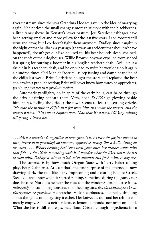river upstream since the year Grandma Hodges gave up the idea of marrying again. He's noticed the small changes: more thistles vie with the blackberries, a little tanzy shows in Kenatta's lower pasture, Jess Saterlee's cabbages have been getting smaller and more yellow for the last five years. Leo's roosters still strut and crow, but Leo doesn't fight them anymore. Dudley, since caught in the bight of that haulback a year ago (that was an accident that shouldn't have happened), doesn't get out like he used to; his bear hounds sleep, chained, on the roofs of their doghouses. Willie Brown's boy was expelled from school last spring for putting a boomer in his English teacher's desk—Willie put a skunk in his teacher's desk, and he only had to write he wouldn't do it again a hundred times. Old Man deFader fell asleep fishing and damn near died of the chills last week. Brice Christians bought the store and replaced the beer cooler with a produce section; Brice will never know how much he appreciates, *yes sir, appreciates that produce section.*

Automatic yardlights, on in spite of the early hour, cast halos through the drizzle drifting beneath them. Vern, neon *BLITZ* sign glowing beside him, stares, feeling the drizzle; the town seems to feel the settling drizzle. *"He took the mantle of Elijah that fell from him and smote the waters, and the waters parted." That won't happen here. Now that it's started, it'll keep raining till spring. Always has.*

4.

... this is a wasteland, regardless of how green it is. At least the fog has turned to *rain, better than yesterday's opaqueness, oppressive, heavy, like a bully sitting on his chest . . . . What's keeping her? She's been gone since her brother came with that fi sh—I should do something with it. I wonder what she likes, what she has to cook with. Perhaps a salmon salad, with almonds and fresh mint. A surprise.*

The surprise is by how much Oregon State with Terry Baker calling plays beats California. At least that's the first surprise of the afternoon, now drawing dark, the rain like bars, imprisoning and isolating Euchre Creek. Steele doesn't know when it started raining, sometime during the game, nor does he care. Nor does he hear the voices at the windows, firs and tree frogs, *kalicheix'y* ghosts talking nonsense to unhearing ears. *doo x'adaadzaayee ak'oots' x'aksiyaayee ee yatlekwk* He searches Vicki's cupboards, not really thinking about the game, not forgetting it either. Her knives are dull and her refrigerator mostly empty. She has neither lettuce, lemon, almonds, nor mint on hand. What she has is dill and eggs, rice, flour, Crisco, enough ingredients for a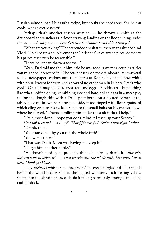Russian salmon loaf. He hasn't a recipe, but doubts he needs one. Yes, he can cook. *waa sa gees.ee nooch?*

Perhaps that's another reason why he . . . he throws a knife at the drainboard and watches as it ricochets away, landing on the floor, sliding under the stove. *Already, my stay here feels like banishment and this damn fi sh—*

"What are you fixing?" The screendoor hesitates, then snaps shut behind Vicki. "I picked up a couple lemons at Christians'. A quarter a piece. Someday his prices may even be reasonable."

"Terry Baker can throw a football."

"Yeah, Dad told me about him, said he was good, gave me a couple articles you might be interested in." She sets her sack on the drainboard, takes several folded newspaper sections out, then stares at Robin, his hands now white with flour. Except for Vern, she knows of no other man in Euchre Creek who cooks. Oh, they may be able to fry a steak and eggs—Blackie can—but nothing like what Robin's doing, combining rice and hard boiled eggs in a meat pie, rolling the dough thin with a Dr. Pepper bottle on a floured corner of the table, his dark brown hair brushed aside, it too tinged with flour, grains of which cling even to his eyelashes and to the small hairs on his cheeks, above where he shaved. "There's a rolling-pin under the sink if that'd help."

"I'm almost done. I hope you don't mind if I used up your Scotch." *Used up? used up?* "Used up?" *That fi fth was full! You're damn right I mind.* "Drank, then."

"You drank it all by yourself, the whole fifth?"

"You weren't here."

"That was Dad's. Mom was having me keep it."

"I'll get him another bottle."

"He doesn't need it, he probably thinks he already drank it." *But why did you have to drink it? . . . That worries me, the whole fi fth. Dammit, I don't need Mom's problems.*

The *kalicheix'y* whisper and firs groan. The creek gurgles and Thor stands beside the woodshed, gazing at the lighted windows, each casting yellow shafts into the slanting rain, each shaft falling harmlessly among dandelions and burdock.

\* \* \*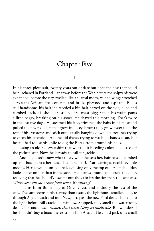# Chapter Five

1.

In his three-piece suit, twenty years out of date but once the best that could be purchased in Portland—that was before the War, before the shipyards were expanded, before the city swelled like a surreal moth, veined wings stretched across the Willamette, concrete and brick, plywood and asphalt—Bill is still handsome, his hairline receded a bit, hair parted on the side, oiled and combed back, his shoulders still square, chest bigger than his waist, pants a little baggy, breaking on his shoes. He shaved this morning. That's twice in the last five days. He steamed his face, trimmed the hairs in his nose and pulled the few red hairs that grow in his eyebrows; they grow faster than the rest of his eyebrows and stick out, usually hanging down like trotlines trying to catch his attention. And he did dishes trying to wash his hands clean, but he still had to use his knife to dig the Borax from around his nails.

Using an old red sweatshirt that won't quit bleeding color, he dusted off the pickup seat. Now, he is ready to call for Jackie.

And he doesn't know what to say when he sees her, hair teased, combed up and back across her head, lacquered stiff. Pearl earrings, necklace, little moons. Her gown, plum-colored, exposing only the top of her left shoulder, looks better on her than in the store. He hurries around and opens the door, realizing that he should've swept out the cab; it's dustier than the seat was. *Where does this dust come from when it's raining?*

It rains from Boiler Bay to Otter Crest, and is dreary the rest of the way. The surf seems farther away than usual, the lighthouse smaller. They're through Agate Beach and into Newport, past the new Ford dealership and to the light before Bill cracks his window. Stopped, they smell the waterfront, dead crabs and diesel. *Money, that's what Newport smells like.* Bill wonders if he shouldn't buy a boat; there's still fish in Alaska. He could pick up a small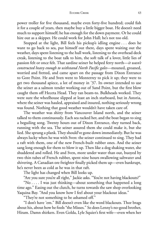#### EUCHRE CREEK 43

power troller for five thousand, maybe even forty-five hundred; could fish it for a couple of years, then maybe buy a little bigger boat. He doesn't need much to support himself; he has enough for the down payment. Or he could hire out as a skipper. He could work for John Hall; he's not too old.

Stopped at the light, Bill feels his pickup's idling engine . . . does he want to go back to sea, put himself out there, days spent waiting out the weather, days spent listening to the hull work, listening to the overhead deck creak, listening to the boat talk to him, the soft talk of a lover, little lies of passion felt or once felt. That sardine seiner he helped ferry north—*it wasn't constructed heavy enough to withstand North Pacifi c gales—*moaned, groaned, worried and fretted, and came apart on the passage from Dixon Entrance to Gore Point. He and Sven went to Monterrey to pick it up; they were to get two thousand apiece, a lot of money in '37. Its owner intended to use the seiner as a salmon tender working out of Sand Point, but the first blow caught them off Heceta Head. They ran beam-to. Bulkheads worked. They were sure the wheelhouse slipped at least an inch starboard, but in Astoria, where the seiner was hauled, appraised and insured, nothing seriously wrong was found. Nothing that good weather wouldn't have taken care of.

The weather was shitty from Vancouver Island north, and the seiner talked to them continuously. Each sea racked her, and the boat began to sing a beguiling song. Twenty hours out of Dixon Entrance, they turned back, running with the sea. The seiner assured them she could make it, but she lied. She sprung a plank. They should've gone down immediately. But he was always lucky when he was with Sven: the seiner continued to sing. They had a raft with them, one of the new French-built rubber ones. And the seiner sang long enough for them to blow it up. Then like a dog shaking water, she shuddered and rolled. He and Sven, more under water than out, buoyed by two thin tubes of French rubber, spent nine hours swallowing saltwater and shivering. A Canadian ore freighter finally picked them up—even bankrupt, he's never been as cold as he was in that raft.

The light has changed when Bill looks up.

"Are you sure you're all right," Jackie asks. "You're not having blackouts?"

"No . . . . I was just thinking—about something that happened a long time ago." Easing out the clutch, he turns towards the saw shop overlooking Yaquina Bay. "And you know how I feel about your blackout ideas."

"They're not something to be ashamed off."

"I don't have 'em." Bill doesn't even like the word blackouts. Thor brags about his, about how he fools "the Misses." So does Lenny's no-good brother, Hiram. Damn shirkers. Even Golda, Lyle Squier's first wife—even when her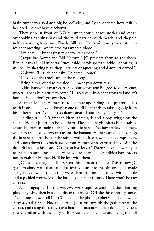brain tumor was so damn big he, deFader, and Lyle wondered how it fit in her head—didn't have blackouts.

They stop in front of JG's summer house, three stories and cedar, overlooking Yaquina Bay and the mud flats of South Beach; and they sit, neither wanting to get out. Finally, Bill says, "Stick with me, you've sat in on rougher meetings, where creditors wanted blood."

"I'm here . . . but against my better judgment."

"Jacqueline Bower and Bill Heroun," JG presents them to the sheep, Republicans all, Bill suspects. Once inside, he whispers to Jackie, "Shearing us will be like shearing pigs, they'll get lots of squealing and damn little wool."

JG draws Bill aside and asks, "Where's Homer?"

"In back of the truck, under the canopy."

"Bring him around to the side. I'll meet you downstairs."

Jackie chats with a matron in a sky-blue gown, and Bill goes to call Homer, who trills back but refuses to come. "I'll feed your insolent carcass to Dudley's hounds if you don't get over here."

Sharper, louder, Homer trills, not moving, curling his lips around his teeth instead. The coon doesn't come till Bill pretends to take a goody from his jacket pocket. "You ain't so damn smart. I suckered you again."

Holding still, JG's grandchildren, three girls and a boy, wiggle on the couch. Homer jumps up beside them. The smallest girl offers him a raisin, which he tries to trade to the boy for a banana. The boy trades, but then, wants to trade back, two raisins for the banana. Homer curls his lips, hugs the banana and reaches for the raisins with his free paw. The boy drops them, and scoots down the couch, away from Homer, who seems satisfied with the deal. Bill shakes his head. JG tugs on his sleeve: "There're people I want you to meet, an announcement I want you to hear. The grandkids have orders not to grab for Homer. He'll be fine with them."

JG hasn't changed: Bill has seen this approach before. This is how JG got him alone with that brunette, invited him into the officers' club, made a big show of what friends they were, then left him in a corner with a bottle and a pickled worm. Well, he has Jackie here this time. There won't be any corners.

A photographer for the *Newport News* captures smiling ladies chatting pleasantly while their husbands discuss business. JG flashes his campaign smile. The phone rings, a call from Salem, and the photographer snaps JG at work. After several Yes's, a No, and a grin, JG turns towards the gathering in the corner, and using the receiver as a baton, punctuates his words: "Gentlemen, you're familiar with the story of Bill's cannery." He goes on, giving the full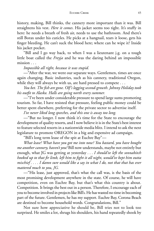history, making, Bill thinks, the cannery more important than it was. Bill straightens his vest. *Here it comes*. His jacket seems too tight. It's stuffy in here: he needs a breath of fresh air, needs to use the bathroom. And there's still Borax under his cuticles. He picks at a hangnail, tears it loose, gets his finger bleeding. He can't suck the blood here; where can he wipe it? Inside his jacket pocket.

"Bill and I go way back, to when I was a lieutenant j.g. on a tough little boat called the *Freyja* and he was the daring behind an impossible mission . . .

*Impossible all right, because it was stupid.*

—"After the war, we went our separate ways. Gentlemen, times are once again changing. Basic industries, such as his cannery, traditional Oregon, while they will always be with us, are hard pressed to compete . . .

*You bet. The fi sh are gone. Olf's logging second-growth. Johnny Holiday took his outfi t to Alaska. Halls are going north every summer.*

—"I've been under considerable pressure to spend large sums promoting tourism. So far, I have resisted that pressure, feeling public money could be better spent elsewhere, preferring for the private sector to advertise itself.

*I've never liked long speeches, and this one is away too long.*

—"But no longer. I now think it's time for the State to encourage the development of quality resorts, and I now believe it is in the State's best interest to feature selected resorts in a nationwide media blitz. I intend to ask the next legislature to promote OREGON in a big and expensive ad campaign.

"Bill's long term lease of the spit at Euchre Bay"—

*What lease? What have you got me into now? You bastard, you have bought me another cannery, haven't you?* Bill now understands, maybe not entirely but enough, what JG was getting at yesterday . . . *I should've left the sonnabitch hooked up to that fi r limb, left him to fi ght it all night, would've kept him outta* mischief.... I damn sure would like a say in what I do, not that that has ever *mattered much to you, JG.*

—"His lease, just approved, that's what the call was, is the basis of the most promising development anywhere in the state. Of course, he will have competition, even on Euchre Bay, but that's what this country is about. Competition. It brings the best out in a person. Therefore, I encourage each of you to become involved in projects like Bill's. He has wasted no time in becoming part of the future. Gentlemen, he has my support. Euchre Bay, Corona Beach are destined to become household words. Congratulations, Bill."

Not sure how appreciative he should be, Bill tries not to look too surprised. He smiles a lot, shrugs his shoulders, his hand repeatedly shook by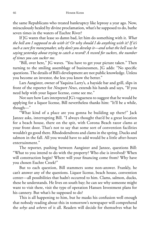the same Republicans who treated bankruptcy like leprosy a year ago. Now, miraculously healed by divine proclamation, what's he supposed to do, bathe seven times in the waters of Euchre River?

If JG wants that lease so damn bad, let him do something with it. *What the hell am I supposed to do with it? Or why should I do anything with it? If it's such a sure fi re moneymaker, why don't you develop it—and what the hell was he saying yesterday about trying to catch a record? A record for suckers, the number of times you can sucker me.*

"Bill, over here," JG waves. "You have to get your picture taken." Then turning to the smiling assemblage of businessmen, JG adds: "No specific questions. The details of Bill's development are not public knowledge. Unless you become an investor, the less you know the better."

Lars Aangister, owner of Yaquina Larry's, a bayside bar and grill, slips in front of the reporter for *Newport News*, extends his hands and says, "If you need help with your liquor license, come see me."

Not sure how Lars interpreted JG's vagueness to suggest that he would be applying for a liquor license, Bill nevertheless thanks him: "It'll be a while, though—"

"What kind of a place are you gonna be building up there?" Jack Janzee asks, interrupting Bill. "I always thought that'd be a great location for a beach house, there on the spit, with Corona Beach razor clams at your front door. That's not to say that some sort of convention facilities wouldn't go good there. Rhododendrons and clams in the spring. Ducks and salmon in the fall. All you would have to add would be a little after-hours entertainment."

The reporter, pushing between Aangister and Janzee, questions Bill: "What to you intend to do with the property? Who else is involved? When will construction begin? Where will your financing come from? Why have you chosen Euchre Creek?"

But to each question, Bill stammers some non-answer. Frankly, he can't answer any of the questions. Liquor license, beach house, convention center—all possibilities that hadn't occurred to him. Clams, salmon, ducks, these he understands. He lives on south bay; he can see why someone might want to visit there, visit the type of operation Hansen Investment plans for his cannery. But what's he supposed to do?

This is all happening to him, but he masks his confusion well enough that nobody reading about this in tomorrow's newspaper will comprehend the *whys* and *wheres* of it all. Readers will decide for themselves what he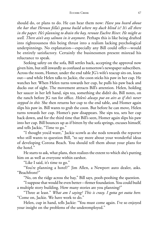#### EUCHRE CREEK 47

should do, or plans to do. He can hear them now: *Have you heard about the bar that Heroun fella's gonna build where my duck blind is? It's all there in the paper. He's planning to drain the bay, reroute Euchre River. He might as well. There ain't any salmon in it anymore.* Perhaps this is like being drafted into righteousness this being thrust into a realism lacking psychological underpinnings. No explanation—especially any Bill could offer—would be entirely satisfactory. Certainly the businessmen present misread his reluctance to speak.

Seeking safety on the sofa, Bill settles back, accepting the approval now given him, but still inwardly as confused as tomorrow's newspaper subscribers. Across the room, Homer, under the end table JG's wife's teacup sits on, leans out—and while Helen talks to Jackie, the coon sticks his paw in her cup. He watches her. When Helen turns towards her cup, he pulls his paw back and ducks out of sight. The movement attracts Bill's attention. Helen, holding her saucer in her left hand, sips tea, something she didn't do, Bill notes, on the ranch before JG ran for office. *Helen's always put on airs as if she's never stepped in shit.* She then returns her cup to the end table, and Homer again slips his paw in. Bill wants to grab the coon. But before he can move, Helen turns towards her cup. Homer's paw disappears. She sips tea, sets her cup back down, and for the third time that Bill's seen, Homer again slips his paw into her cup. Bill bounces up as if bitten by the sofa springs, excuses himself, and tells Jackie, "Time to go."

"I thought you'd want," Jackie scowls as she nods towards the reporter who still wants to question Bill, "to say more about your wonderful ideas of developing Corona Beach. You should tell them about your plans for the hotel."

He starts to ask, what plans, then realizes the extent to which she's putting him on as well as everyone within earshot.

"Like I said, it's time to go."

"You're planning a hotel?" Jim Allen, a Newport auto dealer, asks. "Beachfront?"

"No, on the ridge across the bay," Bill says, pooh-poohing the question.

"I suppose that would be even better—fi rmer foundation. You could build a multiple story building. How many stories are you planning?"

"Three at least." *What am I saying? This is crazy. I gotta get outta here.* "Come on, Jackie. We have work to do."

Helen, cup in hand, tells Jackie: "You must come again. I've so enjoyed your insight on the problems of the underemployed."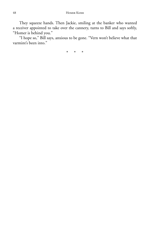They squeeze hands. Then Jackie, smiling at the banker who wanted a receiver appointed to take over the cannery, turns to Bill and says softly, "Homer is behind you."

"I hope so," Bill says, anxious to be gone. "Vern won't believe what that varmint's been into."

\* \* \*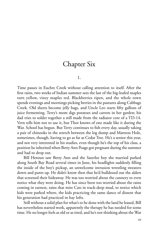# Chapter Six

1.

Time passes in Euchre Creek without calling attention to itself. After the first rains, two weeks of Indian summer sees the last of the big-leafed maples turn yellow, viney maples red. Blackberries ripen, and the whole town spends evenings and mornings picking berries in the pastures along Cabbage Creek. Old sheets become jelly bags, and Uncle Leo starts fifty gallons of juice fermenting. Terry's mom digs potatoes and carrots in her garden; his dad tries to solder together a still made from the radiator core of a TD-14. Vern tells him not to use it, but Thor knows of one made like it during the War. School has begun. But Terry continues to fish every day, usually taking a pair of chinooks in the stretch between the log dump and Mattress Hole, sometimes, though, having to go as far as Cedar Tree. He's a senior this year, and not very interested in his studies, even though he's the top of his class, a position he inherited when Betty Ann Poage got pregnant during the summer and had to drop out.

Bill Heroun saw Betty Ann and the Saterlee boy she married parked along South Bay Road several times in June, his headlights suddenly filling the inside of the boy's pickup, an unwelcome intrusion wrestling sweaters down and pants up. He didn't know then that he'd bulldozed out the alders that screened their hideaway. He was too worried about the cannery to even notice what they were doing. He has since been too worried about the rains coming in earnest, rains that mire Cats in track-deep mud, to notice which kids were parked where, the kids practicing the same dance of dissent that his generation had practiced in hay lofts.

Still without a solid plan for what's to be done with the land he leased, Bill has nevertheless started work, apparently the therapy he has needed for some time. He no longer feels as old or as tired, and he's not thinking about the War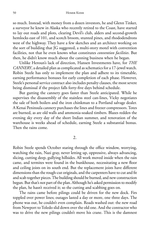so much. Instead, with money from a dozen investors, he and Glenn Tinker, a surveyor he knew in Alaska who recently retired to the Coast, have started to lay out roads and plots, clearing Devil's club, alders and second-growth hemlocks east of 101, and scotch broom, stunted pines, and rhododendrons west of the highway. They have a few sketches and an architect working on the sort of building that JG suggested, a multi-story motel with convention facilities, not that he even knows what constitutes *convention facilities*. But then, he didn't know much about the canning business when he began.

Unlike Heroun's lack of direction, Hansen Investments have, for *THE CANNERY*, a detailed plan as complicated as schematics for a 17-jewel watch. Robin Steele has only to implement the plan and adhere to its timetable, earning performance bonuses for early completion of each phase. However, Steele's personal service contract also includes penalty clauses, the most severe being dismissal if the project falls forty-five days behind schedule.

But gutting the cannery goes faster than Steele anticipated. While he supervises the disassembly of the stainless steel can-lines, Vicky negotiates the sale of both boilers and the iron chinkman to a Portland salvage dealer. A Kenai Peninsula cannery purchases the lines and freezer compressors. Totes are burned, as are old walls and ammonia-soaked timbers. Blazes redden the evening sky every day of the short Indian summer, and renovation of the warehouse is weeks ahead of schedule, earning Steele a substantial bonus. Then the rains come.

2.

Robin Steele spends October staring through the office window, worrying, watching the rain, Nazi gray, never letting up, oppressive, always advancing, slicing, cutting deep, gullying hillsides. All work moved inside when the rain came, and termites were found in the bunkhouse, necessitating a new floor and ceiling joists on its south end. But the replacement joists have different dimensions than the rough-cut originals, and the carpenters have to cut and fit and scab together pieces. The building should be burned, and new construction begun. But that's not part of the plan. Although he's asked permission to modify the plan, he hasn't received it; so the cutting and scabbing goes on.

The rains came before pilings could be driven for the new dock. Firs toppled over power lines; outages lasted a day or more, one three days. The phone was out, he couldn't even complain. Roads washed out: the new road from Newport to Toledo slid down over the old one. And the contractor who was to drive the new pilings couldn't move his crane. This is the damnest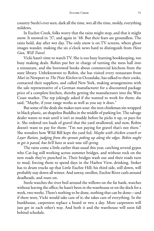country Steele's ever seen, dark all the time, wet all the time, moldy, everything mildews.

In Euchre Creek, folks worry that the rains might stop, and that it might snow. It snowed in '37, and again in '48. But their fears are groundless. The rains hold, day after wet day. The only snow is on TV screens, where ghost images wander, making the six o'clock news hard to distinguish from *Have Gun, Will Travel*.

Vicki hasn't time to watch TV. She is too busy learning bookkeeping, too busy making deals. Robin put her in charge of turning the mess hall into a restaurant, and she borrowed books about commercial kitchens from the state library. Unbeknownst to Robin, she has visited every restaurant from *Moe's* in Newport to *The Pixie Kitchen* in Oceanlake, has talked to their cooks, contacted their suppliers, and called New York, making arrangements with the sale representative of a German manufacturer for a discounted package price of a complete kitchen, thereby getting the manufacturer into the West Coast market. The rep jokingly asked if she wanted to work for them; she said, "Maybe, if your range works as well as you say it does."

But some of the deals she makes turn sour: the iron chinkman sits wrapped in black plastic, an shapeless Buddha in the middle of parking lot. The salvage dealer wants to wait until it isn't so muddy before he picks it up, or pays for it. She ordered ten loads of gravel that the yard swallowed, and now, Robin doesn't want to pay for them: "I'm not paying for gravel that's not there." She wonders how Wild Bill kept the yard fed. *Maybe with chicken scratch or Layer Ration, judging from the sprouts poking up along the edges. Robin ought to get it paved, but he'll have to wait now till spring.*

The rains come a little earlier than usual this year, catching several gypos who Cat-log still working across summer bridges, and without rock on the new roads they've punched in. Their bridges wash out and their roads turn to mud, forcing them to spend days in the Harbor View, drinking. Stoker has to drum trucks up that Little Euchre Hill; his third side, still down, will probably stay down all winter. And tawny, swollen, Euchre River curls around deadheads, and roars on.

Steele watches the river boil around the willows on the far bank, watches without leaving the office; he hasn't been in the warehouse or on the dock for a week, two weeks. There's nothing to be done, nothing that can be done—and if there were, Vicki would take care of it; she takes care of everything. In the bunkhouse, carpenters replace a board or two a day. More carpenters will just get in each other's way. And both it and the warehouse will soon fall behind schedule.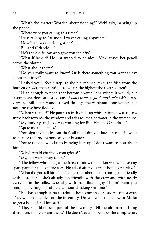"What's the matter? Worried about flooding?" Vicki asks, hanging up the phone.

"Where were you calling this time?"

"I was talking to Orlando, I wasn't calling anywhere."

"How high has the river gotten?"

"Bill and Orlando—"

"He's the old fellow who gave you the fifty?"

"What if he did? He just wanted to be nice." Vicki tosses her pencil across the blotter.

"What about them?"

"Do you really want to know? Or is there something you want to say about that fifty?"

"I asked you," Steele steps to the file cabinet, takes the fifth from the bottom drawer, then continues, "what's the highest the river's gotten?"

"High enough to flood that bottom drawer." She wishes it would, but suspects she does so just because *I don't want to go through what Mom has, I won't.* "Bill and Orlando rowed through the warehouse one winter, but nothing else here flooded."

"When was that?" He pours an inch of cheap whiskey into a water glass, turns back towards the window and tries to imagine water in the warehouse.

"My junior year. Jackie was working for Bill. He and Orlando—"

"Spare me the details."

"You sign my checks, but that's all the claim you have on me. If I want to be nice to him, it's none of your business."

"You're the one who keeps bringing him up. I don't want to hear about him."

"Why? Afraid charity is contagious?"

"My, but we're feisty today."

"The fellow who bought the freezer unit wants to know if we have any spare parts for the compressors. He called after you went home yesterday."

"What did you tell him?" He's concerned about her becoming too friendly with customers—she's already too friendly with the crew and with nearly everyone in the valley, especially with that Blackie guy. "I don't want you sending anything out of here without checking with me."

"Bill has enough parts to rebuild both compressors several times over. They weren't included on the inventory. Do you want the fellow in Alaska to get a hold of Bill himself?"

"They should've been part of the inventory. Tell the old man to bring them over, that we want them." He doesn't even know how the compressors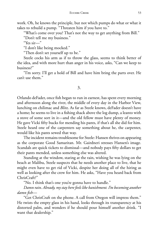work. Oh, he knows the principle, but not which pumps do what or what it takes to rebuild a pump. "Threaten him if you have to."

"What's come over you? That's not the way to get anything from Bill."

"Don't tell me my business."

"Yes sir—"

"I don't like being mocked."

"Then don't set yourself up to be."

Steele cocks his arm as if to throw the glass, seems to think better of the idea, and with more hurt than anger in his voice, asks, "Can we keep to business?"

"I'm sorry. I'll get a hold of Bill and have him bring the parts over. He can't use them."

## 3.

Orlando deFader, once fish began to run in earnest, has spent every morning and afternoon along the river, the middle of every day in the Harbor View, lunching on chilimac and *Blitz*. As far as Steele knows, deFader doesn't have a home; he seems to live in a fishing shack above the log dump, a leanto with a stove of some sort in it—and the old fellow must have plenty of money. He gave Vicki fifty bucks for mending his pants, if that's all she did for him. Steele heard one of the carpenters say something about he, the carpenter, would like his pants sewed that way.

The incident remains troublesome for Steele: Hansen thrives on appearing as the corporate Good Samaritan. Mr. Gairdneri stresses Hansen's image. Scandals are quick tickets to dismissal—and nobody pays fifty dollars to get their pants mended, unless something else was altered.

Standing at the window, staring at the rain, wishing he was lying on the beach at Malibu, Steele suspects that he needs another place to live, that he might even have to get rid of Vicki, despite her doing all of the hiring as well as looking after the crew for him. He asks, "Have you heard back from ChrisCraft?"

"No. I think that's one you're gonna have to handle."

*Damn rain*. *Already, mystay here feels like banishment. I'm becoming another damn fi sh—*

"Get ChrisCraft on the phone. A call from Oregon will impress them." He twists the empty glass in his hand, looks through its transparency at his distorted palm, and wonders if he should pour himself another drink. "I want that dealership."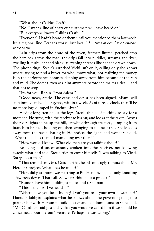"What about Calkins Craft?"

"No. I want a line of boats our customers will have heard of."

"But everyone knows Calkins Craft—"

"Everyone? I hadn't heard of them until you mentioned them last week. It's a regional line. Perhaps worse, just local." *I'm tired of her. I need another place to live.*

Rain drips from the beard of the raven, feathers fluffed, perched atop the hemlock across the road; the drips fall into puddles, streams, the river, swelling it, turbulent and black, as evening spreads like a shade drawn down. The phone rings. Steele's surprised Vicki isn't on it, calling only she knows where, trying to find a buyer for who knows what, not realizing the money is in the performance bonuses, slipping away from him because of the rain and mud. She doesn't even ask him anymore before she makes a deal—and that has to stop.

"It's for you, Robin. From Salem."

"Good news, Steele. The cease and desist has been signed. Miami will stop immediately. Their gypos, within a week. As of three o'clock, there'll be no more logs dumped in Euchre River."

Having forgotten about the logs, Steele thinks of nothing to say for a moment. He turns, with the receiver to his ear, and looks at the raven. Across the river, lights shine up the hill, crawling through treetops, jumping from branch to branch, holding on, then swinging to the next tree. Steele looks away from the raven, hating it. He notices the lights and wonders aloud, "What the hell is that old man doing over there?"

"How would I know? What old man are you talking about?"

Realizing he'd unconsciously spoken into the receiver, not knowing exactly what he'd said, Steele tries to cover himself: "I was talking to Vicki. Sorry about that."

"That reminds me, Mr. Gairdneri has heard some ugly rumors about Mr. Heroun's project. What does he call it?"

"How did you know I was referring to Bill Heroun, and he's only knocking a few trees down. That's all. So what's this about a project?"

"Rumors have him building a motel and restaurant."

"This is the first I've heard—"

"Where have you been hiding? Don't you read your own newspaper?" Hansen's lobbyist explains what he knows about the governor going into partnership with Heroun to build houses and condominiums on state land.

"Mr. Gairdneri said just today that you would've called him if we should be concerned about Heroun's venture. Perhaps he was wrong."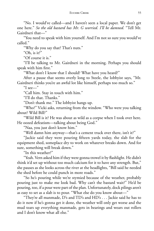"No. I would've called—and I haven't seen a local paper. We don't get one here." *So the old bastard has Mr. G worried. I'll be damned.* "Tell Mr. Gairdneri that—"

"You need to speak with him yourself. And I'm not so sure you would've called."

"Why do you say that? That's nuts."

"Oh, is it?"

"Of course it is."

"I'll be talking to Mr. Gairdneri in the morning. Perhaps you should speak with him first."

"What don't I know that I should? What have you heard?"

After a pause that seems overly long to Steele, the lobbyist says, "Mr. Gairdneri thinks you're an awful lot like himself, perhaps too much so."

"I see—"

"Call him. Stay in touch with him."

"I'll do that. Thanks."

"Don't thank me." The lobbyist hangs up.

"Who?" Vicki asks, returning from the window. "Who were you talking about? Wild Bill?"

"Wild Bill is it? He was about as wild as a corpse when I took over here. He oozed defeatism—talking about being God."

"Naa, you just don't know him."

"Well damn him anyway—that's a cement truck over there, isn't it?"

"Jackie said they were pouring fifteen yards today, the slab for the equipment shed, someplace dry to work on whatever breaks down. And for sure, something will break down."

"In this weather?"

"Yeah. Vern asked him if they were gonna trowel it by flashlight. He didn't think it'd set up without too much calcium for it to have any strength. But," she pauses as she looks across the river at the headlights, "Bill said he needed the shed before he could punch in more roads."

"So he's pouring while we're stymied because of the weather, probably pouring just to make me look bad. Why can't the bastard wait?" He'd be pouring, too, if a pour were part of the plan. Unfortunately, dock pilings aren't as easy to set as a slab is to pour. "What else do you know about—"

"They're all manmade, D's and TD's and HD's . . . Jackie said he has to do it now if he's gonna get it done, the weather will only get worse and the mud tears up everything manmade, gets in bearings and wears out rollers and I don't know what all else."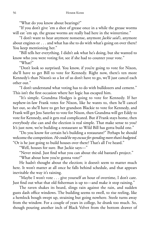"What do you know about bearings?"

"If you don't give 'em a shot of grease once in a while the grease worms will eat 'em up, the grease worms are really bad here in the wintertime."

"I don't want to hear anymore nonsense, anymore *Jackie said's*, anymore about engines or . . . and what has she to do with what's going on over there? You keep mentioning her."

"Bill tells her everything. I didn't ask what he's doing, but she wanted to know who you were voting for, see if she had to counter your vote."

"What?"

"Don't look so surprised. You know, if you're going to vote for Nixon, she'll have to get Bill to vote for Kennedy. Right now, there's ten more Kennedy's than Nixon's so a lot of us don't have to go, we'll just cancel each other out."

"I don't understand what voting has to do with bulldozers and cement." This isn't the first occasion where her logic has escaped him.

"It's simple. Grandma Hodges is going to vote for Kennedy. If her nephew-in-law Frank votes for Nixon, like he wants to, then he'll cancel her out, so she'll have to get her grandson Blackie to vote for Kennedy, and Frank will get Jess Saterlee to vote for Nixon, then Grandma will get Eddy to vote for Kennedy, and it gets real complicated. But if Frank stays home, then everybody else can and the election is real simple. That make sense to you? It's just now, we're building a restaurant so Wild Bill has gotta build one."

"Do you know for certain he's building a restaurant?" Perhaps he should welcome the competition. *He could be my excuse for spending more than's budgeted.* "Or is he just going to build houses over there? That's all I've heard."

"Well, houses for sure. But Jackie says—"

"Never mind. Just find what you can about the old bastard's project."

"What about how you're gonna vote?"

He hadn't thought about the election; it doesn't seem to matter much here. It won't matter at all once he falls behind schedule, and that appears inevitable the way it's raining.

"Maybe I won't vote . . . give yourself an hour of overtime, I don't care. Just find out what that old fisherman is up to—and make it stop raining."

The raven shakes its beard, slings rain against the rain, and sudden gusts dash office windows. The building seems to swell, to rise reeling, like a hemlock bough swept up, straining but going nowhere. Steele turns away from the window. For a couple of years in college, he drank too much. So, though pouring another inch of Black Velvet from the bottom drawer of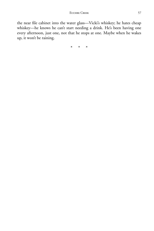the near file cabinet into the water glass—Vicki's whiskey; he hates cheap whiskey—he knows he can't start needing a drink. He's been having one every afternoon, just one, not that he stops at one. Maybe when he wakes up, it won't be raining.

\* \* \*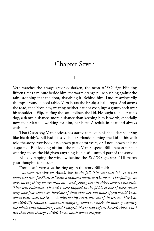# Chapter Seven

1.

Vern watches the always-gray sky darken, the neon *BLITZ* sign blinking fifteen times a minute beside him, the warm orange pulse pushing against the rain, stopping it at the door, absorbing it. Behind him, Dudley awkwardly thumps around a pool table. Vern hears the break; a ball drops. And across the road, the Olson boy, wearing neither hat nor coat, lugs a gunny sack over his shoulder—Flip, sniffing the sack, follows the kid. He ought to holler at his dog, a damn nuisance, more nuisance than keeping him is worth, especially now that Martha's working for him, her bitch Airedale in heat and always with her.

That Olson boy, Vern notices, has started to fill out, his shoulders squaring like his daddy's. Bill had his say about Orlando naming the kid in his will; told the story everybody has known part of for years, or if not known at least suspected. But looking off into the rain, Vern suspects Bill's reason for not wanting to see the kid given anything is in a still-untold part of the story.

Blackie, rapping the window behind the *BLITZ* sign, says, "I'll match your thoughts for a beer."

"You lose," Vern says, hearing again the story Bill told:

*"We were running for Alitak, late in the fall. The year was '36. In a bad blow, bad even for Shelikof Strait, a hundred knots, maybe more. Tide falling. We were taking thirty footers head on—and getting beat by thirty footers broadside. Thor was rollerman. He and I were trapped in the fo'c'sle of one of those newer sixty-four foot schooners. Ever'one of them ride wet, but none of you would know about that. Well, the* Asgood*, with her big stern, was one of the wettest. Her bow wouldn't lift, couldn't. Water was dumping down our stack, the main sputtering, the whole boat shuddering, and I prayed. Never had before, haven't since, but I did then even though I didn't know much about praying.*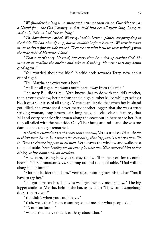#### EUCHRE CREEK 59

*"We foundered a long time, more under the sea than above. Our skipper was a Norski from the Old Country, and he held into her all night long. Later, he said only, 'Mama had lefse waiting.'*

*"The bow timbers worked. Water squirted in between planks, got pretty deep in the fo'c'sle. We had a handpump, but we couldn't begin to keep up. We were in water to our waists before the tide turned. Then we ran with it till we were swinging from the hook behind Harvester Island.*

*"Thor couldn't pray. He tried, but every time he ended up cursing God. He went on to swallow the anchor and take to drinking. He never was any damn good again."*

"You worried about the kid?" Blackie nods towards Terry, now about out of sight.

"Tell Martha she owes you a beer."

"He'll be all right. He wants outta here, away from this rain."

The story Bill didn't tell, Vern knows, has to do with the kid's mother, then a young widow, her first husband a high climber killed while greasing a block on a spar tree, of all things. Vern's heard it said that when her husband got killed, she swore she'd never marry another logger, that she was a truly striking woman, long brown hair, long neck, chiseled classic features, that Bill and every bachelor fisherman along the coast put in here to see her. But they all sailed with the next tide. Only Thor hung around—and she was too damn anxious to get remarried.

*It's hard to know the part of a storythat's not told*, Vern surmises. *It's a mistake to think there has to be a reason for everything that happens. That's not how life is. Time & chance happens to all men.* Vern leaves the window and walks past the pool table. *Take Dudley for an example, who would've expected him to lose his leg. It just happened, an accident.*

"Hey, Vern, seeing how you're easy today, I'll match you for a couple beers," Nils Gunnarsson says, stepping around the pool table. "Dad will be along in a minute."

"Martha's luckier than I am," Vern says, pointing towards the bar. "You'll have to try her."

"If I gotta match her, I may as well give her my money now." The big logger smiles at Martha, behind the bar, as he adds: "How come somebody doesn't marry you?"

"You didn't when you could have."

"Yeah, well, there's no accounting sometimes for what people do."

"It's not too late—"

"Whoa! You'll have to talk to Betty about that."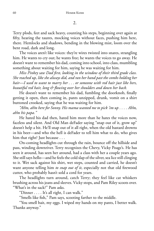Terry plods, feet and sack heavy, counting his steps, beginning over again at fifty, hearing the taunts, mocking voices without faces, pushing him here, there. Hemlocks and shadows, bending in the blowing mist, loom over the bent road, dark and long.

The voices aren't like voices: they're wires twisted into snares, strangling him. He wants to cry out; he wants free; he wants the voices to go away. He doesn't want to remember his dad, coming into school, into class, mumbling something about waiting for him, saying he was waiting for him.

*Miss Pinkey saw Dad fi rst, looking in the window of their third grade class. She reached up, like she always did, and ran her hand past the combs holding her hair—I used to want to marry her . . . or someone with red hair just like hers, beautiful red hair, long & fl owing over her shoulders and down her back.*

He doesn't want to remember his dad, fumbling the doorknob, finally getting it open, then coming in, pants unzipped, drunk, vomit on a shirt buttoned crooked, saying that he was waiting for him.

*"Ah'm, ah'm here for Sonny. His mama wanted me to pick 'im up . . . . Ah'm, ah'm his papa."*

He hated his dad then, hated him more than he hates the voices now, faceless and silent. And Old Man deFader saying "snap out of it, grow up" doesn't help a bit. He'll snap out of it all right, when the old bastard drowns in his beer—and who the hell is deFader to tell him what to do, who gives him that right? Just because . . .

On-coming headlights cut through the rain, bounce off the hillside and pass, winding downriver. Terry recognizes the Chevy, Vicky Poage's. He has seen it around, has seen her around, had a class with her a couple years ago. She still says hello—and he feels the cold slap of the silver, sea lice still clinging to it. Wet sack against his shirt, wet steps, counted and carried, he doesn't want anyone telling him *to snap out of it*, especially not that old firewood cutter, who probably hasn't sold a cord for years.

The headlights turn around, catch Terry; they feel like cat whiskers brushing across his jeans and sleeves. Vicky stops, and Pam Riley scoots over. "What's in the sack?" Pam asks.

"Dinner . . . . It's all right, I can walk."

"Smells like fish," Pam says, scooting farther to the middle.

"You smell bait, my eggs. I wiped my hands on my pants, I better walk. Thanks anyway."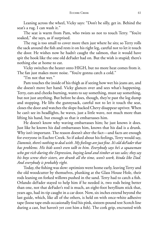Leaning across the wheel, Vicky says: "Don't be silly, get in. Behind the seat's a rug. I can wash it."

The seat is warm from Pam, who twists so not to touch Terry. "You're soaked," she says, as if surprised.

The rug is too small to cover more then just where he sits; so Terry rolls the sack around the fish and rests it on his right leg, careful not to let it touch the door. He wishes now he hadn't caught the salmon, that it would have spit the hook like the one old deFader had on. But the wish is stupid; there's nothing else at home to eat.

Vicky switches the heater onto HIGH, but no more heat comes from it. The fan just makes more noise. "You're gonna catch a cold."

"I'm not that wet."

Pam touches the inside of his thigh as if seeing how wet his jeans are, and she doesn't move her hand. Vicky glances over and sees what's happening. Terry, ears and cheeks burning, wants to say something, must say something, but not just anything. But before he does, though, they're past the log dump and stopping. He lifts the gunnysack, careful not to let it touch the seat, closes the door and watches the slope-backed Chevy disappear upriver. When he can't see its headlights, he waves, just a little wave, not much more than lifting his hand, but enough so that it embarrasses him.

He doesn't know why waving embarrasses him; he just knows it does. Just like he knows his dad embarrasses him, knows that his dad is a drunk. Why isn't important. The reason doesn't alter the fact—and facts are enough for everyone in Euchre Creek. So if asked about his feelings, Terry would say, *Dammit, there's nothingto deal with. Myfeelings are just fi ne. It's old deFader that has problems. His kids won't even talk to him. Everybody says he's a squawman who got rich during the Depression, buying land and timber at tax sales; they say his boys screw their sisters, are drunk all the time, won't work, kinda like Dad. And everybody is probably right.*

Today, the fishing was slow: optimists went home early, leaving Terry and the old woodcutter by themselves, plunking at the Glass House Hole, their rods leaning on forked willows pushed in the sand. Terry had to catch a fish. Orlando deFader stayed to help him if he needed it, two rods being better than one, not that deFader's rod is much, an eight-foot beryllium stick that, years ago, had its tip caught in a car door. Now, six inches extend beyond the last guide, which, like all of the others, is held on with once-white adhesive tape (loose tape ends occasionally foul his pink, sixteen-pound test Scotch line during a cast, but haven't yet cost him a fish). The cork grip, encrusted with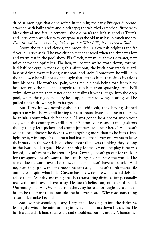dried salmon eggs that don't soften in the rain; the early Pflueger Supreme, attached with baling wire and black tape; the whittled extension, fitted with black thread and ferrule cement—the old man's rod isn't as good as Terry's, and Terry often wonders why everyone says the old man has so much money. *Even the old bastard's pickup isn't as good as Wild Bill's; it isn't even a Ford.*

Above the rain and clouds, the moon rises, a slow fish bright as the fat silver in Terry's sack. The two chinooks that entered when the river was low and warm rest in the pool above Elk Creek, fifty miles above tidewater, fifty miles above the optimists. The hen, tail beaten white, worn down, rotting, laid half her eggs in redds dug this afternoon; the buck now stands guard, having driven away thieving cutthroats and jacks. Tomorrow, he will lie in the shallows; he will not see the eagle that attacks him, that sinks its talons into his back. He won't feel pain, won't feel his flesh being torn from him; he'll feel only the pull, the struggle to stop him from spawning. And he'll swim, slow at first, then faster once he realizes it won't let go, into the deep pool, where the eagle, its hoary head up, tail spread, wings beating, will be pulled under, drowning from its greed.

But Terry knows nothing about the chinook, they having slipped upstream while he was still fishing for cutthroats. Instead, alone in the rain, he thinks about what deFader said: "I was gonna be a doctor when your age, when this county was still part of Benton county and state legislators thought only fern pickers and stump jumpers lived over here." He doesn't want to be a doctor; he doesn't want anything more than to be into a fish, fighting it, winning. The old man had insisted that "everyone wants to leave their mark on the world, high school football players thinking they belong in the National League." He doesn't play football, wouldn't play if he was forced, doesn't want to be another Jesse Owens, doesn't go out for track or for any sport, doesn't want to be Paul Bunyan or to save the world. The world doesn't want saved, he knows that. He doesn't have to be told. And no, glancing up towards the moon he can't see, he doesn't think there's life out there, despite what Elder Gosson has to say, despite what, as old deFader called them, "Sunday-moaning preachers translating divine edicts personally received from heaven" have to say. He doesn't believe any of that stuff. God. Universal good. An Oversoul, from the essay he read for English class—that has to be the most ridiculous idea he has ever heard. Why read something so stupid, a naked eyeball.

Sack over his shoulder, heavy, Terry stands looking up into the darkness, feeling the wind, the rain running in rivulets like tears down his cheeks. He has his dad's dark hair, square jaw and shoulders, but his mother's hands, her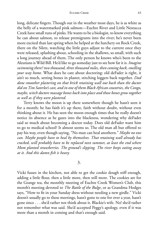long, delicate fingers. Though out in the weather most days, he is as white as the belly of a watermarked pink salmon—Euchre River and Little Nestucca Creek have small runs of pinks. He wants to be a biologist, to know everything he can about salmon, to release premigrants into the river; he's never been more excited than last spring when he helped at the hatchery on Rock Creek, there on the Siletz, watching the little guys adjust to the current once they were released, splashing about, schooling in the shallows, so small, with such a long journey ahead of them. The only person he knows who's been to the Aleutians is Wild Bill. He'd like to go someday just to see how far it is. *Imagine swimmingthere? two thousand, three thousand miles, then coming back, smelling your way home.* What does he care about doctoring: old deFader is right, it ain't so much, setting bones in plaster, stitching loggers back together. *Dad done smoother plastering on that brick retaining wall out back than the doctor did on Tim Saterlee's cast, and in one of them Black African countries, the Congo, maybe, witch doctors massage bones back into place and those bonesgrow together as well as if they were plastered.*

Terry knows the moon is up there somewhere though he hasn't seen it for a month; he has faith it's up there, faith without doubt, without even thinking about it. He has seen the moon enough times that he really doesn't notice its absence as he gazes into the blackness, wondering why deFader said so much about becoming a doctor today. Does old deFader want him to go to medical school? It almost seems so. The old man all but offered to pay his way, even though saying, "No man can heal anothern." *Maybe no one can. Maybe people have to heal by themselves. That retaining wall already has cracked, will probably have to be replaced next summer, at least the end where Mom planted strawberries. The ground's slipping. The river keeps eating away at it. And this damn fi sh is heavy.*

3.

Vicki fusses in the kitchen, not able to get the cookie dough stiff enough, adding a little flour, then a little more, then still more. The cookies are for the Grange tea, the monthly meeting of Euchre Creek Women's Club, this month's meeting devoted to *The Battle of the Bulge*, or as Grandma Hodges says, "How to fit in your Sunday dress without needing a new girdle." Vicki doesn't usually go to these meetings, hasn't gone to one for over a year, hasn't gone since . . . she'd rather not think about it. Blackie's wife. No! she'd rather not remember what was said. She'd accepted Peggy's apology, even if it was more than a month in coming and that's enough said.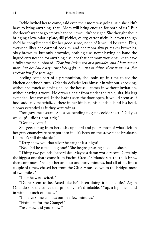Jackie invited her to come, said even their mom was going, said she didn't have to bring anything, that "Mom will bring enough for both of us." But she doesn't want to go empty-handed; it wouldn't be right. She thought about bringing a low-calorie plate, dill pickles, celery, carrot sticks, but even though she'd be complimented for her good sense, none of it would be eaten. Plus, everyone likes her oatmeal cookies, and her mom always makes brownies, okay brownies, but only brownies, nothing else, never having on hand the ingredients needed for anything else, not that her mom wouldn't like to have a fully stocked cupboard. *Thor just isn't much of a provider, and Mom doesn't make but her house payment picking ferns—and to think, their house was free & clear just fi ve years ago.*

Feeling some sort of a premonition, she looks up in time to see the kitchen doorknob turn. Orlando deFader lets himself in without knocking, without so much as having hailed the house—comes in without invitation, without saying a word. He draws a chair from under the table, sits, his legs extended, feet crossed. If she hadn't seen the door open, it would seem as if he'd suddenly materialized there in her kitchen, his hands behind his head, elbows extended as if they were wings.

"You gave me a start." She says, bending to get a cookie sheet. "Did you walk up? I didn't hear a rig."

"Got any coffee?"

She gets a mug from her dish cupboard and pours most of what's left in her gray enamelware perc pot into it. "It's been on the stove since breakfast. I hope it's still drinkable."

"Terry show you that silver he caught last night?"

"No. Did he catch a big one?" She begins greasing a cookie sheet.

"Thirty-two pounds. Record size. Maybe a damn world record. Certainly the biggest one that's come from Euchre Creek." Orlando sips the thick brew, then continues: "Fought her an hour and forty minutes, had all of his line a couple of times, chased her from the Glass House down to the bridge, most of two miles."

"I bet he was excited."

"Didn't seem to be. Acted like he'd been doing it all his life." Again Orlando sips the coffee that probably isn't drinkable. "Yup, a big one—and in with a bunch of bucks."

"I'll have some cookies out in a few minutes."

"Fixin 'em for the Grange?"

"Yes. How did you know?"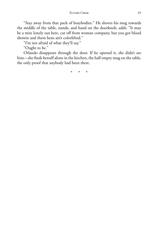"Stay away from that pack of busybodies." He shoves his mug towards the middle of the table, stands, and hand on the doorknob, adds: "It may be a mite lonely out here, cut off from woman company, but you got blood showin and them hens ain't colorblind."

"I'm not afraid of what they'll say."

"Ought to be."

Orlando disappears through the door. If he opened it, she didn't see him—she finds herself alone in the kitchen, the half empty mug on the table, the only proof that anybody had been there.

\* \* \*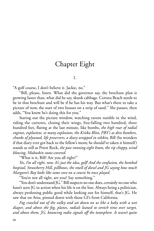# Chapter Eight

### 1.

"A golf course, I don't believe it. Jackie, no."

"Bill, please, listen. What did the governor say, the brochure plan is growing faster than, what did he say, skunk cabbage. Corona Beach needs to be in that brochure and will be if he has his way. But what's there to take a picture of now, the start of two houses on a strip of sand." She pauses, then adds, "You know he's doing this for you."

Staring out the picture window, watching ravens tumble in the wind, riding the currents, closing their wings, free-falling two hundred, three hundred feet, flaring at the last minute, like bombs, the high roar of radial *engines, explosions, so many explosions, the Kriska Blitz, PBY's as dive bombers, chunks of plywood, life preservers, a diary wrapped in oilskin,* Bill (he wonders if that diary ever got back to the fellow's mom; he should've taken it himself) stands as still as Priest Rock, *the pass running eight knots, the rip choppy, wind blowing, Mukuskin snow-covered.*

"What is it, Bill? Are you all right?"

*Yes, I'm all right, now. It's just the idea, golf! And the confusion, the bombed hospital, Strawberry Hill, pillboxes, the smell of diesel and JG saying how much Margaret's Bay looks like some cove on a course he once played.*

"You're not all right, are you? Say something."

"You don't understand JG." Bill suspects no one does, certainly no one who hasn't seen JG in action when his life is on the line. Always being a politician, always professing public good while looking out for himself, that's JG. He saw that on Attu, pinned down with those GI's from California.

*Fog crawled out of the valley and sat down on us like a baby with a wet diaper, and above the fog, planes, radials leaned to stretch time over target, and above them, JG, bouncing radio signals off the ionosphere. It wasn't quite*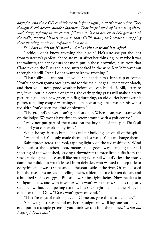#### EUCHRE CREEK 67

*daylight, and those GI's couldn't see their front sights; couldn't hear either. They thought Sven's accent sounded Japanese. That inept bunch of bastards, squirrels with fangs, fi ghting in the clouds. JG was as close to heaven as he'll get: he took the radio, worked his way down to those Californians, took credit for stopping their shooting, made himself out to be a hero.*

*So what's in this for JG now? And what kind of record is he after?*

"Jackie, I don't know anything about golf." He's sure she got the idea from yesterday's gabfest: chocolate must affect her thinking, or maybe it was the walnuts, the happy nuts her mom put in those brownies, nuts from that Claro tree on the Russian's place, nuts soaked in the wine Ken Wyscaver ran through his still. "And I don't want to know anything."

"That's silly . . . and not like you." She hands him a fresh cup of coffee. "You're not even gonna break ground for the main lodge till the first of March, and then you'll need good weather before you can build. If, Bill, listen to me, if you put in a couple of greens, the early spring grass will make a pretty picture, a gull on a new green, pin flag fluttering, an old duffer bent over his putter, a smiling couple watching, the man wearing a red sweater, his wife a red skirt. You've seen the kind of pictures."

"The ground's so wet I can't get a Cat on it. When I can, we'll start work on the lodge. We won't have time to screw around with a golf course."

"Why not put part of the course on the bay side of the spit. That's all sand and you can work it anytime."

What she says is true, but, "Plans call for building lots on all of the spit."

"What plans? You only made them up last week. You can change them."

Rain tiptoes across the roof, tapping lightly on the cedar shingles. Wind leans against the kitchen door, moans, then goes away, banging the steel sheeting of the woodshed, leaving a downdraft to force little puffs from the stove, making the house smell like roasting alder. Bill would've lost the house, damn near did, if it wasn't leased from deFader, who wanted to keep title to everything that wasn't state land on the south side of the river. Orlando leased him the five acres instead of selling them, a lifetime lease for ten dollars and a hundred skeins of eggs—Bill still owes him eight skeins. Now, he deals in six-figure loans, and with investors who won't want plans, such as they are, scrapped without compelling reasons. But she's right: he made the plans, he can alter them. Only, "Grass won't grow on sand."

"There're ways of making it . . . . Come on, give the idea a chance."

"Okay, against reason and my better judgment, we'll lay one out, maybe even put in a couple greens if you think we can find the money." What am *I saying? That's nuts!*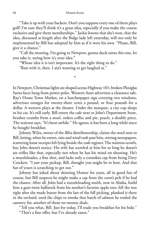"Take it up with your backers. Don't you suppose every one of them plays golf? I'm sure they'll think it's a great idea, especially if you make the course exclusive and give them memberships." Jackie knows that she's won, that the idea, discussed at length after the Bulge lady left yesterday, will not only be implemented by Bill but adopted by him as if it were his own. "Please, Bill, give it a chance."

"Call the meeting. I'm going to Newport, gonna duck outta this one, let you take it, seeing how it's your idea."

\*

"Whose idea it is isn't important. It's the right thing to do."

"Run with it, then. I ain't wanting to get laughed at."

In Newport, Christmas lights are draped across Highway 101; broken Plexiglas Santa faces hang from power poles. Western Auto advertises a clearance sale. Ray's Home Town Market, on a butcherpaper sign covering two windows, advertises oranges for twenty-three cents a pound, or four pounds for a dollar. A western plays at the theater. Under the marquee, a city cop sleeps in his car. It's still early. Bill enters the cafe next to John's Department Store, brushes crumbs from a stool, orders coffee and pie, peach, a double piece. The waitress says, "It's been awhile." He agrees; it has been a long while since he bought breakfast.

Johnny Wiles, owner of the *Blitz* distributorship, claims the stool next to Bill, letting, when he enters, rain and wind rush past him, stirring newspapers, scattering loose receipts left lying beside the cash register. The waitress scowls, but John doesn't notice. His wife has scowled at him for so long he doesn't see trifles like that, especially not when he has his mind on shooting. He's a muzzleloader, a fine shot, and lacks only a coonskin cap from being Davy Crockett. "I saw your pickup, Bill, thought you might be in here. And that hat of yours is scratching to get out."

Johnny has joked about skinning Homer for years, all in good fun of course, but Bill suspects he might make a cap from the coon's pelt if he had the chance. After all, John had a muzzleloading smith, now in Alaska, build him a gain-twist halfstock from his mother's favorite apple tree; fell the tree right after she made butter from the last of the fall picking, planked it there in the orchard, used the chips to smoke that batch of salmon he traded the cannery for, another of those no-money deals.

"Tell you what, Bill. Just for today, I'll trade you breakfast for his hide."

"That's a fine offer, but I've already eaten."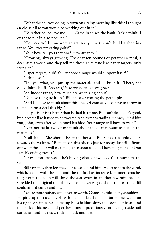"What the hell you doing in town on a rainy morning like this? I thought an old salt like you would be working out in it."

"I'd rather be, believe me . . . . Came in to see the bank. Jackie thinks I ought to put in a golf course."

"Golf course? If you were smart, really smart, you'd build a shooting range. You ever try eating golfs?"

"Your boys tell you that one? How are they?"

"Growing, always growing. They eat ten pounds of potatoes a meal, a deer lasts a week, and they tell me those golfs taste like paper targets, only stringier."

"Paper targets, huh? You suppose a range would support itself?"

"I think so."

"Tell you what, you put up the materials, and I'll build it." There, he's called John's bluff. *Let's see if he wants to stay in the game.*

"An indoor range, how much are we talking about?"

"I'd have to figure it up." Bill pauses, savoring the peach pie.

"And I'll have to think about this one. Of course, you'd have to throw in that coon on a deal this big."

The pie is or isn't better than he had last time, Bill can't decide. It's good, but it seems like it used to be sweeter. And as far as trading Homer, "He'd bite you, John, even after you tanned his hide. Your range will have to wait."

"Let's not be hasty. Let me think about this. I may want to put up the materials."

"Call Jackie. She should be at the house." Bill slides a couple dollars towards the waitress. "Remember, this offer is just for today, just till I figure out what the labor will cost me. Just as soon as I do, I have to get one of Don Lynch's crying towels."

"I saw Don last week, he's buying clocks now . . . . Your number's the same?"

Bill says it is, then lets the door close behind him. He leans into the wind, which, along with the rain and the traffic, has increased. Homer scratches to get out; the coon will shred the seatcovers in another few minutes—he shredded the original upholstery a couple years ago, about the last time Bill could afford coffee and pie.

"You're more nuisance than you're worth. Come on, ride on my shoulders." He picks up the raccoon, places him on his left shoulder. But Homer wants on his right so with claws clutching Bill's halibut shirt, the coon climbs around the back of his neck and perches himself precariously on his right side, tail curled around his neck, rocking back and forth.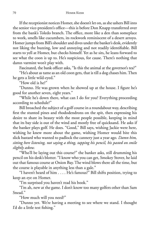If the receptionist notices Homer, she doesn't let on, as she ushers Bill into the senior vice-president's office—this is before Don Knapp transferred over from the bank's Toledo branch. The office, more like a den than someplace to work, smells like cucumbers, its rockwork reminiscent of a desert arroyo. Homer jumps from Bill's shoulder and dives under the banker's desk, evidently not liking the buzzing, low and annoying and not readily identifiable. Bill starts to yell at Homer, but checks himself. Yet as he sits, he leans forward to see what the coon is up to. He's suspicious, for cause. There's nothing that damn varmint won't play with.

Fascinated, the bank officer asks, "Is this the animal at the governor's tea?"

"He's about as tame as an old coon gets, that is till a dog chases him. Then he gets a little wild-eyed."

"How old is he?"

"Dunno. He was grown when he showed up at the house. I figure he's good for another seven, eight years."

"While he's down there, what can I do for you? Everything proceeding according to schedule?"

Bill broached the subject of a golf course in a roundabout way, describing first the stunted pines and rhododendrons on the spit, then expressing his desire to share its beauty with the most people possible, keeping in mind that its bay side is out of the wind and mostly free of quicksand. He asks if the banker plays golf. He does. "Good," Bill says, wishing Jackie were here, wishing he knew more about the game, wishing Homer would bite this slick bastard who wanted to padlock the cannery just a year ago. *Damn him, sitting here listening, not saying a thing, tapping his pencil, his pasted on smile slightly askew.*

"Who'll be laying out this course?" the banker asks, still drumming his pencil on his desk's blotter. "I know who you can get, Smokey Stover, he laid out that famous course at Onion Bay. The wind blows there all the time, but the course is playable in anything less than a gale."

"I haven't heard of him . . . . He's famous?" Bill shifts position, trying to keep an eye on Homer.

"I'm surprised you haven't read his book."

"I'm ah, new at the game. I don't know too many golfers other than Sam Snead."

"How much will you need?"

"Dunno yet. We're having a meeting to see where we stand. I thought I'd do a little test fishing."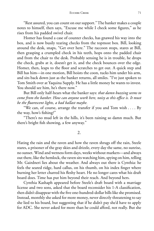"Rest assured, you can count on our support." The banker makes a couple notes to himself, then says, "Excuse me while I check some figures," as he rises from his padded swivel chair.

Homer has found a case of counter checks, has gnawed his way into the box, and is now busily tearing checks from the topmost box. Bill, looking around the desk, snaps, "Get over here." The raccoon stops, stares at Bill, then grasping a crumpled check in his teeth, hops onto the padded chair and from the chair to the desk. Probably sensing he is in trouble, he drops the check, grabs at it, doesn't get it, and the check bounces over the edge. Homer, then, leaps to the floor and scratches to get out. A quick step and Bill has him—in one motion, Bill hoists the coon, tucks him under his arm, and sits back down just as the banker returns, all smiles. "I've just spoken to Tom Smith over at Yaquina Supply. He has a little money he wants to invest. You should see him, he's there now."

But Bill only half-hears what the banker says: *that damn buzzing seems to come from the banker. How can anyone work here, noisy as this offi ce is. It must be the fl uorescent lights, a bad ballast maybe.*

"We can, of course, arrange the transfer if you and Tom wish . . . . By the way, how's fishing?"

"There's no mud left in the hills, it's been raining so damn much. But there's bright fish showing, a few anyway."

2.

Hating the rain and the raven and how the raven shrugs off the rain, Steele stares, a prisoner of the gray skies and drizzle, every day the same, no sunrise, no sunset. Wind and wetness form days, weeks without markers—and always out there, like the hemlock, the raven sits watching him, spying on him, telling Mr. Gairdneri lies about the weather. And always out there is Cynthia: he feels the seared ridge, hard callus, on his thumb, on his index finger where burning her letter charred his fleshy heart. He no longer cares what his draft board does. Time has put him beyond their reach. And beyond hers.

Cynthia Kashaph appeared before Steele's draft board with a marriage license and two sons, asked that the board reconsider his 1-A classification, then didn't disappear with the five one-hundred-dollar bills like she promised. Instead, monthly she asked for more money, never directly threatening to say she lied to his board, but suggesting that if he didn't pay she'd have to apply for ADC. She never asked for more than he could afford, not really. But she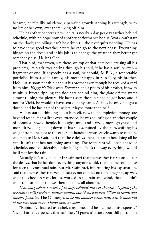became, he felt, like mistletoe, a parasitic growth sapping his strength, with no life of her own, ever there living off him.

He has other concerns now: he falls nearly a day per day farther behind schedule, with no hope now of another performance bonus. Work can't start on the dock; the pilings can't be driven till the river quits flooding. He has to have some good weather before he can go to the next phase. Everything hinges on the dock, and if his job is to change the weather, they better get somebody else. He isn't God.

That bird, that raven, sits there, on top of that hemlock, causing all his problems, its black eyes boring through his soul, if he has a soul or even a fragment of one. If anybody has a soul, he should, M.B.A., a respectable portfolio, from a good family, his mother happy in Sun City, his brother. He'd just as soon not think about his brother even though he received a card from him, *Happy Holidays from Bermuda*, and a photo of his brother, in swim trunks, a breeze rippling the tide flats behind him, the glare off the water almost ruining the picture. He hasn't seen the sun since he got here, and if not for Vicki, he wouldn't have sent out any cards. As it is, he only bought a dozen, and he has half of those left. Maybe more than half.

He has started thinking about himself, now that completion moneys are beyond reach. He's a little over-extended; he was counting on another couple of bonuses. Bowed hemlock boughs, mud and drizzle, more grayness and more drizzle—glancing down at his shoes, ruined by the rain, shifting his weight from one foot to the other, his hands nervous, Steele wants to explain, wants to tell Mr. Gairdneri that these delays aren't his fault; he's doing all he can. It isn't that he's not doing anything. The restaurant will open ahead of schedule, and considerably under budget. That's the way everything would be if not for the rain.

Actually, he's tried to tell Mr. Gairdneri that the weather is responsible for the delays, that he has done everything anyone could, that no one could have foreseen the continual rain. But Mr. Gairdnrei, interrupting his explanation, said that the weather is never an excuse, not on the coast, that he grew up wet, went to school in wet clothes, worked in the rain and wind, that he didn't want to hear about the weather; he knew all about it.

*How long before I'm forty-fi ve days behind? First of the year? Opening the restaurant will purchase another month, but it's no panacea. Without rooms and support facilities,* The Cannery *will be just another restaurant, a little more out of the way than most. Damn him, anyhow*.

"Robin, I've located us a chef, a real one, and he'll come at his expense." Vicki sharpens a pencil, then another. "I guess it's true about Bill putting in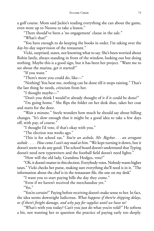a golf course. Mom said Jackie's reading everything she can about the game, even went up to Neotsu to take a lesson."

"There should've been a 'no engagement' clause in the sale."

"What's that?"

"You have enough to do keeping the books in order. I'm taking over the day-by-day supervision of the restaurant."

Vicki, surprised, stares, not knowing what to say. She's been worried about Robin lately, always standing in front of the window, looking out but doing nothing. Maybe this is a good sign, but it has been her project. "Want me to see about the marina, get it started?"

"If you want."

"There's more you could do, like—"

"Nothing! You hear me, nothing can be done till it stops raining." That's the last thing he needs, criticism from her.

"I thought maybe—"

"Don't you think I would've already thought of it if it could be done?"

"I'm going home." She flips the folder on her desk shut, takes her coat and starts for the door.

"Wait a minute." Steele wonders how much he should say about billing changes. "It's slow enough that it might be a good idea to take a few days off, with pay, of course."

"I thought I'd vote, if that's okay with you."

"The election was weeks ago."

"This is for school tax." *You're an asshole, Mr. Bigshot . . . an arrogant asshole . . . . How come I can't stay mad at him*. "We kept turning it down, but it doesn't seem to do any good. The school board doesn't understand that Typing doesn't need new typewriters and the football field doesn't need lights."

"How will the old lady, Grandma Hodges, vote?"

"Oh, it doesn't matter in this election. Everybody votes. Nobody wants higher taxes." Vicki checks her purse, making sure everything she'll need is in it. "The information about the chef is in the restaurant file, the one on my desk"

"I want you to start paying bills the day they come."

"Even if we haven't received the merchandize yet."

"Yes."

"You're certain?" Paying before receiving doesn't make sense to her. In fact, the idea seems downright ludicrous. *What happens if there're shipping delays, or if there's freight damage, and why pay for supplies until we have to?*

"What's with you today? Can't you just do what you're told?" He softens a bit, not wanting her to question the practice of paying early too deeply.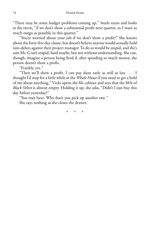"There may be some budget problems coming up," Steele turns and looks at the raven, "if we don't show a substantial profit next quarter, so I want as much outgo as possible in this quarter."

"You're worried about your job if we don't show a profit?" She knows about the forty-five day clause, but doesn't believe anyone would actually hold rain-delays against their project manager. To do so would be stupid, and she's sure Mr. G isn't stupid, hard maybe, but not without understanding. She can, though, imagine a person being fired if, after spending so much money, the person doesn't show a profit.

"Frankly, yes."

"Then we'll show a profit. I can pay duns early as well as late  $\dots$ . I thought I'd stop for a little while at the *Whale House* if you need to get a hold of me about anything." Vicki opens the file cabinet and sees that the fifth of *Black Velvet* is almost empty. Holding it up, she asks, "Didn't I just buy this day before yesterday?"

"You may have. Why don't you pick up another one."

She says nothing as she closes the drawer.

\* \* \*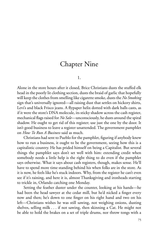## Chapter Nine

1.

Alone in the store hours after it closed, Brice Christians dusts the stuffed elk head in the poorly lit clothing section, dusts the braid of garlic that hopefully will keep the clothes from smelling like cigarette smoke, dusts the *No Smoking* sign that's universally ignored—all raising dust that settles on hickory shirts, Levi's and black Frisco jeans. A flypaper helix dotted with dark balls casts, as if it were the store's DNA molecule, its sticky shadow across the cash register, mechanical flags raised for *No Sale*—unconsciously, he dusts around the spiral shadow. He ought to get rid of this register; use just the one by the door. It isn't good business to leave a register unattended. The government pamphlet on *How To Run A Business* said as much.

Christians had sent to Pueblo for the pamphlet, figuring if anybody knew how to run a business, it ought to be the government, seeing how this is a capitalistic country. He has prided himself on being a Capitalist. But several things the pamphlet says don't set well with him: extending credit when somebody needs a little help is the right thing to do even if the pamphlet says otherwise. What it says about cash registers, though, makes sense. He'll have to spend more time standing behind his when folks are in the store. As it is now, he feels like he's stuck indoors. Why, from the register he can't even see if it's raining, and here it is, almost Thanksgiving and ironheads starting to trickle in, Orlando catching one Monday.

Setting the feather duster under the counter, looking at his hands—he had been the head sawyer at the cedar mill, but he'd nicked a finger every now and then; he's down to one finger on his right hand and two on his left—Christians wishes he was still sawing, not weighing onions, dusting shelves, selling milk . . . if not sawing, then skinning a Cat. He might not be able to hold the brakes on a set of triple drums, nor throw tongs with a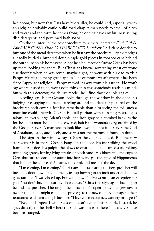heelboom, but now that Cats have hydraulics, he could skid, especially with an arch; he probably could build road okay. A man needs to smell of pitch and sweat and the earth he comes from; he doesn't have any business selling dish detergents and perfumed bath soaps.

On the counter lies the color brochure for a metal detector: *Find GOLD! Lost RARE COINS! Other VALUABLE METAL Objects!* Christians decided to buy one of the metal detectors when he first saw the brochure. Pappy Hodges allegedly buried a hundred double-eagle gold pieces in tobacco cans behind the outhouse on his homestead. Since he died, most of Euchre Creek has been up there looking for them. But Christians knows something most everyone else doesn't: when he was seven, maybe eight, he went with his dad to visit Pappy. He ate too many green apples. The outhouse wasn't where it has been since Pappy got religion—Pappy moved it away from his garden. He won't say where it used to be, won't even think it in case somebody reads his mind, but with this detector, the deluxe model, he'll find those double-eagles.

Needing gas, Elder Gosson looks through the window in the door, his bulging eyes spying the pencil-circling around the detector pictured on the brochure's back cover, a feat less remarkable than him seeing the evil such a machine could unearth. Gosson is a tall puritan with thin fingers strong as talons, an overly-large Adam's apple, and iron-gray hair, combed back, as the forehead of a man should not be covered; hair is the woman's glory, ordained by the God he serves. A man isn't to look like a woman, not if he serves the God of Abraham, Isaac, and Jacob, and serves not the mammon found in dust.

The sign in the window says *Closed*; the door is locked. But the new storekeeper is in there. Gosson bangs on the door, his fist striking the wood framing as it does his pulpit, the blows resonating like the curled surf, rolling, tumbling agates, leaving lying streaks of black sand. His blows spill the cups of Circe that turn reasonable creatures into beasts, and gall the apples of Hippomenes that hinder the course of Atalanta, the drink and meat of the devil.

"I'm coming, I'm coming," Christians hollers, fearing the fiery preacher will break his door down any moment, its top bowing in an inch under each blow, glass rattling. "I was closed up, but you know I'll always make an exception for you. You don't have to beat my door down," Christians says, again locking up behind the preacher. The only other person he'll open for is that Jew tavern owner, though he might extend the privilege to the new cannery manager if their restaurant sends him enough business. "Have you met our new cannery manager?"

"No, but I expect I will." Gosson doesn't explain his remark. Instead, he goes directly to the shelf where the soda was—it isn't there. The shelves have been rearranged.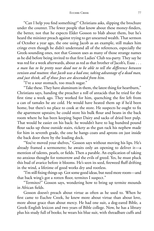"Can I help you find something?" Christians asks, slipping the brochure under the counter. The fewer people that know about these money-finders, the better, not that he expects Elder Gosson to blab about them, but he's heard the minister preach against trying to get unearned wealth. That sermon of October a year ago, the one using Jacob as an example, still makes him cringe even though he didn't understand all of the references, especially the Greek-sounding ones, not that Gosson uses as many of those strange names as he did before being invited to that first Ladies' Club tea-party. They say he was red for a week afterwards, about as red as that brother of Jacob's, Esau . . . *a man has to be pretty near dead not to be able to tell the difference between venison and mutton: that Jacob was a bad one, taking advantage of a dead man, and just think, all of those Jews are descended from him.*

"I've a sour stomach, too much sugar."

"Take these. They have aluminum in them, the latest thing for heartburn," Christians says, handing the preacher a roll of antacids that he tried for the first time a week ago. They worked for him, quenching the fire left from a can of tamales he ate cold. He would have heated them up if he'd been home, but there's no place to cook at the store. He suspects he ought to fix the apartment upstairs; he could store his bulk flour and beans in the back room where he has been keeping Super Dairy and sacks of dried beet pulp. That would be easier on his back: he wouldn't have to lug hundred pound flour sacks up those outside stairs, rickety as the gun rack his nephew made for him in seventh grade, the one he hangs coats and aprons on just inside the back door there by the loading dock.

"You've moved your shelves," Gosson says without moving his lips. He's already framed a sermonette; he awaits only an opening to deliver it—a mention of talents, pearls, or fields. Then a parable. An explication of taking no anxious thought for tomorrow and the evils of greed. Yes, he must pluck this bud of avarice before it blooms. He's seen its seed, fireweed fluff drifting in the wind, a lifetime of good works dry and rootless.

"I'm still fixing things up. Got some good ideas, but need more room—and that back wing's got a rotten floor, termites I suspect."

"Termites?" Gosson says, wondering how to bring up termite mounds in African fields.

Gosson doesn't preach about virtue as often as he used to. When he first came to Euchre Creek, he knew more about virtue than about love, more about grace than about mercy. He had one suit, a dog-eared Bible, a Greek-English lexicon and two years of Bible college. Now, he has a library plus his study full of books; he wears his blue suit, with threadbare cuffs and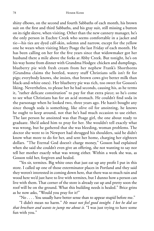shiny elbows, on the second and fourth Sabbaths of each month, his brown suit on the first and third Sabbaths, and his gray suit, still missing a button on its right sleeve, when visiting. Other than the new cannery manager, he's the only person in Euchre Creek who seems comfortable in a jacket and tie—his ties are dyed calf-skin, solemn and narrow, except for the yellow one he wears when visiting Mary Poage the last Friday of each month. He has been calling on her for the five years since that widowmaker got her husband there a mile above the forks at Abby Creek. But tonight, he's on his way home from dinner with Grandma Hodges: chicken and dumplings, blueberry pie with fresh cream from her nephew Frank's Shorthorns (Grandma claims the bottled, watery stuff Christians sells isn't fit for pigs; everybody knows, she insists, that brown cows give better milk than black-and-white ones). Her blueberry pie was rich, too sweet for Gosson's liking. Nevertheless, to please her he had seconds, causing his, as he terms it, "rather delicate constitution" to pay for that extra piece; so he's come to see what Christians has for an acid stomach. He couldn't find soda in the parsonage when he looked two, three years ago. He hasn't bought any since though soda is something, like olive oil for anointing, he knows he ought to keep around, not that he's had much occasion to use either. The last person he anointed was that Poage girl, the one about ready to graduate. She'd asked him to pray for her. She wouldn't tell exactly what was wrong, but he gathered that she was bleeding, woman problems. The doctor she went to in Newport had shrugged his shoulders, said he didn't know what more to do for her, and sent her home, charging her eighteen dollars. "The Eternal God doesn't charge money," Gosson had explained when she said she couldn't even give an offering, she not wanting to say nor tell her mother exactly what was wrong either. Within a week she was, as Gosson told her, forgiven and healed.

"Yes sir, termites. Big white ones that just eat up any profi t I put in this store. I called up one of those exterminator places in Portland and they said they weren't interested in coming down here, that there was so much rain and wood here we'd just have to live with termites, but I dunno how a person can live with them. That corner of the store is already eat up and pretty soon the roof will be on the ground. What this building needs is healed." Brice grins as he now asks, "Would you pray for it?"

"No . . . . You usually have better sense than to appear stupid before me."

"I didn't mean no harm." *He must not feel good tonight. I bet he did see that brochure and wants to jump me about it.* "I was just trying to have some fun with you."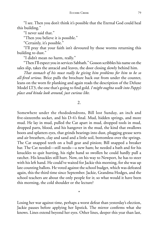"I see. Then you don't think it's possible that the Eternal God could heal this building."

"I never said that."

"Then you believe it is possible."

"Certainly, it's possible."

"I'll pray that your faith isn't devoured by those worms returning this building to dust."

"I didn't mean no harm, really."

"Then I'll expect you in services Sabbath." Gosson scribbles his name on the sales slip, takes the antacid and leaves, the door closing slowly behind him.

*That stomach of his must really be giving him problems for him to be so all-fired serious.* Brice pulls the brochure back out from under the counter, leans on the worn fir planking and again reads the description of the Deluxe Model LT3, the one that's going to find gold. *I might oughta walk into Pappy's place and kinda look around, just curious like.*

2.

Somewhere under the rhododendrons, Bill lost Sunday, an inch and five-sixteenths socket, and his D-4's final. Mud, hidden springs, and more mud. He lay in mud, pulled the Cat apart in mud, dropped tools in mud, dropped parts, blood, and his hangover in the mud, the kind that swallows boots and splatters eyes, that grinds bearings into dust, plugging grease xerts and air breathers, clay and sand and a little soil, bottomless over the springs. The Cat snapped teeth on a bull gear and pinion; Bill snapped a breaker bar. The Cat needed—still needs—a new ham; he needed a bath and for his knuckles to quit hurting, his right hand so swollen he could hardly pull a ratchet. His knuckles still hurt. Now, on his way to Newport, he has to steer with his left hand. He could've waited for Jackie this morning, for she was up late counting ballots. He voted against the school budget, which was defeated again, this the third time since September. Jackie, Grandma Hodges, and the school teachers are about the only people for it; so what would it have been this morning, the cold shoulder or the lecture?

Losing her war against time, perhaps a worst defeat than yesterday's election, Jackie pauses before applying her lipstick. The mirror confirms what she knows. Lines extend beyond her eyes. Other lines, deeper this year than last,

\*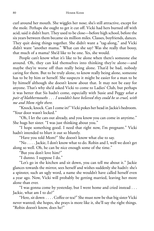curl around her mouth. She wiggles her nose; she's still attractive, except for the mole. Perhaps she ought to get it cut off. Vicki had hers burned off with acid; said it didn't hurt. They used to be close—before high school, before the six years between them became six million miles. Classes, boyfriends, dances. They quit doing things together. She didn't want a "tag-along," and Vicki didn't want "another mama." What can she say? Was she really that bossy, that much of a mama? She'd like to be one. Yes, she would.

People can't know what it's like to be alone when there's someone else around. Oh, they can kid themselves into thinking they're alone—and maybe they're worse off than really being alone. That'd be bad, nobody caring for them. But to be truly alone, to know really being alone, someone has to be by him or herself. She suspects it might be easier for a man to be by himself although she doesn't know about that. It may not be easy for anyone. That's why she'd asked Vicki to come to Ladies' Club, but perhaps it was better that Sis hadn't come, especially with Susie and Peggy *what a pair of blabbermouths . . . I wouldn't have believed they could be so cruel, with me and Mom right there.*

"Knock, knock. Can I come in?" Vicki pokes her head in Jackie's bedroom. "Your door wasn't locked."

"Oh, I let the cats out already, and you know you can come in anytime." She hugs her sister. "I was just thinking about you."

"I hope something good. I need that right now, I'm pregnant." Vicki hadn't intended to blurt it out so bluntly.

"Have you told Mom?" She doesn't know what else to say.

"No . . . . Jackie, I don't know what to do. Robin and I, well we don't get along so well. Oh, he can be nice enough some of the time."

"But you don't love him?"

"I dunno. I suppose I do."

"Let's go in the kitchen and sit down, you can tell me about it." Jackie glances towards the mirror, sees herself and wishes suddenly she hadn't: she's a spinster, such an ugly word, a name she wouldn't have called herself even a year ago. Now, Vicki will probably be getting married, leaving her more alone than ever.

"I was gonna come by yesterday, but I went home and cried instead . . . Jackie, what am I to do?"

"Here, sit down . . . . Coffee or tea?" She must now be that big sister Vicki never wanted; she hopes, she prays is more like it, she'll say the right things. "Robin doesn't know, does he?"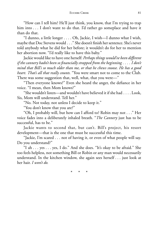"How can I tell him? He'll just think, you know, that I'm trying to trap him into . . . I don't want to do that. I'd rather go someplace and have it than do that.

"I dunno, a little longer . . . . Oh, Jackie, I wish—I dunno what I wish, maybe that Doc Stevens would . . ." She doesn't finish her sentence. She's never told anybody what he did for her before; it wouldn't do for her to mention her abortion now. "I'd really like to have this baby."

Jackie would like to have one herself: *Perhaps things would've been different if the cannery hadn't been so fi nancially strapped from the beginning . . . . I don't mind that Bill's so much older than me, or that he chews snoose. He has a good heart. That's all that really counts.* "You were smart not to come to the Club. There was some suggestion that, well, what, that you were—"

"Then everyone knows?" Even she heard the anger, the defiance in her voice. "I mean, then Mom knows?"

"She wouldn't listen—and wouldn't have believed it if she had . . . . Look, Sis, Mom will understand. Tell her."

"No. Not today, not unless I decide to keep it."

"You don't know that you are?"

"Oh, I probably will, but how can I afford to? Robin may not . . ." Her voice fades into a deliberately inhaled breath. "*The Cannery* just has to be successful, has to be."

Jackie wants to second that, but can't. Bill's project, his resort development—that is the one that must be successful this time.

"Jackie, I'm scared . . . not of having it, or even of what people will say. Do you understand?"

"I ah . . . yes . . . yes, I do." And she does. "It's okay to be afraid." She too feels helpless, not something Bill or Robin or any man would necessarily understand. In the kitchen window, she again sees herself . . . just look at her hair. *I won't do.*

\* \* \*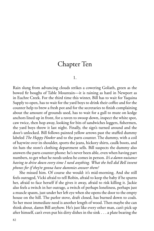# Chapter Ten

1.

Rain slung from advancing clouds strikes a cowering Goliath, green as the bowed fir boughs of Table Mountain—it is raining as hard in Newport as in Euchre Creek. For the third time this winter, Bill has to wait for Yaquina Supply to open, has to wait for the yard boys to drink their coffee and for the counter help to brew a fresh pot and for the secretaries to finish complaining about the amount of grounds used, has to wait for a gull to mute on kedge anchors lined up in front, for a raven to swoop down, inspect the white spot, caw twice, then hop away, looking for bits of sandwiches loggers, fishermen, the yard boys threw it last night. Finally, the sign's turned around and the door's unlocked. Bill follows painted yellow arrows past the stuffed dummy labeled *The Happy Hooker* and to the parts counter. The dummy, with a coil of haywire over its shoulder, sports the jeans, hickory shirts, caulk boots, and tin hats the store's clothing department sells. Bill suspects the dummy also answers the parts counter phone: he's never been able, even when having part numbers, to get what he needs unless he comes in person. *It's a damn nuisance having to drive down every time I need anything. What the hell did Bell invent phones for if they're gonna have dummies answer them?*

She missed him. Of course she would: it's mid-morning. And she still feels outraged, Vicki afraid to tell Robin, afraid to keep the baby if he spurns her, afraid to face herself if she gives it away, afraid to risk killing it. Jackie also feels a twitch in her outrage, a twitch of perhaps loneliness, perhaps just a muscle spasm, just under her left eye when she opens the door to the empty house on the hill. The parlor stove, draft closed, has burned down to coals. So her most immediate need is another length of wood. Then maybe she can think about, damn Bill anyhow. He's just like every other man, can't pick up after himself, can't even put his dirty dishes in the sink . . . a plate bearing the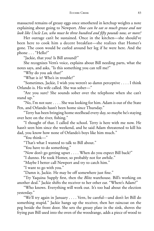massacred remains of greasy eggs once smothered in ketchup weights a note explaining about going to Newport. *How can he eat so much grease and not look like Uncle Leo, who must be three hundred and fi fty pounds now, or more?*

Her outrage can't be sustained. Once in the kitchen—she should've been here to cook him a decent breakfast—she realizes that Homer's gone. The coon would be curled around her leg if he were here. And the phone . . . "Hello?"

"Jackie, that you? Is Bill around?"

She recognizes Vern's voice, explains about Bill needing parts, what the notes says, and asks, "Is this something you can tell me?"

"Why do you ask that?"

"What is it? Who's in trouble?"

"Sometimes, Jackie, I wish you weren't so damn perceptive . . . . I think Orlando is. His wife called. She was sober—"

"Are you sure? She sounds sober over the telephone when she can't stand up."

"No, I'm not sure . . . . She was looking for him. Adam is out of the State Pen, and Orlando hasn't been home since Thursday."

"Terry has been bringing home steelhead every day, so maybe he's staying over here on the river, fishing."

"I thought of that. I called the school. Terry is here with me now. He hasn't seen him since the weekend, and he said Adam threatened to kill his dad, you know how none of Orlando's boys like him much."

"You think—"

"That's what I wanted to talk to Bill about."

"You have to do something."

"Now don't go getting upset . . . . When do you expect Bill back?"

"I dunno. He took Homer, so probably not for awhile."

"Maybe I better call Newport and try to catch him."

"I want to go with you."

"Damn it, Jackie. He may be off somewhere just fine."

"Try Yaquina Supply first, then the *Blitz* warehouse. Bill's working on another deal." Jackie shifts the receiver to her other ear. "Where's Adam?"

"Who knows. Everything will work out. It's too bad about the election yesterday."

"We'll try again in January . . . . Vern, be careful—and don't let Bill do something stupid." Jackie hangs up the receiver, then her raincoat on the peg beside the front door. She sets the greasy plate in the sink, shoves the frying pan Bill used into the oven of the woodrange, adds a piece of wood to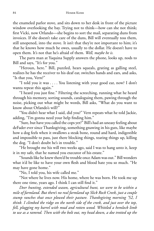the enameled parlor stove, and sits down to her desk in front of the picture window overlooking the bay. Trying not to think—how can she not think; first Vicki, now Orlando—she begins to sort the mail, separating duns from invoices. If she doesn't take care of the duns, Bill will eventually toss them, still unopened, into the stove. It isn't that they're not important to him; it's that he knows how much he owes, usually to the dollar. He doesn't have to open them. It's not that he's afraid of them. *Well, maybe he is.*

The parts man at Yaquina Supply answers the phone, looks up, nods to Bill and says, "It's for you."

"Heroun, here." Bill, puzzled, hears squeals, grating as galling steel, realizes he has the receiver to his deaf ear, switches hands and ears, and asks, "Is that you, Vern?"

"I told you it was . . . . You listening with your good ear, now? I don't wanta repeat this again."

"I heard you just fine." Filtering the screeching, running what he heard through his memory, sorting sounds, cataloguing them, pawing through the noise, picking out what might be words, Bill asks, "What do you want to know about Orlando's will?"

"You didn't hear what I said, did you?" Vern repeats what he told Jackie, adding, "I'm gonna need your help finding him."

"Sure, but have you called the cops yet?" Bill's had an uneasy feeling about deFader ever since Thanksgiving, something gnawing in his guts, like maybe how a dog feels when it swallows a steak bone, round and hard, indigestible and impossible to pass, just there blocking things, tearing things up, killing the dog. "I don't doubt he's in trouble."

"He brought me his will two weeks ago, said I was to hang unto it, keep it in my safe, that he named you executor of his estate."

"Sounds like he knew there'd be trouble once Adam was out." Bill wonders what it'd be like to have your own flesh and blood hate you so much. "He may have gone home."

"No, I told you, his wife called me."

"Not where he lives now. His home, where he was born. He took me up there one time, years ago. I think I can still find it."

*Deer hunting, extended season, agricultural hunt, we were to be within a mile of farmland. But there's no real farmland up Slick Rock Creek, just a couple stump ranches that once plowed their pasture. Thanksgiving morning '52, I think. I climbed the ridge on the north side of the creek, and just over the top, fell, plugging my barrel with mud and rotten wood. Whittled a hemlock limb to use as a ramrod. Then with the bolt out, my head down, a doe trotted up the*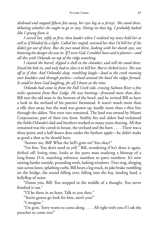#### EUCHRE CREEK 85

*skidroad and stopped fi fteen feet away, her eyes big as a Jersey's. She stood there, debating whether she ought to go or stay. Sitting on that log, I probably looked like I sprang from it.*

*I cursed her, softly at fi rst, then louder when I realized my voice held her as still as if blinded by a light. Called her stupid, warned her that I'd kill her if she didn't get out of there. But she just stood there, looking with her dumb eyes, not knowingthe danger she was in. If I were God, I couldn't have said it plainer—and all this with Orlando on top of the ridge watching.*

*I cleared the barrel, slipped a shell in the chamber, and still she stood there. Eased the bolt in, and only had to close it to kill her. But it clicked twice. She was off as if shot. And Orlando's deep, rumbling laugh—loud as the creek running over boulders and through pockets—echoed around the bowl the ridges formed. It could've been God laughing, for all I knew at the time.*

*Orlando had come in from the Fall Creek side, crossing Salmon River a few miles upstream from Rose Lodge. He was hunting—fi rewood more than deer.* Bill met the old man in the bottom of the bowl, and he invited Bill to have a look in the orchard of his parents' farmstead. It wasn't much more than a rifle shot away, but the road was grown up, hardly more than a thin line through the alders. Not even ruts remained. The land was owned by Miami Corporation, part of their tree farm. Stubby firs and alders had reclaimed the fields Orlando's dad and brothers worked so many years clearing. All that remained was the caved-in house, the orchard and the barn . . . . There was a three-point and a half dozen does under the farthest apple—he didn't make as good a shot as he should have.

"Answer me, Bill! What the hell's goin on? You okay?"

"I'm fine. You don't need to yell." Bill, wondering if he's done it again, drifted off, losing time, looks at the parts man studying a blowup of a long-frame D-4, matching reference numbers to parts numbers. It's now raining harder outside, pounding roofs, lashing windows. Tires sing, slinging rain across lanes, splashing curbs. Bill hears a log truck, its jake brake rumbling on the bridge, the sound falling over, falling into the bay, landing hard, a bellyflop of noise.

"Damn you, Bill. You stopped in the middle of a thought. You never finished it out."

"I'll be there in an hour. Talk to you then."

"You're gonna go look for him, aren't you?"

"I imagine."

"I'm goin. Terry wants to come along . . . . All right with you if I ask the preacher to come too?"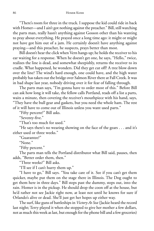"There's room for three in the truck. I suppose the kid could ride in back with Homer—and I ain't got nothing against the preacher." Bill, still watching the parts man, really hasn't anything against Gosson other than his wanting to pray about everything. He prayed once a long time ago: it might or might not have got him out of a jam. He certainly doesn't have anything against praying—and this preacher, he suspects, prays better than most.

Bill doesn't hear the click when Vern hangs up; he holds the receiver to his ear waiting for a response. When he doesn't get one, he says, "Hello," twice, realizes the line is dead, and somewhat sheepishly, returns the receiver to its cradle. What happened, he wonders. Did they get cut off? A tree blow down over the line? The wind's hard enough, one could have, and the high water probably has taken out the bridge over Salmon River there at Fall Creek. It was in bad shape last year, nobody driving over it for fear of falling through.

The parts man says, "I'm gonna have to order most of this." Before Bill can ask how long it will take, the fellow calls Portland, reads off a list a parts, waits a minute, then covering the receiver's mouthpiece with his hand, says, "They have the bull gear and gaskets, but you need the whole ham. The rest of it will have to come out of Illinois unless you want used parts."

"Fifty percent?" Bill asks.

"Seventy-five."

"That's too much for used."

"He says there's no wearing showing on the face of the gears . . . and it's either used or three weeks."

"Guarantee?"

"None."

"Fifty percent."

The parts man tells the Portland distributor what Bill said, pauses, then adds, "Better order them, then."

"Three weeks?" Bill asks.

"I'll see if I can't hurry them up."

"I have to go," Bill says. "You take care of it. See if you can't get them quicker, maybe put them on the stage there in Illinois. The Dog ought to get them here in three days." Bill steps past the dummy, steps out, into the rain. Homer is in the pickup. He should drop the coon off at the house, but he'd rather not see Jackie right now, at least not until he knows for sure if Orlando's alive or dead. She'll just get her hopes up either way.

The surf, like guns of battleships in *Victory At Sea* (Jackie heard the record last night; Terry played it when she stopped to give her mother a few dollars, not as much this week as last, but enough for the phone bill and a few groceries)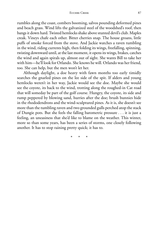rumbles along the coast, combers booming, salvos pounding deformed pines and beach grass. Wind lifts the galvanized steel of the woodshed's roof, then bangs it down hard. Twisted hemlocks shake above stunted devil's club. Maples creak. Vineys chafe each other. Bitter cherries snap. The house groans, little puffs of smoke forced from the stove. And Jackie watches a raven tumbling in the wind, riding currents high, then folding its wings, freefalling, spinning, twisting downward until, at the last moment, it opens its wings, brakes, catches the wind and again spirals up, almost out of sight. She wants Bill to take her with him—he'll look for Orlando. She knows he will. Orlando was her friend, too. She can help, but the men won't let her.

Although daylight, a doe heavy with fawn months too early timidly searches the gnarled pines on the lee side of the spit. If alders and young hemlocks weren't in her way, Jackie would see the doe. Maybe she would see the coyote, its back to the wind, trotting along the roughed-in Cat road that will someday be part of the golf course. Hungry, the coyote, its side and rump peppered by blowing sand, hurries after the doe; brush bunnies hide in the rhododendrons and the wind-sculptured pines. As it is, she doesn't see more than the tumbling raven and two grounded gulls perched atop the stack of Dungie pots. But she feels the falling barometric pressure . . . it is just a feeling, an uneasiness that she'd like to blame on the weather. This winter, more so than some years, has been a series of storms, one closely following another. It has to stop raining pretty quick; it has to.

\* \* \*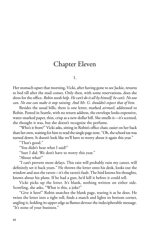# Chapter Eleven

1.

Her stomach upset that morning, Vicki, after having gone to see Jackie, returns to bed till after the mail comes. Only then, with some reservations, does she dress for the offi ce. *Robin needs help. He can't do it all by himself, he can't. No one can. No one can make it stop raining. And Mr. G. shouldn't expect that of him.*

Besides the usual bills, there is one letter, marked *airmail*, addressed to Robin. Posted in Seattle, with no return address, the envelope looks expensive, water-marked paper, thin, crisp as a new dollar bill. She smells it—it's scented, she thought it was, but she doesn't recognize the perfume.

"Who's it from?" Vicki asks, sitting in Robin's office chair, easier on her back than her own, waiting for him to read the single page note. "Oh, the school tax was turned down. It doesn't look like we'll have to worry about it again this year."

"That's good."

"You didn't hear what I said?"

"Sure I did. We don't have to worry this year."

"About what?"

"I can't prevent more delays. This rain will probably ruin my career, will definitely set it back years." He throws the letter onto his desk, looks out the window and sees the raven—it's the raven's fault. The bird knows his thoughts, knows about his plans. If he had a gun, he'd kill it before it could tell.

Vicki picks up the letter. It's blank, nothing written on either side. Scowling, she asks, "What is this, a joke?"

"Give it here!" Robin snatches the blank page, tearing it as he does. He twists the letter into a tight roll, finds a match and lights its bottom corner, angling it, holding its upper edge as flames devour the indecipherable message. "It's none of your business."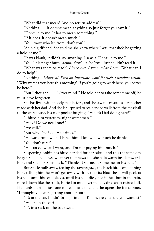"What did that mean? And no return address?"

"Nothing . . . it doesn't mean anything so just forget you saw it."

"Don't lie to me. It has to mean something."

"If it does, it doesn't mean much."

"You know who it's from, don't you?"

"An old girlfriend. She told me she knew where I was, that she'd be getting a hold of me."

"It was blank, it didn't say anything. I saw it. Don't lie to me."

"You," his finger burn, *damn, there's no ice here*, "just couldn't read it."

"What was there to read?" *I have eyes. I know what I saw.* "What can I do to help?"

"Nothing." *Dismissal. Such an innocuous word for such a horrible action.* "Why weren't you here this morning? If you're going to work here, you better be here."

"But I thought . . . . Never mind." He told her to take some time off; he must have forgotten.

She has lived with moody men before, and she saw the mistakes her mother made with her dad. And she is surprised to see her dad walk from the messhall to the warehouse, his coat pocket bulging. "What's Dad doing here?"

"I hired him yesterday, night watchman."

"Why? Do we need one?"

"We will."

"But why Dad? . . . He drinks."

"He was drunk when I hired him. I know how much he drinks."

"You don't care?"

"He can do what I want, and I'm not paying him much."

Suspecting Robin has hired her dad for her sake—and this the same day he gets such bad news, whatever that news is—she feels warm inside towards him, and she kisses his neck. "Thanks. Dad needs someone on his side."

But Steele pulls away, feeling the raven's gaze, the black bird condemning him, telling him he won't get away with it, that its black beak will peck at his soul until his soul bleeds, until his soul dies, not in hell but in the rain, mired down like the truck, buried in mud over its axle, driveshaft twisted off. He needs a drink, just one more, a little one, and he opens the file cabinet. "I thought you were getting another bottle."

"It's in the car. I didn't bring it in . . . . Robin, are you sure you want it?" "Where in the car?"

"It's in a sack on the back seat."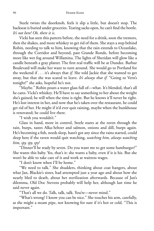Steele twists the doorknob, feels it slip a little, but doesn't stop. The backseat is buried under groceries. Tearing sacks open, he can't find the bottle. *It's not here! Oh, there it is*.

Vicki has seen this pattern before, the need for a drink, soon the tremors, then the shakes, and more whiskey to get rid of them. She stays a step behind Robin, needing to talk to him, knowing that the rain extends to Oceanlake, through the Corridor and beyond, past Grande Ronde, before becoming more like wet fog around Willamina. The lights of Sheridan will glow like a candle beneath a gray platter. The first real traffic will be at Dundee. Barbur Boulevard will make her want to turn around. She would go to Portland for the weekend if . . . it's always that *if*. She told Jackie that she wanted to get away, but that she was scared to leave. *It's always that if.* "Going to Vern's tonight?" she asks, hopeful he's not.

"Maybe." Robin pours a water glass full of—what. It's blended, that's all he cares. Vicki's whiskey. He'll have to say something to her about the weight she's gained; he will when the time is right. But he knows it'll never be right. He's lost interest in her, and now that he's taken over the restaurant, he could get rid of her. He might if it'd ever quit raining, maybe when the bunkhouse is renovated; he could live there.

"I wish you wouldn't."

Glass in hand, more in control, Steele stares at the raven through the rain, burps, tastes Alka-Seltzer and salmon, onions and dill, burps again. He's becoming a fish, needs sleep, hasn't got any since the rains started, could sleep here if the raven would quit watching, *watching him, always watching him, spy, spy, spy!*

"Dinner'll be ready by seven. Do you want me to get some hamburger?" She wants this baby. Yes, that's it: she wants a baby, even if it is his. But she won't be able to take care of it and work at waitress wages.

"I don't know when I'll be home."

"We need to talk." She shudders, thinking about coat hangers, about what Jan, Blackie's sister, had attempted just a year ago and about how she nearly bled to death, about her sterilization afterwards. Because of Jan's dilemma, Old Doc Stevens probably will help her, although last time he said never again.

"That's all we do. Talk, talk, talk. You're—never mind."

"What's wrong? I know you can be nice." She touches his arm, carefully, as she might a steam pipe, not knowing for sure if it's hot or cold. "This is important."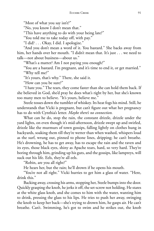"Most of what you say isn't?"

"No, you know I don't mean that."

"This have anything to do with your being late?"

"You told me to take today off, with pay."

"I did? . . . Okay, I did. I apologize."

"And you don't mean a word of it. You bastard." She backs away from him, her hands over her mouth. "I didn't mean that. It's just . . . we need to talk—not about business—about us."

"What's a matter? Am I not paying you enough?"

"You are a bastard. I'm pregnant, and it's time to end it, or get married." "Why tell me?"

"It's yours, that's why." There, she said it.

"How can you be sure?"

"I hate you." The tears, they come faster than she can hold them back. If she believed in God, she'd pray he does what's right by her, but she's known too many men to believe. "It's yours, believe me."

Steele tosses down the tumbler of whiskey. Its heat fogs his mind. Still, he understands that Vicki is pregnant, but can't figure out what her pregnancy has to do with Cynthia's letter. *Maybe there's no connection.*

What can he do, stop the rain, the constant drizzle, drizzle under the yard lights, on even though it's mid-afternoon, drizzle swept up and swirled, drizzle like the murmurs of town gossips, falling lightly on clothes hung in backyards, soaking them till they're wetter than when washed, whispers loud as the surf, wrung out, pinned to phone lines, dripping; he can't breathe. He's drowning, he has to get away, has to escape the rain and the raven and its eyes, those black eyes, shiny as Apache tears, hard, so very hard. They're boring through him, grinding up his guts, and the gossips, like lampreys, will suck out his life. Eels, they're all eels.

"Robin, are you all right?"

He hears her, but the rain; he'll drown if he opens his mouth.

"You're not all right." Vicki hurries to get him a glass of water. "Here, drink this."

Backing away, crossing his arms, stopping her, Steele bumps into the door. Quickly grasping the knob, he jerks it off, the set-screw not holding. He stares at the white glass knob, and she comes to him with the water, wanting him to drink, pressing the glass to his lips. He tries to push her away, swinging the knob to keep her back—she's trying to drown him, he gasps air. He can't breathe. Can't. Swimming, he's got to swim and he strikes out, the knob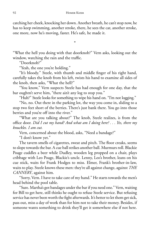catching her cheek, knocking her down. Another breath, he can't stop now, he has to keep swimming, another stroke, there, he sees the car, another stroke, one more, now he's moving, faster. He's safe, he made it.

"What the hell you doing with that doorknob?" Vern asks, looking out the window, watching the rain and the traffic.

\*

"Doorknob?"

"Yeah, the one you're holding."

"It's bloody." Steele, with thumb and middle finger of his right hand, carefully takes the knob from his left, twists his hand to examine all sides of the knob, then asks, "What the hell?"

"You know," Vern suspects Steele has had enough for one day, that the bar oughtn't serve him, "there ain't any log to stop you."

"Huh?" Steele looks for something to wipe his hand on. "I'm not logging."

"No, no. Out there in the parking lot, the way you come in, sliding to a stop two feet short of the berries. There's just bank there. You go into those berries and you're off into the river."

"What are you talking about?" The knob, Steele realizes, is from the offi ce door. *Did I cut my hand? And what am I doing here? . . . Yes, there my knuckles. I am cut.*

Vern, concerned about the blood, asks, "Need a bandage?"

"I don't know yet."

The tavern smells of cigarettes, sweat and pitch. The floor creaks, seems to slope towards the bar. A cue ball strikes another ball. Murmurs roll. Blackie Poage cuddles a beer while Dudley, wooden leg propped on a chair, plays cribbage with Leo Poage, Blackie's uncle. Lenny, Leo's brother, leans on his cue stick, waits for Frank Hodges to miss. Elmer, Frank's brother-in-law, waits to play. Steele knows these men: they're all against change, against *THE CANNERY*, against him.

"Sorry, Vern. I have to take care of my hand." He starts towards the men's head behind the pool table.

"Sure. Martha's got bandages under the bar if you need one." Vern, waiting for Bill to get here, still thinks he ought to refuse Steele service. But refusing service has never been worth the fight afterwards. It's better to let them get sick, pass out, miss a day of work than for him not to take their money. Besides, if someone wants something to drink they'll get it somewhere else if not here.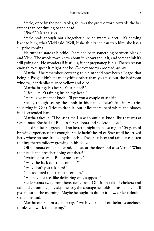Steele, once by the pool tables, follows the groove worn towards the bar rather than continuing to the head.

"*Blitz*?" Martha asks.

Steele nods though not altogether sure he wants a beer—it's coming back to him, what Vicki said. Well, if she thinks she can trap him, she has a surprise coming.

He turns to stare at Blackie. There had been something between Blackie and Vicki. The whole town knew about it, knows about it, and some think it's still going on. He wonders if it still is, if her pregnancy is his. There's reason enough to suspect it might not be. *I've seen the way she looks at you.*

Martha, if he remembers correctly, told him she'd once been a Poage, that being a Poage didn't mean anything other than you piss out the bedroom window; her dahlias turned yellow and died.

Martha brings his beer. "Your blood?"

"I feel like it's raining inside my head."

"Here, give me that knob. I'll get you a couple of aspirin."

Steele, though seeing the knob in his hand, doesn't feel it. He tries squeezing it. Can't. Tries to drop it. But it lies there, hard white and bloody in his extended hand.

Martha takes it. "The last time I saw an antique knob like that was at Grandma's. She had all Bible-n-Cross doors and skeleton keys."

The draft beer is green and no better tonight than last night; 104 years of brewing experience isn't enough. Steele hadn't heard of *Blitz* until he arrived here, where no one drinks anything else. The green beer and rain have gotten to him; there's mildew growing in his belly.

Olf Gunnarsson lets in wind, pauses at the door and asks Vern, "What the fuck is the preacher doing out there?"

"Waiting for Wild Bill, same as me."

"Why the fuck don't he come in?"

"Why don't you ask him?"

"I'm too tired to listen to a sermon."

"He may not feel like delivering one, suppose?"

Steele wants away from here, away from Olf, from talk of chokers and tailholds, from the gray sky, the fog, the courage he holds in his hands. He'll piss it out in the morning. Maybe he ought to dump it now, order a double scotch instead.

Martha offers him a damp rag. "Wash your hand off before somebody thinks you work for a living."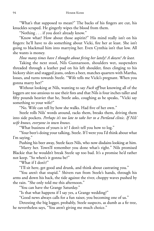"What's that supposed to mean?" The backs of his fingers are cut, his knuckles scraped. He gingerly wipes the blood from them.

"Nothing . . . if you don't already know."

"Know what? How about those aspirin?" His mind really isn't on his fingers: he'll have to do something about Vicki, fire her at least. She isn't going to blackmail him into marrying her. Even Cynthia isn't that low. All she wants is money.

*How many times have I thought about fi ring her lately? A dozen? At least.*

Taking the next stool, Nils Gunnarsson, shoulders wet, suspenders threaded through a leather pad on his left shoulder, fines clinging to his hickory shirt and stagged jeans, orders a beer, matches quarters with Martha, losses, and turns towards Steele. "Wife tells me Vicki's pregnant. When you gonna marry her?"

Without looking at Nils, wanting to say *Fuck off* but knowing all of the loggers are too anxious to use their fists and that Nils is four inches taller and fifty pounds heavier that he, Steele asks, coughing as he speaks, "Vicki say something to your wife?"

"No. Wife can tell by how she walks. Had five of her own."

Steele rolls Nils' words around, racks them, breaks them, driving them into side pockets. *Perhaps it's too late to take her to a Portland clinic. If Nils' wife knows, everyone in town knows.*

"What business of yours is it? I don't tell you how to log."

"Your beer's doing your talking, Steele. If I were you I'd think about what I'm saying."

Pushing his beer away, Steele faces Nils, who now disdains looking at him.

"Marry her. Town'll remember you done what's right." Nils promised Blackie that he wouldn't break Steele up too bad. It's a promise he'd rather not keep. "So when's it gonna be?"

"What if I don't?"

"I'll sit here, get good and drunk, and think about castrating you."

"You aren't that stupid." Shivers run from Steele's hands, through his arms and down his back, the tide against the river, choppy waves pushed by the rain. "She only told me this afternoon."

"You can have the Grange Saturday."

"Is that what happens if I say yes, a Grange wedding?"

"Good news always calls for a fun raiser, you becoming one of us."

Detesting the big logger, probably, Steele suspects, as dumb as a fir tree, he nevertheless says, "You aren't giving me much choice."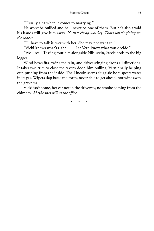"Usually ain't when it comes to marrying."

He won't be bullied and he'll never be one of them. But he's also afraid his hands will give him away. *It's that cheap whiskey. That's what's giving me the shakes*.

"I'll have to talk it over with her. She may not want to."

"Vicki knows what's right . . . . Let Vern know what you decide."

"We'll see." Tossing four bits alongside Nils' stein, Steele nods to the big logger.

Wind bows firs, swirls the rain, and drives stinging drops all directions. It takes two tries to close the tavern door, him pulling, Vern finally helping out, pushing from the inside. The Lincoln seems sluggish: he suspects water in its gas. Wipers slap back and forth, never able to get ahead, nor wipe away the grayness.

Vicki isn't home, her car not in the driveway, no smoke coming from the chimney. *Maybe she's still at the offi ce.*

\* \* \*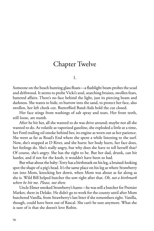# Chapter Twelve

1.

Someone on the beach hunting glass floats—a flashlight beam probes the scud and driftwood. It seems to probe Vicki's soul, searching bruises, swollen fears, battered affairs. There's no face behind the light, just its piercing beam and darkness. She wants to hide, to burrow into the sand, to protect her face, also swollen, her left cheek cut. Butterflied Band-Aids hold the cut closed.

Her face stings from washings of salt spray and tears. Her front teeth, still loose, are numb.

After he hit her, all she wanted to do was drive around; maybe not all she wanted to do. As volatile as vaporized gasoline, she exploded a little at a time, her Ford trailing oil smoke behind her, its engine as worn out as her patience. She went as far as Road's End where she spent a while listening to the surf. Now, she's stopped at D River, and she hurts: her body hurts, her face does, her feelings do. She's really angry, but why does she have to tell herself that? Of course, she's angry. She has the right to be. But her dad, drunk, can hit harder, and if not for the knob, it wouldn't have been so bad.

But what about the baby: Terry has a birthmark on his leg, a bruised-looking spot the shape of a pig's head. It's the same place on his leg as where Strawberry ran into Mom, knocking her down, when Mom was about as far along as she is. Wild Bill helped butcher the sow right after that. *Oh, not a birthmark where he hit me. Please, not there.*

Uncle Elmer smoked Strawberry's hams—he was still a butcher for Premier Market, there in Delake. He didn't go to work for the county until after Mom butchered Vanilla, from Strawberry's last litter if she remembers right. Vanilla, though, could have been out of Rascal. She can't be sure anymore. What she is sure of is that she doesn't love Robin.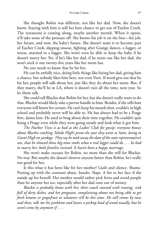She thought Robin was different, not like her dad. Now, she doesn't know. Staying with him is still her best chance to get out of Euchre Creek. The restaurant is coming along, maybe another month. When it opens, it'll take some of the pressure off. She knows his job is on the line—his job, her future, and now, the baby's future. She doesn't want it to become part of Euchre Creek, dipping snoose, fighting after Grange dances, a logger, or worse, married to a logger. She won't even be able to keep the baby if he doesn't marry her. Yet, if he's like her dad, if he turns out like her dad, she won't stick it out twenty-five years like her mom has.

No one needs to know that he hit her.

He can be awfully nice, doing little things like hiring her dad, giving him a chance, but nobody likes him here, not even Vern. If word gets out that he hit her, people will talk about her, just like they do about her mom. But, if they marry, she'll be in LA, where it doesn't rain all the time, next year. So let them talk.

She could tell Blackie that Robin hit her, but she doesn't really want to do that. Blackie would likely take a peevee handle to him. Besides, if she tells him everyone will know for certain. He can't keep his mouth shut, couldn't in high school and probably never will be able to. He has always had to be a Poage first, damn him. He used to brag about their time together. He couldn't quit being a Poage even while they were going steady and look what it got him.

*The Harbor View is as bad as the Ladies' Club for gossip: everyone knows about Blackie crashing Toledo High's prom the year they went to State, losing to Grant High on yardage. They say he took away the date of the state representative's son, that he showed those big-time snobs what a real logger could do . . . he had to marry her; both families insisted. It hasn't been a happy marriage.*

She won't make excuses for Robin, no more than she will for Blackie. No way. But maybe she doesn't deserve anyone better than Robin; he's really too good for her.

Is this what it has been like for her mother? Guilt and silence. Shame. Putting up with the constant abuse. Insults. Slaps. A fist to her face if she stands up for herself. Her mother would rather pick ferns and avoid people than let anyone her see, especially after her dad runs out of money.

*Blackie is probably home with her, their couch covered with ironing, sink full of dirty dishes, and her pregnant, complaining about not being able to get fresh lemons or grapefruit or whatever it'll be this time. He still comes by now and then, tells me his problems and leaves a pickup load of wood usually, but he won't come by anymore if . . .*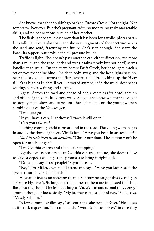She knows that she shouldn't go back to Euchre Creek. Not tonight. Nor tomorrow. Not ever. But she's pregnant, with no money, no truly marketable skills, and no connections outside of her mother.

The flashlight beam, closer now than it has been for a while, picks apart a kelp raft, lights on a glass ball, and showers fragments of the spectrum across the sand and scud, fracturing the future. She's seen enough. She starts the Ford. Its tappets rattle while the oil pressure builds.

Traffic is light. She doesn't pass another car, either direction, for more than a mile, and the road, dark and wet (it rains steady but not hard) seems lonelier than usual. On the curve before Drift Creek, her headlights catch a set of eyes that shine blue. The deer looks away, and the headlights pass on, over the bridge and across the flats, where, tide's in, backing up the Siletz till it's as high as Euchre River. Uprooted stumps lie in the mud, deadheads waiting, forever waiting and rotting.

Lights. Across the road and ahead of her, a car flicks its headlights on and off, its lights dim, its battery weak. She doesn't know whether she ought to stop; yet she slows and turns until her lights land on the young woman climbing out of the Volkswagen.

"I'm outta gas."

"If you have a can, Lighthouse Texaco is still open."

"Can you take me?"

Nothing coming, Vicki turns around in the road. The young woman gets in and by the dome light sees Vicki's face. "Have you been in an accident?"

*No, I haven't been in an accident.* "Close your door. The station won't be open for much longer."

"I'm Cynthia March and thanks for stopping."

Lighthouse Texaco has a can Cynthia can use, and no, she doesn't have to leave a deposit as long as she promises to bring it right back.

"Do you always trust people?" Cynthia asks.

"No," Jim Miller, owner and attendant, says. "Have you ladies seen the size of trout Devil's Lake holds?"

He sort of insists on showing them a rainbow he caught this evening on a Spruce Fly, size 6, 3x long, not that either of them are interested in fish or flies. But they look. The fish is as long as Vicki's arm and several times bigger around, though it looks sickly. "My brother catches a lot of fish," Vicki says. "Mostly salmon."

"A few salmon," Miller says, "still enter the lake from D River." He pauses as if to ask a question, but rather adds, "World's shortest river," in case they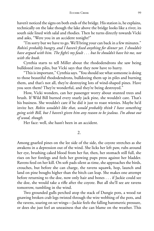haven't noticed the signs on both ends of the bridge. His station is, he explains, technically on the lake though the lake above the bridge looks like a river, its south side lined with salal and rhodies. Then he turns directly towards Vicki and asks, "Were you in an accident tonight?"

"I'm sorry but we have to go. We'll bring your can back in a few minutes." *Robin's probably hungry, and I haven't fi xed anything for dinner yet. I shouldn't have argued with him. The fi ght's my fault . . . but he shouldn't have hit me, not with the knob.*

Cynthia starts to tell Miller about the rhododendrons she saw being bulldozed into piles, but Vicki says that they now have to hurry.

"This is important," Cynthia says. "You should see what someone is doing to those beautiful rhododendrons, bulldozing them up in piles and burning them, and that's not all, they're destroying lots of wind-shaped pines. Have you seen them? They're wonderful, and they're being destroyed."

How, Vicki wonders, can her passenger worry about stunted trees and brush. If Wild Bill burned every snarly jack pine, she wouldn't care. That's his business. She wouldn't care if he did it just to roast wienies. Maybe he'd invite her. *Robin wouldn't like that, would probably think I have something going with Bill, but I haven't given him any reason to be jealous. I'm about out of wood, though.*

Her face: well, she hasn't been in an accident.

#### 2.

Among gnarled pines on the lee side of the side, the coyote stretches as she awakens in a depression out of the wind. She licks her left paw, rubs around her eye, brushing caked blood from her fur, then, her stomach still full, she rises on her forelegs and feels her growing pups press against her bladder. Ravens feed on her kill. On soft pads silent as time, she approaches the birds, crouches, but before she can charge, the ravens squawk, hop, launch and land on pine boughs higher than the bitch can leap. She makes one attempt before returning to the doe, now only hair and bones . . . if Jackie could see the doe, she would take a rifle after the coyote. But all she'll see are ravens tomorrow, tumbling in the wind.

Two grounded gulls perched atop the stack of Dungie pots, a wood rat gnawing broken crab legs twisted through the wire webbing of the pots, and the ravens, soaring on set wings—Jackie feels the falling barometric pressure, or does she just feel an uneasiness that she can blame on the weather. This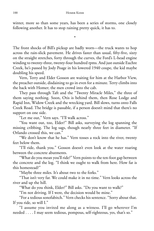winter, more so than some years, has been a series of storms, one closely following another. It has to stop raining pretty quick, it has to.

\*

The front shocks of Bill's pickup are badly worn—the truck wants to hop across the rain-slick pavement. He drives faster than usual, fifty-five, sixty on the straight stretches, forty through the curves, the Ford's L-head engine winding to twenty-three, twenty-four hundred rpms. And just outside Euchre Creek, he's passed by Jody Poage in his lowered 1940 coupe, the kid maybe doubling his speed.

Vern, Terry and Elder Gosson are waiting for him at the Harbor View, the preacher outside, disdaining to go in even for a minute. Terry climbs into the back with Homer; the men crowd into the cab.

They pass through Taft and the "Twenty Miracle Miles," the three of them saying nothing. Soon, Otis is behind them, then Rose Lodge and Rapid Inn, Widow Creek and the wrecking yard. Bill slows, turns onto Falls Creek Road. The bridge is passable, if a person doesn't mind that there's no support on one side.

"Let me out," Vern says. "I'll walk across."

"You want out, too, Elder?" Bill asks, surveying the log spanning the missing cribbing. The log sags, though nearly three feet in diameter. "If Orlando crossed this, we can."

"We don't know that he has." Vern tosses a rock into the river, twenty feet below them.

"I'll ride, thank you." Gosson doesn't even look at the water roaring between the concrete abutments.

"What do you mean you'll ride?" Vern points to the ten-foot gap between the concrete and the log. "I think we ought to walk from here. How far is this homestead?"

"Maybe three miles. It's about two to the forks."

"That isn't very far. We could make it in no time." Vern looks across the river and up the hill.

"What do you think, Elder?" Bill asks. "Do you want to walk?"

"I'm not driving. If I were, the decision would be mine."

"For a tedious sonofabitch." Vern checks his sentence. "Sorry about that. If you ride, so will I."

"I assume you invited me along as a witness. I'll go wherever I'm needed . . . . I may seem tedious, pompous, self-righteous, yes, that's so."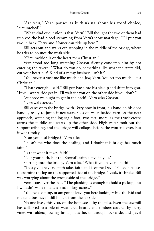"Are you," Vern pauses as if thinking about his word choice, "circumcised?"

"What kind of question is that, Vern?" Bill thought the two of them had resolved the bad blood stemming from Vern's short marriage. "I'll put you two in back. Terry and Homer can ride up here."

Bill gets out and walks off, stopping in the middle of the bridge, where he tries to bounce the weak side.

"Circumcision is of the heart for a Christian."

Vern stood too long watching Gosson silently condemn him by not entering the tavern: "What do you do, something like what the Atezs did, cut your heart out? Kind of a messy business, isn't it?"

"You never struck me like much of a Jew, Vern. You act too much like a Christian."

"That's enough, I said." Bill gets back into his pickup and shifts into gear. "If you wanta ride get in. I'll wait for you on the other side if you don't."

"Suppose we ought to get in the back?" Vern asks Gosson.

"Let's walk across."

Bill eases onto the bridge, with Terry now in front, his hand on his door handle, ready to jump if necessary. Gosson waits beside Vern on the near approach, watching the log sag a foot, two feet, more, as the truck creeps across the middle and starts up the other side. High water took out the support cribbing, and the bridge will collapse before the winter is over. But it won't today.

"Can you heal bridges?" Vern asks.

"It isn't me who does the healing, and I doubt this bridge has much faith."

"Is that what it takes, faith?"

"Not your faith, but the Eternal's faith active in you."

Starting onto the bridge, Vern asks, "What if you have no faith?"

"To say you have no faith takes faith and is of the Devil." Gosson pauses to examine the log on the supported side of the bridge. "Look, it's broke. Bill was worrying about the wrong side of the bridge."

Vern leans over the side. "The planking is enough to hold a pickup, but I wouldn't want to take a load of logs across."

"You two coming, or am gonna leave you here looking while the Kid and me tend business?" Bill hollers from the far side.

No one lives, this year, on the homestead by the falls. Even the sawmill has collapsed to a pile of weathered boards and timbers covered by berry vines, with alders growing through it as they do through rock slides and gravel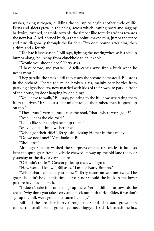washes, fixing nitrogen, building the soil up to begin another cycle of life. Ferns and alders grow in the fields, across which leaning posts and sagging barbwire, rust red, shamble towards the timber like tottering winos towards the next bar. A red-horned buck, a three-point, maybe four, jumps the fence and runs diagonally through the far field. Two does bound after him, then a third and a fourth.

"Too bad it isn't season," Bill says, fighting the steeringwheel as his pickup bumps along, bouncing from chuckhole to chuckhole.

"Would you shoot a doe?" Terry asks.

"I have before, and you will. A fella can't always find a buck when he needs meat."

They parallel the creek until they reach the second homestead. Bill stops in the orchard. There's too much broken glass, mainly beer bottles from partying highschoolers, now married with kids of their own, to park in front of the house, its door hanging by one hinge.

"We'll have to walk," Bill says, pointing to the hill now separating them from the river. "It's about a half mile through the timber, then it opens up on top."

"Those ruts," Vern points across the road, "that's where we're goin?"

"Yeah. That's the old road."

"Looks like somebody's been up them."

"Maybe, but I think we better walk."

"Who's got their rifle?" Terry asks, closing Homer in the canopy.

"Do we need one?" Vern looks at Bill.

"Shouldn't."

Although rain has washed the sharpness off the tire tracks, it has also kept the spun grass fresh: a vehicle chewed its way up the old lane today or yesterday or the day or days before.

"Orlando's tracks?" Gosson picks up a chew of grass.

"How would I know?" Bill asks. "I'm not Natty Bumpo."

"Who's that, someone you know?" Terry shoos no-see-ums away. The gnats shouldn't be out this time of year, nor should the buck in the lower pasture have had his rack.

"It doesn't take four of us to go up there. Vern," Bill points towards the creek, "why don't you take Terry and check out both forks. Elder, if we don't get up the hill, we're gonna get eaten by bugs."

Bill and the preacher hurry through the stand of bastard-growth fir, timber too small for old-growth yet never logged. It's dark beneath the firs,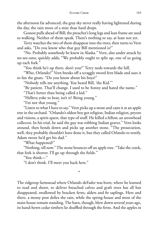the afternoon far advanced, the gray sky never really having lightened during the day, the rain more of a mist than hard drops.

Gosson pulls ahead of Bill; the preacher's long legs and lean frame are used to walking. Neither of them speak. There's nothing to say, at least not yet.

Terry watches the two of them disappear into the trees, then turns to Vern and asks, "Do you know who that guy Bill mentioned is?"

"No. Probably somebody he knew in Alaska." Vern, also under attack by no-see-ums, quickly adds, "We probably ought to split up, one of us going up each fork."

"You think he's up there, don't you?" Terry nods towards the hill.

"Who, Orlando?" Vern breaks off a scraggly sword fern blade and uses it to fan the gnats. "Do you know about his boys?"

"Nobody tells me anything. You heard Bill, 'the Kid.'"

"Be patient. That'll change. I used to be Sonny and hated the name."

"That's better than being called a kid."

"Helleva yoke to bear, isn't it? Being young."

"I'm not that young."

"Listen to what I have to say." Vern picks up a stone and casts it at an apple tree in the orchard. "Orlando's oldest boy got religion, Indian religion, peyote and visions, a spirit-quest, that type of stuff. He killed a fellow, an arrowhead collector. In his trial, he said the guy was robbing Indian graves." Vern looks around, then bends down and picks up another stone. "The prosecution, well, they probably shouldn't have done it, but they called Orlando to testify. Adam swore he'd get his dad."

"What happened?"

"Nothing, till now." The stone bounces off an apple tree. "Take the creek, that fork is shorter. I'll go up through the fields."

\*

"You think—"

"I don't think. I'll meet you back here."

The ridgetop farmstead where Orlando deFader was born, where he learned to read and shoot, to deliver breached calves and graft trees has all but disappeared, swallowed by bracken ferns, alders and fir saplings. Here and there, a mossy post defies the rain, while the spring-house and most of the main house remain standing. The barn, though, blew down several years ago, its hand-hewn cedar timbers lie shuffled through the ferns. And the apples in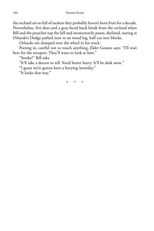the orchard are so full of suckers they probably haven't born fruit for a decade. Nevertheless, five does and a gray-faced buck break from the orchard when Bill and the preacher top the hill and momentarily pause, skylined, staring at Orlando's Dodge parked next to an wood log, half cut into blocks.

Orlando sits slumped over the wheel in his truck.

Peering in, careful not to touch anything, Elder Gosson says: "I'll wait here for the troopers. They'll want to look at him."

"Stroke?" Bill asks.

"It'll take a doctor to tell. You'd better hurry. It'll be dark soon."

"I guess we're gonna have a burying Saturday."

"It looks that way."

\* \* \*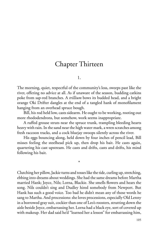# Chapter Thirteen

1.

The morning, quiet, respectful of the community's loss, sweeps past like the river, offering no advice at all. As if unaware of the season, budding catkins poke from sap-red branches. A *trillium* bows its budded head, and a bright orange Oki Drifter dangles at the end of a tangled hank of monofilament hanging from an overhead spruce bough.

Bill, his rod held low, casts sidearm. He ought to be working, rooting out more rhododendrons, but somehow, work seems inappropriate.

A ruffed grouse struts near the spruce trunk, trampling bleeding hearts heavy with rain. In the sand near the high water mark, a wren scratches among fresh raccoon tracks, and a cock bluejay swoops silently across the river.

His eggs bouncing along, held down by four inches of pencil lead, Bill misses feeling the steelhead pick up, then drop his bait. He casts again, quartering his cast upstream. He casts and drifts, casts and drifts, his mind following his bait.

\*

Clutching her pillow, Jackie turns and tosses like the tide, curling up, stretching, ebbing into dreams about weddings. She had the same dreams before Martha married Hank; Joyce, Nils; Lorna, Blackie. She smells flowers and hears the song. Nils couldn't sing and Dudley hired somebody from Newport. But Hank has such a good voice. Too bad he didn't mean any of those words he sang to Martha. And processions: she loves processions, especially Old Lenny in a borrowed gray suit, cockier than one of Leo's roosters, strutting down the aisle beside Joyce, embarrassing her. Lorna had a black eye, sort of covered up with makeup. Her dad said he'd "learned her a lesson" for embarrassing him,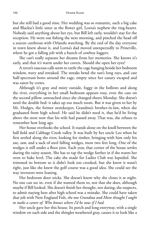but she still had a good time. Her wedding was so romantic, such a big cake and Blackie's little sister as the flower girl, Lorna's nephew the ring-bearer. Nobody said anything about her eye, but Bill left early, wouldn't stay for the reception. He went out fishing the next morning, and pinched the head off a searun cutthroat with Orlando watching. By the end of the day everyone in town knew about it, and Lorna's dad moved unexpectedly to Prineville, where he got a falling job with a bunch of cowboy loggers.

She can't really separate her dreams from her memories. She knows it's early, and that it's warm under her covers. Should she open her eyes?

A raven's raucous calls seem to rattle the cage hanging beside her bedroom window, wavy and streaked. The streaks bend the sun's long rays, and cast half-spectrum bows around the cage, empty since her canary escaped and was eaten by crows.

Although it's gray and misty outside, foggy in the hollows and along the river, everything in her small bedroom appears rosy, even the case on the second pillow, untouched since she changed sheets Monday. She doesn't need the double bed: it takes up too much room. But it was given to her by Mr. Hodges, the former storekeeper, Grandma's brother-in-law, when she graduated from high school. He said he didn't need it, that he'd be living above the store now that his wife had passed away. That was, she refuses to remember how long ago.

Her house overlooks the school. It stands alone on the knoll between the ball field and Cabbage Creek valley. It was built by her uncle Leo when he first settled along the river, looking for timber, bringing with him only his axe, saw, and a sack of steel falling wedges, most two feet long. One of the wedges is still under a floor joist. Each year, that corner of the house settles during the rainy season. She has to tap the wedge farther in if she wants her oven to bake level. The cake she made for Ladies Club was lopsided. She trimmed its bottom so it didn't look too crooked, but she knew it wasn't right, just like she knew the golf course was a good idea. She could see the way investors were leaning.

Her bedroom door sticks. She doesn't know why she closes it at night. No one can see in, even if she wanted them to, not that she does, although maybe if Bill looked. She doesn't finish her thought, not daring, she suspects, to admit staying here after high school was a mistake. She could have taken that job with New England Fish, *the one Grandma and Mom thought I ought to make a career of. Who knows where I'd be now if I had.*

Her uncle gave her this house. Its porch and long entryway, with a single window on each side and the shingles weathered gray, causes it to look like a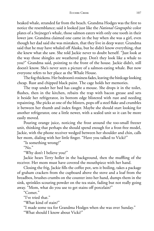beaked whale, stranded far from the beach. Grandma Hodges was the first to notice the resemblance; said it looked just like the *National Geographic* color plates of a Stejneger's whale, those salmon eaters with only one tooth in their lower jaw. Grandma claimed one came in the bay when she was a girl, even though her dad said she was mistaken, that they live in deep water. Grandma said that he may have whaled off Alaska, but he didn't know everything, that she knew what she saw. She told Jackie never to doubt herself. "Just look at the way those shingles are weathered gray. Don't they look like a whale to you?" Grandma said, pointing to the front of the house. Jackie didn't, still doesn't know. She's never seen a picture of a salmon-eating whale. But now everyone refers to her place as the Whale House.

The fog thickens. Her bedroom's rosiness fades, leaving the birdcage looking cheap. Rust and chipped black paint. The cage holds her memories.

The trap under her bed has caught a mouse. She drops it in the toilet, flushes, then in the kitchen, rebaits the trap with bacon grease and sets it beside her refrigerator, its bottom edge blistered with rust and needing repainting. She picks at one of the blisters, pops off a steel flake and crumbles it between her thumb and index finger. Maybe she should start looking for another refrigerator, one a little newer, with a sealed unit so it can be more easily moved.

Pouring orange juice, noticing the frost around the too-small freezer unit, thinking that perhaps she should spend enough for a frost-free model, Jackie, with the phone receiver wedged between her shoulder and chin, calls her mom, dialing with her little finger. "Have you talked to Vicki?"

"Is something wrong?"

" $No.$ "

"Why don't I believe you?"

Jackie hears Terry holler in the background, then the muffling of the receiver. Her mom must have covered the mouthpiece with her hand.

Closing the frig, Jackie fills the coffee pot, sets it boiling, takes a package of graham crackers from the cupboard above the stove and a loaf from the breadbox, brushes crumbs on the counter into her hand, dumps them in the sink, sprinkles scouring powder on the tea stain, fading but not really going away. "Mom, what do you use to get stains off porcelain?"

"Comet."

"I've tried that."

"What kind of stain?"

"I made some tea for Grandma Hodges when she was over Sunday."

"What should I know about Vicki?"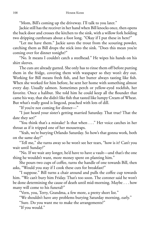"Mom, Bill's coming up the driveway. I'll talk to you later."

Jackie still has the receiver in her hand when Bill knocks once, then opens the back door and crosses the kitchen to the sink, with a willow fork holding two dripping cutthroats about a foot long. "Okay if I put these in here?"

"Let me have them." Jackie saves the trout from the scouring powder, catching them as Bill drops the stick into the sink. "Does this mean you're coming over for dinner tonight?"

"No. It means I couldn't catch a steelhead." He wipes his hands on his shirt sleeves.

The cuts are already gutted. She only has to rinse them off before putting them in the fridge, covering them with waxpaper so they won't dry out. Working for Bill means fresh fish, and her butter always tasting like fish. When she worked for him before, he sent her home with something almost every day. Usually salmon. Sometimes perch or yellow-eyed rockfish, her favorite. Once a halibut. She told him he could keep all the flounder that came his way, that she didn't like fish that tasted like lumpy Cream of Wheat. But what's really good is lingcod, poached with lots of dill.

"If you're not coming for dinner—"

"I just heard your sister's getting married Saturday. That true? That the date they set?"

"You think that's a mistake? Is that when . . ." Her voice catches in her throat as if it tripped one of her mousetraps.

"Yeah, we're burying Orlando Saturday. So how's that gonna work, both on the same day?"

"Tell me," she turns away so he won't see her tears, "how is it? Can't you wait until Sunday?"

"No. If we wait any longer, he'd have to have a vault—and that's the one thing he wouldn't want, more money spent on planting him."

She pours two cups of coffee, turns the handle of one towards Bill, then asks, "Would you stay if I cook these cuts for breakfast?"

"I suppose." Bill turns a chair around and pulls the coffee cup towards him. "We can't bury him Friday. That's too soon. The coroner said he won't be done determining the cause of death until mid-morning. Maybe . . . how many will come to his funeral?"

"Vern, you, Terry, Grandma, a few more, a pretty short list."

"We shouldn't have any problems burying Saturday morning, early."

"Sure. Do you want me to make the arrangements?"

"If you would."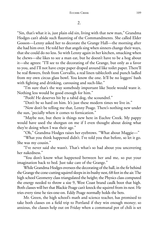"Sin, that's what it is, just plain old sin, living with that new man," Grandma Hodges can't abide such flaunting of the Commandments. She called Elder Gosson—Lenny asked her to decorate the Grange Hall—the morning after she had him over. He told her that angels sing when sinners change their ways, that she could do no less. So with Lenny again in her kitchen, smacking when he chews—she likes to see a man eat, but he doesn't have to be a hog about it—she agrees: "I'll see to the decorating of the Grange, but only as a favor to you, and I'll not have crepe paper draped around like toilet paper. There'll be real flowers, fresh from Corvallis, a real linen tablecloth and punch ladled from my own circus glass bowl. You know the one. It'll be no loggers' bash with fighting and drinking, carousing and such-like."

"I'm sure that's the way somebody important like Steele would want it. Nothing less would be good enough for him."

"Pooh! He deserves bit by a rabid dog, the scoundrel."

"Don't be so hard on him. It's just these modern times we live in."

"Now don't be telling me that, Lenny Poage. There's nothing new under the sun, 'pecially when it comes to fornication."

"Maybe not, but there is things new here in Euchre Creek. My pappy would have used the shotgun on me if I even thought about doing what they're doing when I was their age."

"Oh," Grandma Hodges raises her eyebrows. "What about Maggie—"

"What you think happened didn't. I've told you that before, so let it go. She was my cousin."

"I've never said she wasn't. That's what's so bad about you uncovering her nakedness."

"You don't know what happened between her and me, so put your imagination back to bed. Just take care of the Grange."

While Grandma Hodges oversees the decorating of the hall, in the fir behind the Grange the cone-cutting squirrel sleeps in its bushy nest, 68 feet in the air. The high school Geometry class triangulated the height; the Physics class computed the energy needed to throw a size 9, West Coast brand caulk boot that high. Both classes will bet that Blackie Poage can't knock the squirrel from its nest. He tries every time he ties-one-on. Eddy Poage normally holds the bets.

Mr. Green, the high school's math and science teacher, has promised to take both classes on a field trip to Portland if they win enough money; so anxious, the classes help out on Friday when a communal pot of chili is set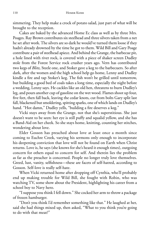simmering. They help make a crock of potato salad, just part of what will be brought to the reception.

Cakes are baked by the advanced Home Ec class as well as by three Mrs. Poages. Ray Brown contributes six steelhead and three silvers taken from a net he set after work. The silvers are so dark he would've turned them loose if they hadn't already drowned by the time he got to them. Wild Bill and Gary Poage contribute a pair of steelhead apiece. And behind the Grange, the barbecue pit, a hole lined with river rock, is covered with a piece of shaker screen Dudley stole from the Forest Service rock crusher years ago. Vern has contributed two kegs of *Blitz*, Steele one, and Stoker gave a keg to the barbecuers. So after dark, after the women and the high school help go home, Lenny and Dudley kindle a fire and tap Stoker's keg. The fish won't be grilled until tomorrow, but building a good bed of coals takes a long time, especially the night before a wedding, Lenny says. He cackles like an old hen, threatens to burn Dudley's leg, and pours another cup of gasoline on the wet wood. Flames shoot up four, five feet, then fall back, leaving the cedar knots, cut from bolts Gary split last fall, blackened but smoldering, spitting sparks, one of which lands on Dudley's hand. "Hot damn," Dudley yells, "building a fire deserves a keg."

Vicki stays away from the Grange, not that she's superstitious. She just doesn't want to be seen: her eye is still puffy and squalid yellow, and she has a Band-Aid on her cheek. So she stays home, knitting, counting her stitches, wondering about love.

Elder Gosson has preached about love at least once a month since coming to Euchre Creek, varying his sermons only enough to incorporate his deepening conviction that love will not be found on Earth when Christ returns. Love is, he says (she knows for she's heard it enough times), outgoing concern for others equal to concern for self. And therein lies the problem as far as the preacher is concerned. People no longer truly love themselves. Greed, lust, vanity, selfishness—these are facets of self-hatred, according to Gosson. Self-love is really self-hate.

When Vicki returned home after dropping off Cynthia, who'll probably end up making trouble for Wild Bill, she fought with Robin, who was watching TV, some show about the President, highlighting his career from a school boy to Navy hero.

"I suppose you think I fell down." She cocked her arm to throw a package of frozen hamburger.

"Don't you think I'd remember something like that." He laughed at her, said she had things mixed up, then asked, "What to you think you're going to do with that meat?"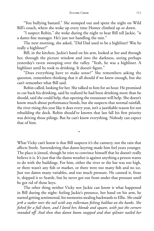#### EUCHRE CREEK 111

"You bullying bastard." She stomped out and spent the night on Wild Bill's couch, where she woke up every time Homer climbed up or down.

"I suspect Robin," she woke during the night to hear Bill tell Jackie, "is a damn fine manager. He's just not handling the rain."

The next morning, she asked, "Did Dad used to be a highliner? Was he really a highliner?"

Bill, in the kitchen, Jackie's hand on his arm, looked at her and through her, through the picture window and into the darkness, seeing perhaps yesterday's raven swooping over the valley. "Yeah, he was a highliner. A highliner until he took to drinking. It doesn't figure."

"Does everything have to make sense?" She remembers asking the question, remembers thinking that it all should if we knew enough, but she can't remember what Bill said.

Robin called, looking for her. She talked to him for an hour. He promised to cut back his drinking, said he realized he had been drinking more than he should, said she could help, that opening the restaurant will help. She doesn't know much about performance bonds, but she suspects that normal rainfall, the river rising this year like it does every year, isn't a justifiable reason for not rebuilding the dock. Robin should've known that last fall his first priority was driving those pilings. But he can't know everything. Nobody can expect that of him.

\*

What Vicky can't know is that Bill suspects it's the cannery, not the rain that affects Steele. Surrendering that damn keyring made him feel years younger. The place is jinxed, though he tries to convince himself that he doesn't really believe it is. It's just that the damn weather is against anything a person wants to do with the buildings. For him, either the river or the bar was too high, or there wasn't any fish or market, or there were too many fish and no ice. Just too damn many variables, and too much pressure. He canned it, froze it, shipped it to Seattle, but he never got out from under that pressure until he got rid of those keys.

The other thing neither Vicky nor Jackie can know is what happened in Bill during the night: feeling Jackie's presence, her hand on his arm, he started getting sentimental, his memories stealing backwards to Ellie. *She could jerk a soaker over the rail with any rollerman fi shing halibut on the banks. She fi shed for a full share, and I loved her, blonde and square, with just the corners rounded off. And then that damn boom snapped and that splinter nailed her*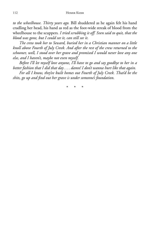*to the wheelhouse. Thirty years ago.* Bill shuddered as he again felt his hand cradling her head, his hand as red as the foot-wide streak of blood from the wheelhouse to the scuppers*. I tried scrubbing it off. Sven said to quit, that the blood was gone, but I could see it, can still see it.*

*The crew took her to Seward, buried her in a Christian manner on a little knoll above Fourth of July Creek. And after the rest of the crew returned to the schooner, well, I stood over her grave and promised I would never love any one else, and I haven't, maybe not even myself.*

*Before I'll let myself love anyone, I'll have to go and say goodbye to her in a better fashion that I did that day . . . damn! I don't wanna hurt like that again.*

*For all I know, they've built homes out Fourth of July Creek. That'd be the shits, go up and fi nd out her grave is under someone's foundation.*

\* \* \*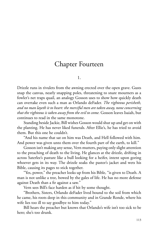# Chapter Fourteen

1.

Drizzle runs in rivulets from the awning erected over the open grave. Gusts snap the canvas, nearly snapping poles, threatening to snare mourners as a fowler's net traps quail, an analogy Gosson uses to show how quickly death can overtake even such a man as Orlando deFader. *The righteous perisheth, and no man layeth it to heart: the merciful men are taken away, none concerning that the righteous is taken away from the evil to come.* Gosson leaves Isaiah, but continues to read in the same monotone.

Standing beside Jackie, Bill wishes Gosson would shut up and get on with the planting. He has never liked funerals. After Ellie's, he has tried to avoid them. But this one he couldn't.

"And his name that sat on him was Death, and Hell followed with him. And power was given unto them over the fourth part of the earth, to kill."

Gosson isn't making any sense, Vern mutters, paying only slight attention to the preaching of death to the living. He glances at the drizzle, drifting in across Saterlee's pasture like a bull looking for a heifer, intent upon goring whoever gets in its way. The drizzle soaks the pastor's jacket and wets his Bible, causing its pages to stick together.

"Yes, power," the preacher looks up from his Bible, "is given to Death. A man is not unlike a tree, bowed by the gales of life. He has no more defense against Death than a fir against a saw."

Vern sees Bill's face harden as if hit by some thought.

"Brothers, Sisters, Orlando deFader lived bound to the soil from which he came, his roots deep in this community and in Grande Ronde, where his wife lies too ill to say goodbye to him today."

Bill hears the preacher but knows that Orlando's wife isn't too sick to be here; she's too drunk.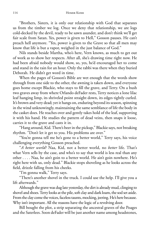"Brothers, Sisters, it is only our relationship with God that separates us from the timber we log. Once we deny that relationship, we are logs cold-decked by the devil, ready to be sawn asunder, and don't think we'll get fair scale from Satan. Yes, power is given to Hell," Gosson pauses. He can't preach hell anymore. "Yes, power is given to the Grave so that all men may know that life is but a vapor, weighed in the just balance of God."

Nils stands beside Martha, who's here, Vern knows, as much to get out of work as to show her respects. After all, she's drawing time right now. He had been afraid nobody would show, so, yes, he'd encouraged her to come and stand in the rain for an hour. Only the rabbi was there when they buried Deborah. He didn't get word in time.

When the pages of Gosson's Bible are wet enough that the words show through from one side to the other, the awning is taken down, and everyone goes home except Blackie, who stays to fill the grave, and Terry. On a bush two graves away from where Orlando deFader rests, Terry notices a lone lilac leaf hanging limp, its shriveled point straight down, its edges tightly curled. It's brown and very dead; yet it hangs on, enduring beyond its season, spinning in the wind unknowingly, maintaining the same semblance of life the body in the casket does. He reaches over and gently takes hold of the leaf, supporting it with his hand. He studies the pattern of dead veins, then snaps it loose, carries it to the grave and casts it in.

"Hang around, Kid. There's beer in the pickup," Blackie says, not breaking rhythm. "Don't let it get to you. His problems are over."

"You're gonna tell me he's gone to a better world," Terry says, his voice challenging everything Gosson preached.

"*A better world?* Naa, Kid, not a better world, no *better* life. That's what Vern sells by the case, and who's to say that world is less real than any other . . . . Naa, he ain't goin to a better world. He ain't goin nowhere. He's right here with us, only dead." Blackie stops shoveling as he looks across the field, drizzle falling from his cheeks.

"I'm gonna walk," Terry says.

"There's another shovel in the truck. I could use the help. I'll give you a lift afterwards."

Although the grave was dug late yesterday, the dirt is already mud, clinging to shovel and shoes. Terry looks at the pile, soft clay and dark loam, the sod set aside. From the clay come the voices, faceless taunts, mocking, jeering. He's here because. Why isn't important. All the reasons have the logic of a revolving door.

Bill bought the plot, a strip separating the ancestral graves of the Poages and the Saterlees. Soon deFader will be just another name among headstones,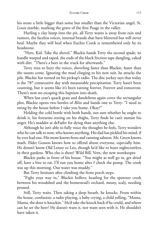his stone a little bigger than some but smaller than the Victorian angel, St. Louis marble, marking the grave of the first Poage in the valley.

Hurling a clay lump into the pit, all Terry wants is away from rain and rumors, the faceless voices, internal brands that have blistered but will never heal. Maybe they will heal when Euchre Creek is remembered only by its headstone.

"Here, Kid. Take the shovel." Blackie hands Terry the second spade, its handle warped and taped, the ends of the black friction tape dangling, caked with dirt. "There's a beer in the truck for afterwards."

Terry tries to bury the voices, shoveling faster than Blackie, faster than the taunts come. Ignoring the mud clinging to his new suit, he attacks the pile. Blackie has turned on his pickup's radio. The disc jockey says that today is the 78<sup>th</sup> consecutive day with measurable precipitation. Terry hasn't been counting, but it seems like it's been raining forever. Forever and tomorrow. There's now no escaping this baptism into death.

When last year's quack grass and dandelions again cover the rectangular plot, Blackie opens two bottles of *Blitz* and hands one to Terry: "I need to swing by the house before I take you home. Okay?"

Holding the cold bottle with both hands, not sure whether he ought to drink it, his forearms resting on his thighs, Terry finds he can't sustain his anger. He's madder at deFader for dying than anything else.

Although he isn't able to fully voice the thoughts he feels, Terry wonders who he can talk to now, who knows anything. His dad has pickled his mind, if he ever had one. His mom knows ferns and canning salmon. Mr. Green knows math. Elder Gosson knows how to offend about everyone, especially him. He doesn't know Old Lenny or Leo, though he'd like to hunt nightcrawlers in their gardens. Who else is there? Wild Bill, Vern, the new storekeeper.

Blackie parks in front of his house. "You might as well go in, get dried off, have a bite to eat. I'll run you home after I check the pump. The creek was up this morning. Our water was muddy."

But Terry hesitates after climbing the front porch steps.

"Fight your way in," Blackie hollers, heading for the spawner creek between his woodshed and the homestead's orchard, mossy, scaly, needing pruned.

Still, Terry waits. Then taking a deep breath, he knocks. From within the house, confusion: a radio playing, a baby crying, a child yelling, "Mama, Mama, the door is knockin." He'd take the knock back if he could, and where can he set the beer? He doesn't want it, nor want seen with it. He shouldn't have taken it.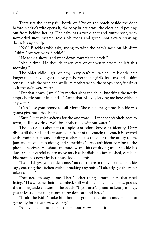Terry sets the nearly full bottle of *Blitz* on the porch beside the door before Blackie's wife opens it, the baby in her arms, the older child peeking out from behind her leg. The baby has a wet diaper and runny nose, with now-dried snot smeared across his cheek and green snot slowly crawling down his upper lip.

"Yes?" Blackie's wife asks, trying to wipe the baby's nose on his dirty T-shirt. "Are you with Blackie?"

"He took a shovel and went down towards the creek."

"About time. He shoulda taken care of our water before he left this morning."

The older child—girl or boy, Terry can't tell which, its blonde hair longer than a boy ought to have yet shorter than a girl's, its jeans and T-shirt sexless—finds the beer, and while its mother wipes the baby's nose, it drinks as if the *Blitz* were water.

"Put that down, Jamie!" Its mother slaps the child, knocking the nearly empty bottle out of its hands. "Damn that Blackie, leaving me here without any water."

"Can I use your phone to call Mom? She can come get me. Blackie was gonna give me a ride home."

"Sure." Her voice softens for the one word. "If that sonofabitch goes to town, he'll just drink. We'll be another day without water."

The house has about it an unpleasant odor Terry can't identify. Dirty dishes fill the sink and are stacked in front of the couch; the couch is covered with ironing. A mound of dirty clothes blocks the door to the utility room. Jam and chocolate pudding and something Terry can't identify cling to the phone's receiver. His shoes are muddy, and bits of drying mud spackle his slacks; so he's careful not to move much as he dials, his face flushed, ears hot. His mom has never let her house look like this.

"I said I'd give you a ride home. You don't have to call your ma," Blackie says, entering the kitchen without making any noise. "I already got the water taken care of."

"You need to stay home. There's other things around here that need fixing." His wife, her hair uncombed, still with the baby in her arms, pushes the ironing aside and sits on the couch. "If you aren't gonna make any money, you at least ought to get something done around here."

"I told the Kid I'd take him home. I gonna take him home. He's gotta get ready for his sister's wedding."

"And you're gonna stop at the Harbor View, is that it?"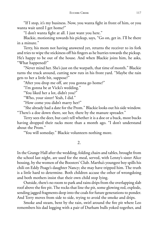"If I stop, it's my business. Now, you wanta fight in front of him, or you wanta wait until I get home?"

"I don't wanta fight at all. I just want you here."

Blackie, motioning towards his pickup, says, "Go on, get in. I'll be there in a minute."

Terry, his mom not having answered yet, returns the receiver to its fork and tries to wipe the stickiness off his fingers as he hurries towards the pickup. He's happy to be out of the house. And when Blackie joins him, he asks, "What happened?"

"Never mind her. She's just on the warpath, that time of month." Blackie turns the truck around, cutting new ruts in his front yard. "Maybe the rain gets to her a little bit, suppose?"

"After you drop me off, are you gonna go home?"

"I'm gonna be at Vicki's wedding."

"You liked her a lot, didn't you?"

"Who, your sister? Yeah, I did."

"How come you didn't marry her?"

"She already had a date for the Prom." Blackie looks out his side window. "There's a doe down there, see her, there by the manure spreader."

Terry sees the deer, but can't tell whether it is a doe or a buck, most bucks having dropped their racks more than a month ago. "I don't understand about the Prom."

"You will someday." Blackie volunteers nothing more.

2.

In the Grange Hall after the wedding, folding chairs and tables, brought from the school last night, are used for the meal, served, with Lenny's sister Alice bossing, by the women of the Boosters' Club. Martha's youngest boy spills his chili on Eddy Poage's daughter Nancy; she may have tripped him. The truth is a little hard to determine. Both children accuse the other of wrongdoing and both mothers insist that their own child stop lying.

Outside, there's no room to park and rains drips from the overlapping slab roof above the fire pit. The rocks that line the pit, some glowing red, explode, sending jagged fragments deep into the coals for future generations to ponder. And Terry moves from side to side, trying to avoid the smoke and drips.

Smoke and steam, bent by the rain, swirl around the fire pit where Leo remembers his dad logging with a pair of Durham bulls yoked together, and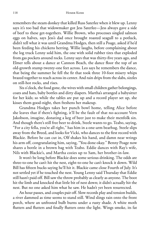remembers the steam donkey that killed Russ Saterlee when it blew up. Lenny says it's too bad that widowmaker got Jess Saterlee—Jess always gave a side of beef to these get-togethers. Willie Brown, who processes singled salmon eggs on halves, says Jess's dad once brought roasted seagull to a potluck, didn't tell what it was until Grandma Hodges, then still a Poage, asked if he'd been feeding his chickens herring. Willie laughs, before complaining about the log truck Lenny sold him, the one with solid rubber tires that exploded from gas pockets around rocks. Lenny says that was thirty-five years ago, and Elmer tells about a dance at Cannon Beach, the dance floor the top of an old-growth stump twenty-one feet across. Leo says he remembers the dance, that being the summer he fell the fir that took three 10-foot misery whips brazed together to reach across its center. And rain drips from the slabs, sizzles on still-hot rocks, and rises.

Six o'clock, the food gone, the wives with small children gather belongings, coats and hats, baby bottles and dirty diapers. Martha's arranged a babysitter for her kids; so while the tables are put up and a record player set up, she kisses them good-night, then freshens her makeup.

Grandma Hodges takes her punch bowl home, telling Alice before she leaves that if there's fighting, it'll be the fault of that no-account Vern Jakobson, imagine, donating a keg of beer just to make their menfolk sin. And though there's still free beer to drink, Steele wants to go. Teabo, saying, "For a city fella, you're all right," has him in a one-arm bearhug. Steele slips away from the Breed, and looks for Vicki, who dances to the first record with Blackie. Before he can cut in, Olf shakes his hand, and damn near wrings his arm off, congratulating him, saying, "You done okay." Benny Poage now shares a bottle in a brown bag with Teabo. Eddie dances with Ray's wife, Nils with Blackie's, and Martha cozies up to Sam, her brother-in-law.

It won't be long before Blackie does some serious drinking. The odds are three-to-one he can't hit the nest, eight-to-one he can't knock it down. Wild Bill has fifteen bucks saying he'll hit it. Blackie came close Fourth of July. It's not settled yet if he touched the nest. Young Lenny said Thursday that Eddie still hasn't paid off. Bill saw the throw probably as clearly as anyone. The boot hit the limb and knocked that little bit of nest down; it didn't actually hit the nest. But no one asked him what he saw. He hadn't yet been resurrected.

An hour passes, and couples pair off. Slow records play and tension builds, a river dammed as time seems to stand still. Wind slings rain onto the front porch, where an unfrosted bulb burns under a rusty shade. A white moth flutters and flutters and finally flutters onto the light. Wings smoke, its fat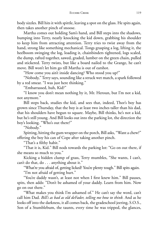body sizzles. Bill hits it with spittle, leaving a spot on the glass. He spits again, then takes another pinch of snoose.

Martha comes out holding Sam's hand, and Bill steps into the shadows, bumping into Terry, nearly knocking the kid down, grabbing his shoulder to keep him from attracting attention. Terry tries to twist away from the hand, strong like something mechanical. Tongs grasping a log, lifting it, the heelboom swinging the log, loading it, chainbinders tightened, logs scaled, the dump, rafted together, sawed, graded, lumber on the green chain, pulled and stickered. Terry twists, but like a board nailed to the Grange, he can't move. Bill won't let him go till Martha is out of earshot.

"How come you ain't inside dancing? Who stood you up?"

"Nobody," Terry says, sounding like a struck wet match, a spark followed by a red smear. "I was just here thinking."

"Embarrassed, huh, Kid?"

"I know you don't mean nothing by it, Mr. Heroun, but I'm not a kid, not anymore."

Bill steps back, studies the kid, and sees that, indeed, Thor's boy has grown since Thursday, that the boy is at least two inches taller than his dad, that his shoulders have begun to square. Maybe, Bill thinks, he's not a kid, but he's still young. And Bill looks out into the parking lot, the direction the boy's looking. "Who's out there?"

"Nobody."

Spitting, hitting the gum wrapper on the porch, Bill asks, "Want a chew?" offering the boy his can of Cope after taking another pinch.

"That's a filthy habit."

"That it is, Kid." Bill nods towards the parking lot: "Go on out there, if she means so much to you."

Kicking a hidden clump of grass, Terry mumbles, "She wants, I can't, can't do that, do . . . anything about it."

"What're you afraid of, getting licked? You're plenty tough." Bill spits again.

"I'm not afraid of getting hurt."

"You're daddy wasn't, at least not when I first knew him." Bill pauses, spits, then adds: "Don't be ashamed of your daddy. Learn from him. Now go on out there."

"What makes you think I'm ashamed of." He can't say the word, can't call him Dad. *Bill's as bad as old deFader, telling me how to think.* And as he looks off into the darkness, it all comes back, the gradeschool jeering, S.O.S., Son of a Stumblebum, the taunts, every time he was tripped, the glances,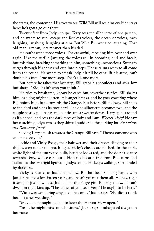the stares, the contempt. His eyes water. Wild Bill will see him cry if he stays here; he's gotta go out there.

Twenty feet from Jody's coupe, Terry sees the silhouette of one person, and he wants to run, escape the faceless voices, the ocean of voices, each laughing, laughing, laughing at him. But Wild Bill won't be laughing. That old man is mean, lots meaner than his dad.

He can't escape those voices. They're awful, mocking him over and over again. Like the surf in January, the voices roll in booming, curl and break, but this time, breaking something in him, something unconscious. Strength surges through his chest and out, into biceps. Those taunts seem to all come from the coupe. He wants to smash Jody, hit till he can't lift his arms, can't double his fists. One more step. That's all, one more.

But before he takes that last step, Bill grabs his shoulders and says, low but sharp, "Kid, it ain't who you think."

He tries to break free, knows he can't, but nevertheless tries. Bill shakes him, as a dog might a kitten. His anger breaks, and he goes cowering where Bill points him, back towards the Grange. But before Bill follows, Bill steps to the Ford and slaps its roof hard. The one silhouette becomes two, and the couple hastily pull pants and panties up, a sweater down. Terry spins around as if slapped, and sees the dark faces of Jody and Pam. *Where's Vicky?* He saw her clutching Jody's arm as they skirted puddles in the parking lot. *And where did Pam come from?*

Giving Terry a push towards the Grange, Bill says, "There's someone who wants to see you."

Jackie and Vicky Poage, their hair wet and their dresses clinging to their thighs, step under the porch light. Vicky's cheeks are flushed. In the stark, white light of the unfrosted bulb, her face looks red, and she doesn't glance towards Terry, whose ears burn. He jerks his arm free from Bill, turns and stalks past the two rigid figures in Jody's coupe. He keeps walking, surrounded by darkness.

Vicky is related to Jackie somehow. Bill has been shaking hands with Jackie's relatives for sixteen years, and hasn't yet met them all. He never got it straight just how close Jackie is to the Poage girl. But right now, he can't dwell on their kinship. "Has either of you seen Vern? He ought to be here."

"Vicki was wondering why he didn't come," Jackie says. "She didn't think he'd miss her wedding."

"Maybe he thought he had to keep the Harbor View open."

"Yeah, he might miss some business," Jackie says, undisguised disgust in her voice.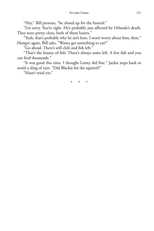"Hey," Bill protests, "he closed up for the funeral."

"I'm sorry. You're right. He's probably just affected by Orlando's death. They were pretty close, both of them loners."

"Yeah, that's probably why he ain't here. I won't worry about him, then." Hungry again, Bill asks, "Wanta get something to eat?"

"Go ahead. There's still chili and fish left."

"That's the beauty of fish. There's always some left. A few fish and you can feed thousands."

"It was good this time. I thought Lenny did fine." Jackie steps back to avoid a sling of rain. "Did Blackie hit the squirrel?"

"Hasn't tried yet."

\* \* \*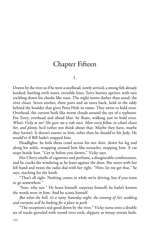## Chapter Fifteen

1.

Drawn by the river as if he were a steelhead, newly arrived, a strong fish already hooked, battling swift water, invisible lines, Terry hurries upriver, with rain trickling down his cheeks like tears. The night seems darker than usual, the river closer. Seven steelies, three pairs and an extra buck, hold in the eddy behind the boulder that gives Petra Hole its name. They swim to hold even. Overhead, the current boils like storm clouds around the eye of a typhoon. For Terry, overhead and ahead blur: he floats, walking just to hold even. *What's Vicky to me? She gave me a ride once. Most every fellow in school chases her, and plenty*, he'd rather not think about that. Maybe they have, maybe they haven't. It doesn't matter to him, other than he should've hit Jody. He would've if Bill hadn't stopped him.

Headlights: he feels them crawl across his wet shirt, down his leg and along his ankle, wrapping around him like tentacles, stopping him. A car stops beside him. "Get in before you drown," Vicky says.

Her Chevy smells of cigarettes and perfume, a disagreeable combination, and he cracks the windwing as he leans against the door. She steers with her left hand and twists the radio dial with her right. "Here, let me get that," he says, reaching for the knob.

"That's all right. Nothing comes in while we're driving, but if you want to go somewhere."

"Sure, why not." He hears himself, surprises himself; he hadn't known the words were in him. And he scares himself.

*But what the hell, it's a rainy Saturday night, the evening of Sis's wedding and everyone will be looking for a place to park.*

"The reception's real good down by the river." Vicky turns onto a double set of tracks graveled with round river rock, slippery as mossy stream beds.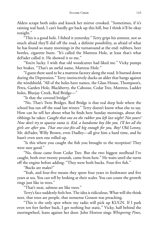Alders scrape both sides and knock her mirror crooked. "Sometimes, if it's raining real hard, I can't hardly get back up this hill, but I think it'll be okay tonight."

"This is a good hole. I fished it yesterday." Terry grips his armrest, not so much afraid they'll slid off the road, a definite possibility, as afraid of what he has found so many mornings in the turnaround at the end: rubbers, beer bottles, cigarette butts. "It's called the Mattress Hole, at least that's what deFader called it. He showed it to me."

"You're lucky. I wish that old woodcutter had liked me." Vicky pumps her brakes. "That's an awful name, Mattress Hole."

"I guess there used to be a mattress factory along the road. It burned down during the Depression." Terry instinctively ducks an alder that bangs against the windshield. "All of the holes have names, the Glass House, Thompson's, Petra, Garden Hole, Blackberry, the Caboose, Cedar Tree, Mattress, Ladder holes, Bluejay Creek, Red Bridge—"

"Is that the covered bridge?"

"No. That's Twin Bridges. Red Bridge is that real deep hole where the school bus ran off the road last winter." Terry doesn't know what else to say. How can he tell her about what he finds here Sunday mornings, about the ribbings he takes: *Caught that one on the rubber you left last night? Not yours? Now don't try to squeeze outta it, Kid, a handsome boy like you. I'll bet all the girls are after you. That one-size-fi ts-all big enough for you, Boy?* Old Lenny, Mr. deFader, Willy Brown, even Dudley—all give him a hard time, and he hasn't even seen one rolled up.

"Is this where you caught the fish you brought to the reception? They were sure good."

"No, those came from Cedar Tree. But the two biggest steelhead I've caught, both over twenty pounds, came from here." He waits until she turns off the engine before adding: "They were both bucks. Four-five fish."

"Bucks are males?"

"Yeah, and four-five means they spent four years in freshwater and five years at sea. You can tell by looking at their scales. You can count the growth rings just like in trees."

"That's neat, salmon are like trees."

Terry's face suddenly feels hot. The idea is ridiculous. What will she think next, that trees are people, that nonsense Gosson was preaching.

"This is the only spot where my radio will pick up KUGN. If I park even ten feet farther back, I get nothing but static." Vicky, half behind the steeringwheel, leans against her door. John Horton sings *Whispering Pines*,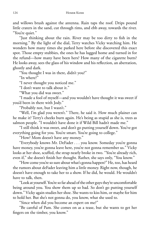and willows brush against the antenna. Rain taps the roof. Drips pound little craters in the sand, cut through rims, and ebb away, towards the river. "You're quiet."

"Just thinking about the rain. River may be too dirty to fish in the morning." By the light of the dial, Terry watches Vicky watching him. He wonders how many times she parked here before she discovered this exact spot. Those empty stubbies, the ones he has lugged home and turned in for the refund—how many have been hers? How many of the cigarette butts? He looks away, sees the glass of his window and his reflection, an aberration, ghostly and dark.

"You thought I was in there, didn't you?"

"In where?"

"I never thought you noticed me."

"I don't want to talk about it."

"What you did was sweet."

"I made a fool of myself—and you wouldn't have thought it was sweet if you'd been in there with Jody."

"Probably not, but I wasn't."

"Well, I'm glad you weren't." There, he said it. How much plainer can he make it? Terry's cheeks burn again. He's being as stupid as she is, trees as salmon people. "I wouldn't have done it if Wild Bill hadn't made me."

"I still think it was sweet, and don't go putting yourself down. You've got everything going for you. You're smart. You're going to college."

"How? Mom doesn't have any money."

"Everybody knows Mr. DeFader . . . you know. Someday you're gonna have money, you're gonna leave here, you're not gonna remember us." Vicky looks at her shoe, scuffed, the strap nearly broke in two. "You're already rich, even if," she doesn't finish her thought. Rather, she says only, "You know."

"How come you're so sure about what's gonna happen?" He, too, has heard the rumors about deFader leaving him a little money. Right now, though, he doesn't have enough to take her to a show. If he did, he would. He wouldn't have to talk, then.

"Look at yourself. You're so far ahead of the other guys they're uncomfortable being around you. You show them up so bad. So don't go putting yourself down." Vicky again studies her shoe. She wants to kiss him, or maybe for him to hold her. But she's not gonna do, you know, what she used to.

"Since when did you become an expert on me?"

"Be careful of Pam. She comes on as a tease, but she wants to get her fingers on the timber, you know."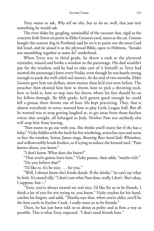Terry wants to ask, *Why tell me this*, but to do so, well, that just isn't something he would ask.

The river slides by, gurgling, unmindful of the raccoon that, rigid as the concrete Irish Setter on point in Elder Gosson's yard, stares at the car. Gosson bought the cement dog in Portland; said he set it to point out the meat God fed Israel, and he aimed it at the plywood Bible, open to Hebrews, "forsake not assembling together as some do" underlined.

When Terry was in third grade, he threw a rock at the plywood rejoinder, missed and broke a window in the parsonage. His dad wouldn't pay for the window, said he had to take care of it himself; so Terry had mowed the parsonage's lawn every Friday, even though he was barely strong enough to push the well-oiled reel mower. At the end of two months, Elder Gosson gave him ten dollars, more money than he'd ever seen before. The preacher then showed him how to throw, how to pick a throwing rock, how to hold it, how to step into his throw, where his feet should be on his follow-through. By fifth grade, he'd gotten good enough he could kill a grouse three throws out of four. He kept practicing. They, that is almost everybody in town, wanted him to play Little League ball. But all he wanted was to stop getting laughed at, to get away from those faceless voices that tonight, all belonged to Jody. Neither Pam nor anybody else will stop him from leaving.

"Pam wants to go out with you. She thinks you'll marry her if she has a baby." Vicky fiddles with the latch for her windwing, averts her eyes and turns to face the window. Sonny James sings, *Running Bear loved little Whitedove*, and willows softly brush fenders, as if trying to seduce the formed steel. "Pam knows about, you know."

"I don't know. What does she know?"

"That you're gonna leave here," Vicky pauses, then adds, "maybe rich."

"Do you believe that?"

"I'd like to. It's be nice . . . for you."

"Well, I always knew she's kinda dumb. If she thinks," he can't say what he feels. It's sound silly. "I don't care what Pam does, really I don't. She's okay, I suppose, but—"

"Terry, you've always treated me real nice. I'd like for us to be friends. I think a lot of you for not trying to, you know." Vicky reaches for his hand, catches his fingers, and adds, "Martha says that, when you're older, you'll be the best catch in Euchre Creek. I really want us to be friends."

There, he has just been told *no* in about as polite and as firm a way as possible. This is what Terry expected. "I don't need friends here."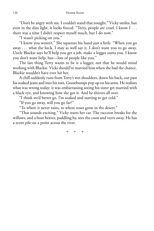"Don't be angry with me. I couldn't stand that tonight." Vicky smiles, but even in the dim light, it looks forced. "Terry, people are cruel. I know I . . . there was a time I didn't respect myself much, but I do now."

"I wasn't picking on you."

"I know you weren't." She squeezes his hand just a little. "When you go away . . . what the heck, I may as well say it. I don't want you to go away. Uncle Blackie says he'll help you get a job, make a logger outta you. I know you don't want help, but—lots of people like you."

The last thing Terry wants to be is a logger, not that he would mind working with Blackie. Vicki should've married him when she had the chance. Blackie wouldn't have ever hit her.

A chill suddenly runs from Terry's wet shoulders, down his back, out past his soaked jeans and into his toes. Goosebumps pop up on his arms. He realizes what was wrong today: it was embarrassing seeing his sister get married with a black eye, and knowing how she got it. And he shivers all over.

"I think we'd better go. I'm soaked and starting to get cold."

"If you go away, will you go far?"

"To where it never rains, to where roses grow in the desert."

"That sounds exciting." Vicky starts her car. The raccoon breaks for the willows, and a boar beaver, paddling by, sees the coon and veers away. He has a scent pile on a point across the river.

\* \* \*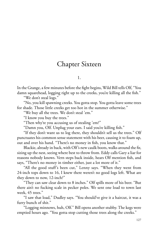# Chapter Sixteen

1.

In the Grange, a few minutes before the fight begins, Wild Bill tells Olf, "You damn squarehead, logging right up to the creeks, you're killing all the fish."

"We don't steal logs."

"No, you kill spawning creeks. You gotta stop. You gotta leave some trees for shade. Those little creeks get too hot in the summer otherwise."

"We buy all the trees. We don't steal 'em."

"I know you buy the trees."

"Then why're you accusing us of stealing 'em?"

"Damn you, Olf. Unplug your ears. I said you're killing fish."

"If they don't want us to log there, they shouldn't sell us the trees." Olf punctuates his common sense statement with his beer, causing it to foam up, out and over his hand. "There's no money in fish, you know that."

Blackie, already in back, with Olf's new caulk boots, walks around the fir, sizing up the nest, seeing where best to throw from. Eddy calls Gary a liar for reasons nobody knows. Vern steps back inside, hears Olf mention fish, and says, "There's no money in timber either, just a lot more of it."

"All the good stuff's been cut," Lenny says. "When they went from 24-inch tops down to 16, I knew there weren't no good logs left. What are they down to now, 12-inch?"

"They can saw clear down to 8 inches." Olf spills more of his beer. "But there ain't no fucking scale in pecker poles. We sent one load to town last week, 45 trees."

"I saw that load," Dudley says. "You should've give it a haircut, it was a furry bunch of shit."

"Logging minnows, huh, Olf." Bill opens another stubby. The kegs were emptied hours ago. "You gotta stop cutting those trees along the creeks."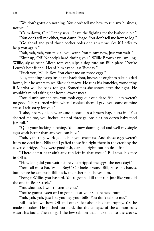"We don't gotta do nothing. You don't tell me how to run my business, not you."

"Calm down, Olf," Lenny says. "Leave the fighting for the barbecue pit."

"You don't tell me either, you damn Poage. You don't tell me how to log."

"Go ahead and yard those pecker poles one at a time. See if I offer to help you again."

"Yah, yah, yah, you talk all you want. You funny now, just you wait."

"Shut up, Olf. Nobody's hard timing you." Willie Brown says, smiling. Willie, sly as Aunt Alice's tom cat, slips a dog turd on Bill's plate. "You're Lenny's best friend. Heard him say so last Tuesday."

"Fuck you, Willie Boy. You cheat me on those eggs."

Nils, standing a step inside the back door, knows he ought to take his dad home, but he wants to see Blackie's throw. He rubs his knuckles, wondering if Martha will be back tonight. Sometimes she shows after the fight. He wouldn't mind taking her home. Sweet meat.

"You dumb sonnabitch, you took eggs out of a dead fish. They weren't no good. They turned white when I cooked them. I gave you some of mine cause I felt sorry for you."

Teabo, hoarse, his paw around a bottle in a brown bag, butts in: "You shorted me too, you fucker. Half of three gallons ain't no dozen baby food jars full."

"Quit your fucking bitching. You know damn good and well my single eggs work better than any you can buy."

"Yah, yah, they work good, but you cheat us. And those eggs weren't from no dead fish. Nils and I gaffed those fish right there in the creek by the covered bridge. They were good fish, dark all right, but no dead fish."

"There damn near ain't any run left in that creek," Bill says, his face in Olf's.

"How long did you wait before you stripped the eggs, the next day?"

"You call me a liar, Willie Boy?" Olf looks around Bill, raises his hands, but before he can push Bill back, the fisherman shoves him.

"Forget Willie, you bastard. You're gonna kill that run just like you did the one in Bear Creek."

"You shut up. I won't listen to you."

"You're gonna listen or I'm gonna beat your square head round."

"Yah, yah, yah, just like you pay your bills. You don't talk to me."

Bill has known how Olf and others felt about his bankruptcy. Yes, he made mistakes. He pushed too hard. But the collapse of the salmon runs wasn't his fault. Then to gaff the few salmon that make it into the creeks,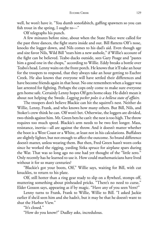well, he won't have it. "You dumb sonofabitch, gaffing spawners so you can fish trout in the spring, I ought to—"

Olf telegraphs his punch.

A few minutes before nine, about when the State Police were called for the past three dances, the fight starts inside and out. Bill flattens Olf's nose, knocks the logger down, and Nils comes to his dad's aid. Even though age and size favor Nils, Wild Bill "tears him a new asshole," if Willie's account of the fight can be believed. Teabo ducks outside, sees Gary Poage and "pastes him a good one in the chops," according to Willie. Eddy breaks a bottle over Teabo's head. Lenny waits on the front porch. He knows that it'll take an hour for the troopers to respond, that they always take an hour getting to Euchre Creek. He also knows that everyone will have settled their differences and have become friends again in that hour. No one remembers when a logger was last arrested for fighting. Perhaps the cops only come to make sure everyone gets home safe. Certainly Lenny hopes Olf gets home okay. He didn't mean it about not helping the Swede. *Logging pecker poles is a helleva state of affairs.*

The troopers don't believe Blackie can hit the squirrel's nest. Neither do Willie, Lenny, Frank, and who knows how many others. But Bill, Nils, and Stoker's crew think he can. Olf won't bet. Otherwise, the loggers are divided, two-thirds against him. Mr. Green bets he can't: the nest is too high. The throw requires too much speed. Blackie's arm needs to be two feet longer. Mass, resistance, inertia—all are against the throw. And it doesn't matter whether the boot is a West Coast or a White, at least not in his calculations. Buffaloes are slightly lighter, but not enough to affect the outcome. So brand difference doesn't matter, unless wearing them. But then, Fred Green hasn't worn corks since he worked the rigging, yarding Sitka spruce for airplane spars during the War. That was so long ago no one had yet thought of the "little zero." Only recently has he learned to use it. How could mathematicians have lived without it for so many centuries?

"Blackie's got your boots, Olf," Willie says, waiting for Bill, with cut knuckles, to return to his plate.

Olf, still hotter than a ring gear ready to slip on a flywheel, stomps off, muttering something about pinheaded pricks. "There's no need to curse," Elder Gosson says, appearing as if by magic. "Have any of you seen Vern?"

Lenny turns to Frank, Frank to Willie, Willie to Bill. "I asked Jackie earlier if she'd seen him and she hadn't, but it may be that he doesn't want to shut the Harbor View."

"It's closed."

"How do you know?" Dudley asks, incredulous.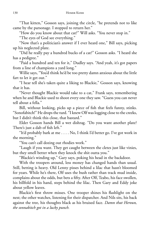"That kitten," Gosson says, joining the circle, "he pretends not to like came by the parsonage. I stopped to return her."

"How do you know about that cat?" Will asks. "You never stop in."

"The eyes of God see everything."

"Now that's a politician's answer if I ever heard one," Bill says, picking up his neglected plate.

"Did he really pay a hundred bucks of a cat?" Gosson asks. "I heard she has a pedigree."

"Paid a hundred and ten for it," Dudley says. "And yeah, it's got papers from a line of champions a yard long."

Willie says, "You'd think he'd be too pretty damn anxious about the little fart to let it get out."

"I hear tell she's taken quite a liking to Blackie," Gosson says, knowing that it has.

"Never thought Blackie would take to a cat," Frank says, remembering when he and Blackie used to shoot every one they saw. "Guess you can never tell about a fella."

Bill, without looking, picks up a piece of fish that feels funny, stinks. "Sonofabitch!" He drops the turd. "I knew Olf was logging close to the creeks, but I didn't think this close, that bastard."

Elder Gosson hands Bill a wet dishrag. "Do you want another plate? There's just a dab of fish left."

"It'd probably bark at me . . . . No, I think I'd better go. I've got work in the morning."

"You can't call dozing out rhodies work."

"Laugh if you want. They get caught between the cletes just like vinies, but they smell better when they knock the shit outta you."

"Blackie's winding up," Gary says, poking his head in the backdoor.

With the troopers around, less money has changed hands than usual. Still, betting is heavy. Old Lenny pisses behind a lilac that hasn't bloomed for years. While he's there, Olf uses the bush rather than track mud inside, complains about the odds, but bets a fifty. After Olf, Teabo, his face swollen, his billfold in his hand, steps behind the lilac. Then Gary and Eddy joke about yellow leaves.

Blackie's first throw misses. One trooper shines his flashlight on the nest; the other watches, listening for their dispatcher. And Nils sits, his back against the tree, his thoughts black as his bruised face. *Damn that Heroun, the sonnabitch got in a lucky punch.*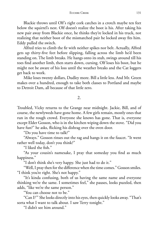Blackie throws until Olf's right cork catches in a crotch maybe ten feet below the squirrel's nest. Olf doesn't realize the boot is his. After taking his new pair away from Blackie once, he thinks they're locked in his truck, not realizing that neither boot of the mismatched pair he locked away fits him. Eddy pulled the switch.

Alfred tries to climb the fir with neither spikes nor belt. Actually, Alfred gets up thirty-five feet before slipping, falling across the limb he'd been standing on. The limb breaks. He hangs onto its stub, swings around till his toes find another limb, then starts down, cursing. Olf loses his boot, but he might not be aware of his loss until the weather breaks and the Cat loggers get back to work.

Mike loses twenty dollars, Dudley more. Bill a little less. And Mr. Green makes over a hundred, enough to take both classes to Portland and maybe to Detroit Dam, all because of that little zero.

2.

Troubled, Vicky returns to the Grange near midnight. Jackie, Bill, and of course, the newlyweds have gone home. A few girls remain, mostly ones that run in the rough crowd. Everyone she knows has gone. That is, everyone except Elder Gosson, who is in the kitchen wiping down the stove. "Did you have fun?" he asks, flicking his dishrag over the oven door.

"Do you have time to talk?"

"Always." Gosson rinses out the rag and hangs it on the faucet. "It went rather well today, don't you think?"

"I liked the fish."

"As your cousin's namesake, I pray that someday you find as much happiness."

"I don't think she's very happy. She just had to do it."

"Well, I pray then for the difference when the time comes." Gosson smiles. "I think you're right. She's not happy."

"It's kinda confusing, both of us having the same name and everyone thinking we're the same. I sometimes feel," she pauses, looks puzzled, then adds, "like we're the same person."

"You can choose not to be."

"Can I?'" She looks directly into his eyes, then quickly looks away. "That's sorta what I want to talk about. I saw Terry tonight."

"I didn't see him around."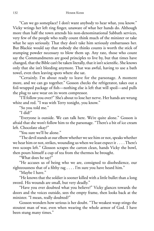"Can we go someplace? I don't want anybody to hear what, you know." Vicky wrings her left ring finger, unaware of what her hands do. Although more than half the town attends his non-denominational Sabbath services, very few of the people who really count think much of the minister or take what he says seriously. That they don't take him seriously embarrasses her. But Blackie would say that nobody she thinks counts is worth the stick of stumping powder necessary to blow them up. Any rate, those who count say the Commandments are good principles to live by, but that times have changed, that the Bible can't be taken literally, that it isn't scientific. She knows only that she isn't bleeding anymore. That was awful, having to use a bath towel, even then leaving spots where she sat.

"Certainly. I'm about ready to leave for the parsonage. A moment more, and we can go together." Gosson checks the refrigerator, takes out a foil-wrapped package of fish—nothing else is left that will spoil—and pulls the plug to save wear on its worn compressor.

"I'll follow you over?" She's about to lose her nerve. Her hands are wrung white and red. "I was with Terry tonight, you know."

"So you told me."

"I did?"

"Everyone is outside. We can talk here. We're quite alone." Gosson is afraid that she won't follow him to the parsonage. "There's a bit of ice cream left. Chocolate okay?"

"You sure we'll be alone."

"The devil stands at our elbow whether we see him or not, speaks whether we hear him or not, strikes, wounding us when we least expect it . . . . There's two scoops left." Glosson scrapes the carton clean, hands Vicky the bowl, then pours himself a cup of tea from the thermos he brought.

"What does he say?"

"He accuses us of being who we are, consigned to disobedience, our righteousness that of a filthy rag  $\dots$ . I'm sure you have heard him."

"Maybe I have."

"He knows that the soldier is sooner killed with a little bullet than a long sword. His wounds are small, but very deadly."

"Have you ever doubted what you believe?" Vicky glances towards the doors and the voices outside, sees the empty frame, then looks back at the minister. "I mean, really doubted?"

Gosson wonders how serious is her doubt. "The weakest wasp stings the stoutest man of war, even when wearing the whole armor of God. I have been stung many times."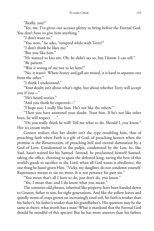"Really, you?"

"Yes, me. I've given our accuser plenty to bring before the Eternal God. You don't have to give him anything."

"I don't want to."

"You were," he asks, "tempted while with Terry?"

"I don't think he likes me."

"But you like him."

"He wanted to kiss me. Oh, he didn't say so, but I know. I can tell."

"Be patient."

"Was it wrong of me not to let him?"

"No, it wasn't. Where honey and gall are mixed, it is hard to separate one from the other."

"I think I understand."

"Your doubt isn't about what's right, but about whether Terry will accept you if you—"

"He's heard stories."

"And you think he expected—"

"I hope not. I really like him. He's not like the others."

"Then you have answered your doubt. Trust him. If he's not like other boys, he will respect . . ."

"Do you really think he will? Tell me what to do. Should I, you know." Her ice cream melts.

Gosson realizes that her doubt isn't the type troubling him, that of preaching faith when Faith is a gift of God, of preaching heaven when the promise is the Resurrection, of preaching hell and eternal damnation by a God of Love. Condemned in the pulpit, condemned by the Law, he, like Saul, hasn't waited for his Samuel. Instead, he proclaimed himself Samuel, taking the office, choosing to spare the defeated king, saving the best of this world's goods to sacrifice to the Lord, when all God wants is obedience, the one thing he hasn't given Him. "Vicky, my daughter, do not condemn yourself. Repentance means to sin no more. It is not penance for past sin."

"You mean that's all I have to do, just don't do, you know."

"Yes, I mean that, and I do know what you mean."

The centuries-old phrases, inherited like property, have been handed down to Gosson, father to son, for eight generations. And like the yellow leaves and spindly stems of crops grown on increasingly tired soil, his faith is weaker than his father's, his father's weaker than his grandfather's. His question may be the same as theirs: what worth has a man? What is mankind that the Eternal God should be mindful of this species? But he has more answers than his fathers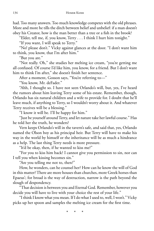had. Too many answers. Too much knowledge competes with the old phrases. More and more he tills the ditch between belief and unbelief: if a man doesn't obey his Creator, how is the man better than a tree or a fish in the brook?

"Elder, tell me, if, you know, Terry . . . I think I hurt him tonight."

"If you want, I will speak to Terry."

"No! please don't." Vicky against glances at the door. "I don't want him to think, you know, that I'm after him."

"But you are."

"Not really. Oh," she studies her melting ice cream, "you're getting me all confused. Of course I'd like him, you know, for a friend. But I don't want him to think I'm after," she doesn't finish her sentence.

After a moment, Gosson says, "You're referring to—"

"You know, Mr. deFader."

"Ahh, I thought so. I have not seen Orlando's will, but, yes, I've heard the rumors about him leaving Terry some of his estate. Remember, though, Orlando has six natural children and a wife to provide for. I doubt that he'll leave much, if anything to Terry, so I wouldn't worry about it. And whatever Terry receives will be a blessing."

"I know it will be. I'll be happy for him."

"Just be yourself around Terry, and let nature take her lawful course." Has he told her the truth, he wonders?

Vern keeps Orlando's will in the tavern's safe, and said that, yes, Orlando named the Olson boy as his principal heir. But Terry will have to make his way in the world by himself or the inheritance will be as much a hindrance as a help. The last thing Terry needs is more pressure.

"It'd be okay, then, if he wanted to kiss me?"

"For you to kiss him back? I cannot give you permission to sin, nor can I tell you when kissing becomes sin."

"Are you telling me not to, then?"

How, he wonders, can he counsel her? How can he know the will of God in this matter? There are more houses than churches, more Greek horses than Epaeus'; for broad is the way of destruction, narrow is the path beyond the slough of despondency.

"That decision is between you and Eternal God. Remember, however you decide you will have to live with your choice the rest of your life."

"I think I know what you mean. If I do what I used to, well, I won't." Vicky picks up her spoon and samples the melting ice cream for the first time.

\* \* \*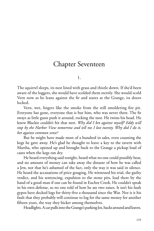### Chapter Seventeen

1.

The squirrel sleeps, its nest lined with grass and thistle down. If she'd been aware of the loggers, she would have scolded them sternly. She would scold Vern now as he leans against the fir and stares at the Grange, its doors locked.

Vern, wet, lingers like the smoke from the still smoldering fire pit. Everyone has gone, everyone that is but him, who was never there. The fir sways as little gusts push it around, rocking the nest. He twists his head. He knew Blackie couldn't hit that nest. *Why did I bet against myself? Eddy will stop by the Harbor View tomorrow and tell me I lost twenty. Why did I do it, bet against common sense?*

But he might have made most of a hundred in sales, even counting the kegs he gave away. He's glad he thought to leave a key to the tavern with Martha, who opened up and brought back to the Grange a pickup load of cases when the kegs ran dry.

He heard everything said tonight, heard what no one could possibly hear, and no amount of money can take away the distaste of how he was called a Jew, not that he's ashamed of the fact, only the way it was said in silence. He heard the accusations of price gouging. He witnessed his trial, the guilty verdict, and his sentencing, expulsion to the stone pits, lead there by the hand of a good-man if one can be found in Euchre Creek. He couldn't speak in his own defense, so no one told of how he ate two raises. It isn't his fault gypos have decked logs for thirty-five a thousand since the War. Nor is it his fault that they probably will continue to log for the same money for another fifteen years, the way they bicker among themselves.

Headlights. A car pulls into the Grange's parking lot, backs around and leaves.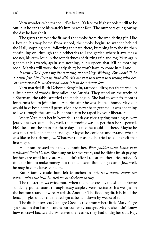Vern wonders who that could've been. It's late for highschoolers still to be out, but he can't see his watch's luminescent face. The numbers quit glowing the day he bought it.

The gusts that rock the fir swirl the smoke from the smoldering pit. Like a boy on his way home from school, the smoke begins to wander behind the Hall, stopping here, following the path there, bumping into the fir, then continuing on, through the blackberries to Leo's garden where it awakens a rooster, his crow loud in the soft darkness of drifting rain and fog. Vern again glances at his watch, again sees nothing, but suspects that it'll be morning soon. Martha will work the early shift; he won't have to come in till one.

*It seems like I spend my life standing and looking. Waiting. For what? To be a damn Jew. She lived it, Ruth did. Maybe that was what was wrong with her. She understood it, understood what is it to be a damn Jew.*

Vern married Ruth Deborah Beny'min, tattooed, dirty, nearly starved, in a little patch of woods, fifty miles into Austria. They stood on the tracks of a Sherman; the rabbi strattled the machinegun. She had to wait six months for permission to join him in America after he was shipped home. Maybe it would have been better if permission had never been granted. It was one thing to live through the camps, but another to be raped by your liberators.

When Vern meet her in Newark—the day as nice a spring morning as New Jersey has ever seen—she, well, the tattooing was deeper than he suspected. He'd been on the train for three days just so he could be there. Maybe he was too tired, not patient enough. Maybe he couldn't understand what it was like to be a damn Jew. Whatever the reason, she tried to kill herself that first night.

His mom insisted that they commit her. *Were padded walls better than barbwire? Probably not.* She hung on for five years, and he didn't finish paying for her care until last year. He couldn't afford to eat another price raise. It's time for him to make money, not that he hasn't. But being a damn Jew, well, he may have to leave someday.

Ruth's family could have left Munchen in '33. *It's a damn shame her papa—what the hell, he died for his decision to stay.*

The rooster crows twice more when the fence creaks, the slack barbwire suddenly pulled taunt through rusty staples. Vern hesitates, his weight on the bottom strand of wire. A splash. Another. The flooding ditch behind the fence gurgles under the matted grass, beaten down by weeks of rain.

The ditch intersects Cabbage Creek across from where little Mary Poage got stuck in that bank beaver's burrow two years ago. Maybe she didn't know how to crawl backwards. Whatever the reason, they had to dig her out. Ray,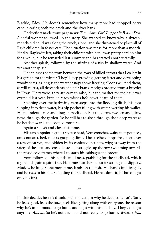Blackie, Eddy. He doesn't remember how many more had chopped berry cane, clearing both the creek and the river bank.

Their effort made front-page news: *Town Saves Girl Trapped in Beaver Den.* A social worker followed up the story. She wanted to know why a sixteenmonth-old child was along the creek, alone, and she threatened to place all of Ray's children in foster care. The situation was tense for more than a month. Finally, Ray's wife left, taking their children with her. It was pretty hard on him for a while, but he remarried last summer and has started another family.

Another splash, followed by the stirring of a fish in shallow water. And yet another splash.

The splashes come from between the rows of hilled carrots that Leo left in his garden for the winter. They'll keep growing, getting fatter and developing woody cores, as long as the weather stays above freezing. Coons will find them, as will nutria, all descendants of a pair Frank Hodges ordered from a breeder in Texas. They were, they are easy to raise, but the market for their fur was oversold last year. Frank already wishes he'd never heard of them.

Stepping over the barbwire, Vern steps into the flooding ditch, his foot slipping into deep water, his hip pocket filling with water, wetting his wallet. He flounders across and drags himself out. But the ditch, swollen and dirty, flows through the garden. So he still has to slosh through shoe-deep water as he heads towards the cooped roosters.

Again a splash and close this time.

His ears pinpointing the stray steelhead, Vern crouches, waits, then pounces, arms outstretched, fingers grasping slime. The steelhead flops free, flops over a row of carrots, and bidden by its confused instincts, wiggles away from the safety of the ditch and creek. Instead, it struggles up the row, swimming towards the raised cold frames where Leo starts his cabbages and broccoli.

Vern follows on his hands and knees, grabbing for the steelhead, which again and again squirts free. He almost catches it, but it's strong and slippery. Muddy, he lunges one more time, lands on the fish. His hands find its gills, and he rises to his knees, holding the steelhead. He has done it; he has caught one, his first.

2.

Blackie decides he isn't drunk. He's not certain why he decides he isn't. Sure, he feels good, feels the buzz, feels like getting along with everyone, the reason why he's in no mood to go home and fight with his old lady. They can fight anytime. *And do.* So he's not drunk and not ready to go home. *What's a fella*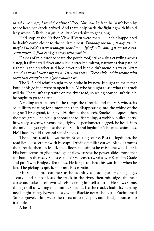*to do? A year ago, I would've visited Vicki. Not now*. In fact, he hasn't been by to see her since Steele arrived. And that's only made the fighting with his old lady worse. A little less guilt. A little less desire to get along.

He'd stop at the Harbor View if Vern were there . . . he's disappointed he hadn't come closer to the squirrel's nest. *Probably the rain, heavy air. Or maybe I just didn't have it tonight, that Prom night fi nallycoming home for keeps. Sonnabitch. A fella can't get away with nothin.*

Dashes of rain duck beneath the porch roof, strike a slug crawling across a step, its slime trail silver and slick, a streaked mirror, narrow as that path of righteous the preacher said he'd never find if he didn't mend his ways. What *does that mean? Mend my ways. They ain't torn. There ain't nothin wrong with them that changin one night wouldn't fix.* 

The 312 he'd rebuilt ought to be broke in by now. It ought to make that Ford of his go if he were to open it up. Maybe he ought to see what the truck will do. There isn't any traffic on the river road, so seeing how he isn't drunk, he ought to go for a run.

A rolling start, clutch in, he romps the throttle, and the V-8 winds, its solid lifters floating for a moment, then disappearing into the whine of the engine. Three grand, four, five. He dumps the clutch. Smoke and squeal, then the tires grab. The pickup shoots ahead, fishtailing, a wobbly bullet. Forty, fifty, sixty, seventy, seventy-five, eighty—speedometer pegged, he heads into the mile-long straight past the scale shack and logdump. The truck shimmies. He'll have to add a second set of shocks.

The county road follows the river's twisting course. Past the logdump, the road lies like a serpent with hiccups. Driving familiar curves, Blackie tromps the throttle, then backs off, then floors it again as he twists the wheel hard. His Ford seems to glide through shallow curves; he power slides those that cut back on themselves, passes the VFW cemetery, sails over Klamath Grade and past Twin Bridges. Ten miles. He forgot to check his watch for when he left. The pickup is quick, that much is certain.

Miles melt into darkness as he overdrives headlights. He misjudges a curve and almost loses the truck in the river, then misjudges the next curve and takes it on two wheels, scaring himself a little. He slows some, though still unwilling to admit he's drunk. It's the truck's fault. Its steering needs tightening. Nevertheless, when Blackie nears the Little Euchre road Stoker graveled last week, he turns onto the spur, and slowly bounces up it a mile.

A bear!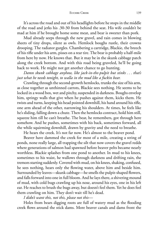#### EUCHRE CREEK 139

It's across the road and out of his headlights before he stops in the middle of the road and jerks his .30-30 from behind the seat. His wife couldn't be mad at him if he brought home some meat, and bear is sweeter than pork.

Mud already seeps through the new gravel, and rain comes in blowing sheets of tiny drops, silent as owls. Hemlock boughs rustle, their crowns drooping. The radiator gurgles. Chambering a cartridge, Blackie, the breech of his rifle under his arm, pisses on a rear tire. The bear is probably a half-mile from here by now. He knows that. But it may be in the skunk cabbage patch along the creek bottom. And with this road being graveled, he'll be going back to work. He might not get another chance to go hunting.

*Damn skunk cabbage anyhow, like jack-in-the-pulpit but stinks . . . that's just what he needs tonight, to walla in the mud like a fuckin bear.*

Crawling through the second-growth hemlocks, trunks the size of his arm, as close together as unthinned carrots, Blackie sees nothing. He seems to be locked in a wood box, wet and pitchy, suspended in darkness. Boughs envelop him, springy walls that give when he pushes against them, kicks them. He twists and turns, keeping his head pointed downhill, his hand around his rifle, one arm ahead of the other, narrowing his shoulders. At times, he feels like he's sliding, falling down a chute. Then the hemlocks contract, hold him still, squeeze him till he can't breathe. The bear, he remembers, got through here somehow. And he pushes, sometimes with his back, sometimes forward, all the while squirming downhill, drawn by gravity and the need to breathe.

He hears the creek. It's not far now. He's almost to the beaver pond.

Beaver have dammed the creek for most of a mile, creating a string of ponds, none really large, all trapping the silt that now covers the gravel redds where generations of salmon had spawned before beaver pelts became nearly worthless. Blackie splashes from one pond to another. In mud to his knees, sometimes to his waist, he wallows through darkness and drifting rain, the tremors starting suddenly. Covered with mud, on his knees, shaking, confused, he sees nothing, hears only the flowing water, above him and beside him. Surrounded by leaves—skunk cabbage—he smells the pulpit-shaped flowers, and falls forward into one in full bloom. And he lays there, a shivering mound of mud, with cold bugs crawling up his nose, around his eyes, one in his left ear. He reaches to brush the bugs away, but doesn't feel them. Yet he does feel them crawling on him. They don't wait till he's dead.

*I didn't want this, not this, please not this—*

Holes from bears digging roots are full of watery mud as the flooding creek flows around the stick dams. More beaver canals and dams front the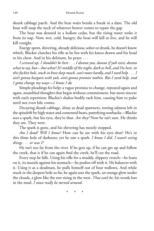skunk cabbage patch. And the bear waits beside a break in a dam. The old boar will snap the neck of whatever beaver comes to repair the gap.

The boar was denned in a hollow cedar, but the rising water woke it from its nap. Now, wet, cold, hungry, the boar will kill to live, and he will kill tonight.

Energy spent, shivering, already delirious, sober or drunk, he doesn't know which, Blackie clutches his rifle as he lies with his knees drawn and his head to his chest. And in his delirium, he prays . . .

*I screwed up, I shouldn't be here . . . I dunno you, dunno if yuh exist, dunno what to say, but—but what? It's middle of the night, dark as hell, and I'm here, in this fuckin hole, stuck in knee deep muck, can't move hardly, and I need help . . . I ain't gonna bargain with yuh, ain't gonna promise nothin. But I need help, and I gotta change my ways—I know I do.*

Simple pleadings for help; a vague promise to change, repeated again and again, mumbled thoughts that begin without commitment, but more sincere with each repetition: Blackie's shakes bodily rack him, causing him to puke until not even bile comes.

Decaying skunk cabbage, slimy as dead spawners, rotting salmon left in the spindrift by high water and contented bears, putrefying sorebacks—Blackie sees a spark, but his eyes, they're shut. *Are they?* Now he isn't sure. He thinks they are. They were.

The spark is gone, and his shivering has mostly stopped.

*Am I dead? Will I know?* How can he see with his eyes shut? He's in this slime hole of darkness; yet he saw a spark. *I know I did. I wasn't seeing things . . . or was I?*

He isn't too far from the river. If he gets up, if he can get up and follow the creek, that is if he can again find the creek, he'll cut the road.

Every step he falls. Using his rifle for a muddy, slippery crutch—he leans on it, its muzzle against his stomach—he pushes off with it. He balances with it. Using it as a deadman, he pulls himself out of bear wallows. And while stuck in the deepest hole so far, he again sees the spark, an orange glow under the clouds, a glow like the sun rising in the west. *That can't be*, his words lost in the mud. *I must really be turned around*.

\* \* \*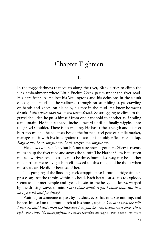### Chapter Eighteen

1.

In the foggy darkness that squats along the river, Blackie tries to climb the slick embankment where Little Euchre Creek passes under the river road. His bare feet slip. He lost his Wellingtons and his delusions in the skunk cabbage and mud hell he wallowed through on stumbling steps, crawling on hands and knees, on his belly, his face in the mud. He knew he wasn't drunk. *I ain't never hurt this much when drunk.* So struggling to climb to the gravel shoulder, he pulls himself from one handhold to another as if scaling a mountain. He inches ahead, inches upward until he finally wiggles onto the gravel shoulder. There is no walking. He hasn't the strength and his feet hurt too much—he collapses beside the formed steel post of a mile marker, manages to sit with his back against the steel, his muddy rifle across his lap. *Forgive me, Lord, forgive me. Lord, forgive me, forgive me.*

He knows where he's at, but he's not sure how he got here. Siletz is twenty miles on up the river road and across the cutoff. The Harbor View is fourteen miles downriver. And his truck must be three, four miles away, maybe another mile farther. He really got himself messed up this time, and he did it when mostly sober. He did it because of her.

The gurgling of the flooding creek wrapping itself around bridge timbers presses against the throbs within his head. Each heartbeat seems to explode, seems to hammer temple and eye as he sits in the heavy blackness, warped by the drifting waves of rain. *I ain't done what's right, I know that. But how do I go back and fi x things?*

Waiting for someone to pass by, he shuts eyes that now see nothing, and he sees himself on the front porch of his house, saying, *You ain't been the wife I wanted and I ain't been the husband I oughta be. Yuh wanta start over? Do it right this time. No more fi ghtin, no more spendin all day at the tavern, no more*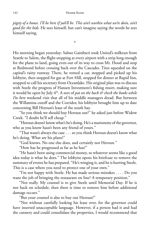*pigsty of a house. I'll be here if yuh'll be. This ain't workin what we're doin, ain't good for the kids.* He sees himself, but can't imagine saying the words he sees himself saying.

\*

His morning began yesterday: Salmo Gairdneri took United's milkrun from Seattle to Salem, the flight stopping at every airport with a strip long enough for the plane to land, going even out of its way to cross Mt. Hood and stop at Redmond before crossing back over the Cascades. Tires squealed on the capital's rainy runway. There, he rented a car, stopped and picked up his lobbyist, then stopped for gas at Fort Hill, stopped for dinner at Rapid Inn, stopped to call his secretary from Oceanlake. His original plan was to discuss with Steele the progress of Hansen Investment's fishing resort, making sure it would be open by July 4th. A sort of *pat on the back & check the books while I'm here* weekend visit that all of his middle managers dread. But between the Willamina cutoff and the Corridor, his lobbyist brought him up to date concerning Bill Heroun's lease of the south bay.

"So you think we should buy Heroun out?" he asked just before Widow Creek. "I doubt he'll sell cheap."

"Heroun doesn't know what's he's doing. He's a marionette of the governor, who as you know hasn't been any friend of yours."

"That wasn't always the case . . . so you think Heroun doesn't know what he's doing. What are his plans?"

"God knows. No one else does, and certainly not Heroun."

"How has he progressed as far as he has?"

"He hasn't been using commercial money, so whatever seems like a good idea today is what he does." The lobbyist opens his briefcase to remove the summary of events he has prepared. "He's winging it, and he is hurting Steele. This is a case where you need to protect one of your own."

"I'm not happy with Steele. He has made serious mistakes . . . . Do you want the job of bringing the restaurant on line? A temporary position."

"Not really. My counsel is to give Steele until Memorial Day. If he is not back on schedule, then there is time to remove him before additional damage occurs."

"But your counsel is also to buy out Heroun?"

"Not without carefully looking his lease over, for the governor could have inserted unacceptable language. However, if a person had it and had the cannery and could consolidate the properties, I would recommend that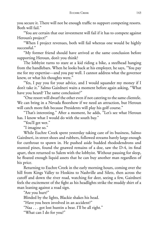you secure it. There will not be enough traffic to support competing resorts. Both will fail."

"You are certain that our investment will fail if it has to compete against Heroun's project?"

"When I project revenues, both will fail whereas one would be highly successful."

"My former friend should have arrived at the same conclusion before supporting Heroun, don't you think?

The lobbyist turns to stare at a kid riding a bike, a steelhead hanging from the handlebars. When he looks back at his employer, he says, "You pay me for my expertise—and you pay well. I cannot address what the governor knew, or what his thoughts were."

"Yes, I pay you for your advice, and I would squander my money if I don't take it." Salmo Gairdneri waits a moment before again asking, "What have you heard? The same conclusion?"

"One resort will dwarf the other even if not catering to the same clientele. We can bring in a Nevada floorshow if we need an attraction, but Heroun will catch more fish because Presidents will play his golf course."

"That's interesting." After a moment, he adds, "Let's see what Heroun has. I know what I would do with the south bay."

"You'll get wet."

"I imagine so."

While Euchre Creek spent yesterday taking care of its business, Salmo Gairdneri, in street shoes and rubbers, followed streams barely large enough for cutthroat to spawn in. He pushed aside budded rhododendrons and stunted pines, found the gnawed remains of a doe, saw the D-4, its final apart, then returned to Salem with the lobbyist. Without pausing for sleep, he floated enough liquid assets that he can buy another man regardless of his price.

Returning to Euchre Creek in the early morning hours, coming over the hill from Kings Valley to Hoskins to Nashville and Siletz, then across the cutoff and down the river road, watching for deer, seeing a few, Gairdneri feels the excitement of the fight as his headlights strike the muddy shirt of a man leaning against a road sign.

"Are you hurt?"

Blinded by the lights, Blackie shakes his head.

"Have you been involved in an accident?"

"Naa . . . got lost huntin a bear. I'll be all right."

"What can I do for you?"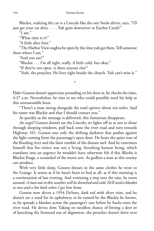Blackie, realizing the car is a Lincoln like the one Steele drives, says, "I'll just get your car dirty . . . . Yuh goin downriver to Euchre Creek?"

"I am."

"What time is it?"

"A little after four."

"The Harbor View oughta be open by the time yuh get there. Tell someone there where I am."

"And you are?"

"Blackie . . . I'm all right, really. A little cold, but okay."

"If they're not open, is there anyone else?"

"Yeah, the preacher. He lives right beside the church. Yuh can't miss it."

Elder Gosson doesn't appreciate pounding on his door at, he checks the time, 4:37 a.m. Nevertheless, he rises to see who could possibly need his help at this unreasonable hour.

\*

"There's a man sitting alongside the road upriver about ten miles. Said his name was Blackie and that I should contact you."

As quickly as the message is delivered, this Samaritan disappears.

*An angel?* Gosson doesn't see the Lincoln, its lights off so as not to shine through sleeping windows, pull back onto the river road and turn towards Highway 101. Gosson sees only the drifting darkness that pushes against the light coming from the parsonage's open door. He hears the quiet roar of the flooding river and the faint rumble of the distant surf. And he convinces himself that his visitor was not a living, breathing human being, which translates into an urgency he wouldn't have otherwise felt if this *Blackie* is Blackie Poage, a scoundrel of the worse sort. As godless a man as this county can produce.

With very little sleep, Gosson dresses in the same clothes he wore to the Grange. It seems as if he hasn't been to bed at all, as if this morning is a continuation of last evening. And venturing a step into the rain, he turns around. *A man out in this weather will be drenched and cold. He'll need a blanket or two and a hot bath when I get him home.*

Gosson now drives a 1954 DeSoto, dark red with silver trim, and he doesn't see a need for its upholstery to be ruined by the Blackie he knows, so he spreads a blanket across the passenger's seat before he backs onto the river road. He drives slow. Taking no needless chance of hitting a deer or of knocking the frontend out of alignment, the preacher doesn't drive over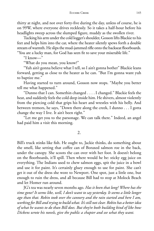thirty at night, and not over forty-five during the day, unless of course, he is on 99W, where everyone drives recklessly. So it takes a half-hour before his headlights sweep across the slumped figure, muddy as the swollen river.

Tucking his arm under the cold logger's shoulder, Gosson lifts Blackie to his feet and helps him into the car, where the heater silently spews forth a double stream of warmth. He slips the mud-jammed rifle onto the backseat floorboards. "You are a lucky man, for God has seen fit to save your miserable life."

"I know—"

"What do you mean, you know?"

"Yuh ain't gonna believe what I tell, so I ain't gonna bother" Blackie leans forward, getting as close to the heater as he can. "But I'm gonna want yuh to baptize me."

Having started to turn around, Gosson now stops. "Maybe you better tell me what happened."

"Dunno that I can. Somethin changed . . . . I changed." Blackie feels the heat, and suddenly feels the cold deep inside him. He shivers, almost violently from the piercing cold that grips his heart and wrestles with his belly. And between tremors, he says, "Down there along the creek, I dunno . . . I gotta change the way I live. It ain't been right."

"Let me get you to the parsonage. We can talk there." Indeed, an angel had paid him a visit this morning.

2.

Bill's truck stinks like fish. He ought to, Jackie thinks, do something about the smell, like setting that coffee can of Boraxed salmon roe in the back, under the canopy. She scoots the can over with her foot. It doesn't belong on the floorboards, it'll spill. Then where would he be: sticky egg juice on everything. The Indians used to chew salmon eggs, spit the juice in a bowl and use it for paint. It's certainly gluey enough to use for paint. She can't get it out of the dress she wore to Newport. One spot, just a little one, but enough to ruin the dress, and all because Bill had to stop at Molock Beach and let Homer run around.

JG's tea was nearly seven months ago. *Has it been that long? Where has the time gone? It seems like, well, I don't want to say yesterday. It seems a little longer ago than that. Robin took over the cannery and the rain started and here I am, workingfor Bill and tryingto build what. It's still not clear. Robin has a better idea of what he wants to do than Bill does. But they're both building kind of like how Dickens wrote his novels, give the public a chapter and see what they want.*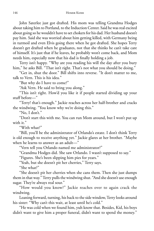John Saterlee just got drafted. His mom was telling Grandma Hodges about taking him to Portland, to the Induction Center. Said he was real excited about going so he wouldn't have to set chokers for his dad. Her husband doesn't pay him. Said she was worried about him getting killed, with Germany being in turmoil and even Elvis going there when he got drafted. She hopes Terry doesn't get drafted when he graduates, not that she thinks he can't take care of himself. It's just that if he leaves, he probably won't come back, and Mom needs him, especially now that his dad is finally holding a job.

Terry isn't happy. "Why are you reading his will the day after you bury him," he asks Bill. "That isn't right. That's not what you should be doing."

"Get in, shut the door." Bill shifts into reverse. "It don't matter to me, talk to Vern. This is his idea."

"But why do I have to come?"

"Ask Vern. He said to bring you along."

"This isn't right. How'd you like it if people started dividing up your stuff before—"

"Terry! that's enough." Jackie reaches across her half-brother and cracks the windwing. "You know why we're doing this."

"No, I don't."

"Don't start this with me. You can run Mom around, but I won't put up with it."

"With what?"

"Bill, you'll be the administrator of Orlando's estate. I don't think Terry is old enough to receive anything yet." Jackie glares at her brother. "Maybe when he learns to answer as an adult—"

"Vern tell you Orlando named me administrator?"

"Grandma Hodges did. She saw Orlando. I wasn't supposed to say."

"Figures. She's been slipping him pies for years."

"Yeah, but she doesn't pit her cherries," Terry says.

"She what?"

"She doesn't pit her cherries when she cans them. Then she just dumps them in that way." Terry pulls the windwing shut. "And she doesn't use enough sugar. They're always real sour."

"How would you know?" Jackie reaches over to again crack the windwing.

Leaning forward, turning, his back to the side window, Terry looks around his sister: "Why can't this wait, at least until he's cold."

"He was cold when we found him, yuh know that. Besides, Kid, his boys didn't want to give him a proper funeral, didn't want to spend the money."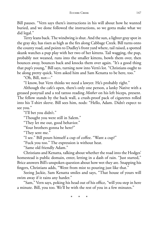Bill pauses. "Vern says there's instructions in his will about how he wanted buried, and we done followed the instructions, so we gotta make what we did legal."

Terry leans back. The windwing is shut. And the sun, a lighter gray spot in the gray sky, has risen as high as the firs along Cabbage Creek. Bill turns onto the county road, and points to Dudley's front yard where, tail raised, a spotted skunk watches a pup play with her two of her kittens. Tail wagging, the pup, probably not weaned, runs into the smaller kittens, bowls them over, then bounces away, bounces back and knocks them over again. "It's a good thing that pup's young," Bill says, turning now into Vern's lot. "Christians ought to be along pretty quick. Vern asked him and Sam Kenatta to be here, too."

"Oh, Bill, not—"

"I know, but Vern thinks we need a lawyer. He's probably right."

Although the cafe's open, there's only one person, a lanky Native with a greased ponytail and a red tattoo reading *Mother* on his left biceps, present. The fellow stands by the back wall, a crush-proof pack of cigarettes rolled into his T-shirt sleeve. Bill sees him, nods: "Hello, Adam. Didn't expect to see you."

"I'll bet you didn't."

"Thought you were still in Salem."

"They let me out, good behavior."

"Your brothers gonna be here?"

"They sent me."

"I see." Bill pours himself a cup of coffee. "Want a cup?"

"Fuck you too." The expression is without heat.

"Same old friendly Adam."

Christians and Kenatta, talking about whether the road into the Hodges' homestead is public domain, enter, letting in a dash of rain. "Just started," Brice answers Bill's unspoken question about how wet they are. Snapping his fingers, Christians adds, "Went from mist to pouring just like that."

Seeing Jackie, Sam Kenatta smiles and says, "That house of yours will swim away if it rains any harder."

"Sam," Vern says, poking his head out of his office, "will you step in here a minute. Bill, you too. We'll be with the rest of you in a few minutes."

\* \* \*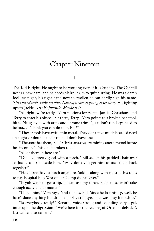# Chapter Nineteen

1.

The Kid is right. He ought to be working even if it is Sunday. The Cat still needs a new ham, and he needs his knuckles to quit hurting. He was a damn fool last night, his right hand now so swollen he can hardly sign his name. *That* was *dumb*, *takin on Nils. None of us are as young as we were.* His fighting upsets Jackie. *Says it's juvenile. Maybe it is*.

"All right, we're ready." Vern motions for Adam, Jackie, Christians, and Terry to enter his office. "Sit there, Terry." Vern points to a broken bar stool, black Naugahyde with arms and chrome trim. "Just don't tilt. Legs need to be brazed. Think you can do that, Bill?"

"Those stools have awful thin metal. They don't take much heat. I'd need an aught or double-aught tip and don't have one."

"The store has them, Bill," Christians says, examining another stool before he sits on it. "This one's broken too."

"All of them in here are."

"Dudley's pretty good with a torch." Bill scoots his padded chair over so Jackie can sit beside him. "Why don't you get him to tack them back together?"

"He doesn't have a torch anymore. Sold it along with most of his tools to pay hospital bills Workman's Comp didn't cover."

"If yuh want to get a tip, he can use my torch. Fixin these won't take enough acetylene to matter."

"I'll tell him," Vern says, "and thanks, Bill. Since he lost his leg, well, he hasn't done anything but drink and play cribbage. That was okay for awhile."

"Is everybody ready?" Kenatta, voice strong and sounding very legal, interrupts the digression. "We're here for the reading of Orlando deFader's last will and testament."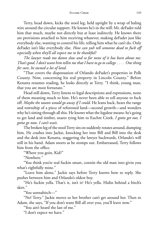Terry, head down, kicks the stool leg, held upright by a wrap of baling wire around the circular support. He knows he's in the will: Mr. deFader told him that much, maybe not directly but at least indirectly. He knows there are provisions attached to him receiving whatever, making deFader just like everybody else, wanting to control his life, telling him what he can't do. Only deFader isn't like everybody else. *How can yuh tell someone dead to fuck off especially when they'll all expect me to be thankful?*

*The lawyer reads too damn slow and so far none of it has been about me.* That's good. I don't want him tellin me that I have to go to college . . . . One thing *for sure, he owned a lot of land.*

"That covers the dispensation of Orlando deFader's properties in Polk County. Now, concerning his real property in Lincoln County." Before Kenatta resumes reading, he looks directly at Terry. "I think, young man, that you are most fortunate."

Head still down, Terry listens to legal descriptions and expressions, none of them meaning much to him. He's never been able to tell anyone to fuck off. *Maybe the taunts would go away if I could*. He leans back, hears the range and township of a piece of reforested land—second growth—and wonders why he's sitting through all this. He knows what the legalese means: he's going to get land and timber, snares tying him to Euchre Creek. *I gotta get out, I gotta go now. I can't wait*.

The broken leg of the stool Terry sits on suddenly rotates around, dumping him. He crashes into Jackie, knocking her into Bill and Bill into the desk and the desk into Kenatta, staggering the lawyer backwards, Orlando's will still in his hand. Adam snorts as he stomps out. Embarrassed, Terry follows him from the office.

"Where you goin, Kid?"

"Nowhere."

"You think you're real fuckin smart, connin the old man into givin you what's rightfully mine."

"Leave him alone," Jackie says before Terry knows how to reply. She pushes between him and Orlando's oldest boy.

"He's fuckin yella. That's it, isn't it? He's yella. Hidin behind a bitch's skirt."

"You sonnabitch—"

"No! Terry." Jackie moves so her brother can't get around her. Then to Adam, she says, "If you don't want Bill all over you, you'll leave now."

"You ain't heard the last of me."

"I don't expect we have."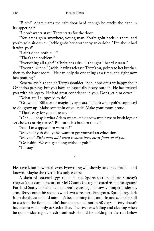"Bitch!" Adam slams the cafe door hard enough he cracks the pane in its upper half.

"I don't wanta stay." Terry starts for the door.

"You aren't goin anywhere, young man. You're goin back in there, and you're goin sit down." Jackie grabs her brother by an earlobe. "I've about had it with you!"

"I ain't done nothin—"

"That's the problem."

"Everything all right?" Christians asks. "I thought I heard cursin."

"Everythin's fine." Jackie, having released Terry's ear, points to her brother, then to the back room. "He can only do one thing at a time, and right now he's pouting."

Kenatta lays his hand on Terry's shoulder. "Son, none of us are happy about Orlando's passing, but you have an especially heavy burden. He has trusted you with his legacy. He had great confidence in you. Don't let him down."

"What am I supposed to do?"

"Grow up." Bill sort of magically appears. "That's what yuh're supposed to do, grow up. Make somethin of yourself. Make your mom proud."

"That's easy for you all to say—"

"Oh? . . . Easy is what Adam wants. He don't wanta have to buck logs or set chokers or rig a tree." Bill turns his back to the kid.

"And I'm supposed to want to?"

"Maybe if yuh did, yuh'd want to get yourself an education."

"Maybe." *Right now, all I want is outta here, away from all of you.*

"Go fishin. We can get along without yuh."

"I'll stay."

He stayed, but now it's all over. Everything will shortly become official—and known. Maybe the river is his only escape.

\*

A skein of boraxed eggs rolled in the Sports section of last Sunday's *Oregonian*, a damp picture of Mel Counts (he again scored 40 points against Portland State, Baker added a dozen) releasing a fadeaway jumper under his arm, Terry counts his steps as wind swirls treetops. Firs groan. Sprinkling, dark from the threat of hard rain—it's been raining four months and school is still in session; the flood couldn't have happened, not in 40 days—Terry doesn't have far to walk, only to Cedar Tree. The river was falling and clearing when he quit Friday night. Fresh ironheads should be holding in the run below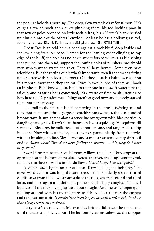#### EUCHRE CREEK 151

the popular hole this morning. The deep, slow water is okay for salmon. He's caught a few chinook and a silver plunking there, his rod looking poor in that row of poles propped on little rock cairns, his a Herter's blank he tied up himself, most of the others Fenwick's. At least he has a hollow glass rod, not a metal one like deFader or a solid glass one like Wild Bill.

Cedar Tree is an odd hole, a bend against a rock bluff, deep inside and shallow along its outer edge. Named for the leaning cedar clinging to top edge of the bluff, the hole has no beach where forked willows, as if divining rods pulled into the sand, support the leaning poles of plunkers, mostly old men who want to watch the river. They all have homes. Some even have televisions. But the getting out is what's important, even if that means sitting under a tree with rain-loosened roots. Oh, they'll catch a half dozen salmon in a month, more than they can eat. Once in awhile, one of them will hook an ironhead. But Terry will catch ten to their one in the swift water past the tailout, and as far as he is concerned, it's a waste of time to sit listening to how hard the Depression was. Things aren't so good now, and nobody starved then, not here anyway.

The trail to the tail-run is a faint parting in the brush, twisting around a six-foot maple and through green scotchbroom switches, thick as bundled broomstraw. It straightens along a fenceline overgrown with blackberries. A dangling cane grabs Terry's shirt, hangs on like a squid jig. He squirms till scratched. Bleeding, he pulls free, ducks another cane, and tangles his rodtip in alders. Now without choice, he stops to separate his tip from the twigs without breaking his line. Sky, berries and a monstrous spruce snag drip as if crying. *About what? Trees don't have feelings or drunks . . . shit, why do I have to go there?*

Sword ferns replace the scotchbroom, willows the alders. Terry stops at the opening near the bottom of the slick. Across the river, wielding a stout flyrod, the new storekeeper wades in the shallows. *How'd he get here this quick?*

A water ouzel lights on a rock near Terry and begins bobbing. The ouzel watches him watching the storekeeper, then suddenly spears a cased caddis larva from the downstream side of the rock, spears a second and third larva, and bobs again as if doing deep-knee-bends. Terry coughs. The ouzel bounces off the rock, flying upstream out of sight. And the storekeeper quits fiddling around with his fly and starts to fish it, his cast across the current and downstream a bit. *It should have been longer: his drift won't reach the chute that always holds an ironhead.*

Terry hasn't seen anyone fish two flies before, didn't see the upper one until the cast straightened out. The bottom fly swims sideways; the dropper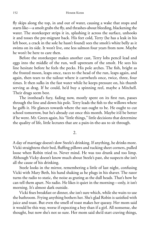fly skips along the top, in and out of water, causing a wake that stops and starts like—a smolt grabs the fly, and thrashes-about bleeding, blackening the water. The storekeeper strips it in, splashing it across the surface, unhooks it and tosses the pre-migrant back. His feet cold, Terry (he has a leak in his left boot, a crack in the sole he hasn't found) sees the smolt's white belly as it swims on its side. It won't live, one less salmon four years from now. Maybe he won't be here to care then.

Before the storekeeper makes another cast, Terry lobs pencil lead and eggs into the middle of the run, well upstream of the smolt. He sees his line hesitate before he feels the pecks. His pole arches. The fish, bright as the frosted moon, leaps once, races to the head of the run, leaps again, and again, then tears to the tailout where it cartwheels once, twice, three, four times. It then sulks in the fast water while he keeps pressure on, his thumb serving as drag. If he could, he'd buy a spinning reel, maybe a Mitchell. Their drags seem best.

The ironhead's fury, fading now, mostly spent on its first run, passes through the line and down his pole. Terry leads the fish to the willows where he gaffs it. He glances towards where the sun ought to be. He ought to cut school tomorrow, but he's already cut once this month. Maybe it'd be better if he went. Mr. Green again, his "little things," little decisions that determine the quality of life, little lectures that are a pain-in-the-ass to sit through.

2.

A day of marriage doesn't slow Steele's drinking. If anything, he drinks more. Vicki straightens their bed, fluffing pillows and tucking sheet corners, pulled loose when Robin tried to. Never mind. He was too drunk and too limp. Although Vicky doesn't know much about Steele's past, she suspects she isn't all the cause of his drinking.

Steele looks in the mirror, remembering a little of last night, confusing Vicki with Mary Beth, his hand shaking as he plugs in his shaver. The razor turns the radio to static, the noise as grating as the dull heads. That's how he can tell them apart. No radio. He likes it quiet in the morning—only, it isn't morning. It's almost dark outside.

Vicki fixes breakfast or dinner, she isn't sure which, while she waits to use the bathroom. Frying anything bothers her. She's glad Robin is satisfied with juice and toast. But even the smell of toast makes her queasy. Her mom said it would be this way, worse if expecting a boy than if a girl. All nonsense, she thought, but now she's not so sure. Her mom said she'd start craving things,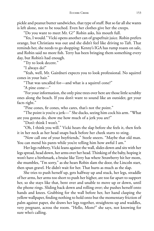pickle and peanut butter sandwiches, that type of stuff. But so far all she wants is left alone, not to be touched. Even her clothes give her the creeps.

"Do you want to meet Mr. G?" Robin asks, his mouth full.

"Yes, I would." Vicki opens another can of grapefruit juice. Robin prefers orange, but Christians was out and she didn't feel like driving to Taft. That reminds her, she needs to go shopping: Kenny's IGA has rump roasts on sale, and Robin said no more fish. Terry has been bringing them something every day, but Robin's had enough.

"Try to look decent."

"I always do!"

"Yeah, well, Mr. Gairdneri expects you to look professional. No squirrel cones in your hair."

"That was uncalled for—and what is a squirrel cone?"

"A pine cone—"

"For your information, the only pine trees over here are those little scrubby ones along the beach. If you don't want to sound like an outsider, get your facts right."

"Pine cones, fir cones, who cares, that's not the point."

"The point is you're a jerk—" She ducks, seeing him cock his arm. "What are you gonna do, show me how much of a jerk you are?"

"Don't think I won't."

"Oh, I think you will." Vicki hears the slap before she feels it, then feels it in her neck as her head snaps back before her cheek starts to sting.

"Now call one of your boyfriends," Steele sneers. "Maybe that old man. You can mend his pants while you're telling him how awful I am."

Her legs rubbery, Vicki leans against the wall, slides down and sits with her legs spread, head down, her arms over her head. Thinking of the baby, hoping it won't have a birthmark, a bruise like Terry has where Strawberry hit her mom, she mumbles, "I'm sorry," as she hears Robin slam the door, the Lincoln start, then spun gravel. He didn't wait for her. That hurts as much as the slap.

She tries to push herself up, gets halfway up and stuck, her legs, straddle of her arms, her arms too short to push her higher, are too far apart to support her, so she stays like that, bent over and unable to move up or down, until the phone rings. Sliding back down and rolling over; she pushes herself onto hands and knees. Grabbing for the wall before her, her hand clasping the yellow wallpaper, finding nothing to hold onto but the momentary friction of palm against paper, she draws her legs together, straightens up and waddles, very pregnant, across the room. "Hello, Mom?" she says, not knowing for sure who's calling.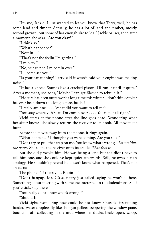"It's me, Jackie. I just wanted to let you know that Terry, well, he has some land and timber. Actually, he has a lot of land and timber, mostly second growth, but some of has enough size to log." Jackie pauses, then after a moment, she asks, "Are you okay?"

"I think so."

"What's happened?"

"Nothin—"

"That's not the feelin I'm getting."

"I'm okay."

"No, yuh're not. I'm comin over."

"I'll come see you."

"Is your car running? Terry said it wasn't, said your engine was making noise."

"It has a knock. Sounds like a cracked piston. I'll run it until it quits." After a moment, she adds, "Maybe I can get Blackie to rebuild it."

"He sure has been outta work a long time this winter. I don't think Stoker has ever been down this long before, has he?"

"I really am fine . . . . What did you want to tell me?"

"You stay where yuh're at. I'm comin over . . . . You're not all right."

Vicki stares at the phone after the line goes dead. Wondering what her sister knows, she slowly returns the receiver to its hook. All movement hurts.

Before she moves away from the phone, it rings again.

"What happened? I thought you were coming. Are you sick?"

"Don't try to pull that crap on me. You know what's wrong." *Damn him, the nerve*. She slams the receiver onto its cradle. *That does it*.

But she did provoke him. He was being a jerk, but she didn't have to call him one, and she could've kept quiet afterwards. Still, he owes her an apology. He shouldn't pretend he doesn't know what happened. That's not an excuse.

The phone: "If that's you, Robin—"

"Don't hangup. Mr. G's secretary just called saying he won't be here. Something about meeting with someone interested in rhododendrons. So if you're sick, stay there."

"You really don't know what's wrong ?"

"Should I?"

Vicki sighs, wondering how could he not know. Outside, it's raining harder. Water droplets fly like shotgun pellets, peppering the window pane, bouncing off, collecting in the mud where her ducks, beaks open, scoop,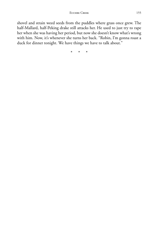shovel and strain weed seeds from the puddles where grass once grew. The half-Mallard, half-Peking drake still attacks her. He used to just try to rape her when she was having her period, but now she doesn't know what's wrong with him. Now, it's whenever she turns her back. "Robin, I'm gonna roast a duck for dinner tonight. We have things we have to talk about."

\* \* \*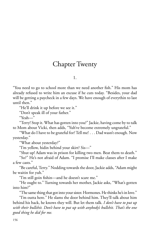# Chapter Twenty

1.

"You need to go to school more than we need another fish." His mom has already refused to write him an excuse if he cuts today. "Besides, your dad will be getting a paycheck in a few days. We have enough of everythin to last until then."

"He'll drink it up before we see it."

"Don't speak ill of your father."

"Yeah—"

"Terry! Stop it. What has gotten into you?" Jackie, having come by to talk to Mom about Vicki, then adds, "Yuh've become extremely ungrateful."

"What do I have to be grateful for? Tell me! . . . Dad wasn't enough. Now yesterday."

"What about yesterday?"

"I'm yellow, hidin behind your skirt? Sis—"

"Shut up! Adam was in prison for killing two men. Beat them to death."

"So?" He's not afraid of Adam. "I promise I'll make classes after I make a few casts."

"Be careful, Terry." Nodding towards the door, Jackie adds, "Adam might be waitin for yuh."

"I'm still goin fishin—and he doesn't scare me."

"He ought to." Turning towards her mother, Jackie asks, "What's gotten into him?"

"The same thing that got into your sister. Hormones. He thinks he's in love."

"I'm outta here." He slams the door behind him. They'll talk about him behind his back, he knows they will. But let them talk. *I don't have to put up with their bullshit. Don't have to put up with anybody's bullshit. That's the one good thing he did for me.*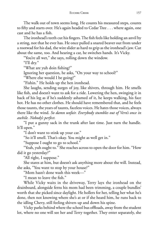The walk out of town seems long. He counts his measured steps, counts to fifty and starts over. He's again headed to Cedar Tree . . . where again, one cast and he has a fish.

The ironhead's teeth cut his fingers. The fish feels like holding an anvil by a string, not that he ever has. He once pulled a snared beaver out from under a rootwad for his dad, the wire slider as hard to grip as the ironhead's jaw. Cut about the same, too. And hearing a car, he switches hands. It's Vicky.

"You're all wet," she says, rolling down the window.

"I'll dry."

"What are yuh doin fishing?"

Ignoring her question, he asks, "On your way to school?"

"Where else would I be going?"

"Fishin." He holds up the hen ironhead.

She laughs, sending surges of joy, like shivers, through him. He smells like fish, and doesn't want to ask for a ride. Lowering the hen, swinging it in back of his leg as if he's suddenly ashamed of it, he keeps walking, his face hot. He has no other clothes. He should have remembered that, and he feels those taunts, the years of taunts, faceless voices. He hates those voices, always there like the wind. *So damn unfair. Everybody stumbles out of Vern's once in awhile. Nobody's perfect.*

"I put a gunny sack in the trunk after last time. Just turn the handle. It'll open."

"I don't want to stink up your car."

"So it'll smell. That's okay. You might as well get in."

"Suppose I ought to go to school."

"Yeah, yuh ought to." She reaches across to open the door for him. "How did it go yesterday?"

"All right, I suppose."

She stares at him, but doesn't ask anything more about the will. Instead, she asks, "You want to stop by your house?"

"Mom hasn't done wash this week—"

"I mean to leave the fish."

While Vicky waits in the driveway, Terry lays the ironhead on the drainboard, alongside ferns his mom had been trimming, a couple bundles' worth that she picked since daylight. He hollers for her, telling her what he's done, then not knowing where she's at or if she heard him, he runs back to the idling Chevy, still feeling shivers up and down his spine.

Vicky parks behind where the school bus offloads, away from the student lot, where no one will see her and Terry together. They enter separately, she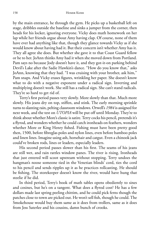by the main entrance, he through the gym. He picks up a basketball left on stage, dribbles outside the baseline and sinks a jumper from the corner, then heads for his locker, ignoring everyone. Vicky does math homework on her lap while her friends argue about Amy having clap. Of course, none of them have ever had anything like that, though they glance towards Vicky as if she would know about having had it. But their concern isn't whether Amy has it. They all agree she does. But whether she gave it to that Coast Guard fellow or he to her. JoAnn thinks Amy had it when she moved down from Portland. Pam says no because Jody doesn't have it, and they got-it-on parking behind Devil's Lake after the Sadie Hawkin's dance. "How do you know that," asks JoAnn, knowing that they had. "I was cruising with your brother, ask him," Pam snaps. And Vicky erases figures, wrinkling her paper. She doesn't know what to do with a negative exponent under a radical sign. Inverting and multiplying doesn't work. She still has a radical sign. She can't stand radicals. They're so hard to get rid of.

Terry's first period passes very slowly. More slowly than that. Much more slowly. His jeans dry on top, stiffen, and stink. The early morning sprinkle turns to slanting rain, pelting classroom windows. Orwell's *1984* is assigned for next week, and the test on *UTOPIA* will be put off until Monday. They're to think about whether More's classic is satire. Terry cocks his pencil, pretends it's a flyrod, and wonders whether he could catch ironheads on feathers, wonders whether More or King Henry fished. Fishing must have been pretty good then, 1500, before fibreglas poles and nylon lines, even before bamboo poles and linen lines. Imagine using ash, horsehair and catgut. Even a chinook jack could've broken rods, lines or leaders, especially leaders.

His second period passes slower than his first. The seams of his jeans are still wet, and rain rattles window panes. The river is rising. Ironheads that just entered will scoot upstream without stopping. Terry undoes the hangman's noose someone tied in the Venetian blinds' cord, ties the cord to his pencil and sends ripples up it as he practices rollcasting. He should be fishing. The storekeeper doesn't know the river, would have hung that steelie if he did.

In third period, Terry's book of math tables opens obediently to sines and cosines, but he's on a tangent. What does a flyrod cost? He has a few dollars made last spring peeling chittim, and he could pick ferns though the patches close to town are picked out. He won't sell fish, though he could. The Smokehouse would buy them same as it does from trollers, same as it does from Jess Saterlee and his cousins, damn bunch of crooks.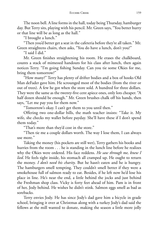The noon bell. A line forms in the hall, today being Thursday, hamburger day. But Terry sits, playing with his pencil. Mr. Green says, "You better hurry or that line will be as long as the hall."

"I brought a lunch."

"Then you'd better get a seat in the cafeteria before they're all taken." Mr. Green straightens chairs, then asks, "You do have a lunch, don't you?"

"I said I did."

Mr. Green finishes straightening his room. He erases the chalkboard, counts a stack of mimeoed handouts for his class after lunch, then again notices Terry. "I'm going fishing Sunday. Can you tie some Okies for me, bring them tomorrow?"

"How many?" Terry has plenty of drifter bodies and a box of hooks Old Man deFader gave him. He scrounged most of the bodies (from the river or out of trees). A few he got when the store sold. A hundred for three dollars. They were the same as the twenty-five cent apiece ones, only lots cheaper. "A half dozen should be enough." Mr. Green brushes chalk off his hands, then says, "Let me pay you for them now."

"Tomorrow's okay. I can't get them to you until then."

Offering two one-dollar bills, the math teacher insists: "Take it. My wife, she checks my wallet before payday. She'll have these if I don't spend them today."

"That's more than they'd cost in the store."

"Then tie me a couple dollars worth. The way I lose them, I can always use more."

Taking the money (his pockets are still wet), Terry gathers his books and hurries from the room . . . he is standing in the lunch line before he realizes why the Okies were ordered. His face reddens. *He saw through me, knew I lied*. He feels tight inside, his stomach all cramped up. He ought to return the money. *I don't need his charity*. But he hasn't eaten and he is hungry. The hamburgers smell tempting. They couldn't smell better if they were a smokehouse full of salmon ready to eat. Besides, if he left now he'd lose his place in line. He's near the end, a little behind the jocks and just behind the Freshman shop class. Vicky is forty feet ahead of him. Pam is in front of her, Jody behind. He wishes he didn't stink. Salmon eggs smell as bad as sorebacks.

Terry envies Jody. He has since Jody's dad gave him a bicycle in grade school, bringing it over at Christmas along with a turkey Jody's dad said the fellows at the mill wanted to donate, making the season a little more jolly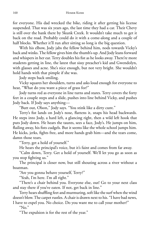for everyone. His dad wrecked the bike, riding it after getting his license suspended. That was six years ago, the last time they had a car. Their Chevy is still over the bank there by Skunk Creek. It wouldn't take much to get it back on the road. Probably could do it with a come-along and a couple of half blocks. Whether it'll run after sitting so long is the big question.

With his elbow, Jody jabs the fellow behind him, nods towards Vicky's back and winks. The fellow gives him the thumb's-up. And Jody leans forward and whispers in her ear. Terry doubles his fist as he looks away. There're more students getting in line, the latest that sissy preacher's kid and Gwendolyn, with glasses and acne. She's nice enough, but not very bright. She wouldn't hold hands with that pimple if she was.

Jody steps back smiling.

Vicky squares her shoulders, turns and asks loud enough for everyone to hear, "What do you want a piece of grass for?"

Jody turns red as everyone in line turns and stares. Terry covers the forty feet in a couple steps and a slide, pushes into line behind Vicky, and pushes Jody back. If Jody says anything—

"Butt out, Olson," Jody says. "You stink like a dirty cunt."

Terry's fist lands on Jody's nose, flattens it, snaps his head backwards. He steps into Jody, a hard left, a glancing right, then a wild left hook that puts Jody down. He hears the taunts, sees a face, Jody's. He jumps on him, flailing away, his fists cudgels. But it seems like the whole school jumps him. He kicks, jerks, fights free, and more hands grab him—and the tears come, damn those tears.

"Terry, get a hold of yourself."

He hears the principal's voice, but it's faint and comes from far away.

"Calm down, Terry. Get a hold of yourself. We'll let you go as soon as you stop fighting us."

The principal is closer now, but still shouting across a river without a boatman.

"Are you gonna behave yourself, Terry?"

"Yeah, I'm here. I'm all right."

"There's a chair behind you. Everyone else, out! Go to your next class and stay there if you've eaten. If not, get back in line."

Terry hears shuffling feet and murmuring, soft like the surf when the wind doesn't blow. The carpet rustles. A chair is drawn next to his. "I have bad news,

I have to expel you. No choice. Do you want me to call your mother?" " $No.$ "

"The expulsion is for the rest of the year."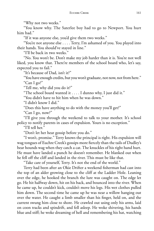"Why not two weeks."

"You know why. The Saterlee boy had to go to Newport. You hurt him bad."

"If it was anyone else, you'd give them two weeks."

"You're not anyone else . . . . Terry, I'm ashamed of you. You played into their hands. You should've stayed in line."

"I'll be back in two weeks."

"No. You won't be. Don't make my job harder than it is. You're not well liked, you know that. There're members of the school board who, let's say, expected you to fail."

"It's because of Dad, isn't it?"

"You have enough credits, but you won't graduate, not now, not from here." "Can I go?"

"Tell me, why did you do it?"

"The school board wanted it . . . . I dunno why, I just did it."

"You didn't have to hit him when he was down."

"I didn't know I did."

"Does this have anything to do with the money you'll get?"

"Can I go, now?"

"I'll give you through the weekend to talk to your mother. It's school policy to notify parents in cases of expulsion. Yours is no exception."

"I'll tell her."

"Don't let her hear gossip before you do."

"I won't, promise." Terry knows the principal is right. His expulsion will wag tongues of Euchre Creek's gossips more fiercely than the tails of Dudley's bear hounds wag when they catch a cat. The knuckles of his right hand hurt. He must have landed a punch he doesn't remember. He blanked out when he fell off the cliff and landed in the river. This must be like that.

"Take care of yourself, Terry. It's not the end of the world."

Terry had been after an Okie Drifter a weekend fisherman had cast into the top of an alder growing close to the cliff at the Ladder Hole. Leaning over the edge, he hooked the branch the lure was caught on. The edge let go. He hit halfway down, hit on his back, and bounced into the river. When he came up, he couldn't kick, couldn't move his legs. His wet clothes pulled him down. The second time he came up he was near a willow hanging out over the water. He caught a limb smaller than his finger, held on, and the current swung him close to shore. He crawled out using only his arms, laid on coon tracks and spindrift, and fell asleep. He woke shivering, his hands blue and stiff; he woke dreaming of hell and remembering his hat, watching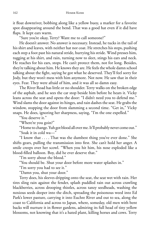it float downriver, bobbing along like a yellow buoy, a marker for a favorite spot disappearing around the bend. That was a good hat even if it did have flaps. It kept ears warm.

"Sure you're okay, Terry? Want me to call someone?"

He doesn't answer. No answer is necessary. Instead, he tucks in the tail of his shirt and leaves, with neither hat nor coat. He stretches his steps, pushing each step a foot past his natural stride, hurrying his stride. Wind presses him, tugging at his shirt, and rain, turning now to sleet, stings his ears and neck. He reaches for his ears, stops. He can't protect them, not for long. Besides, they're talking about him. He knows they are. He feels the whole damn school talking about the fight, saying he got what he deserved. They'll feel sorry for Jody, but they won't mess with him anymore. Not now. He saw that in their eyes. Fear. They were afraid of him, and it was all so damn easy.

The River Road has little or no shoulder. Terry walks on the broken edge of the asphalt, and he sees the car stop beside him before he hears it. Vicky leans across the seat and opens the door: "I didn't need you to defend me." Wind slams the door against its hinges, and rain dashes the seat. He grabs the window, stopping the door from slamming a second time. "Get in," Vicky snaps. He does, ignoring her sharpness, saying, "I'm the one expelled."

"You deserve it."

"Where're you goin?"

"Home to change. Yuh got blood all over me. It'll probably never come out."

"Soak it in cold wa—"

"I know that . . . . That was the dumbest thing you've ever done." She shifts gears, pulling the transmission into first. She can't hold her anger. A smile creeps over her scowl. "When you hit him, his nose exploded like a blood-filled balloon. Boy, did he ever deserve that."

"I'm sorry about the blood."

"You should be. Shut your door before more water splashes in."

"I'm sorry you had to see it."

"Damn you, shut your door."

Terry does, his sleeves dripping onto the seat, the seat wet with rain. Her tires sling rain against the fender, splash puddled rain out across crawling blackberries, across drooping thistles, across tanzy seedheads, washing the noxious seeds deeper into the ditch, spreading the poisonous weed into Ed Park's lower pasture, carrying it into Euchre River and out to sea, along the coast to California and across to Japan, where, someday, old men with bent backs will nurture it in flower gardens, admiring its full head of tiny yellow blossoms, not knowing that it's a hated plant, killing horses and cows. Terry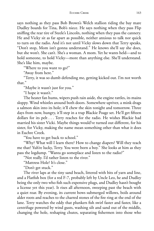says nothing as they pass Bob Brown's Welch stallion riding the bay mare Dudley boards for Tina, Bob's niece. He says nothing when they pass Flip sniffing the rear tire of Steele's Lincoln, nothing when they pass the cannery. He and Vicky sit as far apart as possible, neither anxious to talk nor quick to turn on the radio. And it's not until Vicky slows down that Terry speaks, "Don't stop, Mom isn't gonna understand." He knows she'll say she does, but she won't. She can't. She's a woman. A mom. Yet he wants held—and to hold someone, to hold Vicky—more than anything else. She'll understand. She's like him, maybe.

"Where to you want to go?"

"Away from here."

"Terry, it was so dumb defending me, getting kicked out. I'm not worth that."

"Maybe it wasn't just for you."

"I hope it wasn't."

The heater fan hums, wipers push rain aside, the engine rattles, its mains sloppy. Wind whistles around both doors. Somewhere upriver, a mink drags a salmon skin into its hole; it'll chew the skin tonight and tomorrow. Three days from now, hungry, it'll step in a trap Blackie Poage set. He'll get fifteen dollars for its pelt . . . Terry reaches for the radio. He wishes Blackie had married his sister Vicki. Maybe things would've turned out different, for his sister, for Vicky, making the name mean something other than what it does in Euchre Creek.

"You have to get back to school."

"Why? What will I learn there? How to change diapers? Will they teach me that? Yuh're lucky, Terry. You were born a boy." She looks at him as they pass the logdump. "Wanta go someplace and listen to the radio?"

"Not really. I'd rather listen to the river."

"Mattress Hole? It's close."

"Don't get stuck."

The river laps at the tiny sand beach, littered with bits of yarn and line, and a Flatfish box (for a red F-7, probably left by Uncle Leo, he and Dudley being the only two who fish such expensive plugs, and Dudley hasn't bought a license yet this year). It rises all afternoon, sweeping past the beach with a quiet roar. By evening, its current bows submerged willows, boils around alder roots and reaches to the charred stones of the fire ring at the end of the lane. Terry watches the eddy that plunkers fish swirl faster and faster, like a centrifuge powered by wind gusts, washing silt and sand out of the middle, changing the hole, reshaping chutes, separating fishermen into those who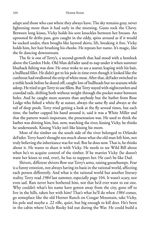adapt and those who cast where they always have. The sky remains gray, never lightening more than it had early in the morning. Gusts rock the Chevy. Between long kisses, Vicky holds his sore knuckles between her breasts. An uprooted fir drifts pass, gets caught in the eddy, spins around as if it would be sucked under, then boughs like layered skirts, lift, breaking it free. Vicky holds him, her hair brushing his cheeks. He repeats her name. It's magic, like the fir dancing downstream.

The fir is one of Terry's, a second-growth that had stood with a hemlock above the Garden Hole. Old Man deFader used to nap under it when summer blueback fishing was slow. He once woke to see a searun leaping with his bait, a bullhead fillet. He didn't get to his pole in time even though it looked like the cutthroat had swallowed the strip of white meat. After that, deFader switched to a treble hook before he dozed off; caught lots of bullheads but no searuns while asleep. He tried to get Terry to use fillets. But Terry stayed with nightcrawlers and crawdad tails, drifting both without weight through the pocket water between holes. And he caught more searuns than anybody but the barber from Rose Lodge who fished a white fly at sunset, always the same fly and always at the tail of deep pools. Terry tried getting a look at the fly several times, but each time, the barber cupped his hand around it, said it was a White Miller and that the pattern wasn't important, the presentation was. He used to think the barber was shitting him, but, now, watching the river, kissing Vicky, he thinks he understands. Kissing Vicky isn't like kissing his mom.

Most of the timber on the south side of the river belonged to Orlando deFader. Terry hasn't thought too much about what the old man left him, not truly believing the inheritance was for real. But he does now. That is, he thinks about it. He wants to share it with Vicky. He needs to see Wild Bill about when he's to acquire control of the timber. If he marries Vicky (he doesn't want her kisses to end, ever), he has to support her. He can't be like Dad.

Shivers, different shivers flow out Terry's arms, raising goosebumps. Fear is a funny emotion, not always having its basis in the rational world, affecting each person differently. And what is the rational world but another literary reality. Terry read *1984* last summer, especially page 104. It wasn't scary, nor even sad. Rats never have bothered him, not that he'd ever want to eat one. Why couldn't what's his name have gotten away from the city, gone off to live in the hills, taken her with him? That's what he'll do when *1984* comes, go someplace like the old Horner Ranch on Cougar Mountain, take Vicky, his pole and maybe a .22 rifle, quiet, but big enough to kill deer. He's been in the cabin where Uncle Rocky hid out during the War. He could build a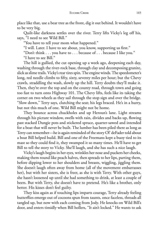place like that, use a bear tree as the front, dig it out behind. It wouldn't have to be very big.

Quilt-like darkness settles over the river. Terry lifts Vicky's leg off his, says, "I need to see Wild Bill."

"You have to tell your mom what happened."

"I will. Later. I have to see about, you know, supporting us first."

"Don't think . . . you have to . . . because of . . . because I like you."

"I have to see Bill."

The hill is gullied, the cut opening up a week ago, deepening each day, washing through the river-rock base, through clay and decomposing granite, slick as slime trails. Vicky's rear tires spin. The engine winds. The speedometer's long, red needle climbs to fifty, sixty, seventy miles per hour; but the Chevy crawls, straddling the wash, slowly up the hill. Terry doubts they'll make it. Then, they're over the top and on the county road, through town and going too fast to turn onto Highway 101. The Chevy lifts, feels like its taking the corner on two wheels as they sail through the stop sign and over the bridge. "Slow down," Terry says, clutching the seat; his legs braced. He's in a hurry, but not this much of one. Wild Bill might not be home.

They bounce across chuckholes and up Heroun's lane. Light streams through his picture window, swells with rain, divides and backs up, flowing past stacked Dungie pots and stickered spruce, quarter-sawed and intended for a boat that will never be built. The lumber has been piled there as long as Terry can remember—he is again reminded of the story Ol' deFader told about a boat Bill helped build. Bill and one of the Freemans kept a buoy tied to its mast so they could find it, they swamped it so many times. He'll have to get Bill to tell the story to Vicky. She'll laugh, and she has such a nice laugh.

Vicky's laugh begins in her eyes, wrinkles her nose and puckers her cheeks, making them round like peach halves, then spreads to her lips, parting them, before dipping lower to her shoulders and breasts, wiggling, jiggling them. She doesn't laugh often away from home (all of the movement embarrasses her), but with her sisters, she is freer, as she is with Terry. With other guys, she hasn't loosened up until she had something to drink, at least a couple of beers. But with Terry, she doesn't have to pretend. He's like a brother, only better. His kisses don't feel guilty.

They kiss again as if touching lips imparts courage, Terry already feeling butterflies emerge out of cocoons spun from taunts, once faceless, threads all tangled up, but now with each coming from Jody. He knocks on Wild Bill's door, and enters timidly when Bill hollers, "It ain't locked." He wants to ask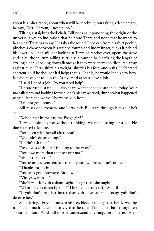about his inheritance, about when will he receive it, but taking a deep breath, he says, "Mr. Heroun, I need a job."

Tilting a staightbacked chair, Bill nods as if pondering the origin of the universe, gives no indication that he heard Terry, and none that he wants to hear what Terry has to say. He takes the round Cope can from his shirt pocket, pinches a chew between his stained thumb and index finger, tucks it behind his lower lip. Then still not looking at Terry, he reaches over, opens the stove and spits, the sputum sailing as true as a cannon ball, striking the length of sizzling alder, knocking down flames as if they were enemy soldiers, red army against blue. Terry shifts his weight, shuffles his feet, and waits. He'd stand at attention if he thought it'd help; that is. That is, he would if he knew how. Maybe he ought to join the Army. He'd at least have a job.

"I said I need a job. Do you need help?"

"I heard yuh just fine . . . also heard what happened at school today. Your ma called around looking for yuh. She's plenty worried, dunno what happened to yuh, fears the worse. She wants yuh home."

"I'm not goin home."

Bill raises one eyebrow, and Terry feels Bill stare through him as if he's smoke.

"Who's that in the car, the Poage girl?"

Terry doubles his fists without thinking. He came asking for a job. He doesn't need a lecture.

"You been with her all afternoon?"

"We didn't do anything."

"I didn't ask that."

"Yes, I was with her. Listening to the river."

"You owe more than that to your ma."

"About that job—"

"You're only seventeen. You're not your own man. I can't use you."

"Thanks for nothin."

"You ain't goin nowhere. Sit down."

"Vicky's waitin—"

"She'll wait for yuh a damn sight longer than she ought."

"What do you mean by that?" He sits, he won't defy Wild Bill.

"If yuh don't treat her better than yuh have your ma today, yuh don't deserve her."

Smoldering, Terry bounces to his feet, blood rushing to his head, swelling it. There's much he wants to say that he can't. He hadn't, hasn't forgotten about his mom. Wild Bill doesn't understand anything, certainly not what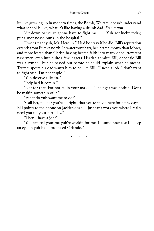it's like growing up in modern times, the Bomb, Welfare, doesn't understand what school is like, what it's like having a drunk dad. *Damn him*.

"Sit down or you're gonna have to fight me . . . . Yuh got lucky today, put a snot-nosed punk in the hospital."

"I won't fight yuh, Mr. Heroun." He'd be crazy if he did. Bill's reputation extends from Eureka north. In waterfront bars, he's better known than Moses, and more feared than Christ, having beaten faith into many once-irreverent fishermen, even into quite a few loggers. His dad admires Bill, once said Bill was a symbol, but he passed out before he could explain what he meant. Terry suspects his dad wants him to be like Bill. "I need a job. I don't want to fight yuh. I'm not stupid."

"Yuh deserve a lickin."

"Jody had it comin."

"Not for that. For not tellin your ma . . . . The fight was nothin. Don't be makin somethin of it."

"What do yuh want me to do?"

"Call her, tell her you're all right, that you're stayin here for a few days." Bill points to the phone on Jackie's desk. "I just can't work you where I really need you till your birthday."

"Then I have a job?"

"You can tell your ma yuh're workin for me. I dunno how else I'll keep an eye on yuh like I promised Orlando."

\* \* \*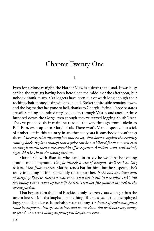### Chapter Twenty One

1.

Even for a Monday night, the Harbor View is quieter than usual. It was busy earlier, the regulars having been here since the middle of the afternoon, but nobody drank much. Cat loggers have been out of work long enough their rocking chair money is drawing to an end. Stoker's third side remains down, and the log market has gone to hell, thanks to Georgia Pacific. Those bastards are still sending a hundred fifty loads a day through Valsetz and another three hundred down the Gorge even though they've started logging South Tract. They've punched their mainline road all the way through from Toledo to Bull Run, even up onto Mary's Peak. There won't, Vern suspects, be a stick of timber left in this country in another ten years if somebody doesn't stop them. *Cut every stick big enough to make a log, then borrow against the seedlings coming back. Replant enough that a price can be established for how much each seedlingis worth, then write everythin off as expenses. A helleva scam, and entirely legal. Maybe I'm in the wrong business.*

Martha sits with Blackie, who came in to say he wouldn't be coming around much anymore. *Caught himself a case of religion. We'll see how long it lasts. Most fellas recover.* Martha tends bar for him, but he suspects, she's really intending to find somebody to support her. If she had any intentions *of snagging Blackie, those are now gone. That boy is still in love with Vicki, but he's fi nally gonna stand by the wife he has. That boy just planted his seed in the wrong garden.*

That boy, as Vern thinks of Blackie, is only a dozen years younger than the tavern keeper. Martha laughs at something Blackie says, as the unemployed logger stands to leave. It probably wasn't funny. *Go home! If you're not gonna come by anymore, then get outta here and let me close. You don't have any money to spend. You aren't doing anything but keepin me open.*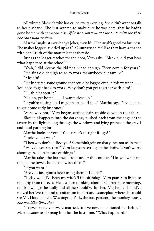All winter, Blackie's wife has called every evening. She didn't want to talk to her husband. She just wanted to make sure he was here, that he hadn't gone home with someone else. *If he had, what would she to do with the kids? She can't support them*.

Martha laughs at everybody's jokes, even his. Her laugh's good for business. She makes loggers as dried up as Olf Gunnarsson feel like they have a chance with her. Truth of the matter is that they do.

Just as the logger reaches for the door, Vern asks, "Blackie, did you hear what happened at the school?"

"Yeah, I did. Seems the kid finally had enough. 'Been comin for years."

"He ain't old enough to go to work for anybody but family."

"Meanin?"

"He inherited some ground that could be logged even in this weather . . . . You need to get back to work. Why don't you get together with him?"

"I'll think about it."

"Go on, get home . . . . I wanta close up."

"If yuh're closing up, I'm gonna take off too," Martha says. "It'd be nice to get home early just once."

"Sure, why not." Vern begins setting chairs upside-down on the tables.

Blackie disappears into the darkness, pushed back from the edge of the tavern by the light falling through the windows and lying prone on the gravel and mud parking lot.

Martha looks at Vern, "You sure it's all right if I go?"

"I told you it was."

"Then why don't I believe you? Somethin's goin on that yuh're not tellin me."

"Why do you say that?" Vern keeps on setting up the chairs. "Don't worry about goin. I'll take care of things."

Martha takes the bar towel from under the counter. "Do you want me to take the towels home and wash them?"

"If you want."

"Are you just gonna keep using them if I don't?"

"Today would've been my wife's 35th birthday." Vern pauses to listen to rain drip from the eves. He has been thinking about Deborah since morning, not knowing if he really did all he should've for her. Maybe he should've moved her West, found a sanitarium in Portland, someplace where she could see Mt. Hood, maybe Washington Park, the rose gardens, the monkey house. *She would've liked that*.

"I never knew you were married. You've never mentioned her before." Martha stares as if seeing him for the first time. "What happened?"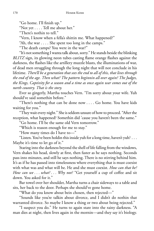"Go home. I'll finish up."

"Not yet . . . . Tell me about her."

"There's nothin to tell."

"Vern, I know when a fella's shittin me. What happened?"

"Ah, the war . . . . She spent too long in the camps."

"The death camps? You were in the war?"

"It's not something I wanta talk about, sorry." He stands beside the blinking *BLITZ* sign, its glowing neon tubes casting flame orange flashes against the darkness, the flashes like the artillery muzzle blasts, the illuminations of war, of dead men struggling through the long night that will not conclude in his lifetime. *There'll be a generation that sees the end to all of this, that lives through the end of the age. Then what? The pattern beginnin all over again? The Judges, the Kings, Captivity for a season and a time as once again war comes out of the north country. That is the story.*

Ever so gingerly, Martha touches Vern. "I'm sorry about your wife. Yuh should've said somethin before."

"There's nothing that can be done now . . . . Go home. You have kids waiting for you."

"They wait every night." She is seldom unsure of how to proceed. "After the reception, what happened? Somethin did 'cause you haven't been the same."

"Go home. I'll be the same old Vern tomorrow."

"Which is reason enough for me to stay."

"How many times do I have to—"

"Listen. You've been holdin this inside yuh for a long time, haven't yuh? . . . Maybe it's time to let go of it."

Staring into the darkness beyond the shell of life falling from the windows, Vern shakes his head, slowly at first, then faster as he says nothing. Seconds pass into minutes, and still he says nothing. There is no stirring behind him. It's as if he has passed into timelessness where everything that is must coexist with what was and what will be. He and she must coexist. *How can that be? How can we . . . what? . . . Why not?* "Get yourself a cup of coffee and sit down. You asked for it."

Bar towel over her shoulder, Martha turns a chair sideways to a table and sits, her back to the door. Perhaps she should've gone home.

"What do you know about bein chosen, then rejected—"

"Sounds like you're talkin about divorce, and I didn't do nothin that warranted divorce. So maybe I know a thing or two about being rejected."

"I suspect you do." He turns to again stare into the rainy darkness. "A man dies at night, then lives again in the mornin—and they say it's biology.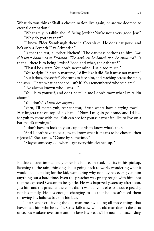What do you think? Shall a chosen nation live again, or are we doomed to eternal damnation?"

"What are yuh talkin about? Being Jewish? You're not a very good Jew." "Why do you say that?"

"I know Elder Stambaugh there in Oceanlake. He don't eat pork, and he's only a Seventh Day Adventist."

"Is that the test, a kosher kitchen?" The darkness beckons to him. *Was this what happened to Deborah? The darkness beckoned and she answered?* "Is that all there is to being Jewish? Food and what, the Sabbath?"

"That'd be a start. You don't, never mind. I said too much."

"You're right. If it really mattered, I'd live like it did. So it must not matter."

"But it does, doesn't it?" She turns to face him, and reaching across the table,

she says, "That's what happened, isn't it? You remembered who yuh are?" "I've always known who I was—"

"You lie to yourself, and don't be tellin me I don't know what I'm talkin about."

"You don't." *Damn her anyway.*

"Vern, I'll match yuh, tear for tear, if yuh wanta have a crying towel." Her fingers rest on top of his hand. "Now, I'm goin go home, and I'd like for yuh to come with me. Yuh can see for yourself what it's like to live on a bar maid's earnings."

"I don't have to look in your cupboards to know what's there."

"And I don't have to be a Jew to know what it means to be chosen, then rejected." She stands. "Come by sometime."

"Maybe someday . . . when I get everythin cleaned up."

2.

Blackie doesn't immediately enter his house. Instead, he sits in his pickup, listening to the rain, thinking about going back to work, wondering what it would be like to log for the kid, wondering why nobody has ever given him anything but a hard time. Even the preacher was pretty rough with him, not that he expected Gosson to be gentle. He was baptized yesterday afternoon. Just him and the preacher there. He didn't want anyone else to know, especially not his family. He has enough changing to do that he doesn't need them throwing his failures back in his face.

That's what crucifying the old man means, killing all those things that have made him who he is. The Cross kills slowly. The old man doesn't die all at once, but weakens over time until he loses his breath. The new man, according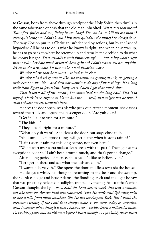to Gosson, born from above through receipt of the Holy Spirit, then dwells in the same tabernacle of flesh that the old man inhabited. What does that mean? *Two of us, father and son, living in one body? The son has to kill his old man? I gotta quit being me? I don't know. I justgotta quit doin the things I've always done.* The way Gosson put it, a Christian isn't defined by actions, but by the lack of hypocrisy. All he has to do is what he knows is right, and when he screws up, he has to go back to where he screwed up and remake the decision to do what he knows is right. *That actually sounds simple enough . . . but doing what's right means tellin her how much of what's been goin on? I don't wanta tell her anythin. It's all in the past, now. I'll just make a bad situation worse.*

*Wonder where that bear went—it had to be close.*

*Wonder what's it's gonna be like, no poachin, no getting drunk, no getting a little extra on the side—and then not wantin to do any of those things. It's a long walk from Egypt to Jerusalem. Forty years. Guess I got that much time.*

*That is what all of this means, I'm committed for the long haul. Did it to myself. Don't have anyone to blame but me . . . well, that might not be true. I didn't choose myself, wouldn't have.*

He sees the door open, sees his wife peek out. After a moment, she dashes toward the truck and opens the passenger door. "Are yuh okay?"

"Get in. Talk to yuh for a minute."

"The kids—"

"They'll be all right for a minute."

"What do yuh want?" She closes the door, but stays close to it.

"Ah dunno . . . suppose things will get better when it stops rainin?"

"I ain't seen it rain for this long before, not even here."

"Wanta start over, sorta make a clean break with the past?" The night seems exceptionally dark. "I ain't been around much, and that's gonna change."

After a long period of silence, she says, "I'd like to believe yuh."

"Let's get in there and see what the kids are doin."

"I wanta believe yuh." She opens the door and flees towards the house.

He delays a while, his thoughts returning to the bear and the swamp, the skunk cabbage and beaver dams, the flooding creek and the light he saw that was probably reflected headlights trapped by the fog. At least that's what Gosson thought the light was. *Said the Lord doesn't work that way anymore, not like how the Apostle Paul was converted. Said He don't send lightning bolts to stop a fella from killin anothern like He did for Sargent York. But I think the preacher's wrong. If the Lord don't change none, is the same today as yesterday, well, I wonder what thingit is that I have to do—besides learn a helleva lot more. I'll be thirty years and an old man before I learn enough . . . probably never learn*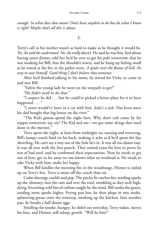*enough. So what does that mean? Don't have anythin to do but do what I know is right? Maybe that's all this is about.*

3.

Terry's call to his mother wasn't as hard to make as he thought it would be. *Yes, she said she understood. No, she really doesn't.* He said he was fine, lied about having eaten dinner, told her he'd be over to get his pole tomorrow, that he was working for Bill, that she shouldn't worry, and he hung up feeling small as he stared at the fire in the parlor stove. A *spider over the flames of hell. No way to save himself. Good thing I don't believe that nonsense.*

After he'd finished talking to his mom, he waved for Vicky to come in and met Bill.

"Yuh're the young lady he went on the warpath to get?"

"He didn't need to do that."

"I suspect he did . . . but he could've picked a better place for it to have happened . . . "

"I never would've been in a car with him. Jody's a jerk. Has been since his dad bought that big house on the river."

"The Kid's gonna spend the night here. Why don't yuh come by for supper tomorrow, say, six? The Kid and me—we got some things that need done in the mornin."

Terry spent the night, at least from midnight on, turning and worrying, Bill's lumpy couch hard on his back, making it ache as if he'd spent the day shoveling. He can't see a way out of the hole he's in. It was all too damn easy. It was all over with the first punch. They waited years for him to prove he was of bad seed, and he confirmed their expectations. Now he needs to get out of here, get so far away no one knows what an ironhead is. He needs to take Vicky with him, make her happy.

When Bill kindles the morning fire in the woodrange, Homer is curled up on Terry's feet. Terry is more off the couch than on.

Cedar shavings crackle and pop. The pitchy fir catches fire, sending sparks up the chimney, into the rain and over the roof, twinkling as they arch high, dying, becoming cold bits of carbon caught by the wind. Bill rattles the grates, sending more sparks higher. Frying pan hot, he then plops in two steaks, splattering grease onto the stovetop, smoking up the kitchen. Into another pan, he breaks a half dozen eggs.

Smelling the smoke, hungry; he didn't eat yesterday, Terry wakes, moves his foot, and Homer, still asleep, growls. "Will he bite?"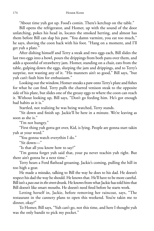"About time yuh got up. Food's comin. There's ketchup on the table."

Bill opens the refrigerator, and Homer, up with the sound of the door unlatching, pokes his head in, locates the smoked herring, and almost has them before Bill can slap his paw. "You damn varmint, you eat too much," he says, shoving the coon back with his foot. "Hang on a moment, and I'll get yuh a plate."

After dishing himself and Terry a steak and two eggs each, Bill slides the last two eggs into a bowl, pours the drippings from both pans over them, and adds a spoonful of strawberry jam. Homer, standing on a chair, eats from the table, gulping down the eggs, slurping the jam and drippings, and to Terry's surprise, not wasting any of it. "His manners ain't so good," Bill says, "but yuh can't fault him for enthusiasm."

Looking out the window, Homer sneaks a paw onto Terry's plate and fishes for what he can find. Terry pulls the charred venison steak to the opposite side of his plate, but slides one of the greasy eggs to where the coon can reach it. Without looking up, Bill says, "Don't go feeding him. He's got enough bad habits as it is."

Startled, not realizing he was being watched, Terry stands.

"Sit down and finish up. Jackie'll be here in a minute. We're leaving as soon as she is."

"I'm not hungry."

"First thing yuh gotta get over, Kid, is lying. People are gonna start takin yuh at your word."

"You gonna watch everythin I do."

"Sit down—"

"Is that all you know how to say?"

"I'm gonna forget yuh said that, your pa never teachin yuh right. But there ain't gonna be a next time."

Terry hears a Ford flathead groaning. Jackie's coming, pulling the hill in too high a gear.

He made a mistake, talking to Bill the way he does to his dad. He doesn't respect his dad the way he should. He knows that. He'll have to be more careful. Bill isn't a *pass out in the street* drunk. He knows from what Jackie has told him that Bill doesn't like smart mouths. He doesn't need fired before he starts work.

Letting herself in, Jackie, before removing her raincoat, says, "The restaurant in the cannery plans to open this weekend. You're takin me to dinner, okay?"

To Homer, Bill says, "Yuh can't go, not this time, and here I thought yuh was the only bandit to pick my pocket."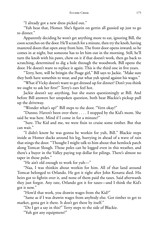"I already got a new dress picked out."

"Yuh hear that, Homer. She's figurin on gettin all gussied up just to go to dinner."

Apparently deciding he won't get anything more to eat, ignoring Bill, the coon scratches on the door. He'll scratch for a minute, then try the knob, having mastered doors that open away from him. The front door opens inward; so he comes in at night, but someone has to let him out in the morning. Still, he'll turn the knob with his paws, chew on it if that doesn't work, then go back to scratching, determined to dig a hole through the woodwork. Bill opens the door. He doesn't want to replace it again. This is the third one in five years.

"Terry, here, will be bringin the Poage girl," Bill says to Jackie. "Make sure they both have somethin to wear, and put what yuh spend against his wages."

"What if Vicky doesn't want to get dressed up for dinner? Don't you think we ought to ask her first?" Terry's ears feel hot.

Jackie doesn't say anything, but she stares questioningly at Bill. And before Bill answers her unspoken question, both hear Blackie's pickup pull up the driveway.

"Wonder what's up?" Bill steps to the door. "Vern okay?"

"Dunno. Haven't been over there . . . . I stopped by the Kid's mom. She said he was here. Mind if I come in for a minute?"

"Sure. The Kid and me, we were fixin to cruise some timber. But that can wait."

"I didn't know he was gonna be workin for yuh, Bill." Blackie steps inside as Homer ducks around his leg, hurrying in ahead of a wave of rain that stings the door. "Thought I might talk to him about that hemlock patch along Tomcat Slough. Those poles can be logged even in this weather, and there's a buyer in the Valley paying top dollar for pilings. There's almost no taper in those poles."

"He ain't old enough to work for yuh—"

"Naa, I was thinkin about workin for him. All of that land around Tomcat belonged to Orlando. He got it right after John Kenatta died. His heirs got to fightin over it, and none of them paid the taxes. Said afterwards they just forgot. Any rate, Orlando got it for taxes—and I think the Kid's got it now."

"How'd that work, you drawin wages from the Kid?"

"Same as if I was drawin wages from anybody else. Got timber to get to market, gotta get it there. It don't get there by itself."

"Do I get a say in this?" Terry steps to the side of Blackie.

"Yuh got any equipment?"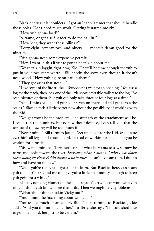Blackie shrugs his shoulders. "I got an Idaho jammer that should handle those poles. Don't need much work. Getting it started mostly."

"How yuh gonna load?"

"A-frame, or get a self-loader to do the haulin."

"How long they want those pilings?"

"Forty-eight, seventy-two, and ninety . . . money's damn good for the nineties."

"Yuh gonna need some expensive permits."

"Hey, I want in this if yuh're gonna be talkin about me."

"We're talkin loggin right now, Kid. There'll be time enough for yuh to put in your two cents worth." Bill checks the stove even though it doesn't need wood. "How yuh figure on haulin them?"

"They got axles that steer—"

"Like some of the fire trucks." Terry doesn't wait for an opening. "You use a log for the reach, then lock one of the little short, steerable trailers to the log. I've seen pictures of them. But yuh can only take three or four logs at a time."

"Ahh, I think yuh could get six or seven on there and still get across the scales." Blackie feels a little better now about the possibility of working with the Kid.

"Weight won't be the problem. The strength of the attachment will be. I could run the numbers, but even without doin so, I can tell yuh that the torque of the swing will be too much if—"

"Never mind." Bill turns to Jackie. "Set up books for the Kid. Make sure everthin's all legal and above board. Instead of workin for me, he oughta be workin for himself."

"Sis, wait a minute." Terry isn't sure of what he wants to say, so now he turns and looks toward the river. *Everyone, what, I dunno. I wish I was down there, alongthe river. Fishin simple, a no brainer.* "I can't—do anythin. I dunno how and have no money."

"Well, yuh're right, yuh got a lot to learn. But Blackie, here, can teach yuh to log. Your sis and me can give yuh a little float money, enough to keep yuh goin for a while."

Blackie, noticing Homer on the table, says to Terry, "I can work with yuh till yuh think yuh know more than I do. Then we might have problems."

"What about dinner, takin Vicky out?"

"You dunno the first thing about women—"

"You're not much of an expert, Bill." Then turning to Blackie, Jackie adds, "And you dunno much either." To Terry, she says, "I'm sure she'd love to go, but I'll ask her just to be certain."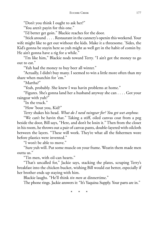"Don't you think I ought to ask her?"

"You aren't payin for this one."

"I'd better get goin." Blackie reaches for the door.

"Stick around . . . . Restaurant in the cannery's openin this weekend. Your wife might like to get out without the kids. Make it a threesome. 'Sides, the Kid's gonna be stayin here so yuh might as well get in the habit of comin by. He ain't gonna have a rig for a while."

"I'm like him," Blackie nods toward Terry. "I ain't got the money to go out to eat."

"Yuh had the money to buy beer all winter."

"Actually, I didn't buy many. I seemed to win a little more often than my share when matchin for 'em."

"Martha?"

"Yeah, probably. She knew I was havin problems at home."

"Figures. She's gonna land her a husband anyway she can . . . . Got your raingear with yuh?"

"In the truck."

"How 'bout you, Kid?"

Terry shakes his head. *What do I need raingear for? You get wet anyhow.*

"We can't be havin that." Taking a stiff, oiled canvas coat from a peg beside the door, Bill says, "Here, and don't be losin it." Then from the closet in his room, he throws out a pair of canvas pants, double-layered with oilcloth between the layers. "These will work. They're what all the fishermen wore before plastics were invented."

"I won't be able to move."

"Sure yuh will. Put some muscle on your frame. Wearin them made men outta us."

"Tin men, with oil-can hearts."

"That's uncalled for," Jackie says, stacking the plates, scraping Terry's breakfast into the chicken bucket, wishing Bill would eat better, especially if her brother ends up staying with him.

Blackie laughs. "He'll think *tin men* at dinnertime."

The phone rings. Jackie answers it: "It's Yaquina Supply. Your parts are in."

\* \* \*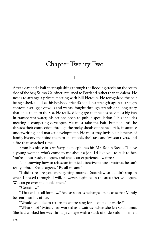# Chapter Twenty Two

1.

After a day and a half spent splashing through the flooding creeks on the south side of the bay, Salmo Gairdneri returned to Portland rather than to Salem. He needs to arrange a private meeting with Bill Heroun. He recognized the bait being fished, could see his boyhood friend's hand in a strength-against-strength contest, a struggle of wills and wants, fought through strands of a long story that links them to the sea. He realized long ago that he has become a big fish in transparent water, his actions open to public speculation. This includes meeting a competing developer. He must take the bait, but not until he threads their connection through the rocky shoals of financial risk, insurance underwriting, and market development. He must fray invisible filaments of family history that bind them to Tillamook, the Trask and Wilson rivers, and a fire that scorched time.

From his office in *The Ferry*, he telephones his Mr. Robin Steele. "I have a young woman who's come to me about a job. I'd like you to talk to her. You're about ready to open, and she is an experienced waitress."

Not knowing how to refuse an implied directive to hire a waitress he can't really afford, Steele agrees, "By all means."

"I didn't realize you were getting married Saturday, so I didn't stop in when I passed through. I will, however, again be in the area after you open. We can go over the books then."

"Certainly."

"That will be all for now." And as soon as he hangs up, he asks that Mindy be sent into his office.

"Would you like to return to waitressing for a couple of weeks?"

"What's up?" Mindy last worked as a waitress when she left Oklahoma. She had worked her way through college with a stack of orders along her left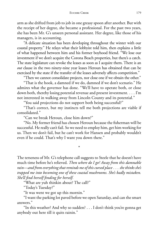arm as she drifted from job to job in one greasy spoon after another. But with the receipt of her degree, she became a professional. For the past two years, she has been Mr. G's unseen personal assistant. Her degree, like those of his managers, is in accounting.

"A delicate situation has been developing throughout the winter with our coastal property." He relays what their lobbyist told him, then explains a little of what happened between him and his former boyhood friend. "We lose our investment if we don't acquire the Corona Beach properties, but there's a catch. The state legislature can revoke the leases as soon as I acquire them. There is an *out* clause in the two ninety-nine year leases Heroun has obtained that can be exercised by the state if the transfer of the leases adversely affects competition."

"Then we cannot consolidate projects, nor close one if we obtain the other."

"That is the hook, a damned if we do, damned if we don't scenario." He admires what the governor has done. "We'll have to operate both, or close down both, thereby losing potential revenue and present investment. . . . I'm not interested in walking away from Lincoln County and its potential."

"You said projections do not support both being successful?"

"That's correct, but my instincts tell me both projections are viable if consolidated."

"Can we break Heroun, close him down?"

"No. My former friend has chosen Heroun because the fisherman will be successful. He really can't fail. So we need to employ him, get him working for us. Then we don't fail, but he can't work for Hansen and probably wouldn't even if he could. That's why I want you down there."

\*

The terseness of Mr. G's telephone call suggests to Steele that he doesn't have much time before he's relieved. *Then where do I go? Away from this damnable rain—and from everythingthat reminds me of this cursed place . . . she thinks she's trapped me into becoming one of these coastal mushrooms. She's badly mistaken. She'll fi nd herself fending for herself*.

"What are yuh thinkin about? The call?"

"Today's Tuesday?"

"It was went we got up this mornin."

"I want the parking lot paved before we open Saturday, and can the smart answers."

"In this weather? And why so sudden? . . . I don't think you're gonna get anybody out here till it quits rainin."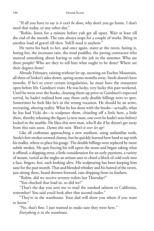"If all you have to say is *it can't be done*, why don't you go home. I don't need that today, or any other day."

"Robin, listen for a minute before yuh get all upset. Wait at least till the end of the month. The rain always stops for a couple of weeks. Bring in another load of gravel till then. Yuh'll need it anyhow."

He turns his back to her, and once again, stares at the raven, hating it, hating her, the incessant rain, the mud puddles, the paving contractor who sneered something about having to redo the job in the summer. Who are these people? Who are they to tell him what ought to be done? Where are their degrees from?

Already February, raining without let up, snowing on Euchre Mountain, all three of Stoker's sides down, spring seems months away. Steele doesn't have months. If he's to cover certain irregularities, he must have the restaurant open before Mr. Gairdneri visits. He was lucky, very lucky this past weekend. Until he went over the books, cleaning them up prior to Gairdneri's expected arrival, he hadn't realized how easy those early double billings were to spot. Sometimes he feels like he's in the wrong vocation. He should be an artist, recreating, altering reality. What he has done with the books—actually, what he has had Vicki do—is sculpture them, chiseling off a little here, a little there, thereby releasing the figure (a new man, one even he hadn't seen before) locked in the marble. He likes this new man, who'll die if he doesn't get away from this rain soon. *Damn this rain. Won't it ever let up?*

Like all craftsman approaching a new medium, using unfamiliar tools, Steele's first strokes seemed clumsy, but he quickly learned how hard to tap with his mallet, where to place his gouge. The double billings were replaced by more subtle strokes. He quit forcing his will upon the stone and began taking what it offered, a shipping error, a little consideration for an early payment, a variety of means, varied as the angles an artisan uses to chisel a block of cold rock into a face, fingers, feet, each looking alive. His sculpturing has been keeping him sane for the past month. That and blended whiskey and his hatred of the raven, just sitting there, beard thrown forward, rain dripping from its feathers.

"Robin, did we receive seventy toilets last Thursday?"

"You checked that load in, so did we?"

"That's the day you sent me to mail the smoked salmon to California, remember? You said you'd look after that second trailer."

"They're in the warehouse. Your dad will show you where if you want to know."

"No, that's fine. I just wanted to make sure they were here." *Everything is in the warehouse*.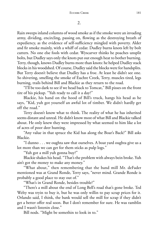Rain sweeps inland columns of wood smoke as if the smoke were an invading army, dividing, encircling, passing on, flowing as the destroying breath of expediency, as the evidence of self-sufficiency mingled with poverty. Alder and fir smoke mainly, with a whiff of cedar. Dudley burns knots left by bolt cutters. No one else fools with cedar. Wyscarver thinks he poaches unsplit bolts, but Dudley says only the knots put out enough heat to bother burning. Terry, though, knows Dudley burns more than knots: he helped Dudley stack blocks in his woodshed. Of course, Dudley said the blocks were for handsplits. But Terry doesn't believe that Dudley has a froe. At least he didn't see one. So shivering, smelling the smoke of Euchre Creek, Terry, muscles tired, legs burning, trails behind Bill and Blackie as they return to the road.

"I'll be too dark to see if we head back to Tomcat," Bill pisses on the front tire of his pickup. "Yuh ready to call it a day?"

Blackie, his hand on the hood of Bill's truck, hangs his head as he says, "Kid, yuh got yourself an awful lot of timber. We didn't hardly get off the road."

Terry doesn't know what to think. The reality of what he has inherited seems distant and unreal. He didn't know most of what Bill and Blackie talked about. He only knew they were impressed by what seemed to him like a lot of acres of poor deer hunting.

"Any value in that spruce the Kid has along the Boar's Back?" Bill asks Blackie.

"I dunno . . . we oughta saw that ourselves. A boat yard oughta give us a lot more than we can get for them sticks as pulp logs."

"Yuh got a mill yuh gonna buy?"

Blackie shakes his head. "That's the problem with always bein broke. Yuh ain't got the money to make any money."

"What about," then remembering that the band mill Mr. deFader mentioned was at Grand Ronde, Terry says, "never mind. Grande Ronde is probably a good place to stay out of."

"What's in Grand Ronde, besides trouble?"

"There's a mill about the end of Long Bell's road that's gone broke. Ted Welty was tryin to buy it, but he was only willin to pay scrap prices for it. Orlando said, I think, the bank would sell the mill for scrap if they didn't get a better offer real soon. But I don't remember for sure. He was ramblin and I wasn't listenin close."

Bill nods. "Might be somethin to look in to."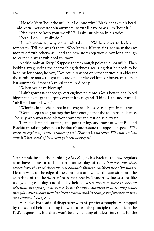"He told Vern 'bout the mill, but I dunno why." Blackie shakes his head. "Told Vern I wasn't stoppin anymore, so yuh'll have to ask 'im 'bout it."

"Yuh mean to keep your word?" Bill asks, suspicion in his voice.

"Yeah, I do . . . really do."

"If yuh mean to, why don't yuh take the Kid here over to look at it tomorrow. Tell me what's there. Who knows, if Vern ain't gonna make any money off yuh otherwise—and the new storekeep would saw long enough to learn yuh what yuh need to know."

Blackie looks at Terry. "Suppose there's enough poles to buy a mill?" Then looking away, seeing the encroaching darkness, realizing that he needs to be heading for home, he says, "We could saw not only that spruce but alder for the furniture market. I got the card of a hardwood lumber buyer, met 'im at last summer's Timber Carnival there in Albany."

"When your saw blew up?"

"I ain't gonna use those go-cart engines no more. Got a better idea. Need bigger mains to get the rpms over thirteen grand. Think I ah, never mind. Yuh'll find out if I win."

"Winnin's in the chain, not in the engine," Bill says as he gets in the truck.

"Gotta keep an engine together long enough that the chain has a chance. The guy who won used his work saw after the rest of us blew up."

Terry understands stuffers, and port timing, and most of what Bill and Blackie are talking about, but he doesn't understand the appeal of speed. *Why wrap an engine up until it comes apart? That makes no sense. Why not see how long it'll last 'stead of how soon yuh can destroy it?*

3.

Vern stands beside the blinking *BLITZ* sign, his back to the few regulars who have come in to bemoan another day of rain. *There're out there somewhere, the good times missed, Sabbath dinners, children like olive plants.* He can walk to the edge of the continent and watch the sun sink into the waterline of the horizon *when it isn't rainin*. Tomorrow looks a lot like today, and yesterday, and the day before. *What future is there in natural selection? Everything new comes by randomness. Survival of fi ttest only comes into play after what's new has been created, makin change the function of time and chance. Change . . .* 

He shakes his head as if disagreeing with his previous thought. He stopped by the school before coming in, went to ask the principle to reconsider the Kid's suspension. But there won't be any bending of rules: Terry's out for the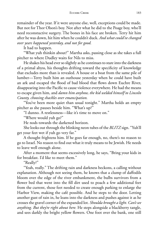remainder of the year. If it were anyone else, well, exceptions could be made. But not for Thor Olson's boy. Not after what he did to the Poage boy, who'll need reconstuctive surgery. The bones in his face are broken. Terry hit him after he was down, hit him when he couldn't duck. *And what could've changed over years happened yesterday, and not for good.*

It had to happen.

"What yuh thinkin about?" Martha asks, passing close as she takes a full pitcher to where Dudley waits for Nils to miss.

He shakes his head ever so slightly as he continues to stare into the darkness of a primal abyss, his thoughts drifting toward the specificity of knowledge that excludes more than is revealed. A house or a boat from the same pile of lumber—Terry built him an outhouse yesterday when he could have built an ark and escaped the flood of bad blood that flows down Euchre River, disappearing into the Pacific to cause violence everywhere. He had the means to escape given him, and *damn him anyhow, the kid welded himself to Lincoln County, choosing shackles over emancipation.*

"You've been more quiet than usual tonight." Martha holds an empty pitcher as she pauses beside him. "What's up?"

"I dunno. A restlessness—like it's time to move on."

"Where would yuh go?"

He nods towards the darkened horizon.

She looks out through the blinking neon tubes of the *BLITZ* sign. "Yuh'll get your feet wet if yuh go very far."

A thought frightens him. If he goes far enough, no, there's no reason to go to Israel. No reason to find out what it truly means to be Jewish. He needs to leave well enough alone.

After a moment that seems excessively long, he says, "Bring your kids in for breakfast. I'd like to meet them."

"Really?"

"Yeah, really." The drifting rain and darkness beckons, a calling without explanation. Although not seeing them, he knows that a clump of daffodils bloom over the edge of the river embankment, the bulbs survivors from a flower bed that went into the fill dirt used to poach a few additional feet from the current, those feet needed to create enough parking to enlarge the Harbor View, making the café possible. And he steps to the door. Letting another gust of rain in, he leans into the darkness and pushes against it as he crosses the gravel corner of the expanded lot. *Shoulda brought a light. Can't see anything. But they're right about here.* He steps alongside a blackberry tangle, and sees darkly the bright yellow flowers. One foot over the bank, one still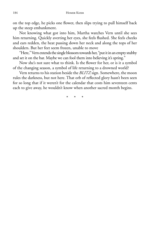on the top edge, he picks one flower, then slips trying to pull himself back up the steep embankment.

Not knowing what got into him, Martha watches Vern until she sees him returning. Quickly averting her eyes, she feels flushed. She feels cheeks and ears redden, the heat passing down her neck and along the tops of her shoulders. But her feet seem frozen, unable to move

"Here," Vern extends the single blossom towards her, "put it in an empty stubby and set it on the bar. Maybe we can fool them into believing it's spring."

Now she's not sure what to think. Is the flower for her, or is it a symbol of the changing season, a symbol of life returning to a drowned world?

Vern returns to his station beside the *BLITZ* sign. Somewhere, the moon rules the darkness, but not here. That orb of reflected glory hasn't been seen for so long that if it weren't for the calendar that costs him seventeen cents each to give away, he wouldn't know when another sacred month begins.

\* \* \*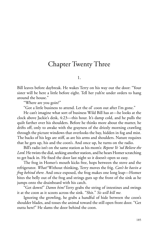### Chapter Twenty Three

1.

Bill leaves before daybreak. He wakes Terry on his way out the door: "Your sister will be here a little before eight. Tell her yuh're under orders to hang around the house."

"Where are you goin?"

"Got a little business to attend. Let the ol' coon out after I'm gone."

He can't imagine what sort of business Wild Bill has at—he looks at the clock above Jackie's desk, 4:23—this hour. It's damp cold, and he pulls the quilt farther over his shoulders. Before he thinks more about the matter, he drifts off, only to awake with the grayness of the drizzly morning crawling through the picture windows that overlooks the bay, hidden in fog and mist. The backs of his legs are stiff, as are his arms and shoulders. Nature requires that he gets up, his and the coon's. And once up, he turns on the radio.

Bill's radio isn't on the same station as his mom's: *Repent Ye 'nd Believe the Lord*. He twists the dial, seeking another station, and he hears Homer scratching to get back in. He fixed the door last night so it doesn't open so easy.

The frog in Homer's mouth kicks free, hops between the stove and the refrigerator. *What!* Without thinking, Terry moves the frig. *Can't be havin a frog behind there.* And once exposed, the frog makes one long leap—Homer bites the belly out of the frog and strings guts up the front of the sink as he jumps onto the drainboard with his catch.

"Get down!" *Damn him!* Terry grabs the string of intestines and swings it at the coon as it scoots across the sink. "Shit." *Sis will kill me.*

Ignoring the growling, he grabs a handful of hide between the coon's shoulder blades, and tosses the animal toward the still open front door. "Get outta here!" He slams the door behind the coon.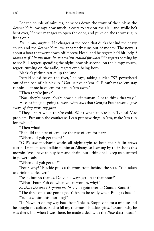For the couple of minutes, he wipes down the front of the sink as the *Repent Ye* fellow says how much it costs to stay on the air—and while he's bent over, Homer manages to open the door, and puke on the throw rug in front of it.

*Damn you, anyhow!* He charges at the coon that ducks behind the heavy couch and the *Repent Ye* fellow apparently runs out of money. The news is about a boat that went down off Heceta Head, and he regrets he'd hit Jody. *I should be fi shin this mornin, not waitin around for what?* He regrets coming by to see Bill, regrets spending the night, now his second, on the lumpy couch, regrets turning on the radio, regrets even being born.

Blackie's pickup rattles up the lane.

"Afraid yuh'd be on the river," he says, taking a Mac 797 powerhead out of the bed of his pickup. "Got us five of 'em. G-P can't make 'em stay runnin—let me have 'em for haulin 'em away."

"Then they're junk?"

"Naa, they're assets. You're now a businessman. Got to think that way."

He can't imagine going to work with saws that Georgia Pacific would give away. *If they were any good . . .* 

"They'll start when they're cold. Won't when they're hot. Typical Mac problem. Pressurin the crankcase. I can put new rings in 'em, make 'em run for awhile."

"Then what?"

"Rebuild the best of 'em, use the rest of 'em for parts."

"When did yuh get them?"

"G-P's saw mechanic works all night tryin to keep their fallin crews cuttin. I remembered talkin to him at Albany, so I swung by their shops this mornin. We'll have to buy bars and chain, but I think he'll keep us outfitted in powerheads."

"When did yuh get up?"

"Four, why?" Blackie pulls a thermos from behind the seat. "Yuh taken to drinkin coffee yet?"

"Yeah, but no thanks. Do yuh always get up at that hour?"

"What? Four. Yuh do when you're workin, why?"

*So that's the way it's gonna be.* "Are yuh goin over to Grande Ronde?"

"The three of us are gonna go. Yuh're to be ready when Bill gets back."

"Yuh saw him this morning?"

"In Newport on my way back from Toledo. Stopped in for a minute and he bought me coffee, paid to fill my thermos." Blackie grins. "Dunno why he was there, but when I was there, he made a deal with the *Blitz* distributor."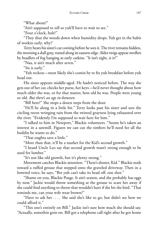"What about?"

"Ain't supposed to tell so yuh'll have to wait to see."

"Four o'clock, huh?"

"They shut the woods down when humidity drops. Yuh get in the habit of workin early, why?'

Terry hears his sister's car coming before he sees it. The river remains hidden, the morning a dull gray, rusted along its eastern edge. Alder twigs appear swollen by beadlets of fog hanging as early catkins. "It isn't eight, is it?"

"Naa, it ain't much after seven."

"Sis is early."

"Yuh reckon—most likely she's comin by to fix yuh breakfast before yuh head out.

His sister appears middle-aged. He hadn't noticed before. The way she gets out of her car, checks her purse, her keys—he'd never thought about how much older she was, or for that matter, how old he was. People were young or old. *But there's an age in-between*.

"Bill here?" She stops a dozen steps from the door.

"He'll be along in a little bit." Terry looks past his sister and sees the circling raven wringing rain from the twisted grayness lying exhausted over the river. "Evidently I'm supposed to wait here for him."

"I talked to him in Newport," Blackie volunteers. "Seems he's taken an interest in a sawmill. Figures we can cut the timbers he'll need for all the buildin he wants to do."

"That oughta save a little."

"More than that, it'll be a market for the Kid's second growth."

"I heard Uncle Leo say that second growth wasn't strong enough to be used for lumber."

"It's not like old growth, but it's plenty strong."

Movement catches Blackie attention. "There's dinner, Kid." Blackie nods toward a ruffed grouse that stepped onto the graveled driveway. Then in a lowered voice, he says, "Bet yuh can't take its head off, one shot."

"Shame on you, Blackie Poage. It ain't season, and she probably has eggs by now." Jackie would throw something at the grouse to scare her away if she could find anything to throw that wouldn't hurt if she hit the bird. "That reminds me, can your wife wear brown?"

"Have to ask her . . . . She said she's like to go, but didn't see how we could afford it."

"This one's entirely on Bill." Jackie isn't sure how much she should say. "Actually, somethin goin on. Bill got a telephone call right after he got home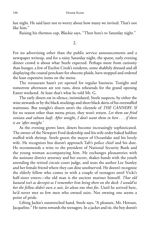last night. He said later not to worry about how many we invited. That's not like him."

Raising his thermos cup, Blackie says, "Then here's to Saturday night."

2.

For no advertising other than the public service announcements and a newspaper writeup, and for a rainy Saturday night, the sparse, early evening dinner crowd is about what Steele expected. Perhaps more from curiosity than hunger, a few of Euchre Creek's residents, some shabbily dressed and all displaying the coastal penchant for obscene plaids, have stopped and ordered the least expensive items on the menu.

The restaurant hasn't yet opened for regular business. Tonight and tomorrow afternoon are test runs, dress rehearsals for the grand opening Easter weekend. At least that's what he told Mr. G.

The early diners eat in silence, intimidated, Steele suspects, by either the wine stewards or by the black stockings and short black skirts of his overstaffed waitresses. But tonight's diners aren't the clientele of *THE CANNERY*. If for no reason other than menu prices, they won't return. *Let them eat fried venison and salmon loafs*. *After tonight, I don't want them in here . . . if there is an 'after tonight.'*

As the evening grows later, diners become increasingly sophisticated. The owner of the Newport Ford dealership and his wife order baked halibut stuffed with shrimp. Steele greets the mayor of Oceanlake and his lovely wife. He recognizes but doesn't approach Taft's police chief and his date. He recommends a wine to the president of National Security Bank and the young woman accompanying him. He exchanges pleasantries with the assistant district attorney and her escort, shakes hands with the youth attending the retired circuit court judge, and seats the author Lee Stanley and her female friend where they can dine unobserved. He doesn't recognize the elderly fellow who comes in with a couple of teenagers until Vicki's half-sister enters—the old man is the ancient mariner himself. *That old bastard isn't as decrepit as I remember him being there on the dock. I would've bet the fellow didn't own a suit, let alone one that fi ts*. Until he arrived here, he'd never met so few men who owned suits. Not owning one seems a point of pride.

Lifting Jackie's outstretched hand, Steele says, "A pleasure, Mr. Heroun, Jacqueline." He turns towards the teenagers. In a jacket and tie, the boy doesn't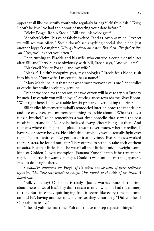appear at all like the scruffy youth who regularly brings Vicki fresh fish. "Terry, I don't believe I've had the honor of meeting your date before."

"Vicky Poage, Robin Steele," Bill says, his voice gruff.

"Another Vicky," his voice falsely excited, "and as lovely as mine. I expect we will see you often." Steele doesn't see anything special about her, just another logger's daughter. *Why quit school over her? But then, like father like son*. "Yes, we'll expect you often."

Then turning to Blackie and his wife, who entered a couple of minutes after Bill and Terry but are obviously with Bill, Steele says, "And you are?"

"Blackwell Xavier Poage—and my wife."

"Blackie? I didn't recognize you, my apologies." Steele feels blood rush into his face. "Your wife, I'm certain, has a name?"

"Mary Madeline, but that's not what most everyone calls me." She smiles at Steele, her smile absolutely genuine.

"When we open for the season, the two of you will have to try our Sunday brunch. I'm certain you will enjoy it." Steele glances towards the River Room. "Wait right here. I'll have a table for six prepared overlooking the river."

Bill studies his former messhall's remodeled interior, notes the chandeliers and use of velvet, and mutters something to Jackie about, "What is this, a fuckin brothel," as he remembers a war-time bordello that served the best meals in Portland in '42, or so he believed. Navy officers hung out there. And that was where the fight took place. It wasn't over much, whether redheads have red or brown beavers. He didn't think anybody would actually fight over that. The little shit could've got out of it at anytime. Two redheads worked there. Sisters, he found out later. They offered to settle it, take each of them upstairs. But that little shit—he wasn't all that little, a middleweight, some kind of Golden Gloves champion, Panama Zone Champ if he remembers right. That little shit wanted to fight. Couldn't wait until he met the Japanese. Had to do it right there.

*I would've skippered the* Freyja *if I'd taken one or both of those redheads upstairs. The little shit wasn't so tough. One punch to the side of his head. A blood clot.*

"Bill, you okay? Our table is ready." Jackie worries more all the time about these lapses of his. They didn't occur as often when he had the cannery to run. But since they quit buying fish, it seems like every time she turns around he's having another one. He insists they're nothing. "Did you hear? Our table is ready."

"I heard yuh the first time. Yuh don't have to keep repeatin things."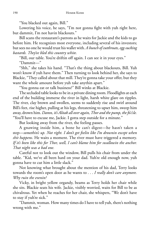"You blacked out again, Bill."

Lowering his voice, he says, "I'm not gonna fight with yuh right here, but dammit, I'm not havin blackouts."

Bill scans the restaurant's patrons as he waits for Jackie and the kids to go before him. He recognizes most everyone, including several of his investors; but sees no one he would trust his wallet with. *A bunch of cutthroats, egg-sucking bastards. They've bled this country white.*

"Bill, our table. You're driftin off again. I can see it in your eyes."

"Dammit—"

"Shh," she takes his hand. "That's the thing about blackouts, Bill. Yuh won't know if yuh have them." Then turning to look behind her, she says to Blackie, "They called about that mill. They're gonna take your offer, but they want the whole amount before yuh take anythin apart."

"You gonna eat or talk business?" Bill winks at Blackie.

The secluded table looks to be in a private dining room. Floodlights at each end of the building immerse the river in light, harsh white glare on ripples. The river, clay brown and swollen, seems to suddenly rise and swirl around Bill's feet, rise higher, pulling at his legs, threatening to upset him, sweep him away, drown him. *Damn, it's Alitak all over again, Thor and the pump, thefo'c'sle.* "You'll have to excuse me, Jackie. I gotta step outside for a minute."

But looking away from the river, the feeling passes.

A gnawing inside him, a bone he can't digest—he hasn't taken a step—*somethin's up. Not right. I don't get feelin like I'm drownin except when shit happens.* He waits a moment. The river must have triggered a memory. *If it's been like this for Thor, well, I can't blame him for swallowin the anchor. That night was a bad one.*

Careful not to look out the window, Bill pulls his chair from under the table. "Kid, we've all been hard on your dad. Yuh're old enough now, yuh gonna have to cut him a little slack."

Not knowing what brought about the mention of his dad, Terry looks towards the room's open door as he wants to . . . *I really don't care anymore. Why ruin the evenin?*

Vicky, in bright yellow organdy, beams as Terry holds her chair while she sits. Blackie seats his wife. Jackie, visibly worried, waits for Bill to be as chivalrous. Yet when he reaches for her chair, she whispers, "We don't have to stay if yuh're sick."

"Dammit, woman. How many times do I have to tell yuh, there's nothing wrong with me."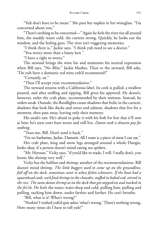"Yuh don't have to be mean." She puts her napkin in her wineglass. "I'm concerned about you."

"There's nothing to be concerned—" Again he feels the river rise all around him, the muddy water cold, the current strong. Quickly, he looks out the window, and the feeling goes. The river isn't triggering memories.

"I think there is," Jackie says. "I think yuh need to see a doctor."

"You worry more than a banty hen."

"I have a right to worry."

The steward brings the wine list and maintains his neutral expression when Bill says, "No *Blitz*." Jackie blushes. Then to the steward, Bill asks, "Do yuh have a domestic red wine yuh'd recommend?"

"Certainly, sir."

"Then I'll accept your recommendation."

The steward returns with a California label. Its cork is pulled, a swallow poured, and after sniffing and sipping, Bill gives his approval. He doesn't, however, order the crab plate, recommended by their waitress. Instead, he orders steak. Outside, the floodlights create shadows that frolic in the current, shadows that look like ducks and otters and salmon, shadows that live for a moment, then pass away, leaving only their memory.

His steak's raw. He's afraid to poke it with his fork for fear that it'll *moo* at him; he's seen cows hurt worse and still live. *Damn cook is drawin pay for nothing*.

"Trust me, Bill. Don't send it back."

"I'm no barbarian, Jackie. Dammit. All I want is a piece of meat I can eat."

Her crab plate, king and snow legs arranged around a whole Dungie, looks okay, if a person doesn't mind eating sea spiders.

"Mr. Heroun," Vicky says, "if you'd like to trade, I will. I really don't, you know, like shrimp very well."

Vicky has the halibut and shrimp, another of the recommendations. Bill doesn't mind shrimp. *The little buggers used to come up on the groundline, fall off on the deck, sometimes cover it when fi shin schooners. If the boat had a squarehead cook, we'd fi nd shrimp in the chowder, stuffed in baked cod, stirred in the rice. The same damn shrimp as on the deck that got stepped on and tracked in the fo'c'sle*. He feels the water, waist-deep and cold, pulling him, pulling and pulling, sucking him down, under farther and farther. He can't breathe.

"Bill, what is it? What's wrong?"

"Nothin! I wished yuh'd quit askin 'what's wrong.' There's nothing wrong. How many times do I have to tell yuh?"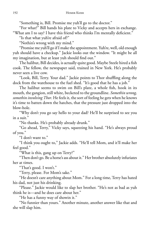"Something is, Bill. Promise me yuh'll go to the doctor."

"For what?" Bill hands his plate to Vicky and accepts hers in exchange. "What am I to say? I have this friend who thinks I'm mentally deficient."

"Is that what yuh're afraid of?"

"Nothin's wrong with my mind."

"Promise me yuh'll go if I make the appointment. Yuh're, well, old enough yuh should have a checkup." Jackie looks out the window. "It might be all my imagination, but at least yuh should find out."

The halibut, Bill decides, is actually quite good. Maybe Steele hired a fish cook. The fellow, the newspaper said, trained in New York. He's probably never seen a live cow.

"Look, Bill, Terry. Your dad." Jackie points to Thor shuffling along the dock from the warehouse to the fuel shed. "It's good that he has a job."

The halibut seems to swim on Bill's plate, a whole fish, hook in its mouth, the gangion, still white, becketed to the groundline. *Somethin wrong, somethin involving Thor*. He feels it, the sort of feeling he gets when he knows it's time to batten down the hatches, that the pressure just dropped into the blow-hole.

"Why don't you go say hello to your dad? He'll be surprised to see you in a suit."

"No thanks. He's probably already drunk."

"Go ahead, Terry," Vicky says, squeezing his hand. "He's always proud of you."

"I don't want to."

"I think you ought to," Jackie adds. "He'll tell Mom, and it'll make her feel good."

"What is this, gang up on Terry?"

"Then don't go. Be a horse's ass about it." Her brother absolutely infuriates her at times.

"That's good. I won't."

"Terry, please. For Mom's sake."

"He doesn't care anything about Mom." For a long time, Terry has hated his dad, not just his drinking.

"Please." Jackie would like to slap her brother. "He's not as bad as yuh think he is—and he does care about her."

"He has a funny way of showin it."

"No funnier than yours." Another minute, another answer like that and she will slap him.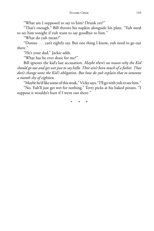"What am I supposed to say to him? Drunk yet?"

"That's enough." Bill throws his napkin alongside his plate. "Yuh need to see him tonight if yuh want to say goodbye to him."

"What do yuh mean?"

"Dunno . . . can't rightly say. But one thing I know, yuh need to go out there."

"He's your dad," Jackie adds.

"What has he ever done for me?"

Bill ignores the kid's last accusation. *Maybe there's no reason why the Kid should go out and get wet just to say hello. Thor ain't been much of a father. That don't change none the Kid's obligation. But how do yuh explain that to someone a month shy of eighteen.*

"Maybe he'd like some of this steak," Vicky says. "I'll go with yuh to see him."

"No. Yuh'll just get wet for nothing." Terry picks at his baked potato. "I suppose it wouldn't hurt if I went out there."

\* \* \*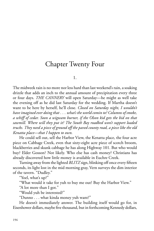# Chapter Twenty Four

1.

The midweek rain is no more nor less hard than last weekend's rain, a soaking drizzle that adds an inch to the annual amount of precipitation every three or four days. *THE CANNERY* will open Saturday—he might as well take the evening off as he did last Saturday for the wedding. If Martha doesn't want to be here by herself, he'll close. *Closed on Saturday night, I wouldn't have imagined ever doingthat . . . what's the world comin to? Columns of smoke, a whiff of cedar. Soon a wigwam burner, if the Olson kid gets the bid on that sawmill. Where will they put it? The South Bay roadbed won't support loaded trucks. They need a piece of ground off the paved county road, a piece like the old Kenatta place—that I happen to own.*

He could sell out, sell the Harbor View, the Kenatta place, the four acre piece on Cabbage Creek, even that sixty-eight acre piece of scotch broom, blackberries and skunk cabbage he has along Highway 101. But who would buy? Elder Gosson? Not likely. Who else has cash money? Christians has already discovered how little money is available in Euchre Creek.

Turning away from the lighted *BLITZ* sign, blinking off once every fifteen seconds, its light lost in the mid morning gray, Vern surveys the dim interior of the tavern. "Dudley."

"Yoel, what's up?"

"What would it take for yuh to buy me out? Buy the Harbor View."

"A lot more than I got."

"Would yuh be interested?"

"Dunno . . . what kinda money yuh want?"

He doesn't immediately answer. The building itself would go for, in Eisenhower dollars, maybe five thousand, but in forthcoming Kennedy dollars,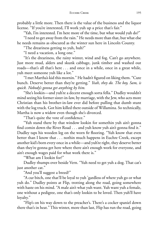probably a little more. Then there is the value of the business and the liquor license. "If you're interested, I'll work yuh up a price that's fair."

"Yah, I'm interested. I'm here more of the time, but what would yuh do?"

"I need to get away from the rain." He needs more than that, but what else he needs remains as obscured as the winter sun here in Lincoln County.

"The dreariness getting to yuh, huh?"

"I need a vacation, a long one."

"It's the dreariness, the rainy winter, wind and fog. Can't go anywhere. Just more mud, alders and skunk cabbage, junk timber and washed out roads—that's all that's here . . . and once in a while, once in a great while, yuh meet someone yuh like a lot."

"I met Martha's kid this mornin." He hadn't figured on liking them. "Cute bunch. Deserve better than they're getting." *Yeah, they do. The boy, Sam, is quick. Nobody's gonna get anything by him.*

"She's lookin—and yuh're a decent enough sorta fella." Dudley wouldn't mind seeing his former sister-in-law, by marriage, with the Jew, who acts more Christian than his brother-in-law ever did before pulling that dumb stunt with the log truck. Got him killed there outside of Willamina. So technically, Martha is now a widow even though she's divorced.

"That's quite the vote of confidence."

"Yuh stand there by that window lookin for somethin yuh ain't gonna find comin down the River Road  $\ldots$  and yuh know yuh ain't gonna find it." Dudley taps his wooden leg on the worn fir flooring. "Yuh know that even better than I know that . . . nothin much happens in Euchre Creek, except another kid's born every once in a while—and yuh're right, they deserve better than they're gonna get here where there ain't enough work for everyone, and ain't enough wages paid for what work there is."

"What am I lookin for?"

Dudley thumps over beside Vern. "Yuh need to get yuh a dog. That cat's just another cat."

"And you'll suggest a breed?"

"A cur bitch, one that'll be loyal to yuh 'gardless of where yuh go or what yuh do." Dudley points at Flip, trotting along the road, going somewhere with haste on his mind. "A male ain't what yuh want. Yuh want yuh a female, one without a pedigree, one that's only lookin to be loved. Then yuh'll have loyalty."

"Flip's on his way down to the preacher's. There's a cocker spaniel down there that's in heat." This winter, more than last, Flip has run the road, going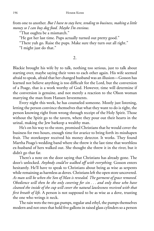from one to another. *But I have to stay here, tending to business, making a little money so I can buy dog food. Maybe I'm envious.*

"That oughta be a mismatch."

"He got her last time. Pups actually turned out pretty good."

"There yuh go. Raise the pups. Make sure they turn out all right."

"I might just do that."

2.

Blackie brought his wife by to talk, nothing too serious, just to talk about starting over, maybe saying their vows to each other again. His wife seemed afraid to speak, afraid that her changed husband was an illusion—Gosson has learned not believe anything is too difficult for the Lord, but the conversion of a Poage, that is a work worthy of God. However, time will determine if the conversion is genuine, and not merely a reaction to the Olson woman marrying the man from Hansen Investments.

Every night this week, he has counseled someone. Mostly just listening, letting the person convince themselves that what they want to do is right, the person knowing right from wrong through receipt of the Holy Spirit. Those without the Spirit go to the tavern, where they pour out their hearts in the urinal, making the Jew barkeep a wealthy man.

He's on his way to the store, promised Christians that he would cover the business for two hours, enough time for avarice to bring forth its misshapen fruit. The storekeeper received his money detector. It works. They found Martha Poage's wedding band where she threw it the last time that worthless ex-husband of hers walked out. She thought she threw it in the river, but it didn't go that far.

There's a note on the door saying that Christians has already gone. The door's unlocked. *Anybody could've walked off with everything.* Gosson enters hesitantly. He'll have to speak to Christians about being as wise as serpents while remaining as harmless as doves. Christians left the open store uncovered. *As man will be when the Son of Man is revealed. The garment of grace removed. Obedience will then be the only covering for sin . . . and only those who have cleaned the inside of the cup will cover the natural lawlessness received with that first breath of life*. A person is not supposed to be as wise as a dove, trusting the one who wrings it neck.

The rain wets the two gas pumps, regular and ethyl, the pumps themselves modern and not ones that hold five gallons in raised glass cylinders so a person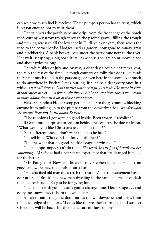can see how much fuel is received. These pumps a person has to trust, which is reason enough not to trust them.

The rain wets the porch steps and drips from the front edge of the porch roof, cutting a narrow trough through the packed gravel, filling the trough and flowing across to fill the low spot in Dudley's front yard, then across the road to the corner lot Ed Hodges used as garden, now gone to canary grass and blackberries. A bank beaver lives under the berry cane next to the river. He saw it last spring, a big boar, its tail as wide as a square point shovel blade and about twice as long.

The white skies of July and August, a clear day a couple of times a year, the rain the rest of the time—a tough country on folks that don't like mud: there's not much to do in the parsonage, or even here in the store. Not much to do anywhere in Euchre Creek but log, fish, snipe a deer every once in a while. *That's all there is. Don't matter where you go. Just looks like more in some of those other places . . . a fellow still lives in his head, and here, there's more room to move about than in a lot of those other places.*

He sees Grandma Hodges stop perpendicular to the gas pumps, blocking anyone from pulling up to the pumps from the downriver side. *Wonder what she wants? Probably heard about Blackie.*

"Those onions I got were no good inside. Been frozen, I recollect."

If Grandma is surprised to see him behind the counter, she doesn't let on. "What would you like Christians to do about them?"

"Get different ones. I don't want the ones he has."

"I'll tell him. What can I do for you till then?"

"Tell me what that no good Blackie Poage is tryin to—"

"Nope, nope, nope. Can't do that." *She won't be satisfied if I don't tell her something.* "Mr. Poage had a near death experience that has changed him . . . for the better."

"Mr. Poage is it? Now yuh listen to me, Stephen Gosson. He ain't no good, and won't never be nothin but a liar!"

"His crucified old man did stretch the truth," A no truer statement has he ever uttered. "But it's the new man dwelling in the same tabernacle of flesh that'll enter heaven. So you be forgiving him."

"He's foolin with yuh. He ain't gonna change none. He's a Poage . . . and everyone knows they're born thieves 'n liars."

A lash of rain stings the door, rattles the windowpane, and drips from the inside edge of the glass. "Looks like the weather's turning bad. I suspect Christians will be back shortly to take care of those onions."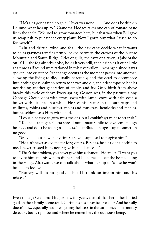"He's ain't gonna find no gold. Never was none  $\dots$  . And don't be thinkin I dunno what he's up to." Grandma Hodges takes one can of tomato paste from the shelf. "We used to grow tomatoes here, but that was when Bill gave us scrap fish to put under every plant. Now I gotta buy what I used to do for myself."

Rain and drizzle, wind and fog—the day can't decide what it wants to be as grayness remains firmly locked between the crowns of the Euchre Mountain and South Ridge. Cries of gulls, the caws of a raven, a jake brake on 101—the fog absorbs noise, holds it very still, then dribbles it out a little at a time as if sound were rationed in this river valley, unchanged since it was spoken into existence. Yet change occurs as the moment passes into another, allowing the living to die, usually peaceably, and the dead to decompose into nothingness. Salmon return to spawn and die, their decomposed bodies nourishing another generation of smolts and fry. Only birth from above breaks this cycle of decay. Every spring, Gosson sees, in the pastures along Cabbage Creek, does with fawn, ewes with lamb, cows with calf, even a beaver with kit once in a while. He sees his creator in the buttercups and trilliums, robins and bluejays, moles and muskrats, hemlocks and maples, but he seldom sees Him with child.

"Leo said he used to grow muskmelons, but I couldn't get mine to set fruit."

"Too cold at night. Gotta spread out a mature pile to give 'em enough heat . . . and don't be changin subjects. That Blackie Poage is up to somethin no good."

"Maybe—but how many times are you supposed to forgive him?"

"He ain't never asked me for forgiveness. Besides, he ain't done nothin to me. I never trusted him, never gave him a chance—"

"That's the problem, you never gave him a chance." He smiles. "I want you to invite him and his wife to dinner, and I'll come and eat the best cooking in the valley. Afterwards we can talk about what he's up to 'cause he won't be able to fool you."

"Flattery will do no good . . . but I'll think on invitin him and his misses."

Even though Grandma Hodges has, for years, denied that her father buried gold on their family homestead, Christians has never believed her. And he really doesn't now, especially not after getting the beeps in the earphones of his money detector, beeps right behind where he remembers the outhouse being.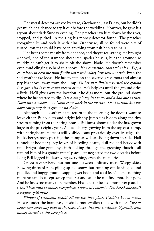The metal detector arrived by stage, Greyhound, last Friday, but he didn't get much of a chance to try it out before the wedding. However, he gave it a tryout about dark Sunday evening. The preacher saw him down by the river, stopped, and picked up the ring his money detector found. The preacher recognized it, and took it with him. Otherwise, all he found were bits of rusted iron that could have been anything from fish hooks to nails.

The beeps come mostly from one spot, and they're real strong. He brought a shovel, one of the stamped sheet steel spades he sells, but the ground's so muddy he can't get it to shake off the shovel blade. He doesn't remember even mud clinging so hard to a shovel. *It's a conspiracy, that's what it is. Yup, a conspiracy to keep me from fi ndin what technology here will unearth.* Even the sod won't shake loose. He has to step on the severed grass roots and almost pry his shovel away from the lump. *I'll bet that Puritan turned the ground into goo. Did it so he could preach at me.* He's helpless until the ground dries a little. He'll give away the location if he digs more, but the ground shows where he has started to dig. *It is a conspiracy, has to be, and a bad one at that. Darn rain anyhow . . . . Gotta come back in the mornin. Don't wanta, but this darn conspiracy don't give me no choice.*

Although he doesn't want to return in the morning, he doesn't want to leave either. Pale violets and bright Johnny-jump-ups bloom along the tiny stream coming from the spring-house. Trilliums bloom under the firs, grown large in the past eighty years. A huckleberry growing from the top of a stump, with springboard notches still visible, leans precariously over its edge, the huckleberry's roots piercing the stump as well as sliding down its side. Half tunnels of boomers; lacy leaves of bleeding hearts, dull red and heavy with rain; bright blue grape hyacinth poking through the greening thatch—all remind him of his grandparents' place, left neglected for two decades before Long Bell logged it, destroying everything, even the memories.

*Yes sir, a conspiracy.* But not one between ordinary men. Weepy skies. Blowing drifts of rain, piling up like snow, but running off, leaving behind puddles and boggy ground, sopping wet boots and cold feet. There's nothing more he can do except sweep the area and see if he can find more hotspots. And he finds too many to remember. His detector beeps almost ever place he tries. *There must be moneyeverywhere. I knew it! I knew it. This here homestead's a regular gold mine.*

*Wonder if Grandma would sell me this here place. Couldn't be too much.* He sits under the barn eves, its shake roof swollen thick with moss. *Sure be better here every day than in the store. Buyin that was a mistake. 'Specially with money buried on this here place.*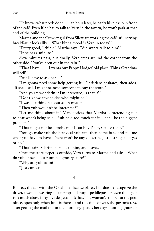He knows what needs done . . . an hour later, he parks his pickup in front of the café. Even if he has to talk to Vern in the tavern, he won't park at that end of the building.

Martha and the Crowley girl from Siletz are working the café, still serving breakfast it looks like. "What kinda mood is Vern in today?"

"Pretty good, I think," Martha says. "Yuh wanta talk to him?"

"If he has a minute."

Slow minutes pass, but finally, Vern steps around the corner from the other side. "You've been out in the rain."

"That I have . . . . I wanta buy Pappy Hodges' old place. Think Grandma will sell?"

"Yuh'll have to ask her—"

"I'm gonna need some help getting it." Christians hesitates, then adds, "If she'll sell, I'm gonna need someone to buy the store."

"And you're wonderin if I'm interested, is that it?"

"Don't know anyone else who might be."

"I was just thinkin about sellin myself."

"Then yuh wouldn't be interested?"

"Let me think about it." Vern notices that Martha is pretending not to hear what's being said. "Yuh paid too much for it. That'll be the biggest problem."

"That might not be a problem if I can buy Pappy's place right."

"You go make yuh the best deal yuh can, then come back and tell me what yuh have to have. There won't be any dickerin. Just a straight up yes or no."

"That's fair." Christians nods to him, and leaves.

Once the storekeeper is outside, Vern turns to Martha and asks, "What do yuh know about runnin a grocery store?"

"Why are yuh askin?"

"Just curious."

#### 4.

Bill sees the car with the Oklahoma license plates, but doesn't recognize the driver, a woman wearing a halter top and purple peddlepushers even though it isn't much above forty-five degrees if it's that. The woman's stopped at the post office, open only when June is there—and this time of year, the postmistress, after getting the mail out in the morning, spends her days hunting agates or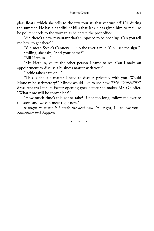glass floats, which she sells to the few tourists that venture off 101 during the summer. He has a handful of bills that Jackie has given him to mail, so he politely nods to the woman as he enters the post office.

"Sir, there's a new restaurant that's supposed to be opening. Can you tell me how to get there?"

"Yuh mean Steele's Cannery . . . up the river a mile. Yuh'll see the sign."

Smiling, she asks, "And your name?"

"Bill Heroun—"

"Mr. Heroun, you're the other person I came to see. Can I make an appointment to discuss a business matter with you?"

"Jackie take's care of—"

"This is about a matter I need to discuss privately with you. Would Monday be satisfactory?" Mindy would like to see how *THE CANNERY's* dress rehearsal for its Easter opening goes before she makes Mr. G's offer. "What time will be convenient?"

"How much time's this gonna take? If not too long, follow me over to the store and we can meet right now."

*It might be better if I made the deal now.* "All right, I'll follow you." *Sometimes luck happens.*

\* \* \*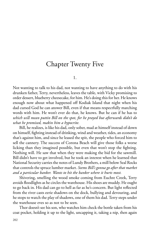### Chapter Twenty Five

1.

Not wanting to talk to his dad, not wanting to have anything to do with his drunken father, Terry, nevertheless, leaves the table, with Vicky promising to order dessert, blueberry cheesecake, for him. He's doing this for her. He knows enough now about what happened off Kodiak Island that night when his dad cursed God he can answer Bill, even if that means respectfully matching words with him. He won't ever do that, he knows. But he can if he has to *which will mean puttin Bill on the spot, for he prayed but afterwards didn't do what he promised, makin him a hypocrite.*

Bill, he realizes, is like his dad, only sober, mad at himself instead of down on himself, fighting instead of drinking, wind and weather, tides, an economy that's against him, and since he leased the spit, the people who forced him to sell the cannery. The success of Corona Beach will give those folks a worse licking than they imagined possible, but even that won't stop the fighting. Nothing will. He saw that when they were making the bid for the sawmill. Bill didn't have to get involved, but he took an interest when he learned that National Security carries the notes of Lundy Brothers, a mill below Seal Rocks that controls the spruce lumber market. *Seems Bill'sgonna go after that market and a particular banker. Wants to hit the banker where it hurts most.*

Shivering, smelling the wood smoke coming from Euchre Creek, Terry avoids floodlights as he circles the warehouse. His shoes are muddy. He ought to go back in. His dad can go to hell as far as he's concern. But light reflected from the river casts eerie shadows on the dock, bullying and devouring, and he stops to watch the play of shadows, one of them his dad. Terry steps under the warehouse eves so as not to be seen.

Thor doesn't see his son, who watches him check the bottle taken from his coat pocket, holding it up to the light, uncapping it, taking a nip, then again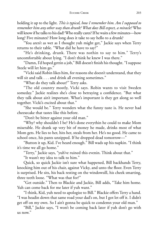holding it up to the light. *This is typical, how I remember him. Am I supposed to remember him any other way than drunk? What does Bill expect, a miracle?* Who will know if he talks to his dad? Who really cares? If he waits a few minutes—how long? Five minutes? How long does it take to say hello to a drunk?

"You aren't as wet as I thought yuh might get," Jackie says when Terry returns to their table. "What did he have to say?"

"He's drinking, drunk. There was nothin to say to him." Terry's uncomfortable about lying. "I don't think he knew I was there."

"Damn, I'd hoped gettin a job," Bill doesn't finish his thought. "I suppose Steele will let him go."

"Vicki said Robin likes him, for reasons she doesn't understand, that they will sit and talk . . . and drink all evening sometimes."

"What do they talk about?" Terry asks.

"The old country mostly, Vicki says. Robin wants to visit Sweden someday." Jackie realizes she's close to betraying a confidence. "But what they talk about ain't important. What's important is they get along so well together. Vicki's excited about that."

"She would be." Terry wonders what the funny taste is. He never had cheesecake that tastes like this before.

"Don't be bitter against your old man."

"Why? why shouldn't I be? He's done everythin he could to make Mom miserable. He drank up very bit of money he made, drinks most of what Mom gets. He lies to her, hits her, steals from her. He's no good. He came to school once, his pants unzipped. If he dropped dead tomorrow—"

"Button it up, Kid. I've heard enough." Bill wads up his napkin. "I think it's time we all go home."

"Terry," Jackie says, "yuh've ruined this evenin. Think about that."

"It wasn't my idea to talk to him."

Quick, so quick Jackie isn't sure what happened, Bill backhands Terry, knocking him out of his chair, against Vicky, and unto the floor. Even Terry is surprised. He sits, his back resting on the windowsill, his cheek smarting, three teeth loose. "What was that for?"

"Get outside." Then to Blackie and Jackie, Bill adds, "Take him home. Yuh can come back for me later if yuh want."

"I think, Kid, yuh need to apologize to Bill." Blackie offers Terry a hand. "I was headin down that same road your dad's on, but I got let off it. I didn't get off on my own. So I ain't gonna be quick to condemn your old man."

"Bill," Jackie says, "I won't be coming back later if yuh don't go with us now."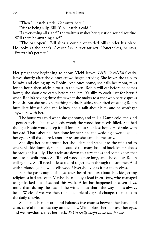"Then I'll catch a ride. Get outta here."

"Yuh're being silly, Bill. Yuh'll catch a cold."

"Is everything all right?" the waitress makes her question sound routine. "Will there be anything else?"

"The bar open?" Bill slips a couple of folded bills under his plate. He looks at the check. *I could buy a steer for less*. Nonetheless, he says, "Everythin's perfect."

2.

Her pregnancy beginning to show, Vicki leaves *THE CANNERY* early, leaves shortly after the dinner crowd began arriving. She leaves the tally to Mindy, and closing up to Robin. And once home, she calls her mom, talks for an hour, then sticks a roast in the oven. Robin will eat before he comes home; she should've eaten before she left. It's silly to cook just for herself when Robin's paying three times what she makes to a chef who barely speaks English. But she needs something to do. Besides, she's tired of seeing Robin humiliate himself. She and Mindy had a talk about him, and he won't get anywhere with her.

The house was cold when she got home, and still is. Damp cold, the kind a person feels. The stove needs wood; the wood box needs filled. She had thought Robin would keep it full for her, but she's lost hope. He drinks with her dad. That's about all he's done for her since the wedding a week ago . . . her eye is still discolored, another reason she came home early.

She slips her coat around her shoulders and steps into the rain and to where Blackie dumped, split and stacked the many loads of buckskin fir blocks he brought last July. The stacks are down to a few sticks and some knots that need to be split more. She'll need wood before long, and she doubts Robin will get any. She'll need at least a cord to get them through till summer. And with Orlando gone, who sells wood? Everybody gets it for themselves.

For the past couple of days, she's heard rumors about Blackie getting religion, a bad case of it. Maybe she can buy a load from Terry, who managed to get kicked out of school this week. A lot has happened in seven days, more than during the rest of the winter. But that's the way it has always been. Weeks of wet weather, then a couple of days of change, then back to the daily drizzle.

She bends her left arm and balances five chunks between her hand and chin, careful not to rest any on the baby. Wind blows her hair over her eyes, and wet sawdust chafes her neck. *Robin really ought to do this for me.*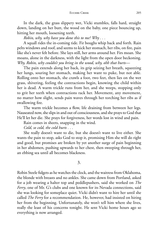In the dark, the grass slippery wet, Vicki stumbles, falls hard, straight down, landing on her butt, the wood on the baby, one piece bouncing up, hitting her mouth, loosening teeth.

*Robin, why, why have you done this to me? Why . . .* 

A squall rides the in-coming tide. Fir boughs whip back and forth. Rain pelts windows and roof, and seems to kick her stomach, her ribs, on fire, pain like she's never felt before. She lays still, her arms around her. Firs moan. She moans, alone in the darkness, with the light from the open door beckoning. *Why, Robin, why couldn't you bring in the wood, why, ohh that hurts—*

The pain extends along her back, its grip seizing her breath, squeezing her lungs, souring her stomach, making her want to puke, but not able. Rolling onto her stomach, she crawls a foot, two feet, then lies on the wet grass, shivering, feeling the contractions begin, knowing the child within her is dead. A warm trickle runs from her, and she weeps, stopping only to grit her teeth when contractions rack her. Movement, any movement, no matter how slight, sends pain waves through her torching her ribs as if swallowing fire.

The warm trickle becomes a flow, life draining from between her legs. Nauseated now, she slips in and out of consciousness, and she prays to God that He'll let her die. She prays for forgiveness, her words lost in wind and pain.

Rain comes in sheets, snapping in the wind.

*Cold, so cold, the cold hurts . . .* 

She really doesn't want to die, but she doesn't want to live either. She wants the pain to stop, asks God to stop it, promising Him she will do right and good, but promises are broken by yet another surge of pain beginning in her abdomen, pushing upwards to her chest, then sweeping through her, an ebbing sea until all becomes blackness.

3.

Robin Steele fidgets as he watches the clock, and the waitress from Oklahoma, the blonde with breasts and no ankles. She came down from Portland, asked for a job wearing a halter top and peddlepushers, said she worked on *The Ferry*, one of Mr. G's clubs and one known for its Nevada connections, said she was looking for someplace quiet. Vicki didn't want to hire her until she called *The Ferry* for a recommendation. He, however, had insisted on hiring her from the beginning. Unfortunately, she won't tell him where she lives, really the least of his concerns tonight. He sent Vicki home hours ago so everything is now arranged.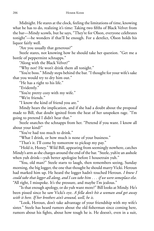Midnight. He stares at the clock, feeling the limitations of time, knowing what he has to do, realizing it's time: Taking two fifths of Black Velvet from the bar—Mindy scowls, but he says, "They're for Olson, everyone celebrates tonight"—he wonders if that'll be enough. For a derelict, Olson holds his liquor fairly well.

"Are you usually that generous?"

Steele stares, not knowing how he should take her question. "Get me a bottle of peppermint schnapps."

"Along with the Black Velvet?"

"Why not? He won't drink them all tonight."

"You're boss." Mindy steps behind the bar. "I thought for your wife's sake that you would try to dry him out."

"He has a right to his life."

"Evidently."

"You're pretty cozy with my wife."

"We're friends."

"I know the kind of friend you are."

Mindy hears the implication, and if she had a doubt about the proposal made to Bill, that doubt ignited from the heat of her unspoken rage. "I'm going to pretend I didn't hear that."

Steele snatches the schnapps from her. "Pretend if you want. I know all about your kind?"

"You've had too much to drink."

"What I drink, or how much is none of your business."

"That's it. I'll come by tomorrow to pickup my pay."

"Hold it, Honey." Wild Bill, appearing from seemingly nowhere, catches Mindy's arm as she charges around the end of the bar. "Steele, yuh're an asshole when yuh drink—yuh better apologize before I housetrain yuh."

"You, old man?" Steele starts to laugh, then remembers seeing, Sunday morning, the big logger, the one that thought he should marry Vicki. Heroun had marked him up. He heard the logger hadn't touched Heroun. *I knew I could take that logger all along, and I can take him . . . if we were someplace else.* "All right, I misspoke. It's the pressure, and maybe I'm jealous."

"Is that enough apology, or do yuh want more?" Bill looks at Mindy. He's been pissed since he saw Vicki's eye. *A fella don't hit a woman and get away with it here. If her brothers ain't around, well, he is.*

"Look, Heroun, don't take advantage of your friendship with my wife's sister." Steele has heard rumors about the old fisherman since coming here, rumors about his fights, about how tough he is. He doesn't, even in a suit,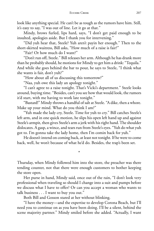look like anything special. He can't be as tough as the rumors have him. Still, it's easy to say, "I was out of line. Let it go at that."

Mindy, brows furled, lips hard, says, "I don't get paid enough to be insulted, apologies aside. But I thank you for intervening."

"Did yuh hear that, Steele? Yuh aren't payin her enough." Then to the short-skirted waitress, Bill asks, "How much of a raise is fair?"

"Fair? Or how much do I want?"

"Don't run off, Steele." Bill releases her arm. Although he has drank more than he probably should, he motions for Mindy to get him a drink: "Tequila." And while she goes behind the bar to pour, he says to Steele, "I think what she wants is fair, don't yuh?"

"How about all of us discussing this tomorrow?"

"Naa, yuh owe this lady an apology tonight."

"I can't agree to a raise tonight. That's Vicki's department." Steele looks around, buying time. "Besides, can't you see how that would look, the rumors it'd start, with me having to work late tonight."

"Bastard!" Mindy throws a handful of salt at Steele. "A dike, then a whore. Make up your mind. What do you think I am?"

"Yuh made the lady cry, Steele. Time for yuh to cry." Bill catches Steele's left arm, and in one quick motion, he slips his open left hand up and against Steele's armpit, then gives Steele's arm a jerk with his right hand. The shoulder dislocates. A gasp, a wince, and tears run from Steele's eyes. "Yuh do what yuh got to. I'm gonna take the lady home, then I'm comin back for yuh."

He doesn't intend on coming back, at least not tonight. If he were to come back, well, he won't because of what he'd do. Besides, the trap's been set.

\*

Thursday, when Mindy followed him into the store, the preacher was there tending counter, not that there were enough customers to bother keeping the store open.

Her purse in hand, Mindy said, once out of the rain, "I don't look very professional when traveling so should I change into a suit and pumps before we discuss what I have to offer? Or can you accept a woman who wants to talk business . . . I want to buy you out."

Both Bill and Gosson stared at her without blinking.

"I have the money—and the expertise to develop Corona Beach, but I'll need you to continue on as you have been doing. I'll be a silent, behind the scene majority partner." Mindy smiled before she added. "Actually, I want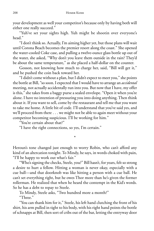your development as well your competitor's because only by having both will either one really succeed."

"Yuh've set your sights high. Yuh might be shootin over everyone's head."

"I don't think so. Actually, I'm aiming higher yet, but those plans will wait until Corona Beach becomes the premier resort along the coast." She opened the water-cooled Coke case, and pulling a twelve-ounce glass bottle up out of the water, she asked, "Why don't you leave them outside in the rain? They'd be about the same temperature," as she placed a half-dollar on the counter.

Gosson, not knowing how much to charge her, said, "Bill will get it," and he pushed the coin back toward her.

"I didn't come without a plan, but I didn't expect to meet you," she points the bottle at Bill, "so soon. I expected that I would have to arrange an *accidental* meeting, not actually accidentally run into you. But now that I have, my offer is this," she takes from a baggy purse a sealed envelope. "Open it when you're alone. I have no intention of pressuring you into doing anything. Then think about it. If you want to sell, come by the restaurant and tell me that you want to take me home. A little bit of code. I'll understand that you've said yes, and we'll proceed from there . . . we might not be able to again meet without your competitor becoming suspicious. I'll be working for him."

"You're certain about that?"

"I have the right connections, so yes, I'm certain."

Heroun's tone changed just enough to worry Robin, who can't afford any kind of an altercation tonight. To Mindy, he says, in words choked with pain, "I'll be happy to work out what's fair."

\*

"Who's signing the checks, Steele, you?" Bill hasn't, for years, felt so strong a desire to hurt a fellow. Hitting a woman is never okay, especially with a cue ball—and that doorknob was like hitting a person with a cue ball. He can't set everything right, but he owes Thor more than he's given the former rollerman. He realized that when he heard the contempt in the Kid's words. So he has a debt to repay to Steele.

To Mindy, Steele asks, "Two hundred more a month?" "Three."

"You can thank him for it," Steele, his left hand clutching the front of his shirt, his arm pulled in tight to his body, with his right hand points the bottle of schnapps at Bill, then sort of cribs out of the bar, letting the entryway door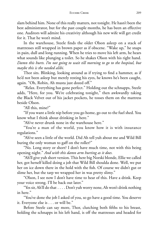slam behind him. None of this really matters, not tonight. He hasn't been the best administrator, but for the past couple months, he has been an effective one. Auditors will admire his creativity although his new wife will get credit for it. That he won't mind.

In the warehouse, Steele finds the older Olson asleep on a stack of mattresses still wrapped in brown paper as if obscene. "Wake up," he snaps in pain, dull and long running. When he tries to move his left arm, he hears what sounds like plunging a toilet. So he shakes Olson with his right hand. *Damn this hurts. I'm not going to wait till morning to go to the hospital, but maybe this is the needed alibi.*

Thor sits. Blinking, looking around as if trying to find a hammer, as if he'd not been asleep but merely resting his eyes, he knows he's been caught, again. "Oh, Robin, Ah musta just dozed off."

"Relax. Everything has gone perfect." Holding out the schnapps, Steele adds, "Here, for you. We're celebrating tonight," then awkwardly taking the Black Velvet out of his jacket pockets, he tosses them on the mattress beside Olson.

"All this, mine?"

"If you want a little nip before you go home, go out to the fuel shed. You know what I think about drinking in here."

"Ah've never drunk none in the warehouse here."

"You're a man of the world, you know how it is with insurance regulations."

"Ah've seen a little of the world. Did Ah tell yuh about me and Wild Bill buring the only woman to gaff on the roller?"

"No. Long story or short? I don't have much time, not with this being opening night." *And with this damn arm hurting as it does.*

"Ah'll give yuh short version. This here big Norski blonde, Ellie we called her, got herself killed doing a job that Wild Bill shoulda done. Well, we put her on ice down there in the hold with the fish. Of course we didn't gut or slime her, but the tarp we wrapped her in was pretty slimy."

"Olson, I see now I don't have time to hear of this. Have a drink. Keep your voice strong. I'll be back out later."

"Yes sir, Ah'll do that . . . . Don't yuh worry none, Ah won't drink nothing in here."

"You've done the job I asked of you, so go have a good time. You deserve it. Everyone else is . . . or will be."

Before Steele can say more, Thor, clutching both fifths to his breast, holding the schnapps in his left hand, is off the mattresses and headed for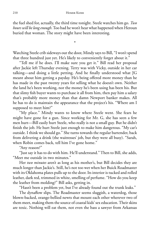the fuel shed for, actually, the third time tonight. Steele watches him go. *Two hours will be longenough*. Too bad he won't hear what happened when Heroun buried that woman. The story might have been interesting.

Watching Steele crib sideways out the door, Mindy says to Bill, "I won't spend that three hundred just yet. He's likely to conveniently forget about it."

\*

"Tell me if he does. I'll make sure you get it." Bill read her proposal after Jackie left Thursday evening. Terry was with Vicky, outside in her car talking—and doing a little petting. And he finally understood what JG meant about him getting a payday. He's being offered more money than he has made in the past twenty years for selling what he doesn't own. Neither the land he's been working, nor the money he's been using has been his. But that slimy fish buyer wants to purchase it all from him, then pay him a salary that's probably more money than that damn Newport banker makes. All he has to do is maintain the appearance that the project's his. "Where am I supposed to meet him?"

"My place." Mindy wants to know where Steele went. She fears he might have gone for a gun. Since working for Mr. G, she has seen a few men hurt—Bill easily hurt Steele, who really is not a small guy. But he didn't finish the job. He hurt Steele just enough to make him dangerous. "My car's outside. I think we should go." She turns towards the regular bartender, back from delivering a drink (the waitresses' job, but they were all busy). "Sarah, when Robin comes back, tell him I've gone home."

"Any reason?"

"Just say it has to do with him. He'll understand." Then to Bill, she adds, "Meet me outside in two minutes."

Her *two minutes* aren't as long as his mother's, but Bill decides they are much longer than Jackie's. Still, he's not too wet when her Buick Roadmaster with its Oklahoma plates pulls up to the door. Its interior is tucked and rolled leather, dark red, trimmed in white, smelling of perfume. "How do you keep the leather from molding?" Bill asks, getting in.

"Hasn't been a problem yet, but I've already found out the trunk leaks."

The dynaflow slips. The Roadmaster seems sluggish, a waterdog, those blown-backed, orange-bellied newts that mount each other wherever two of them meet, making them the source of coastal kids' sex education. Their skins are toxic. Nothing will eat them, not even the bass a sawyer from Arkansas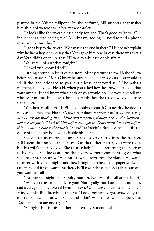planted in the Valsetz millpond. It's the perfume, Bill suspects, that makes him think of waterdogs. *That and the leather*.

"It looks like the tavern closed early tonight. That's good to know. Our influence is already being felt." Mindy says, adding, "I need to find a phone to set up the meeting."

"I got a key to the tavern. We can use the one in there." He doesn't explain why he has a key, doesn't say that Vern gave him one in case there was ever a day Vern didn't open up, that Bill was to take care of his affairs.

"You're full of surprises tonight."

"How'd yuh know I'd sell?"

Turning around in front of the store, Mindy returns to the Harbor View before she answers. "Mr. G knew because none of it was yours. You wouldn't sell if the land belonged to you, but a lease, that you'd sell." She waits a moment, then adds, "He said, when you asked how he knew, to tell you that your mutual friend knew what both of you would do. He wouldn't tell me who your mutual friend was, but apparently, he's the reason why you are to remain on."

"Yuh better call him." If Bill had doubts about JG's sincerity, he doesn't now as he opens the Harbor View's rear door. *It's been a rainy winter, a long wet winter, not much goin on*. *Little stuff happenin, though. Like in the Aleutians, before Sven got it. That's it! Like before Sven got it. That's when I felt this before, this . . . dunno how to describe it. Somethin ain't right.* But he can't identify the cause of the empty hollowness inside his chest.

She dials a memorized number, speaks very softly into the receiver. Bill listens, but only hears her say, "On that other matter, you were right, but his wife's not involved. She's a nice lady." Then returning the receiver to its cradle, she looks around the tavern without commenting on what she sees. She says only, "He's on his way down from Portland. He wants to meet with you tonight, and he's bringing a check, the paperwork, his attorney, and if you want one there, he'll cover the expense. Is there anyone you want to call?"

"It's after midnight on a Sunday mornin. No. Who'd I call at this hour?"

"Will you trust me to advise you? Not legally, but I am an accountant, and a very good one, even if I work for Mr. G. However, he doesn't own me." Mindy looks Bill directly in the eye. "Look, my family got screwed by the oil companies. I'm for what's fair, and I don't want to see what happened to Dad happen to anyone again."

"All right. But is this another Hansen Investment deal?"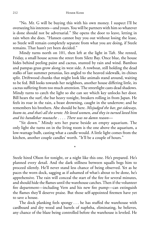"No. Mr. G will be buying this with his own money. I suspect I'll be overseeing his interests—and yours. You will be partners with him so whatever is done should not be adversarial." She opens the door to leave, letting in rain when she does. "Hansen cannot buy you out without losing the lease, so Steele will remain completely separate from what you are doing, if Steele remains. That hasn't yet been decided."

Mindy turns north on 101, then left at the light in Taft. She rented, Friday, a small house across the street from Siletz Bay. Once blue, the house hides behind peeling paint and cactus, stunted by rain and wind. Bamboo and pampas grass grow along its west side. A rowboat, still holding the dead stalks of last summer petunias, lies angled to the heaved sidewalk, its chines split. Driftwood chunks that might look like animals stand around, waiting to be fed. Bill looks towards her neighbors, another house differing little, its cactus suffering from too much attention. The streetlight casts dead shadows. Mindy turns to catch the light so she can see which key unlocks her door. Bill hears the surf, the bar heavy tonight, breakers rolling in from Japan. He feels its roar in the rain, a beast drowning, caught in the undertow; and he remembers his brothers. Abe should be here. *Misjudged the bar, got sideways, beam-to, and that's all she wrote. He loved women, and they in turned loved him and his handlebar mustache* . . . . *There was no damn reason—*

"Sit down." Mindy sets her purse beside an empty aquarium. The only light she turns on in the living room is the one above the aquarium, a low-wattage bulb, casting what a candle would. A little light comes from the kitchen, another couple candles' worth. "It'll be a couple of hours."

\*

Steele hired Olson for tonight, or a night like this one. He's prepared. He's planned every detail. And the dark stillness between squalls begs him to proceed silently. He'll never stand less chance of being observed. Yet as he paces the worn dock, sagging as if ashamed of what's about to be done, he's apprehensive. The rain will conceal the start of the fire for several minutes, and should hide the flames until the warehouse catches. Then if the volunteer fire department—including Vern and his new fire pump—can extinguish the flames they'll deserve praise. But those self-appointed firemen have yet to save a house.

The dock planking feels spongy . . . he has stuffed the warehouse with cardboard and dry wood and barrels of naphtha, eliminating, he believes, any chance of the blaze being controlled before the warehouse is leveled. He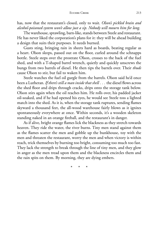has, now that the restaurant's closed, only to wait. *Olson's pickled brain and alcohol-poisoned system won't allow just a sip. Nobody will mourn him for long*.

The warehouse, sprawling, barn-like, stands between Steele and restaurant. He has never liked the corporation's plans for it: they will be ahead building a design that suits their purposes. It needs burned.

Gusts sting, bringing rain in sheets hard as boards, beating regular as a heart. Olson sleeps, passed out on the floor, curled around the schnapps bottle. Steele steps over the prostrate Olson, crosses to the back of the fuel shed, and with a T-shaped barrel wrench, quietly and quickly unscrews the bungs from two barrels of diesel. He then tips the barrels over. Their *thuds* cause Olson to stir, but fail to waken him.

Steele watches the fuel oil gurgle from the barrels. Olson said he'd once been a Lutheran. *If there's still a man inside that shell . . .* the diesel fl ows across the shed floor and drips through cracks, drips onto the storage tank below. Olson stirs again when the oil reaches him. He rolls over, his padded jacket oil-soaked, and if he had opened his eyes, he would see Steele toss a lighted match into the shed. As it is, when the storage tank ruptures, sending flames skyward a thousand feet, the all-wood warehouse fairly blows as it ignites spontaneously everywhere at once. Within seconds, it's a wooden skeleton standing naked in an orange fireball, and the restaurant's in danger.

As if alive, bright orange flames lick the blackness as they stretch towards heaven. They ride the water, the river burns. Tiny men stand against them as the flames scatter the men and gobble up the bunkhouse, toy with the men and threaten the restaurant, worry the men and when victory is within reach, trick themselves by burning too bright, consuming too much too fast. They lack the strength to break through the line of tiny men, and they glow in anger as the men tread upon them and the blackness encircles them and the rain spits on them. By morning, they are dying embers.

\* \* \*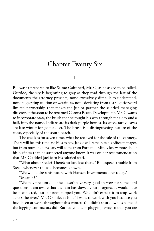## Chapter Twenty Six

1.

Bill wasn't prepared to like Salmo Gairdneri, Mr. G, as he asked to be called. Outside, the sky is beginning to gray as they read through the last of the documents the attorney presents, none excessively difficult to understand, none suggesting caution or weariness, none deviating from a straightforward limited partnership that makes the junior partner the salaried managing director of the soon to be renamed Corona Beach Development. Mr. G wants to incorporate *salal*, the brush that he fought his way through for a day and a half, into the name. Indians ate its dark purple berries. Its waxy, rattly leaves are late winter forage for deer. The brush is a distinguishing feature of the coast, especially of the south beach.

The check is for seven times what he received for the sale of the cannery. There will be, this time, no bills to pay. Jackie will remain as his office manager, but from now on, her salary will come from Portland. Mindy knew more about his business than he suspected anyone knew. It was on her recommendation that Mr. G added Jackie to his salaried staff.

"What about Steele? There's no love lost there." Bill expects trouble from Steele whenever the sale becomes known.

"We will address his future with Hansen Investments later today."

"Meanin?"

"We may fire him . . . if he doesn't have very good answers for some hard questions. I am aware that the rain has slowed your progress, as would have been expected, but it hasn't stopped you. We didn't expect it to stop work across the river." Mr. G smiles at Bill. "I want to work with you because you have been at work throughout this winter. You didn't shut down as some of the logging contractors did. Rather, you kept plugging away so that you are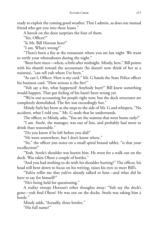ready to exploit the coming good weather. That I admire, as does our mutual friend who got you into these leases."

A knock on the door surprises the four of them.

"Yes, Officer?"

"Is Mr. Bill Heroun here?"

"I am. What's wrong?"

"There's been a fire at the restaurant where you ate last night. We want to verify your whereabouts during the night."

"Been here since—when, a little after midnight. Mindy, here," Bill points with his thumb toward the accountant (he doesn't now think of her as a waitress), "can tell yuh where I've been."

"As can I, Officer. Here is my card." Mr. G hands the State Police officer his business card. "How serious is the fire?"

"Yuh say a fire, what happened? Anybody hurt?" Bill knew something would happen. That gut feeling of his hasn't been wrong yet.

"We're out accounting for people right now, but the dock structures are completely demolished. The fire was exceedingly hot."

Mindy furls her brow as she steps to the side of Mr. G and whispers, "No accident, what I told you." Mr. G nods that he understands.

The officer, to Mindy, asks, "You are the waitress that went home early?"

"I am. Steele, the manager, was out of line, and probably had more to drink than reasonable."

"Do you know if he left before you did?"

"He went somewhere, but I don't know where."

"Sir," the officer jots notes on a small spiral bound tablet, "is that your recollection?"

"Yeah. Steele's shoulder was hurtin him. He went for a walk out on the dock. Was takin Olson a couple of bottles."

"And you had nothing to do with his shoulder hurting?" The officer, his head still bent down to focus on his writing, raises his eyes to meet Bill's.

"Yuh're tellin me that yuh've already talked to him—and what did he have to say for himself?"

"He's being held for questioning."

A reality sweeps Heroun's other thoughts away: "Yuh say the dock's gone—yuh find Olson? He was out on the docks. Steele was taking him a bottle."

Mindy adds, "Actually, three bottles."

"His full name?"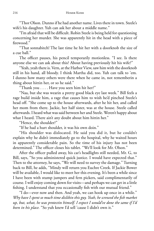"Thor Olson. Dunno if he had another name. Lives there in town. Steele's wife's his daughter. Yuh can ask her about a middle name."

"I'm afraid that will be difficult. Robin Steele is being held for questioning concerning her murder. She was apparently hit in the head with a piece of fi rewood."

"That sonnabitch! The last time he hit her with a doorknob the size of a cue ball."

The officer pauses, his pencil temporarily motionless. "I see. Is there anyone else we can ask about this? About having previously hit his wife?"

"Yeah, yeah there is. Vern, at the Harbor View, saw him with the doorknob still in his hand, all bloody. I think Martha did, too. Yuh can talk to 'em. I dunno how many others were there when he came in, not rememberin a thing about hittin her, or so he said."

"Thank you . . . . Have you seen him hit her?"

"Naa, but she was wearin a pretty good black eye last week." Bill feels a rage build inside him, a rage that causes him to wish he'd pinched Steele's head off. "She come up to the house afterwards, after he hit her, and called her mom from there. Jackie, her half sister, was at the house. Steele called afterwards. I heard what was said between her and Steele. Weren't happy about what I heard. There ain't any doubt about him hittin her."

"Hence, the shoulder?"

"If he had a hurt shoulder, it was his own doin."

"His shoulder was dislocated. He said you did it, but he couldn't explain why he didn't immediately go to the hospital, why he waited hours in apparently considerable pain. So the time of his injury has not been determined." The officer closes his tablet. "We'll look for Mr. Olson."

After the officer pulled away, his car's headlights still needed, Mr. G, to Bill, says, "So you administered quick justice. I would have expected that." Then to the attorney, he says, "We will need to survey the damage." Turning back to Bill, he adds, "Mindy will return you Euchre Creek. If Jackie Bower will be available, I would like to meet her this evening. It's been a while since I have been with stump jumpers and fern pickers, said complimentarily of course. I will enjoy coming down for visits—and perhaps we can get in a little fishing. I understand that you occasionally fish with our mutual friend."

"I do—ever now and then. And yeah, we can hook up once in a while." *Why have I spent so much time dislikin this guy. Yeah, he screwed the fi sh market up, but, what, he was protectin himself. I expect I would've done the same if I'd been in his place.* "So yuh knew I'd sell 'cause I didn't own it."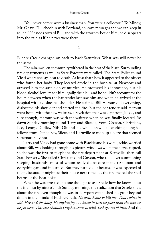"You never before were a businessman. You were a collector." To Mindy, Mr. G says, "I'll check in with Portland, so leave messages and we can keep in touch." He nods toward Bill, and with the attorney beside him, he disappears into the rain as if he never were there.

2.

Euchre Creek changed on back to back Saturdays. What was will never be the same.

The rain-swollen community withered in the heat of the blaze. Surrounding fire departments as well as State Forestry were called. The State Police found Vicki where she lay, beat to death. At least that's how it appeared to the officer who found her body. They located Steele in the hospital at Newport and arrested him for suspicion of murder. He protested his innocence, but his blood alcohol level made him legally drunk—and he couldn't account for the hours between when the bar tender last saw him and when he arrived at the hospital with a dislocated shoulder. He claimed Bill Heroun did everything, dislocated his shoulder and started the fire. But the bar tender said Heroun went home with the new waitress, a revelation that was kept from Jackie, and sure enough, Heroun was with the waitress when he was finally located. So dawn Sunday morning found Terry and Blackie, Vern, Gosson, Christians, Leo, Lenny, Dudley, Nils, Olf and his whole crew—all working alongside fellows from Depoe Bay, Siletz, and Kernville to mop up a blaze that seemed supernaturally hot.

Terry and Vicky had gone home with Blackie and his wife. Jackie, worried about Bill, was looking through his picture windows when the blaze erupted, so she was the first to telephone the fire department at Kernville, then call State Forestry. She called Christians and Gosson, who took over summoning sleeping husbands, most of whom really didn't care if the restaurant and everything around it burned. But they turned out because it was expected of them, because it might be their house next time . . . the fire melted the steel beams of the boat hoist.

When he was arrested, no one thought to ask Steele how he knew about the fire. But by nine o'clock Sunday morning, the realization that Steele knew about the fire even though he was in Newport established his guilt beyond doubt in the minds of Euchre Creek. *He went home to kill her. That's what he did. Her and the baby. He oughta fry . . . knew he was no good from the minute he got here. This case shouldn't oughta come to trial. Let's get rid of him.* And the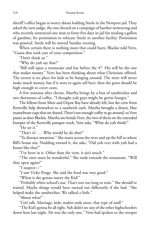sheriff's office began to worry about holding Steele in the Newport jail. They asked the new judge, the one elected on a campaign of harsher sentencing and who recently sentenced one man to forty-five days in jail for stealing a gallon of gasoline, for permission to relocate Steele to another facility. Permission was granted. Steele will be moved Sunday evening.

When certain there is nothing more that could burn, Blackie told Vern, "Guess that took care of your competition."

"Don't think so."

"Why do yuh say that?"

"Bill will open a restaurant and bar before the  $4<sup>th</sup>$ . His will be the one that makes money." Vern has been thinking about what Christians offered. The tavern is no place for kids to be hanging around. The store will never make much money, but if it were to again sell beer, then the gross should be high enough to cover costs.

A few minutes after eleven, Martha brings by a box of sandwiches and two thermoses of coffee. "I thought yuh guys might be gettin hungry."

The fellows from Siletz and Depoe Bay have already left, but the crew from Kernville help themselves to a sandwich each. Martha brought a dozen, blue enamelware cups that are shared. There's not enough coffee to go around, so Vern passes as does Blackie. Martha sits beside Vern, the two of them on the extended bumper of the Kernville pumper truck. Vern asks, "What do yuh think?"

"He set it."

"That's it? . . . Why would he do that?"

"To distract attention." She stares across the river and up the hill to where Bill's house sits. Nodding toward it, she asks, "Did yuh ever wish yuh had a house like that?"

"I've been in it. Other than the view, it ain't much."

"The view must be wonderful." She nods towards the restaurant. "Will they open again?"

"I suspect—"

"I saw Vicky Poage. She said the food was very good."

"When is she gonna marry the Kid?"

"Probably when school's out. That's not too long to wait." She should've waited. Maybe things would have turned out differently if she had. "She helped make the sandwiches. We talked a little."

"About what?"

"Girl talk. Marriage, kids, makin ends meet, that type of stuff."

"The Kid's gonna be all right. Yuh didn't see any of the other highschoolers down here last night. He was the only one." Vern had spoken to the trooper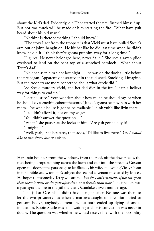about the Kid's dad. Evidently, old Thor started the fire. Burned himself up. But not too much will be made of him starting the fire. "What have yuh heard about his old man?"

"Nothin? Is there something I should know?"

"The story I got from the troopers is that Vicki must have pulled Steele's arm out of joint, hangin on. He hit her like he did last time when he didn't know he did it. I think they're gonna put him away for a long time."

"Figures. He never belonged here, never fit in." She sees a raven glide overhead to land on the bent top of a scorched hemlock. "What about Terry's dad?"

"No one's seen him since last night . . . he was on the dock a little before the fire began. Apparently he started it in the fuel shed. Smoking, I imagine. But the troopers are more concerned about what Steele did."

"So Steele murders Vicki, and her dad dies in the fire. That's a helleva way for things to end up."

"Poetic justice." Vern wonders about how much he should say, or when he should say something about the store. "Jackie's gonna be movin in with her mom. The whale house is gonna be available. Think yuh'd like livin there."

"I couldn't afford it, not on my wages."

"You didn't answer the question—"

"What," she pauses as she looks at him. "Are yuh gonna buy it?"

"I might—"

"Well, yeah," she hesitates, then adds, "I'd like to live there." *Yes, I would like to live there, but not alone.*

3.

Hard rain bounces from the windows, from the roof, off the flower beds, the ricocheting drops running across the lawn and out into the street as Gosson opens the door of the parsonage to let Blackie, his wife, and young Vicky Olson in for a Bible study, tonight's subject the second covenant mediated by Moses. He hopes that someday Terry will attend, *but the Lord is patient. If not thisyear, then there is next*, *or the year after that*, *or a decade from now*. The fire here was a year ago; the fire in the jail there at Oceanlake eleven months ago.

The jail at Oceanlake didn't have a night jailer. No one was there to let the two prisoners out when a mattress caught on fire. Both tried to get somebody's, anybody's attention, but both ended up dying of smoke inhalation. Robin Steele was still awaiting trial. His conviction was never in doubt. The question was whether he would receive life, with the possibility